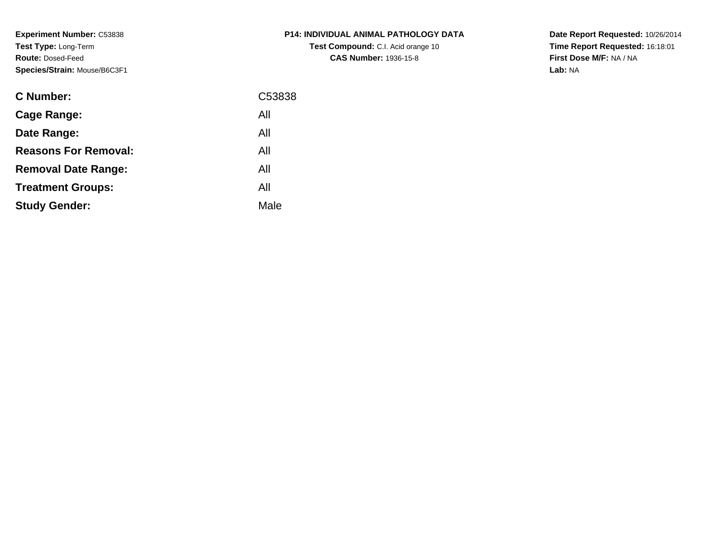**Experiment Number:** C53838**Test Type:** Long-Term**Route:** Dosed-Feed**Species/Strain:** Mouse/B6C3F1

| <b>C Number:</b>            | C53838 |
|-----------------------------|--------|
| Cage Range:                 | All    |
| Date Range:                 | All    |
| <b>Reasons For Removal:</b> | All    |
| <b>Removal Date Range:</b>  | All    |
| <b>Treatment Groups:</b>    | All    |
| <b>Study Gender:</b>        | Male   |
|                             |        |

**P14: INDIVIDUAL ANIMAL PATHOLOGY DATATest Compound:** C.I. Acid orange 10**CAS Number:** 1936-15-8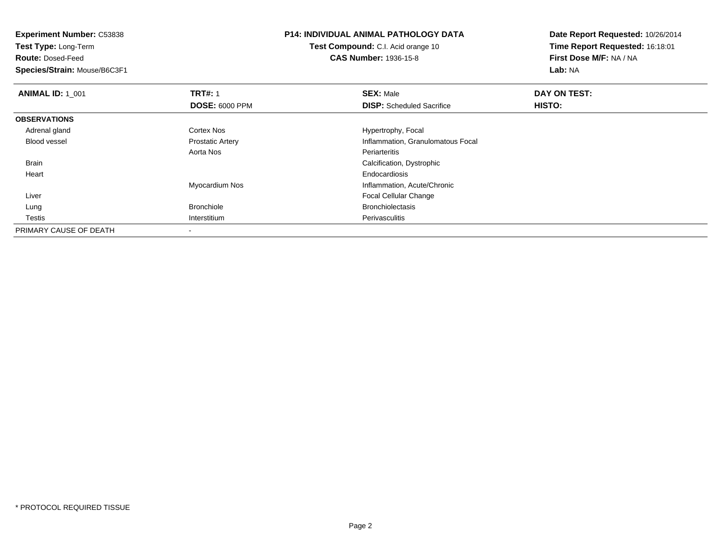**Experiment Number:** C53838**Test Type:** Long-Term

**Route:** Dosed-Feed

**Species/Strain:** Mouse/B6C3F1

## **P14: INDIVIDUAL ANIMAL PATHOLOGY DATA**

**Test Compound:** C.I. Acid orange 10**CAS Number:** 1936-15-8

| <b>ANIMAL ID: 1 001</b> | <b>TRT#: 1</b>          | <b>SEX: Male</b>                  | DAY ON TEST: |  |
|-------------------------|-------------------------|-----------------------------------|--------------|--|
|                         | <b>DOSE: 6000 PPM</b>   | <b>DISP:</b> Scheduled Sacrifice  | HISTO:       |  |
| <b>OBSERVATIONS</b>     |                         |                                   |              |  |
| Adrenal gland           | <b>Cortex Nos</b>       | Hypertrophy, Focal                |              |  |
| <b>Blood vessel</b>     | <b>Prostatic Artery</b> | Inflammation, Granulomatous Focal |              |  |
|                         | Aorta Nos               | Periarteritis                     |              |  |
| <b>Brain</b>            |                         | Calcification, Dystrophic         |              |  |
| Heart                   |                         | Endocardiosis                     |              |  |
|                         | Myocardium Nos          | Inflammation, Acute/Chronic       |              |  |
| Liver                   |                         | <b>Focal Cellular Change</b>      |              |  |
| Lung                    | Bronchiole              | <b>Bronchiolectasis</b>           |              |  |
| Testis                  | Interstitium            | Perivasculitis                    |              |  |
| PRIMARY CAUSE OF DEATH  |                         |                                   |              |  |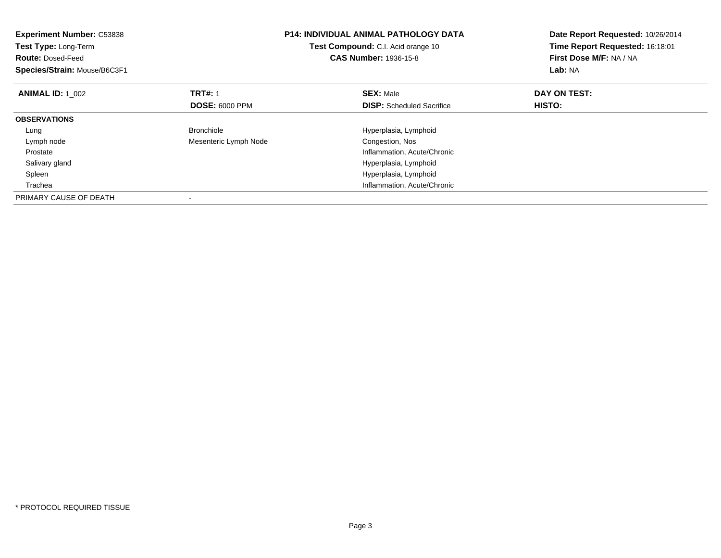| <b>Experiment Number: C53838</b><br>Test Type: Long-Term<br><b>Route: Dosed-Feed</b><br>Species/Strain: Mouse/B6C3F1 |                       | <b>P14: INDIVIDUAL ANIMAL PATHOLOGY DATA</b><br>Test Compound: C.I. Acid orange 10<br><b>CAS Number: 1936-15-8</b> | Date Report Requested: 10/26/2014<br>Time Report Requested: 16:18:01<br>First Dose M/F: NA / NA<br>Lab: NA |
|----------------------------------------------------------------------------------------------------------------------|-----------------------|--------------------------------------------------------------------------------------------------------------------|------------------------------------------------------------------------------------------------------------|
| <b>ANIMAL ID: 1_002</b>                                                                                              | <b>TRT#: 1</b>        | <b>SEX: Male</b>                                                                                                   | DAY ON TEST:                                                                                               |
|                                                                                                                      | <b>DOSE: 6000 PPM</b> | <b>DISP:</b> Scheduled Sacrifice                                                                                   | HISTO:                                                                                                     |
| <b>OBSERVATIONS</b>                                                                                                  |                       |                                                                                                                    |                                                                                                            |
| Lung                                                                                                                 | <b>Bronchiole</b>     | Hyperplasia, Lymphoid                                                                                              |                                                                                                            |
| Lymph node                                                                                                           | Mesenteric Lymph Node | Congestion, Nos                                                                                                    |                                                                                                            |
| Prostate                                                                                                             |                       | Inflammation, Acute/Chronic                                                                                        |                                                                                                            |
| Salivary gland                                                                                                       |                       | Hyperplasia, Lymphoid                                                                                              |                                                                                                            |
| Spleen                                                                                                               |                       | Hyperplasia, Lymphoid                                                                                              |                                                                                                            |
| Trachea                                                                                                              |                       | Inflammation, Acute/Chronic                                                                                        |                                                                                                            |
| PRIMARY CAUSE OF DEATH                                                                                               |                       |                                                                                                                    |                                                                                                            |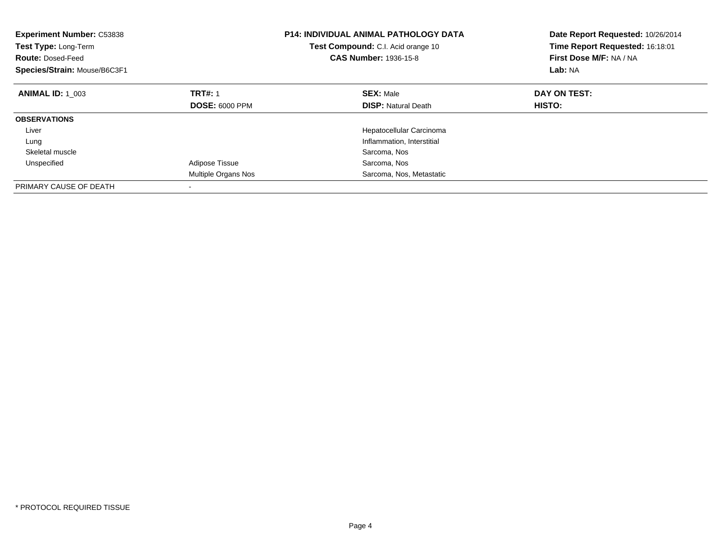| <b>Experiment Number: C53838</b><br>Test Type: Long-Term<br><b>Route: Dosed-Feed</b><br>Species/Strain: Mouse/B6C3F1 |                          | <b>P14: INDIVIDUAL ANIMAL PATHOLOGY DATA</b><br>Test Compound: C.I. Acid orange 10<br><b>CAS Number: 1936-15-8</b> | Date Report Requested: 10/26/2014<br>Time Report Requested: 16:18:01<br>First Dose M/F: NA / NA<br>Lab: NA |
|----------------------------------------------------------------------------------------------------------------------|--------------------------|--------------------------------------------------------------------------------------------------------------------|------------------------------------------------------------------------------------------------------------|
| <b>ANIMAL ID: 1 003</b>                                                                                              | <b>TRT#: 1</b>           | <b>SEX: Male</b>                                                                                                   | DAY ON TEST:                                                                                               |
|                                                                                                                      | <b>DOSE: 6000 PPM</b>    | <b>DISP:</b> Natural Death                                                                                         | HISTO:                                                                                                     |
| <b>OBSERVATIONS</b>                                                                                                  |                          |                                                                                                                    |                                                                                                            |
| Liver                                                                                                                |                          | Hepatocellular Carcinoma                                                                                           |                                                                                                            |
| Lung                                                                                                                 |                          | Inflammation, Interstitial                                                                                         |                                                                                                            |
| Skeletal muscle                                                                                                      |                          | Sarcoma, Nos                                                                                                       |                                                                                                            |
| Unspecified                                                                                                          | <b>Adipose Tissue</b>    | Sarcoma, Nos                                                                                                       |                                                                                                            |
|                                                                                                                      | Multiple Organs Nos      | Sarcoma, Nos, Metastatic                                                                                           |                                                                                                            |
| PRIMARY CAUSE OF DEATH                                                                                               | $\overline{\phantom{a}}$ |                                                                                                                    |                                                                                                            |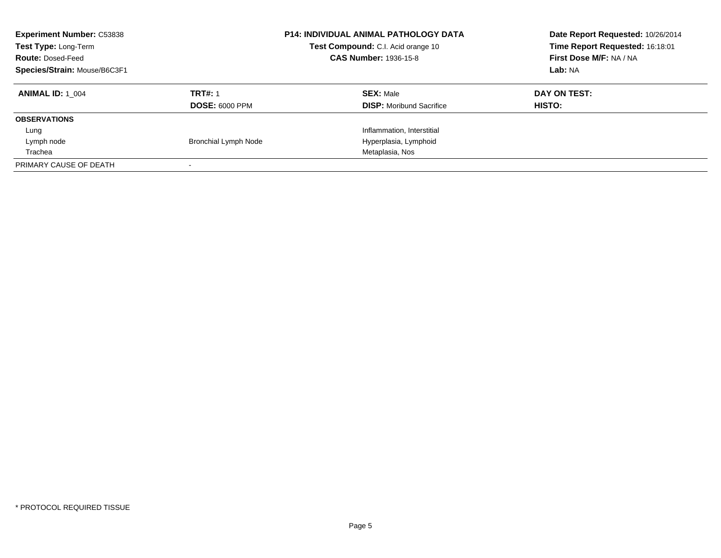| <b>Experiment Number: C53838</b><br>Test Type: Long-Term<br><b>Route: Dosed-Feed</b><br>Species/Strain: Mouse/B6C3F1 |                                         | <b>P14: INDIVIDUAL ANIMAL PATHOLOGY DATA</b><br>Test Compound: C.I. Acid orange 10<br><b>CAS Number: 1936-15-8</b> | Date Report Requested: 10/26/2014<br>Time Report Requested: 16:18:01<br>First Dose M/F: NA / NA<br>Lab: NA |
|----------------------------------------------------------------------------------------------------------------------|-----------------------------------------|--------------------------------------------------------------------------------------------------------------------|------------------------------------------------------------------------------------------------------------|
| <b>ANIMAL ID:</b> 1 004                                                                                              | <b>TRT#: 1</b><br><b>DOSE: 6000 PPM</b> | <b>SEX: Male</b><br><b>DISP:</b> Moribund Sacrifice                                                                | DAY ON TEST:<br>HISTO:                                                                                     |
| <b>OBSERVATIONS</b>                                                                                                  |                                         |                                                                                                                    |                                                                                                            |
| Lung                                                                                                                 |                                         | Inflammation, Interstitial                                                                                         |                                                                                                            |
| Lymph node                                                                                                           | <b>Bronchial Lymph Node</b>             | Hyperplasia, Lymphoid                                                                                              |                                                                                                            |
| Trachea                                                                                                              |                                         | Metaplasia, Nos                                                                                                    |                                                                                                            |
| PRIMARY CAUSE OF DEATH                                                                                               |                                         |                                                                                                                    |                                                                                                            |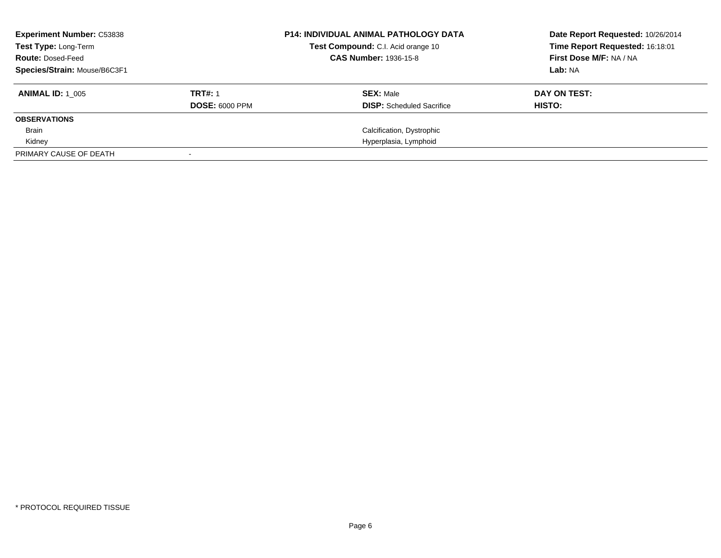| <b>Experiment Number: C53838</b><br>Test Type: Long-Term<br><b>Route: Dosed-Feed</b><br>Species/Strain: Mouse/B6C3F1 |                                         | <b>P14: INDIVIDUAL ANIMAL PATHOLOGY DATA</b><br>Test Compound: C.I. Acid orange 10<br><b>CAS Number: 1936-15-8</b> | Date Report Requested: 10/26/2014<br>Time Report Requested: 16:18:01<br>First Dose M/F: NA / NA<br>Lab: NA |
|----------------------------------------------------------------------------------------------------------------------|-----------------------------------------|--------------------------------------------------------------------------------------------------------------------|------------------------------------------------------------------------------------------------------------|
| <b>ANIMAL ID: 1 005</b>                                                                                              | <b>TRT#: 1</b><br><b>DOSE: 6000 PPM</b> | <b>SEX: Male</b><br><b>DISP:</b> Scheduled Sacrifice                                                               | DAY ON TEST:<br>HISTO:                                                                                     |
| <b>OBSERVATIONS</b>                                                                                                  |                                         |                                                                                                                    |                                                                                                            |
| <b>Brain</b>                                                                                                         |                                         | Calcification, Dystrophic                                                                                          |                                                                                                            |
| Kidney                                                                                                               |                                         | Hyperplasia, Lymphoid                                                                                              |                                                                                                            |
| PRIMARY CAUSE OF DEATH                                                                                               |                                         |                                                                                                                    |                                                                                                            |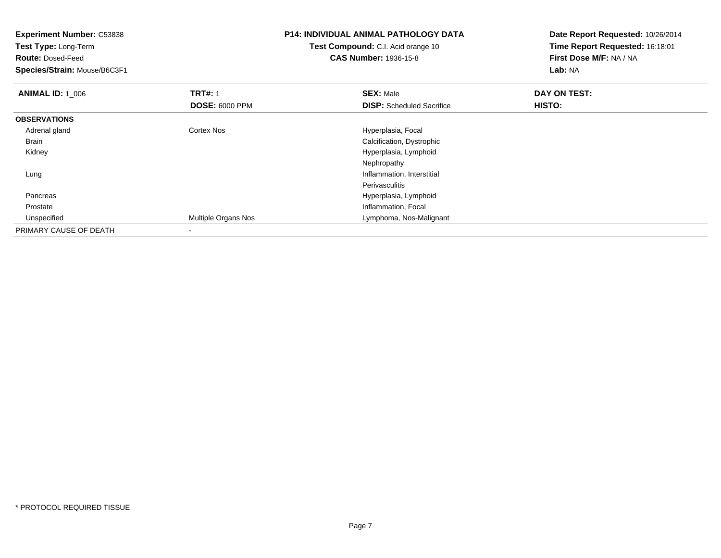| <b>Experiment Number: C53838</b> |                                    | P14: INDIVIDUAL ANIMAL PATHOLOGY DATA | Date Report Requested: 10/26/2014 |
|----------------------------------|------------------------------------|---------------------------------------|-----------------------------------|
| <b>Test Type: Long-Term</b>      | Test Compound: C.I. Acid orange 10 |                                       | Time Report Requested: 16:18:01   |
| <b>Route: Dosed-Feed</b>         |                                    | <b>CAS Number: 1936-15-8</b>          | First Dose M/F: NA / NA           |
| Species/Strain: Mouse/B6C3F1     |                                    |                                       | Lab: NA                           |
| <b>ANIMAL ID: 1_006</b>          | <b>TRT#: 1</b>                     | <b>SEX: Male</b>                      | DAY ON TEST:                      |
|                                  | <b>DOSE: 6000 PPM</b>              | <b>DISP:</b> Scheduled Sacrifice      | HISTO:                            |
| <b>OBSERVATIONS</b>              |                                    |                                       |                                   |
| Adrenal gland                    | Cortex Nos                         | Hyperplasia, Focal                    |                                   |
| Brain                            |                                    | Calcification, Dystrophic             |                                   |
| Kidney                           |                                    | Hyperplasia, Lymphoid                 |                                   |
|                                  |                                    | Nephropathy                           |                                   |
| Lung                             |                                    | Inflammation, Interstitial            |                                   |
|                                  |                                    | <b>Perivasculitis</b>                 |                                   |
| Pancreas                         |                                    | Hyperplasia, Lymphoid                 |                                   |
| Prostate                         |                                    | Inflammation, Focal                   |                                   |
| Unspecified                      | Multiple Organs Nos                | Lymphoma, Nos-Malignant               |                                   |
| PRIMARY CAUSE OF DEATH           |                                    |                                       |                                   |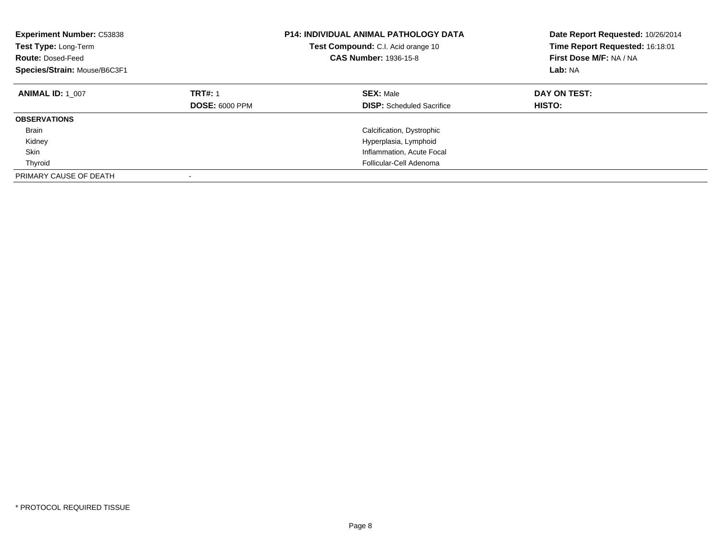| <b>Experiment Number: C53838</b><br>Test Type: Long-Term<br><b>Route: Dosed-Feed</b><br>Species/Strain: Mouse/B6C3F1 |                                         | <b>P14: INDIVIDUAL ANIMAL PATHOLOGY DATA</b><br><b>Test Compound:</b> C.I. Acid orange 10<br><b>CAS Number: 1936-15-8</b> | Date Report Requested: 10/26/2014<br>Time Report Requested: 16:18:01<br>First Dose M/F: NA / NA<br>Lab: NA |
|----------------------------------------------------------------------------------------------------------------------|-----------------------------------------|---------------------------------------------------------------------------------------------------------------------------|------------------------------------------------------------------------------------------------------------|
| <b>ANIMAL ID: 1 007</b>                                                                                              | <b>TRT#: 1</b><br><b>DOSE: 6000 PPM</b> | <b>SEX: Male</b><br><b>DISP:</b> Scheduled Sacrifice                                                                      | DAY ON TEST:<br>HISTO:                                                                                     |
| <b>OBSERVATIONS</b>                                                                                                  |                                         |                                                                                                                           |                                                                                                            |
| <b>Brain</b>                                                                                                         |                                         | Calcification, Dystrophic                                                                                                 |                                                                                                            |
| Kidney                                                                                                               |                                         | Hyperplasia, Lymphoid                                                                                                     |                                                                                                            |
| Skin                                                                                                                 |                                         | Inflammation, Acute Focal                                                                                                 |                                                                                                            |
| Thyroid                                                                                                              |                                         | Follicular-Cell Adenoma                                                                                                   |                                                                                                            |
| PRIMARY CAUSE OF DEATH                                                                                               |                                         |                                                                                                                           |                                                                                                            |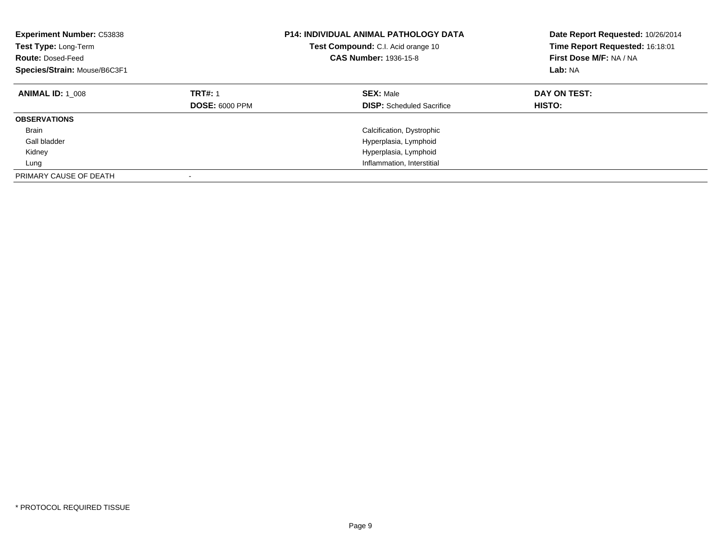| <b>Experiment Number: C53838</b><br>Test Type: Long-Term<br><b>Route: Dosed-Feed</b><br>Species/Strain: Mouse/B6C3F1 |                                         | <b>P14: INDIVIDUAL ANIMAL PATHOLOGY DATA</b><br>Test Compound: C.I. Acid orange 10<br><b>CAS Number: 1936-15-8</b> | Date Report Requested: 10/26/2014<br>Time Report Requested: 16:18:01<br>First Dose M/F: NA / NA<br>Lab: NA |
|----------------------------------------------------------------------------------------------------------------------|-----------------------------------------|--------------------------------------------------------------------------------------------------------------------|------------------------------------------------------------------------------------------------------------|
| <b>ANIMAL ID: 1 008</b>                                                                                              | <b>TRT#: 1</b><br><b>DOSE: 6000 PPM</b> | <b>SEX: Male</b><br><b>DISP:</b> Scheduled Sacrifice                                                               | DAY ON TEST:<br>HISTO:                                                                                     |
| <b>OBSERVATIONS</b>                                                                                                  |                                         |                                                                                                                    |                                                                                                            |
| <b>Brain</b>                                                                                                         |                                         | Calcification, Dystrophic                                                                                          |                                                                                                            |
| Gall bladder                                                                                                         |                                         | Hyperplasia, Lymphoid                                                                                              |                                                                                                            |
| Kidney                                                                                                               |                                         | Hyperplasia, Lymphoid                                                                                              |                                                                                                            |
| Lung                                                                                                                 |                                         | Inflammation, Interstitial                                                                                         |                                                                                                            |
| PRIMARY CAUSE OF DEATH                                                                                               |                                         |                                                                                                                    |                                                                                                            |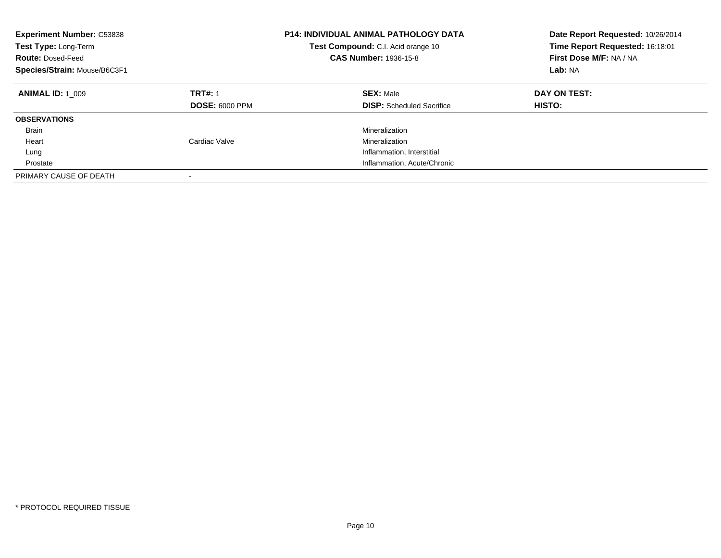| <b>Experiment Number: C53838</b><br>Test Type: Long-Term<br><b>Route: Dosed-Feed</b><br>Species/Strain: Mouse/B6C3F1 |                                         | <b>P14: INDIVIDUAL ANIMAL PATHOLOGY DATA</b><br>Test Compound: C.I. Acid orange 10<br><b>CAS Number: 1936-15-8</b> | Date Report Requested: 10/26/2014<br>Time Report Requested: 16:18:01<br>First Dose M/F: NA / NA<br>Lab: NA |
|----------------------------------------------------------------------------------------------------------------------|-----------------------------------------|--------------------------------------------------------------------------------------------------------------------|------------------------------------------------------------------------------------------------------------|
| <b>ANIMAL ID: 1 009</b>                                                                                              | <b>TRT#: 1</b><br><b>DOSE: 6000 PPM</b> | <b>SEX: Male</b><br><b>DISP:</b> Scheduled Sacrifice                                                               | DAY ON TEST:<br>HISTO:                                                                                     |
| <b>OBSERVATIONS</b>                                                                                                  |                                         |                                                                                                                    |                                                                                                            |
| <b>Brain</b>                                                                                                         |                                         | Mineralization                                                                                                     |                                                                                                            |
| Heart                                                                                                                | Cardiac Valve                           | Mineralization                                                                                                     |                                                                                                            |
| Lung                                                                                                                 |                                         | Inflammation, Interstitial                                                                                         |                                                                                                            |
| Prostate                                                                                                             |                                         | Inflammation, Acute/Chronic                                                                                        |                                                                                                            |
| PRIMARY CAUSE OF DEATH                                                                                               |                                         |                                                                                                                    |                                                                                                            |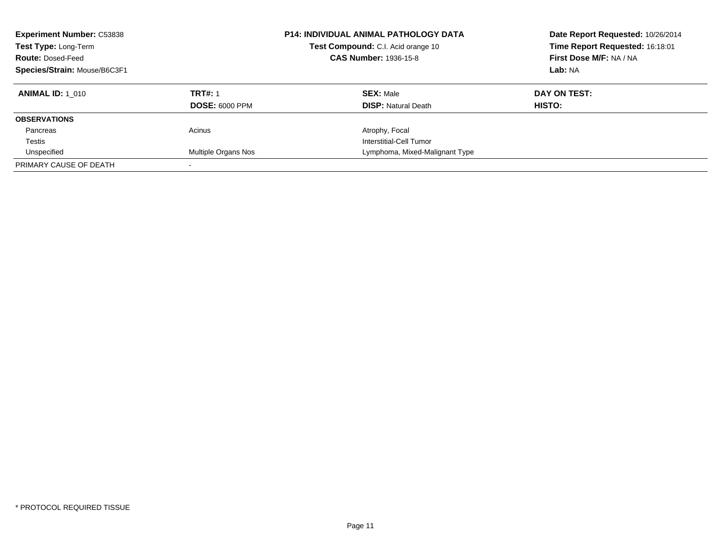| <b>Experiment Number: C53838</b><br>Test Type: Long-Term<br><b>Route: Dosed-Feed</b><br>Species/Strain: Mouse/B6C3F1 |                                         | <b>P14: INDIVIDUAL ANIMAL PATHOLOGY DATA</b><br>Test Compound: C.I. Acid orange 10<br><b>CAS Number: 1936-15-8</b> | Date Report Requested: 10/26/2014<br>Time Report Requested: 16:18:01<br>First Dose M/F: NA / NA<br>Lab: NA |
|----------------------------------------------------------------------------------------------------------------------|-----------------------------------------|--------------------------------------------------------------------------------------------------------------------|------------------------------------------------------------------------------------------------------------|
| <b>ANIMAL ID: 1 010</b>                                                                                              | <b>TRT#: 1</b><br><b>DOSE: 6000 PPM</b> | <b>SEX: Male</b><br><b>DISP: Natural Death</b>                                                                     | DAY ON TEST:<br>HISTO:                                                                                     |
| <b>OBSERVATIONS</b>                                                                                                  |                                         |                                                                                                                    |                                                                                                            |
| Pancreas                                                                                                             | Acinus                                  | Atrophy, Focal                                                                                                     |                                                                                                            |
| Testis                                                                                                               |                                         | Interstitial-Cell Tumor                                                                                            |                                                                                                            |
| Unspecified                                                                                                          | Multiple Organs Nos                     | Lymphoma, Mixed-Malignant Type                                                                                     |                                                                                                            |
| PRIMARY CAUSE OF DEATH                                                                                               |                                         |                                                                                                                    |                                                                                                            |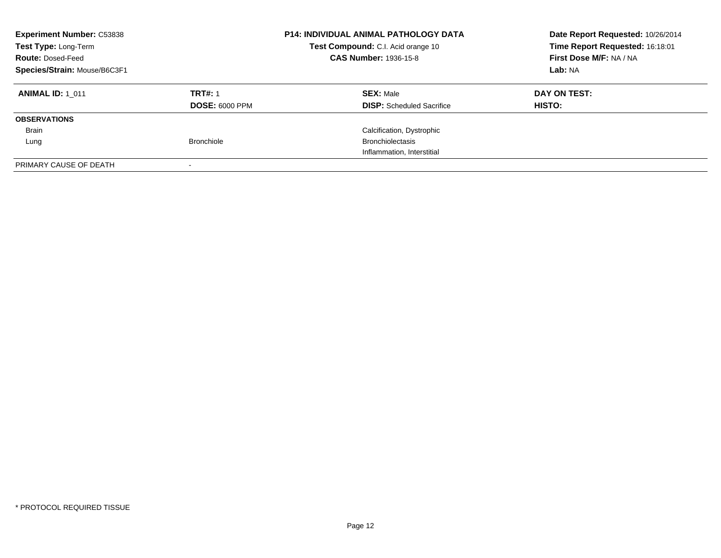| <b>Experiment Number: C53838</b><br>Test Type: Long-Term<br><b>Route: Dosed-Feed</b><br>Species/Strain: Mouse/B6C3F1 |                                         | <b>P14: INDIVIDUAL ANIMAL PATHOLOGY DATA</b><br>Test Compound: C.I. Acid orange 10<br><b>CAS Number: 1936-15-8</b> | Date Report Requested: 10/26/2014<br>Time Report Requested: 16:18:01<br>First Dose M/F: NA / NA<br><b>Lab: NA</b> |
|----------------------------------------------------------------------------------------------------------------------|-----------------------------------------|--------------------------------------------------------------------------------------------------------------------|-------------------------------------------------------------------------------------------------------------------|
| <b>ANIMAL ID: 1 011</b>                                                                                              | <b>TRT#: 1</b><br><b>DOSE: 6000 PPM</b> | <b>SEX: Male</b><br><b>DISP:</b> Scheduled Sacrifice                                                               | DAY ON TEST:<br>HISTO:                                                                                            |
| <b>OBSERVATIONS</b>                                                                                                  |                                         |                                                                                                                    |                                                                                                                   |
| <b>Brain</b>                                                                                                         |                                         | Calcification, Dystrophic                                                                                          |                                                                                                                   |
| Lung                                                                                                                 | <b>Bronchiole</b>                       | <b>Bronchiolectasis</b>                                                                                            |                                                                                                                   |
|                                                                                                                      |                                         | Inflammation, Interstitial                                                                                         |                                                                                                                   |
| PRIMARY CAUSE OF DEATH                                                                                               |                                         |                                                                                                                    |                                                                                                                   |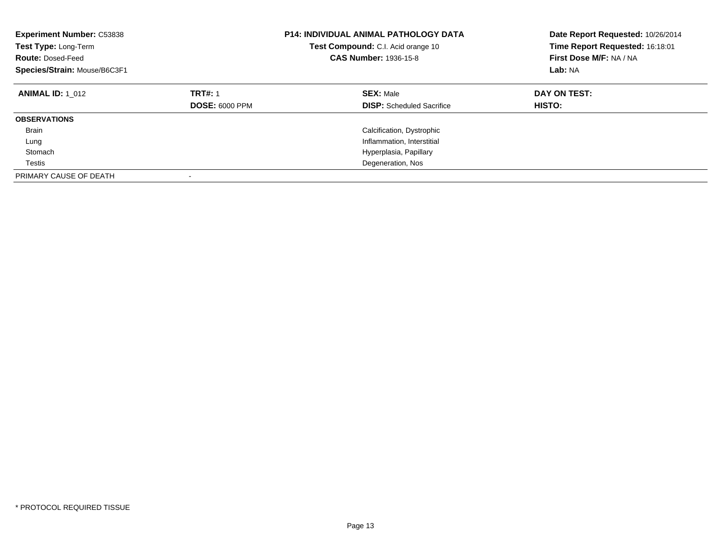| <b>Experiment Number: C53838</b><br>Test Type: Long-Term<br><b>Route: Dosed-Feed</b><br>Species/Strain: Mouse/B6C3F1 |                                         | <b>P14: INDIVIDUAL ANIMAL PATHOLOGY DATA</b><br><b>Test Compound:</b> C.I. Acid orange 10<br><b>CAS Number: 1936-15-8</b> | Date Report Requested: 10/26/2014<br>Time Report Requested: 16:18:01<br>First Dose M/F: NA / NA<br>Lab: NA |
|----------------------------------------------------------------------------------------------------------------------|-----------------------------------------|---------------------------------------------------------------------------------------------------------------------------|------------------------------------------------------------------------------------------------------------|
| <b>ANIMAL ID: 1 012</b>                                                                                              | <b>TRT#: 1</b><br><b>DOSE: 6000 PPM</b> | <b>SEX: Male</b><br><b>DISP:</b> Scheduled Sacrifice                                                                      | DAY ON TEST:<br>HISTO:                                                                                     |
| <b>OBSERVATIONS</b>                                                                                                  |                                         |                                                                                                                           |                                                                                                            |
| <b>Brain</b>                                                                                                         |                                         | Calcification, Dystrophic                                                                                                 |                                                                                                            |
| Lung                                                                                                                 |                                         | Inflammation, Interstitial                                                                                                |                                                                                                            |
| Stomach                                                                                                              |                                         | Hyperplasia, Papillary                                                                                                    |                                                                                                            |
| Testis                                                                                                               |                                         | Degeneration, Nos                                                                                                         |                                                                                                            |
| PRIMARY CAUSE OF DEATH                                                                                               |                                         |                                                                                                                           |                                                                                                            |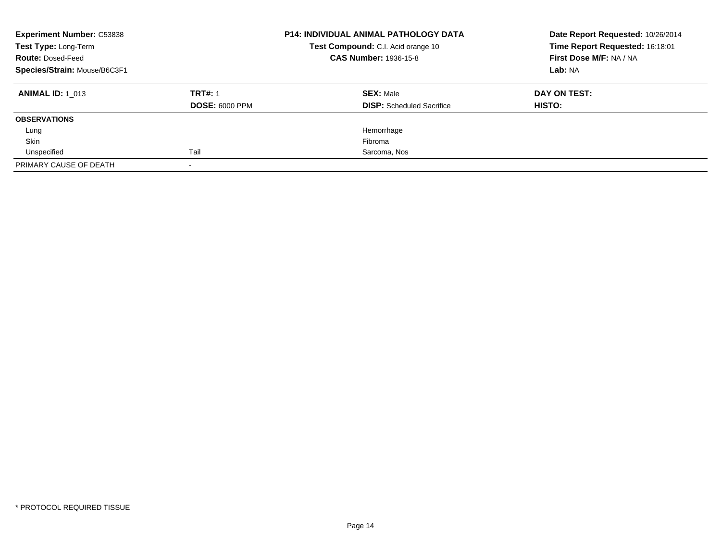| <b>Experiment Number: C53838</b><br>Test Type: Long-Term<br><b>Route: Dosed-Feed</b><br>Species/Strain: Mouse/B6C3F1 |                                         | <b>P14: INDIVIDUAL ANIMAL PATHOLOGY DATA</b><br>Test Compound: C.I. Acid orange 10<br><b>CAS Number: 1936-15-8</b> | Date Report Requested: 10/26/2014<br>Time Report Requested: 16:18:01<br>First Dose M/F: NA / NA<br>Lab: NA |
|----------------------------------------------------------------------------------------------------------------------|-----------------------------------------|--------------------------------------------------------------------------------------------------------------------|------------------------------------------------------------------------------------------------------------|
| <b>ANIMAL ID:</b> 1 013                                                                                              | <b>TRT#: 1</b><br><b>DOSE: 6000 PPM</b> | <b>SEX: Male</b><br><b>DISP:</b> Scheduled Sacrifice                                                               | DAY ON TEST:<br><b>HISTO:</b>                                                                              |
| <b>OBSERVATIONS</b>                                                                                                  |                                         |                                                                                                                    |                                                                                                            |
| Lung                                                                                                                 |                                         | Hemorrhage                                                                                                         |                                                                                                            |
| Skin                                                                                                                 |                                         | Fibroma                                                                                                            |                                                                                                            |
| Unspecified                                                                                                          | Tail                                    | Sarcoma, Nos                                                                                                       |                                                                                                            |
| PRIMARY CAUSE OF DEATH                                                                                               |                                         |                                                                                                                    |                                                                                                            |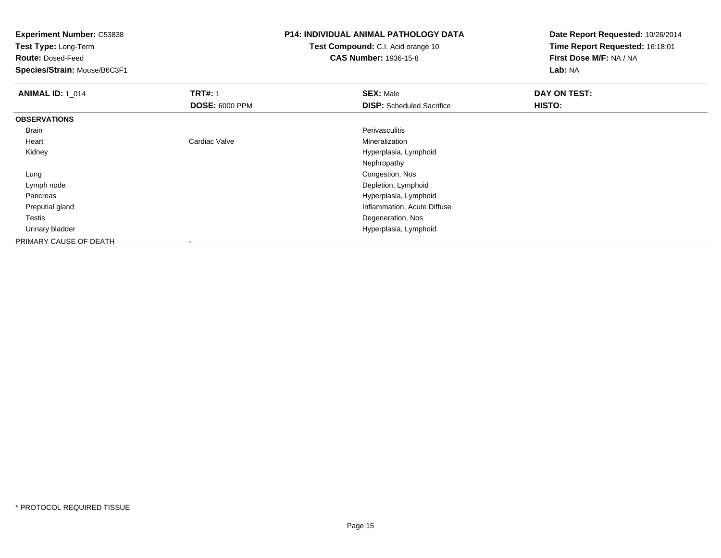**Experiment Number:** C53838

**Test Type:** Long-Term

**Route:** Dosed-Feed

**Species/Strain:** Mouse/B6C3F1

## **P14: INDIVIDUAL ANIMAL PATHOLOGY DATA**

**Test Compound:** C.I. Acid orange 10**CAS Number:** 1936-15-8

| <b>ANIMAL ID: 1_014</b> | <b>TRT#: 1</b>        | <b>SEX: Male</b>                 | DAY ON TEST: |  |
|-------------------------|-----------------------|----------------------------------|--------------|--|
|                         | <b>DOSE: 6000 PPM</b> | <b>DISP:</b> Scheduled Sacrifice | HISTO:       |  |
| <b>OBSERVATIONS</b>     |                       |                                  |              |  |
| Brain                   |                       | Perivasculitis                   |              |  |
| Heart                   | Cardiac Valve         | Mineralization                   |              |  |
| Kidney                  |                       | Hyperplasia, Lymphoid            |              |  |
|                         |                       | Nephropathy                      |              |  |
| Lung                    |                       | Congestion, Nos                  |              |  |
| Lymph node              |                       | Depletion, Lymphoid              |              |  |
| Pancreas                |                       | Hyperplasia, Lymphoid            |              |  |
| Preputial gland         |                       | Inflammation, Acute Diffuse      |              |  |
| Testis                  |                       | Degeneration, Nos                |              |  |
| Urinary bladder         |                       | Hyperplasia, Lymphoid            |              |  |
| PRIMARY CAUSE OF DEATH  | ٠                     |                                  |              |  |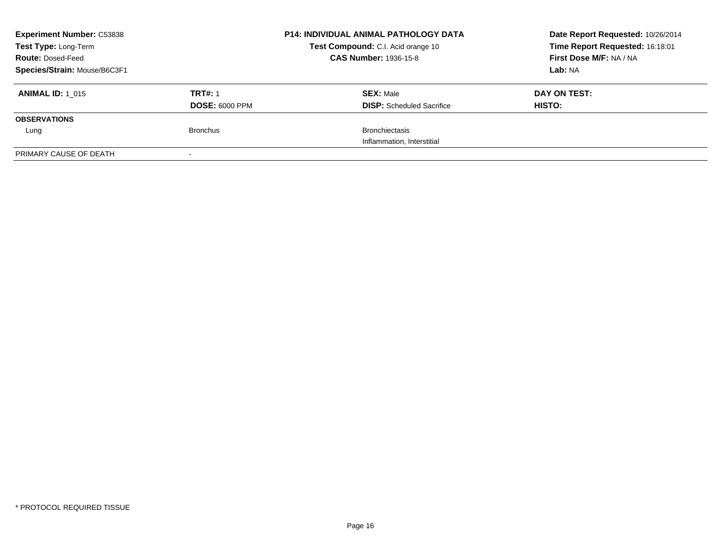| <b>Experiment Number: C53838</b><br>Test Type: Long-Term |                       | <b>P14: INDIVIDUAL ANIMAL PATHOLOGY DATA</b><br>Test Compound: C.I. Acid orange 10 | Date Report Requested: 10/26/2014<br>Time Report Requested: 16:18:01 |
|----------------------------------------------------------|-----------------------|------------------------------------------------------------------------------------|----------------------------------------------------------------------|
| <b>Route: Dosed-Feed</b>                                 |                       | <b>CAS Number: 1936-15-8</b>                                                       | First Dose M/F: NA / NA                                              |
| Species/Strain: Mouse/B6C3F1                             |                       |                                                                                    | Lab: NA                                                              |
| <b>ANIMAL ID: 1 015</b>                                  | <b>TRT#: 1</b>        | <b>SEX: Male</b>                                                                   | DAY ON TEST:                                                         |
|                                                          | <b>DOSE: 6000 PPM</b> | <b>DISP:</b> Scheduled Sacrifice                                                   | <b>HISTO:</b>                                                        |
| <b>OBSERVATIONS</b>                                      |                       |                                                                                    |                                                                      |
| Lung                                                     | <b>Bronchus</b>       | <b>Bronchiectasis</b>                                                              |                                                                      |
|                                                          |                       | Inflammation, Interstitial                                                         |                                                                      |
| PRIMARY CAUSE OF DEATH                                   | $\sim$                |                                                                                    |                                                                      |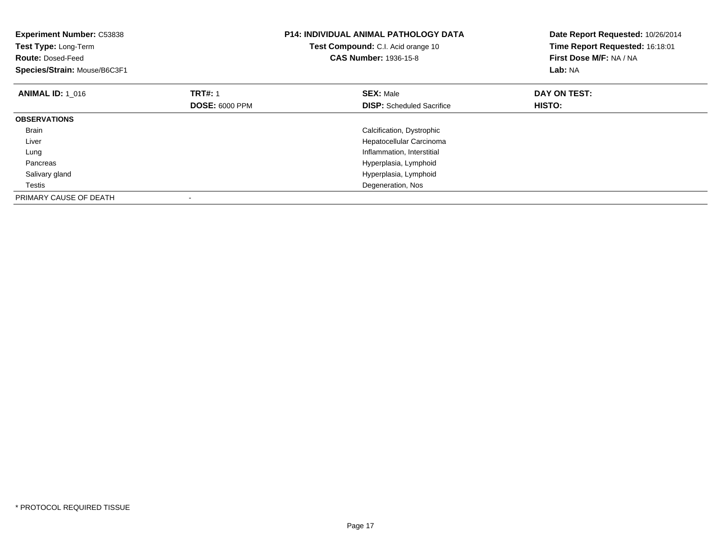| <b>Experiment Number: C53838</b><br>Test Type: Long-Term<br><b>Route: Dosed-Feed</b><br>Species/Strain: Mouse/B6C3F1 |                       | <b>P14: INDIVIDUAL ANIMAL PATHOLOGY DATA</b><br>Test Compound: C.I. Acid orange 10<br><b>CAS Number: 1936-15-8</b> | Date Report Requested: 10/26/2014<br>Time Report Requested: 16:18:01<br>First Dose M/F: NA / NA<br>Lab: NA |
|----------------------------------------------------------------------------------------------------------------------|-----------------------|--------------------------------------------------------------------------------------------------------------------|------------------------------------------------------------------------------------------------------------|
| <b>ANIMAL ID: 1 016</b>                                                                                              | <b>TRT#: 1</b>        | <b>SEX: Male</b>                                                                                                   | DAY ON TEST:                                                                                               |
|                                                                                                                      | <b>DOSE: 6000 PPM</b> | <b>DISP:</b> Scheduled Sacrifice                                                                                   | HISTO:                                                                                                     |
| <b>OBSERVATIONS</b>                                                                                                  |                       |                                                                                                                    |                                                                                                            |
| Brain                                                                                                                |                       | Calcification, Dystrophic                                                                                          |                                                                                                            |
| Liver                                                                                                                |                       | Hepatocellular Carcinoma                                                                                           |                                                                                                            |
| Lung                                                                                                                 |                       | Inflammation, Interstitial                                                                                         |                                                                                                            |
| Pancreas                                                                                                             |                       | Hyperplasia, Lymphoid                                                                                              |                                                                                                            |
| Salivary gland                                                                                                       |                       | Hyperplasia, Lymphoid                                                                                              |                                                                                                            |
| Testis                                                                                                               |                       | Degeneration, Nos                                                                                                  |                                                                                                            |
| PRIMARY CAUSE OF DEATH                                                                                               |                       |                                                                                                                    |                                                                                                            |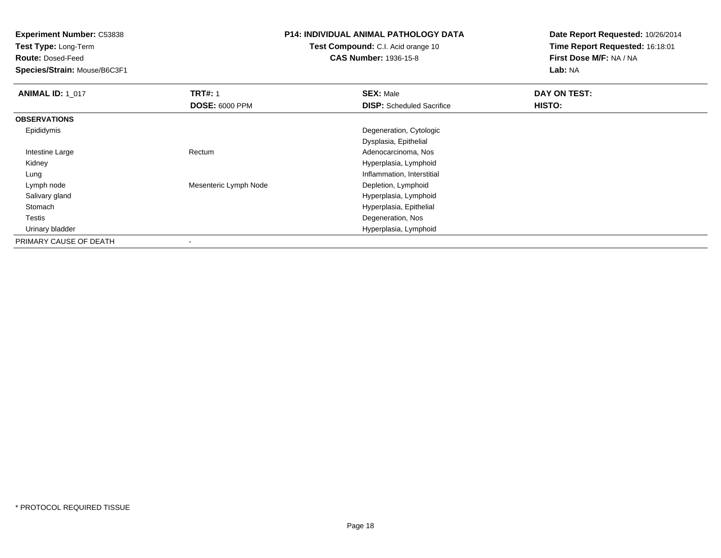**Experiment Number:** C53838

**Test Type:** Long-Term

**Route:** Dosed-Feed

**Species/Strain:** Mouse/B6C3F1

## **P14: INDIVIDUAL ANIMAL PATHOLOGY DATA**

**Test Compound:** C.I. Acid orange 10**CAS Number:** 1936-15-8

| <b>ANIMAL ID: 1_017</b> | <b>TRT#: 1</b>        | <b>SEX: Male</b>                 | DAY ON TEST: |  |
|-------------------------|-----------------------|----------------------------------|--------------|--|
|                         | <b>DOSE: 6000 PPM</b> | <b>DISP:</b> Scheduled Sacrifice | HISTO:       |  |
| <b>OBSERVATIONS</b>     |                       |                                  |              |  |
| Epididymis              |                       | Degeneration, Cytologic          |              |  |
|                         |                       | Dysplasia, Epithelial            |              |  |
| Intestine Large         | Rectum                | Adenocarcinoma, Nos              |              |  |
| Kidney                  |                       | Hyperplasia, Lymphoid            |              |  |
| Lung                    |                       | Inflammation, Interstitial       |              |  |
| Lymph node              | Mesenteric Lymph Node | Depletion, Lymphoid              |              |  |
| Salivary gland          |                       | Hyperplasia, Lymphoid            |              |  |
| Stomach                 |                       | Hyperplasia, Epithelial          |              |  |
| Testis                  |                       | Degeneration, Nos                |              |  |
| Urinary bladder         |                       | Hyperplasia, Lymphoid            |              |  |
| PRIMARY CAUSE OF DEATH  | ۰                     |                                  |              |  |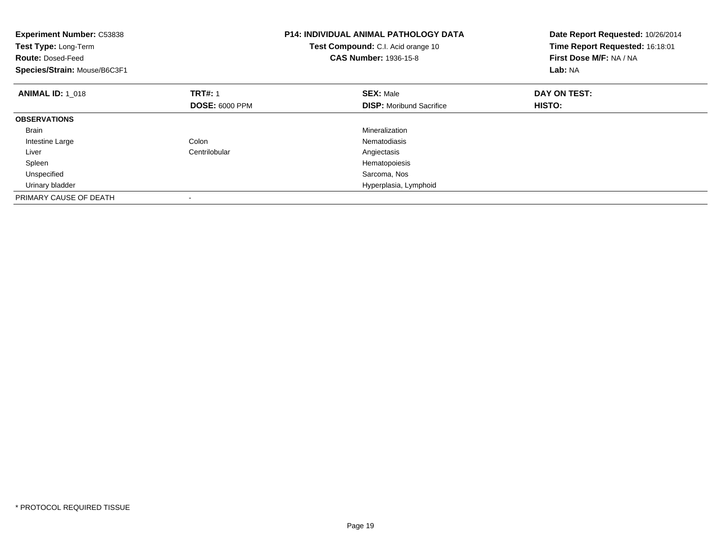| <b>Experiment Number: C53838</b><br>Test Type: Long-Term<br><b>Route: Dosed-Feed</b><br>Species/Strain: Mouse/B6C3F1 |                       | <b>P14: INDIVIDUAL ANIMAL PATHOLOGY DATA</b><br>Test Compound: C.I. Acid orange 10<br><b>CAS Number: 1936-15-8</b> | Date Report Requested: 10/26/2014<br>Time Report Requested: 16:18:01<br>First Dose M/F: NA / NA<br>Lab: NA |
|----------------------------------------------------------------------------------------------------------------------|-----------------------|--------------------------------------------------------------------------------------------------------------------|------------------------------------------------------------------------------------------------------------|
| <b>ANIMAL ID: 1 018</b>                                                                                              | <b>TRT#: 1</b>        | <b>SEX: Male</b>                                                                                                   | DAY ON TEST:                                                                                               |
|                                                                                                                      | <b>DOSE: 6000 PPM</b> | <b>DISP:</b> Moribund Sacrifice                                                                                    | <b>HISTO:</b>                                                                                              |
| <b>OBSERVATIONS</b>                                                                                                  |                       |                                                                                                                    |                                                                                                            |
| <b>Brain</b>                                                                                                         |                       | Mineralization                                                                                                     |                                                                                                            |
| Intestine Large                                                                                                      | Colon                 | Nematodiasis                                                                                                       |                                                                                                            |
| Liver                                                                                                                | Centrilobular         | Angiectasis                                                                                                        |                                                                                                            |
| Spleen                                                                                                               |                       | Hematopoiesis                                                                                                      |                                                                                                            |
| Unspecified                                                                                                          |                       | Sarcoma, Nos                                                                                                       |                                                                                                            |
| Urinary bladder                                                                                                      |                       | Hyperplasia, Lymphoid                                                                                              |                                                                                                            |
| PRIMARY CAUSE OF DEATH                                                                                               |                       |                                                                                                                    |                                                                                                            |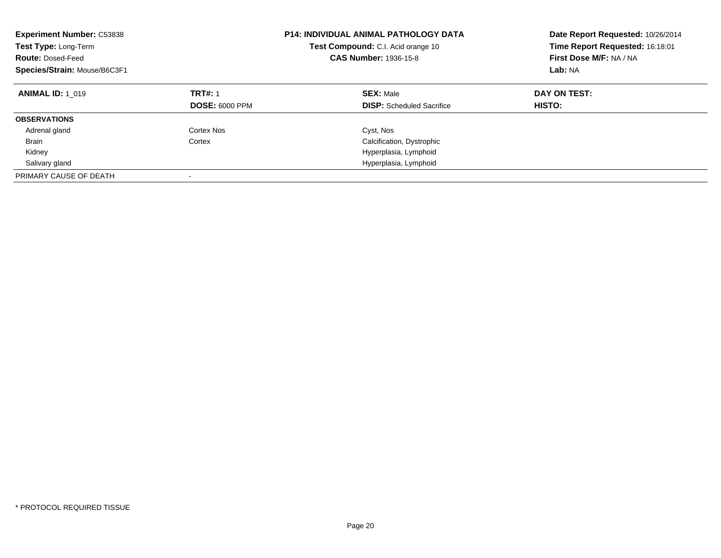| <b>Experiment Number: C53838</b><br>Test Type: Long-Term<br><b>Route: Dosed-Feed</b><br>Species/Strain: Mouse/B6C3F1 |                                         | <b>P14: INDIVIDUAL ANIMAL PATHOLOGY DATA</b><br>Test Compound: C.I. Acid orange 10<br><b>CAS Number: 1936-15-8</b> | Date Report Requested: 10/26/2014<br>Time Report Requested: 16:18:01<br>First Dose M/F: NA / NA<br>Lab: NA |
|----------------------------------------------------------------------------------------------------------------------|-----------------------------------------|--------------------------------------------------------------------------------------------------------------------|------------------------------------------------------------------------------------------------------------|
| <b>ANIMAL ID: 1 019</b>                                                                                              | <b>TRT#: 1</b><br><b>DOSE: 6000 PPM</b> | <b>SEX: Male</b><br><b>DISP:</b> Scheduled Sacrifice                                                               | DAY ON TEST:<br>HISTO:                                                                                     |
| <b>OBSERVATIONS</b>                                                                                                  |                                         |                                                                                                                    |                                                                                                            |
| Adrenal gland                                                                                                        | Cortex Nos                              | Cyst, Nos                                                                                                          |                                                                                                            |
| Brain                                                                                                                | Cortex                                  | Calcification, Dystrophic                                                                                          |                                                                                                            |
| Kidney                                                                                                               |                                         | Hyperplasia, Lymphoid                                                                                              |                                                                                                            |
| Salivary gland                                                                                                       |                                         | Hyperplasia, Lymphoid                                                                                              |                                                                                                            |
| PRIMARY CAUSE OF DEATH                                                                                               |                                         |                                                                                                                    |                                                                                                            |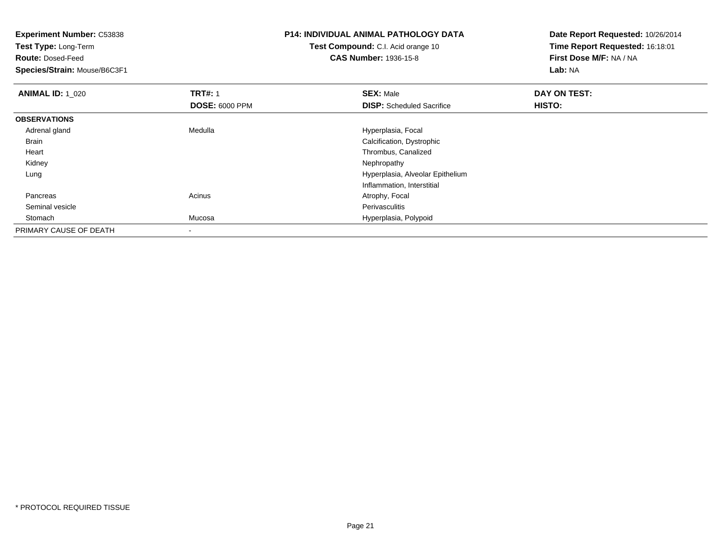**Experiment Number:** C53838**Test Type:** Long-Term**Route:** Dosed-Feed **Species/Strain:** Mouse/B6C3F1**P14: INDIVIDUAL ANIMAL PATHOLOGY DATATest Compound:** C.I. Acid orange 10**CAS Number:** 1936-15-8**Date Report Requested:** 10/26/2014**Time Report Requested:** 16:18:01**First Dose M/F:** NA / NA**Lab:** NA**ANIMAL ID: 1\_020 C TRT#:** 1 **SEX:** Male **DAY ON TEST: DOSE:** 6000 PPM**DISP:** Scheduled Sacrifice **HISTO: OBSERVATIONS** Adrenal glandMedulla **Manuel Accord Medulla** Hyperplasia, Focal Brain Calcification, Dystrophic Heart Thrombus, Canalized Kidneyy the control of the control of the control of the control of the control of the control of the control of the control of the control of the control of the control of the control of the control of the control of the contro Lung Hyperplasia, Alveolar EpitheliumInflammation, Interstitial PancreasAcinus **Acinus** Atrophy, Focal Seminal vesiclee **Perivasculitis**  StomachMucosa **Mucosa** Hyperplasia, Polypoid

\* PROTOCOL REQUIRED TISSUE

PRIMARY CAUSE OF DEATH

-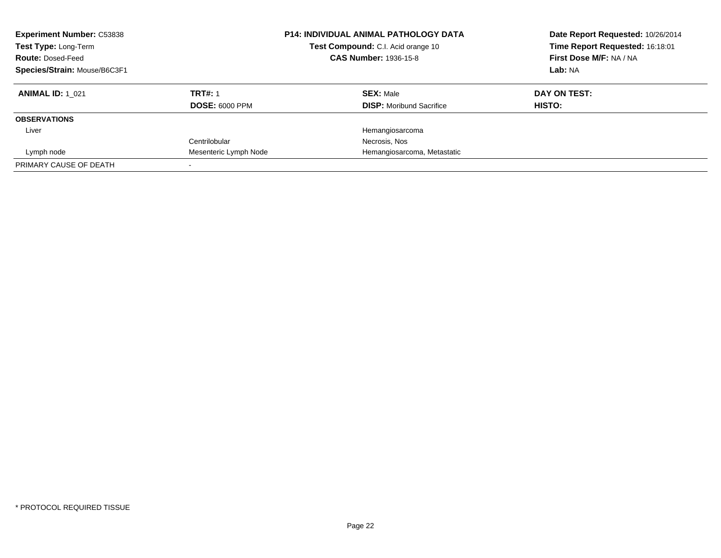| <b>Experiment Number: C53838</b><br>Test Type: Long-Term<br><b>Route: Dosed-Feed</b><br>Species/Strain: Mouse/B6C3F1 | <b>P14: INDIVIDUAL ANIMAL PATHOLOGY DATA</b><br>Test Compound: C.I. Acid orange 10<br><b>CAS Number: 1936-15-8</b> |                                 | Date Report Requested: 10/26/2014<br>Time Report Requested: 16:18:01<br>First Dose M/F: NA / NA<br>Lab: NA |
|----------------------------------------------------------------------------------------------------------------------|--------------------------------------------------------------------------------------------------------------------|---------------------------------|------------------------------------------------------------------------------------------------------------|
| <b>ANIMAL ID: 1 021</b>                                                                                              | <b>TRT#: 1</b>                                                                                                     | <b>SEX: Male</b>                | DAY ON TEST:                                                                                               |
|                                                                                                                      | <b>DOSE: 6000 PPM</b>                                                                                              | <b>DISP:</b> Moribund Sacrifice | HISTO:                                                                                                     |
| <b>OBSERVATIONS</b>                                                                                                  |                                                                                                                    |                                 |                                                                                                            |
| Liver                                                                                                                |                                                                                                                    | Hemangiosarcoma                 |                                                                                                            |
|                                                                                                                      | Centrilobular                                                                                                      | Necrosis, Nos                   |                                                                                                            |
| Lymph node                                                                                                           | Mesenteric Lymph Node                                                                                              | Hemangiosarcoma, Metastatic     |                                                                                                            |
| PRIMARY CAUSE OF DEATH                                                                                               |                                                                                                                    |                                 |                                                                                                            |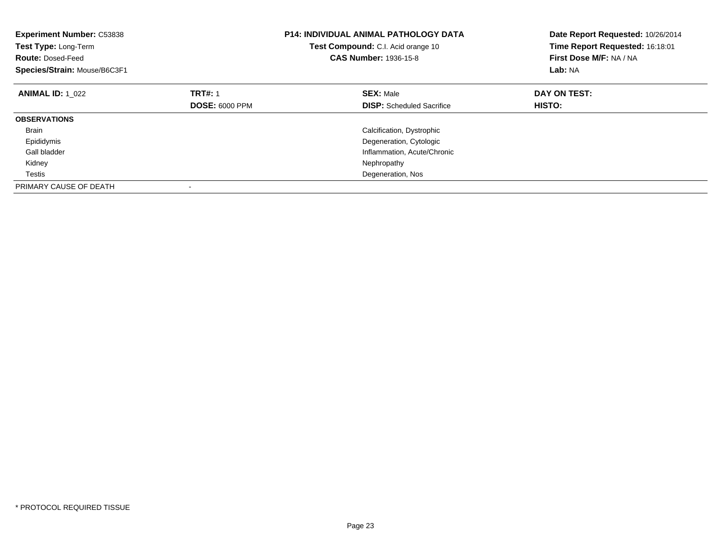| <b>Experiment Number: C53838</b><br>Test Type: Long-Term<br><b>Route: Dosed-Feed</b><br>Species/Strain: Mouse/B6C3F1 |                       | <b>P14: INDIVIDUAL ANIMAL PATHOLOGY DATA</b><br>Test Compound: C.I. Acid orange 10<br>CAS Number: 1936-15-8 | Date Report Requested: 10/26/2014<br>Time Report Requested: 16:18:01<br>First Dose M/F: NA / NA<br>Lab: NA |
|----------------------------------------------------------------------------------------------------------------------|-----------------------|-------------------------------------------------------------------------------------------------------------|------------------------------------------------------------------------------------------------------------|
| <b>ANIMAL ID: 1 022</b>                                                                                              | <b>TRT#: 1</b>        | <b>SEX: Male</b>                                                                                            | DAY ON TEST:                                                                                               |
|                                                                                                                      | <b>DOSE: 6000 PPM</b> | <b>DISP:</b> Scheduled Sacrifice                                                                            | HISTO:                                                                                                     |
| <b>OBSERVATIONS</b>                                                                                                  |                       |                                                                                                             |                                                                                                            |
| <b>Brain</b>                                                                                                         |                       | Calcification, Dystrophic                                                                                   |                                                                                                            |
| Epididymis                                                                                                           |                       | Degeneration, Cytologic                                                                                     |                                                                                                            |
| Gall bladder                                                                                                         |                       | Inflammation, Acute/Chronic                                                                                 |                                                                                                            |
| Kidney                                                                                                               |                       | Nephropathy                                                                                                 |                                                                                                            |
| Testis                                                                                                               |                       | Degeneration, Nos                                                                                           |                                                                                                            |
| PRIMARY CAUSE OF DEATH                                                                                               |                       |                                                                                                             |                                                                                                            |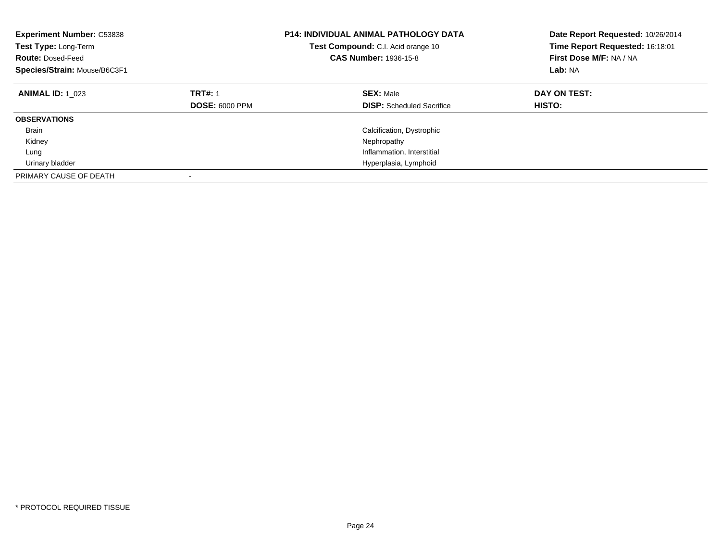| <b>Experiment Number: C53838</b><br>Test Type: Long-Term<br><b>Route: Dosed-Feed</b><br>Species/Strain: Mouse/B6C3F1 |                                         | <b>P14: INDIVIDUAL ANIMAL PATHOLOGY DATA</b><br>Test Compound: C.I. Acid orange 10<br><b>CAS Number: 1936-15-8</b> | Date Report Requested: 10/26/2014<br>Time Report Requested: 16:18:01<br>First Dose M/F: NA / NA<br>Lab: NA |
|----------------------------------------------------------------------------------------------------------------------|-----------------------------------------|--------------------------------------------------------------------------------------------------------------------|------------------------------------------------------------------------------------------------------------|
| <b>ANIMAL ID: 1 023</b>                                                                                              | <b>TRT#: 1</b><br><b>DOSE: 6000 PPM</b> | <b>SEX: Male</b><br><b>DISP:</b> Scheduled Sacrifice                                                               | DAY ON TEST:<br>HISTO:                                                                                     |
| <b>OBSERVATIONS</b>                                                                                                  |                                         |                                                                                                                    |                                                                                                            |
| <b>Brain</b>                                                                                                         |                                         | Calcification, Dystrophic                                                                                          |                                                                                                            |
| Kidney                                                                                                               |                                         | Nephropathy                                                                                                        |                                                                                                            |
| Lung                                                                                                                 |                                         | Inflammation, Interstitial                                                                                         |                                                                                                            |
| Urinary bladder                                                                                                      |                                         | Hyperplasia, Lymphoid                                                                                              |                                                                                                            |
| PRIMARY CAUSE OF DEATH                                                                                               |                                         |                                                                                                                    |                                                                                                            |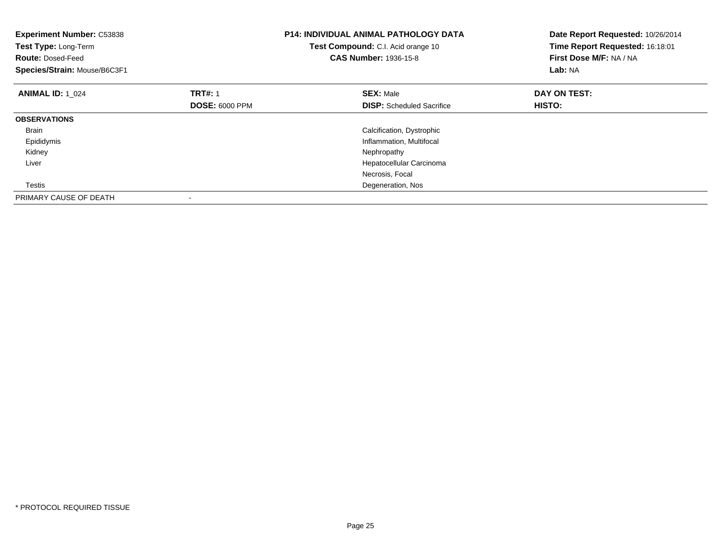| <b>Experiment Number: C53838</b><br>Test Type: Long-Term<br><b>Route: Dosed-Feed</b><br>Species/Strain: Mouse/B6C3F1 |                       | <b>P14: INDIVIDUAL ANIMAL PATHOLOGY DATA</b><br>Test Compound: C.I. Acid orange 10<br><b>CAS Number: 1936-15-8</b> | Date Report Requested: 10/26/2014<br>Time Report Requested: 16:18:01<br>First Dose M/F: NA / NA<br>Lab: NA |
|----------------------------------------------------------------------------------------------------------------------|-----------------------|--------------------------------------------------------------------------------------------------------------------|------------------------------------------------------------------------------------------------------------|
| <b>ANIMAL ID: 1 024</b>                                                                                              | <b>TRT#: 1</b>        | <b>SEX: Male</b>                                                                                                   | DAY ON TEST:                                                                                               |
|                                                                                                                      | <b>DOSE: 6000 PPM</b> | <b>DISP:</b> Scheduled Sacrifice                                                                                   | <b>HISTO:</b>                                                                                              |
| <b>OBSERVATIONS</b>                                                                                                  |                       |                                                                                                                    |                                                                                                            |
| <b>Brain</b>                                                                                                         |                       | Calcification, Dystrophic                                                                                          |                                                                                                            |
| Epididymis                                                                                                           |                       | Inflammation, Multifocal                                                                                           |                                                                                                            |
| Kidney                                                                                                               |                       | Nephropathy                                                                                                        |                                                                                                            |
| Liver                                                                                                                |                       | Hepatocellular Carcinoma                                                                                           |                                                                                                            |
|                                                                                                                      |                       | Necrosis, Focal                                                                                                    |                                                                                                            |
| Testis                                                                                                               |                       | Degeneration, Nos                                                                                                  |                                                                                                            |
| PRIMARY CAUSE OF DEATH                                                                                               |                       |                                                                                                                    |                                                                                                            |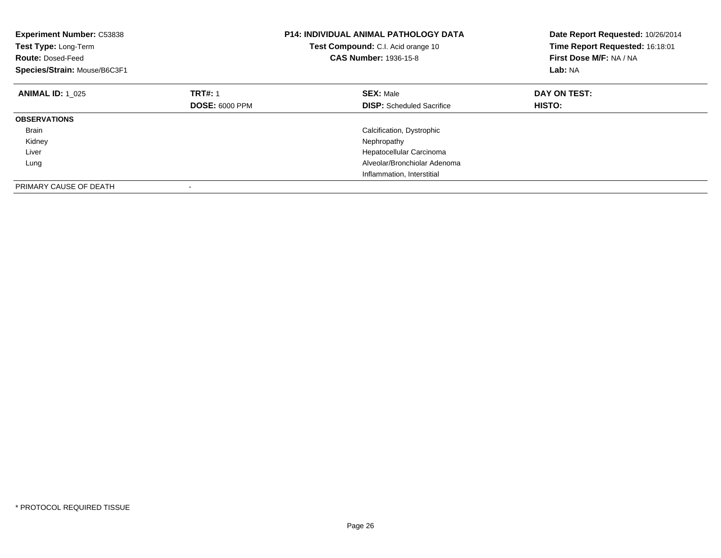| <b>Experiment Number: C53838</b><br>Test Type: Long-Term<br><b>Route: Dosed-Feed</b><br>Species/Strain: Mouse/B6C3F1 |                       | <b>P14: INDIVIDUAL ANIMAL PATHOLOGY DATA</b><br>Test Compound: C.I. Acid orange 10<br><b>CAS Number: 1936-15-8</b> | Date Report Requested: 10/26/2014<br>Time Report Requested: 16:18:01<br>First Dose M/F: NA / NA<br>Lab: NA |
|----------------------------------------------------------------------------------------------------------------------|-----------------------|--------------------------------------------------------------------------------------------------------------------|------------------------------------------------------------------------------------------------------------|
| <b>ANIMAL ID: 1 025</b>                                                                                              | <b>TRT#: 1</b>        | <b>SEX: Male</b>                                                                                                   | DAY ON TEST:                                                                                               |
|                                                                                                                      | <b>DOSE: 6000 PPM</b> | <b>DISP:</b> Scheduled Sacrifice                                                                                   | HISTO:                                                                                                     |
| <b>OBSERVATIONS</b>                                                                                                  |                       |                                                                                                                    |                                                                                                            |
| <b>Brain</b>                                                                                                         |                       | Calcification, Dystrophic                                                                                          |                                                                                                            |
| Kidney                                                                                                               |                       | Nephropathy                                                                                                        |                                                                                                            |
| Liver                                                                                                                |                       | Hepatocellular Carcinoma                                                                                           |                                                                                                            |
| Lung                                                                                                                 |                       | Alveolar/Bronchiolar Adenoma                                                                                       |                                                                                                            |
|                                                                                                                      |                       | Inflammation, Interstitial                                                                                         |                                                                                                            |
| PRIMARY CAUSE OF DEATH                                                                                               |                       |                                                                                                                    |                                                                                                            |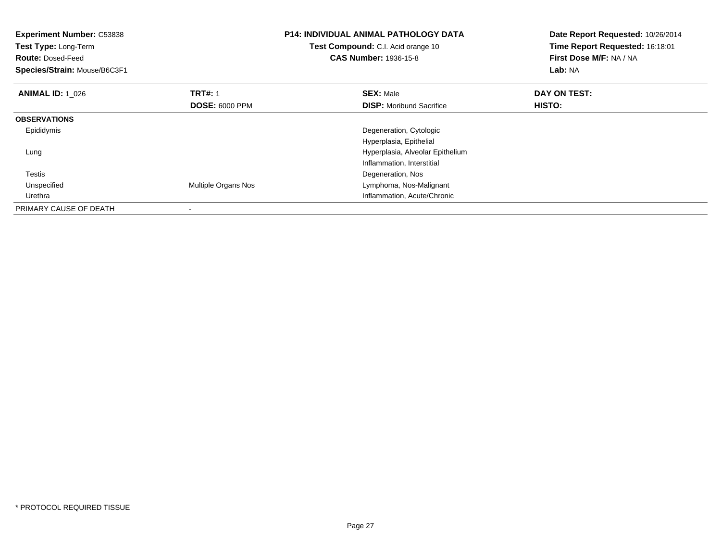| <b>Experiment Number: C53838</b><br>Test Type: Long-Term<br><b>Route: Dosed-Feed</b><br>Species/Strain: Mouse/B6C3F1 |                            | <b>P14: INDIVIDUAL ANIMAL PATHOLOGY DATA</b><br>Test Compound: C.I. Acid orange 10<br><b>CAS Number: 1936-15-8</b> | Date Report Requested: 10/26/2014<br>Time Report Requested: 16:18:01<br>First Dose M/F: NA / NA<br>Lab: NA |
|----------------------------------------------------------------------------------------------------------------------|----------------------------|--------------------------------------------------------------------------------------------------------------------|------------------------------------------------------------------------------------------------------------|
| <b>ANIMAL ID: 1 026</b>                                                                                              | <b>TRT#: 1</b>             | <b>SEX: Male</b>                                                                                                   | DAY ON TEST:                                                                                               |
|                                                                                                                      | <b>DOSE: 6000 PPM</b>      | <b>DISP:</b> Moribund Sacrifice                                                                                    | HISTO:                                                                                                     |
| <b>OBSERVATIONS</b>                                                                                                  |                            |                                                                                                                    |                                                                                                            |
| Epididymis                                                                                                           |                            | Degeneration, Cytologic                                                                                            |                                                                                                            |
|                                                                                                                      |                            | Hyperplasia, Epithelial                                                                                            |                                                                                                            |
| Lung                                                                                                                 |                            | Hyperplasia, Alveolar Epithelium                                                                                   |                                                                                                            |
|                                                                                                                      |                            | Inflammation, Interstitial                                                                                         |                                                                                                            |
| Testis                                                                                                               |                            | Degeneration, Nos                                                                                                  |                                                                                                            |
| Unspecified                                                                                                          | <b>Multiple Organs Nos</b> | Lymphoma, Nos-Malignant                                                                                            |                                                                                                            |
| Urethra                                                                                                              |                            | Inflammation, Acute/Chronic                                                                                        |                                                                                                            |
| PRIMARY CAUSE OF DEATH                                                                                               |                            |                                                                                                                    |                                                                                                            |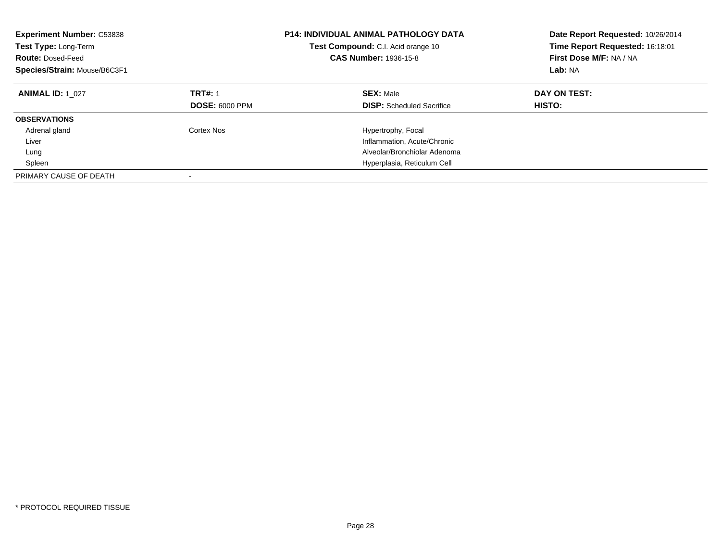| <b>Experiment Number: C53838</b><br>Test Type: Long-Term<br><b>Route: Dosed-Feed</b><br>Species/Strain: Mouse/B6C3F1 |                                         | <b>P14: INDIVIDUAL ANIMAL PATHOLOGY DATA</b><br>Test Compound: C.I. Acid orange 10<br><b>CAS Number: 1936-15-8</b> | Date Report Requested: 10/26/2014<br>Time Report Requested: 16:18:01<br>First Dose M/F: NA / NA<br>Lab: NA |
|----------------------------------------------------------------------------------------------------------------------|-----------------------------------------|--------------------------------------------------------------------------------------------------------------------|------------------------------------------------------------------------------------------------------------|
| <b>ANIMAL ID: 1 027</b>                                                                                              | <b>TRT#: 1</b><br><b>DOSE: 6000 PPM</b> | <b>SEX: Male</b><br><b>DISP:</b> Scheduled Sacrifice                                                               | DAY ON TEST:<br>HISTO:                                                                                     |
| <b>OBSERVATIONS</b>                                                                                                  |                                         |                                                                                                                    |                                                                                                            |
| Adrenal gland                                                                                                        | Cortex Nos                              | Hypertrophy, Focal                                                                                                 |                                                                                                            |
| Liver                                                                                                                |                                         | Inflammation, Acute/Chronic                                                                                        |                                                                                                            |
| Lung                                                                                                                 |                                         | Alveolar/Bronchiolar Adenoma                                                                                       |                                                                                                            |
| Spleen                                                                                                               |                                         | Hyperplasia, Reticulum Cell                                                                                        |                                                                                                            |
| PRIMARY CAUSE OF DEATH                                                                                               |                                         |                                                                                                                    |                                                                                                            |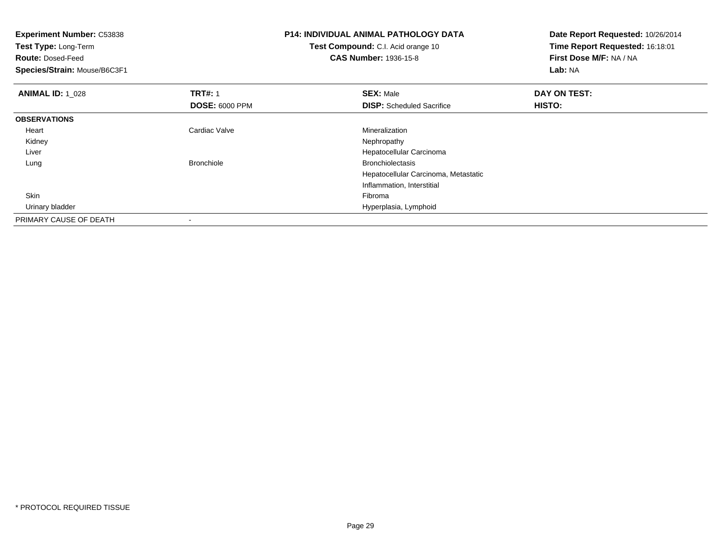| <b>Experiment Number: C53838</b> |                       | <b>P14: INDIVIDUAL ANIMAL PATHOLOGY DATA</b> | Date Report Requested: 10/26/2014 |
|----------------------------------|-----------------------|----------------------------------------------|-----------------------------------|
| Test Type: Long-Term             |                       | Test Compound: C.I. Acid orange 10           | Time Report Requested: 16:18:01   |
| <b>Route: Dosed-Feed</b>         |                       | <b>CAS Number: 1936-15-8</b>                 | First Dose M/F: NA / NA           |
| Species/Strain: Mouse/B6C3F1     |                       |                                              | Lab: NA                           |
| <b>ANIMAL ID: 1 028</b>          | <b>TRT#: 1</b>        | <b>SEX: Male</b>                             | DAY ON TEST:                      |
|                                  | <b>DOSE: 6000 PPM</b> | <b>DISP:</b> Scheduled Sacrifice             | HISTO:                            |
| <b>OBSERVATIONS</b>              |                       |                                              |                                   |
| Heart                            | Cardiac Valve         | Mineralization                               |                                   |
| Kidney                           |                       | Nephropathy                                  |                                   |
| Liver                            |                       | Hepatocellular Carcinoma                     |                                   |
| Lung                             | <b>Bronchiole</b>     | <b>Bronchiolectasis</b>                      |                                   |
|                                  |                       | Hepatocellular Carcinoma, Metastatic         |                                   |
|                                  |                       | Inflammation, Interstitial                   |                                   |
| Skin                             |                       | Fibroma                                      |                                   |
| Urinary bladder                  |                       | Hyperplasia, Lymphoid                        |                                   |
| PRIMARY CAUSE OF DEATH           |                       |                                              |                                   |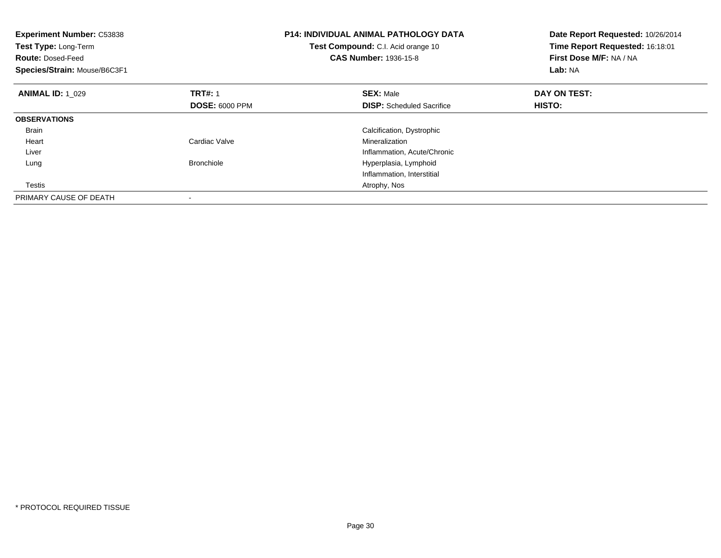| <b>Experiment Number: C53838</b><br>Test Type: Long-Term<br><b>Route: Dosed-Feed</b><br>Species/Strain: Mouse/B6C3F1 |                       | <b>P14: INDIVIDUAL ANIMAL PATHOLOGY DATA</b><br>Test Compound: C.I. Acid orange 10<br><b>CAS Number: 1936-15-8</b> | Date Report Requested: 10/26/2014<br>Time Report Requested: 16:18:01<br>First Dose M/F: NA / NA<br>Lab: NA |
|----------------------------------------------------------------------------------------------------------------------|-----------------------|--------------------------------------------------------------------------------------------------------------------|------------------------------------------------------------------------------------------------------------|
| <b>ANIMAL ID: 1 029</b>                                                                                              | <b>TRT#: 1</b>        | <b>SEX: Male</b>                                                                                                   | DAY ON TEST:                                                                                               |
|                                                                                                                      | <b>DOSE: 6000 PPM</b> | <b>DISP:</b> Scheduled Sacrifice                                                                                   | HISTO:                                                                                                     |
| <b>OBSERVATIONS</b>                                                                                                  |                       |                                                                                                                    |                                                                                                            |
| <b>Brain</b>                                                                                                         |                       | Calcification, Dystrophic                                                                                          |                                                                                                            |
| Heart                                                                                                                | Cardiac Valve         | Mineralization                                                                                                     |                                                                                                            |
| Liver                                                                                                                |                       | Inflammation, Acute/Chronic                                                                                        |                                                                                                            |
| Lung                                                                                                                 | <b>Bronchiole</b>     | Hyperplasia, Lymphoid                                                                                              |                                                                                                            |
|                                                                                                                      |                       | Inflammation, Interstitial                                                                                         |                                                                                                            |
| Testis                                                                                                               |                       | Atrophy, Nos                                                                                                       |                                                                                                            |
| PRIMARY CAUSE OF DEATH                                                                                               |                       |                                                                                                                    |                                                                                                            |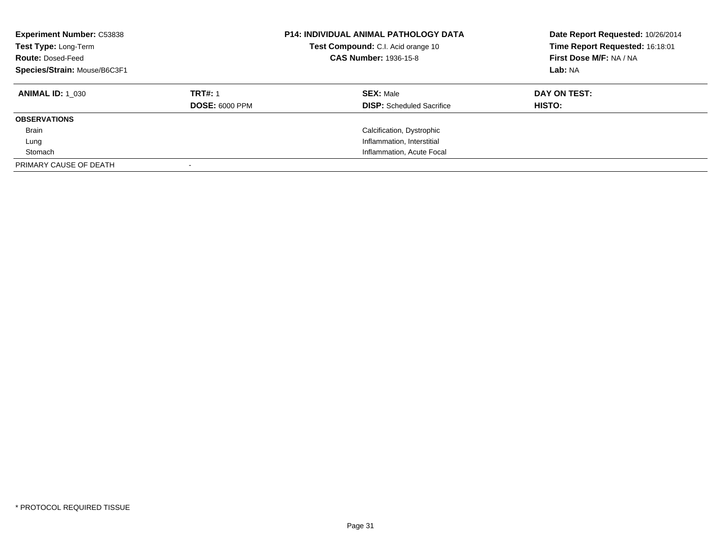| <b>Experiment Number: C53838</b><br>Test Type: Long-Term<br><b>Route: Dosed-Feed</b><br>Species/Strain: Mouse/B6C3F1 |                       | <b>P14: INDIVIDUAL ANIMAL PATHOLOGY DATA</b><br>Test Compound: C.I. Acid orange 10<br><b>CAS Number: 1936-15-8</b> | Date Report Requested: 10/26/2014<br>Time Report Requested: 16:18:01<br>First Dose M/F: NA / NA<br>Lab: NA |
|----------------------------------------------------------------------------------------------------------------------|-----------------------|--------------------------------------------------------------------------------------------------------------------|------------------------------------------------------------------------------------------------------------|
| <b>ANIMAL ID:</b> 1 030                                                                                              | <b>TRT#: 1</b>        | <b>SEX: Male</b>                                                                                                   | DAY ON TEST:                                                                                               |
|                                                                                                                      | <b>DOSE: 6000 PPM</b> | <b>DISP:</b> Scheduled Sacrifice                                                                                   | HISTO:                                                                                                     |
| <b>OBSERVATIONS</b>                                                                                                  |                       |                                                                                                                    |                                                                                                            |
| <b>Brain</b>                                                                                                         |                       | Calcification, Dystrophic                                                                                          |                                                                                                            |
| Lung                                                                                                                 |                       | Inflammation, Interstitial                                                                                         |                                                                                                            |
| Stomach                                                                                                              |                       | Inflammation, Acute Focal                                                                                          |                                                                                                            |
| PRIMARY CAUSE OF DEATH                                                                                               |                       |                                                                                                                    |                                                                                                            |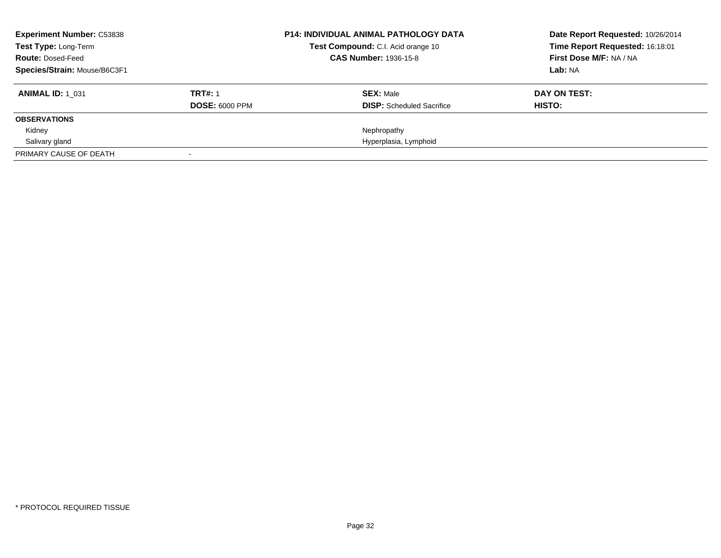| <b>Experiment Number: C53838</b><br><b>Test Type: Long-Term</b><br><b>Route: Dosed-Feed</b><br>Species/Strain: Mouse/B6C3F1 |                                         | <b>P14: INDIVIDUAL ANIMAL PATHOLOGY DATA</b><br>Test Compound: C.I. Acid orange 10<br><b>CAS Number: 1936-15-8</b> | Date Report Requested: 10/26/2014<br>Time Report Requested: 16:18:01<br>First Dose M/F: NA / NA<br>Lab: NA |
|-----------------------------------------------------------------------------------------------------------------------------|-----------------------------------------|--------------------------------------------------------------------------------------------------------------------|------------------------------------------------------------------------------------------------------------|
| <b>ANIMAL ID: 1 031</b>                                                                                                     | <b>TRT#: 1</b><br><b>DOSE: 6000 PPM</b> | <b>SEX: Male</b><br><b>DISP:</b> Scheduled Sacrifice                                                               | DAY ON TEST:<br>HISTO:                                                                                     |
| <b>OBSERVATIONS</b>                                                                                                         |                                         |                                                                                                                    |                                                                                                            |
| Kidney                                                                                                                      |                                         | Nephropathy                                                                                                        |                                                                                                            |
| Salivary gland                                                                                                              |                                         | Hyperplasia, Lymphoid                                                                                              |                                                                                                            |
| PRIMARY CAUSE OF DEATH                                                                                                      |                                         |                                                                                                                    |                                                                                                            |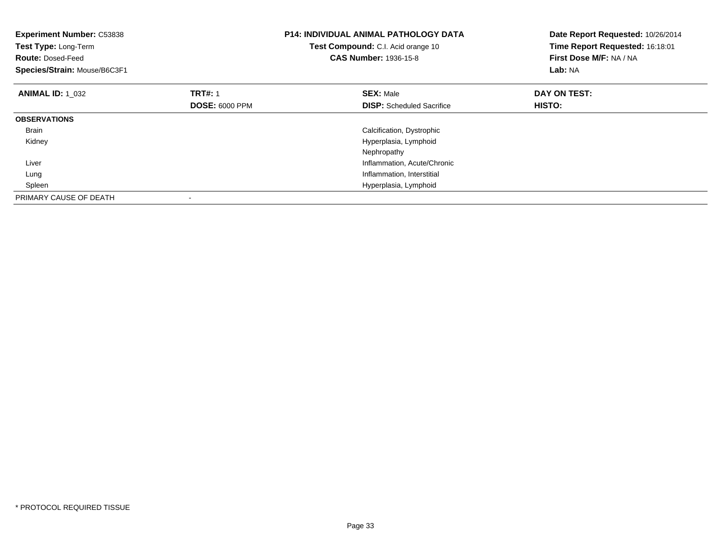| <b>Experiment Number: C53838</b><br>Test Type: Long-Term<br><b>Route: Dosed-Feed</b><br>Species/Strain: Mouse/B6C3F1 |                       | <b>P14: INDIVIDUAL ANIMAL PATHOLOGY DATA</b><br>Test Compound: C.I. Acid orange 10<br><b>CAS Number: 1936-15-8</b> | Date Report Requested: 10/26/2014<br>Time Report Requested: 16:18:01<br>First Dose M/F: NA / NA<br>Lab: NA |
|----------------------------------------------------------------------------------------------------------------------|-----------------------|--------------------------------------------------------------------------------------------------------------------|------------------------------------------------------------------------------------------------------------|
| <b>ANIMAL ID: 1 032</b>                                                                                              | <b>TRT#: 1</b>        | <b>SEX: Male</b>                                                                                                   | DAY ON TEST:                                                                                               |
|                                                                                                                      | <b>DOSE: 6000 PPM</b> | <b>DISP:</b> Scheduled Sacrifice                                                                                   | HISTO:                                                                                                     |
| <b>OBSERVATIONS</b>                                                                                                  |                       |                                                                                                                    |                                                                                                            |
| <b>Brain</b>                                                                                                         |                       | Calcification, Dystrophic                                                                                          |                                                                                                            |
| Kidney                                                                                                               |                       | Hyperplasia, Lymphoid                                                                                              |                                                                                                            |
|                                                                                                                      |                       | Nephropathy                                                                                                        |                                                                                                            |
| Liver                                                                                                                |                       | Inflammation, Acute/Chronic                                                                                        |                                                                                                            |
| Lung                                                                                                                 |                       | Inflammation, Interstitial                                                                                         |                                                                                                            |
| Spleen                                                                                                               |                       | Hyperplasia, Lymphoid                                                                                              |                                                                                                            |
| PRIMARY CAUSE OF DEATH                                                                                               |                       |                                                                                                                    |                                                                                                            |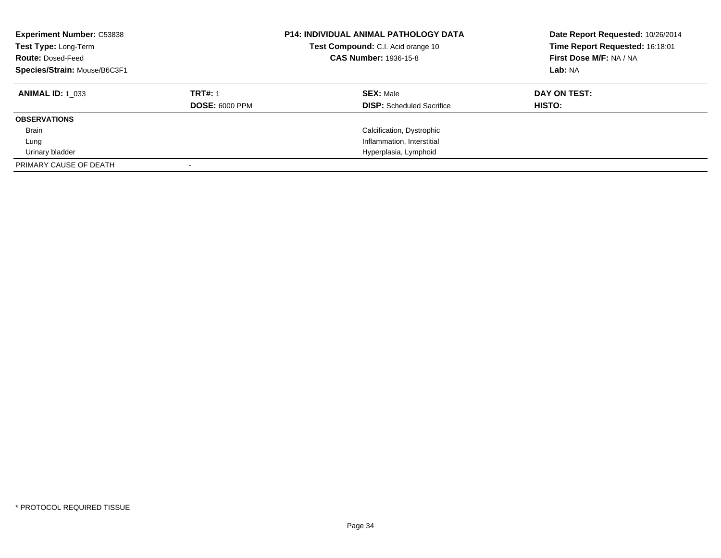| <b>Experiment Number: C53838</b><br>Test Type: Long-Term<br><b>Route: Dosed-Feed</b><br>Species/Strain: Mouse/B6C3F1 |                                         | <b>P14: INDIVIDUAL ANIMAL PATHOLOGY DATA</b><br>Test Compound: C.I. Acid orange 10<br><b>CAS Number: 1936-15-8</b> | Date Report Requested: 10/26/2014<br>Time Report Requested: 16:18:01<br>First Dose M/F: NA / NA<br>Lab: NA |
|----------------------------------------------------------------------------------------------------------------------|-----------------------------------------|--------------------------------------------------------------------------------------------------------------------|------------------------------------------------------------------------------------------------------------|
| <b>ANIMAL ID: 1 033</b>                                                                                              | <b>TRT#: 1</b><br><b>DOSE: 6000 PPM</b> | <b>SEX: Male</b><br><b>DISP:</b> Scheduled Sacrifice                                                               | DAY ON TEST:<br>HISTO:                                                                                     |
| <b>OBSERVATIONS</b>                                                                                                  |                                         |                                                                                                                    |                                                                                                            |
| <b>Brain</b>                                                                                                         |                                         | Calcification, Dystrophic                                                                                          |                                                                                                            |
| Lung                                                                                                                 |                                         | Inflammation, Interstitial                                                                                         |                                                                                                            |
| Urinary bladder                                                                                                      |                                         | Hyperplasia, Lymphoid                                                                                              |                                                                                                            |
| PRIMARY CAUSE OF DEATH                                                                                               |                                         |                                                                                                                    |                                                                                                            |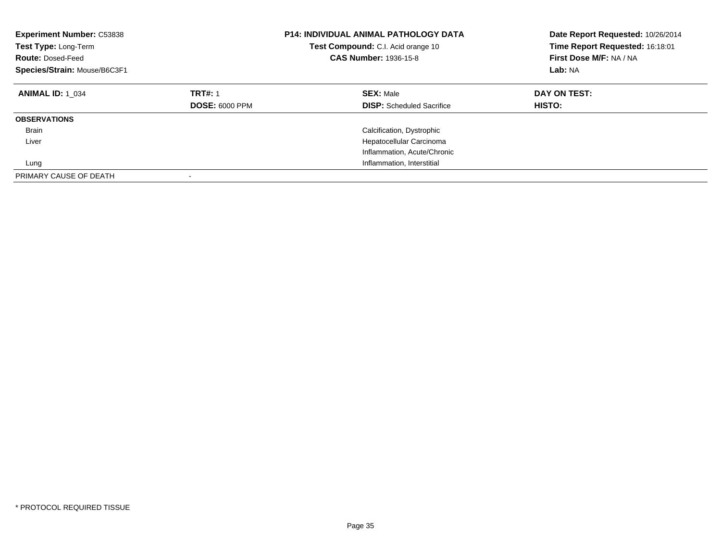| <b>Experiment Number: C53838</b><br>Test Type: Long-Term<br><b>Route: Dosed-Feed</b><br>Species/Strain: Mouse/B6C3F1 |                                         | <b>P14: INDIVIDUAL ANIMAL PATHOLOGY DATA</b><br>Test Compound: C.I. Acid orange 10<br><b>CAS Number: 1936-15-8</b> | Date Report Requested: 10/26/2014<br>Time Report Requested: 16:18:01<br>First Dose M/F: NA / NA<br>Lab: NA |
|----------------------------------------------------------------------------------------------------------------------|-----------------------------------------|--------------------------------------------------------------------------------------------------------------------|------------------------------------------------------------------------------------------------------------|
| <b>ANIMAL ID: 1 034</b>                                                                                              | <b>TRT#: 1</b><br><b>DOSE: 6000 PPM</b> | <b>SEX: Male</b><br><b>DISP:</b> Scheduled Sacrifice                                                               | DAY ON TEST:<br>HISTO:                                                                                     |
| <b>OBSERVATIONS</b>                                                                                                  |                                         |                                                                                                                    |                                                                                                            |
| <b>Brain</b>                                                                                                         |                                         | Calcification, Dystrophic                                                                                          |                                                                                                            |
| Liver                                                                                                                |                                         | Hepatocellular Carcinoma                                                                                           |                                                                                                            |
|                                                                                                                      |                                         | Inflammation, Acute/Chronic                                                                                        |                                                                                                            |
| Lung                                                                                                                 |                                         | Inflammation, Interstitial                                                                                         |                                                                                                            |
| PRIMARY CAUSE OF DEATH                                                                                               |                                         |                                                                                                                    |                                                                                                            |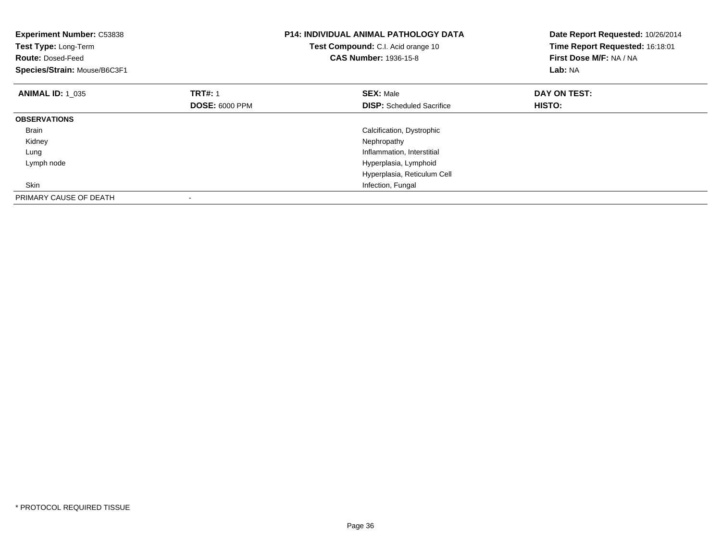| <b>Experiment Number: C53838</b><br>Test Type: Long-Term<br><b>Route: Dosed-Feed</b><br>Species/Strain: Mouse/B6C3F1 |                       | <b>P14: INDIVIDUAL ANIMAL PATHOLOGY DATA</b><br>Test Compound: C.I. Acid orange 10<br><b>CAS Number: 1936-15-8</b> | Date Report Requested: 10/26/2014<br>Time Report Requested: 16:18:01<br>First Dose M/F: NA / NA<br>Lab: NA |
|----------------------------------------------------------------------------------------------------------------------|-----------------------|--------------------------------------------------------------------------------------------------------------------|------------------------------------------------------------------------------------------------------------|
| <b>ANIMAL ID: 1 035</b>                                                                                              | <b>TRT#: 1</b>        | <b>SEX: Male</b>                                                                                                   | DAY ON TEST:                                                                                               |
|                                                                                                                      | <b>DOSE: 6000 PPM</b> | <b>DISP:</b> Scheduled Sacrifice                                                                                   | <b>HISTO:</b>                                                                                              |
| <b>OBSERVATIONS</b>                                                                                                  |                       |                                                                                                                    |                                                                                                            |
| <b>Brain</b>                                                                                                         |                       | Calcification, Dystrophic                                                                                          |                                                                                                            |
| Kidney                                                                                                               |                       | Nephropathy                                                                                                        |                                                                                                            |
| Lung                                                                                                                 |                       | Inflammation, Interstitial                                                                                         |                                                                                                            |
| Lymph node                                                                                                           |                       | Hyperplasia, Lymphoid                                                                                              |                                                                                                            |
|                                                                                                                      |                       | Hyperplasia, Reticulum Cell                                                                                        |                                                                                                            |
| Skin                                                                                                                 |                       | Infection, Fungal                                                                                                  |                                                                                                            |
| PRIMARY CAUSE OF DEATH                                                                                               |                       |                                                                                                                    |                                                                                                            |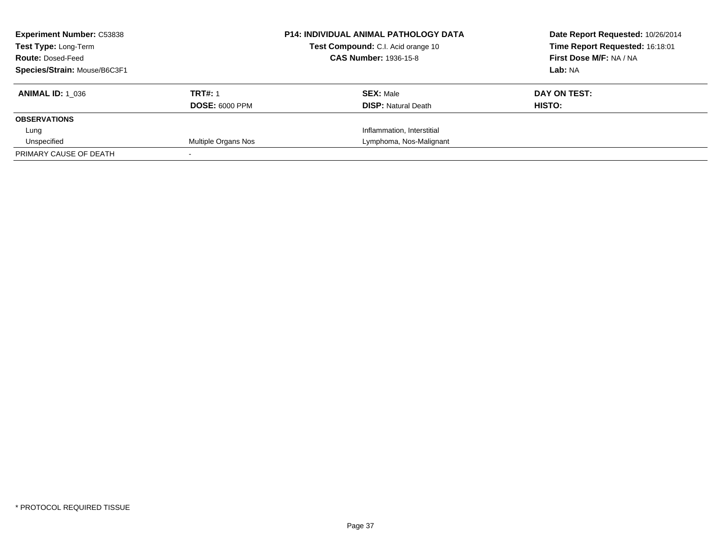| <b>Experiment Number: C53838</b><br>Test Type: Long-Term<br><b>Route: Dosed-Feed</b><br>Species/Strain: Mouse/B6C3F1 |                                         | <b>P14: INDIVIDUAL ANIMAL PATHOLOGY DATA</b><br>Test Compound: C.I. Acid orange 10<br><b>CAS Number: 1936-15-8</b> | Date Report Requested: 10/26/2014<br>Time Report Requested: 16:18:01<br>First Dose M/F: NA / NA<br>Lab: NA |
|----------------------------------------------------------------------------------------------------------------------|-----------------------------------------|--------------------------------------------------------------------------------------------------------------------|------------------------------------------------------------------------------------------------------------|
| <b>ANIMAL ID: 1 036</b>                                                                                              | <b>TRT#: 1</b><br><b>DOSE: 6000 PPM</b> | <b>SEX: Male</b><br><b>DISP: Natural Death</b>                                                                     | DAY ON TEST:<br>HISTO:                                                                                     |
| <b>OBSERVATIONS</b>                                                                                                  |                                         |                                                                                                                    |                                                                                                            |
| Lung                                                                                                                 |                                         | Inflammation, Interstitial                                                                                         |                                                                                                            |
| Unspecified                                                                                                          | Multiple Organs Nos                     | Lymphoma, Nos-Malignant                                                                                            |                                                                                                            |
| PRIMARY CAUSE OF DEATH                                                                                               |                                         |                                                                                                                    |                                                                                                            |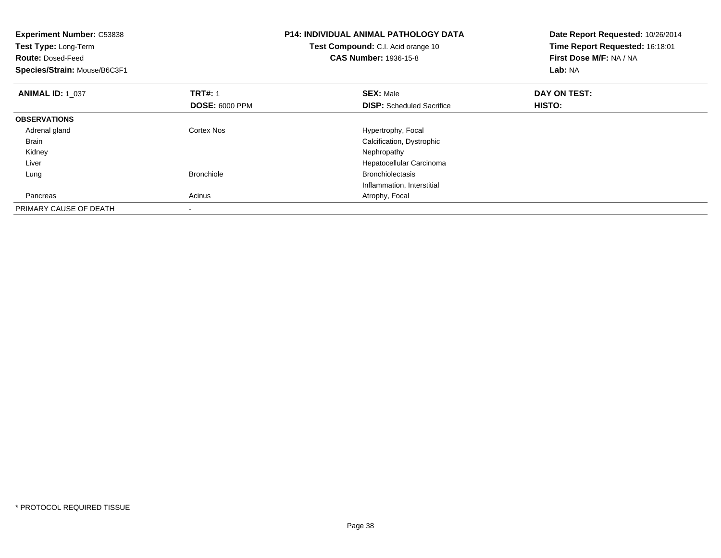| <b>Experiment Number: C53838</b><br>Test Type: Long-Term<br><b>Route: Dosed-Feed</b><br>Species/Strain: Mouse/B6C3F1 |                                         | <b>P14: INDIVIDUAL ANIMAL PATHOLOGY DATA</b><br>Test Compound: C.I. Acid orange 10<br><b>CAS Number: 1936-15-8</b> | Date Report Requested: 10/26/2014<br>Time Report Requested: 16:18:01<br>First Dose M/F: NA / NA<br>Lab: NA |
|----------------------------------------------------------------------------------------------------------------------|-----------------------------------------|--------------------------------------------------------------------------------------------------------------------|------------------------------------------------------------------------------------------------------------|
| <b>ANIMAL ID: 1 037</b>                                                                                              | <b>TRT#: 1</b><br><b>DOSE: 6000 PPM</b> | <b>SEX: Male</b><br><b>DISP:</b> Scheduled Sacrifice                                                               | DAY ON TEST:<br>HISTO:                                                                                     |
| <b>OBSERVATIONS</b>                                                                                                  |                                         |                                                                                                                    |                                                                                                            |
| Adrenal gland                                                                                                        | <b>Cortex Nos</b>                       | Hypertrophy, Focal                                                                                                 |                                                                                                            |
| Brain                                                                                                                |                                         | Calcification, Dystrophic                                                                                          |                                                                                                            |
| Kidney                                                                                                               |                                         | Nephropathy                                                                                                        |                                                                                                            |
| Liver                                                                                                                |                                         | Hepatocellular Carcinoma                                                                                           |                                                                                                            |
| Lung                                                                                                                 | <b>Bronchiole</b>                       | <b>Bronchiolectasis</b>                                                                                            |                                                                                                            |
|                                                                                                                      |                                         | Inflammation, Interstitial                                                                                         |                                                                                                            |
| Pancreas                                                                                                             | Acinus                                  | Atrophy, Focal                                                                                                     |                                                                                                            |
| PRIMARY CAUSE OF DEATH                                                                                               |                                         |                                                                                                                    |                                                                                                            |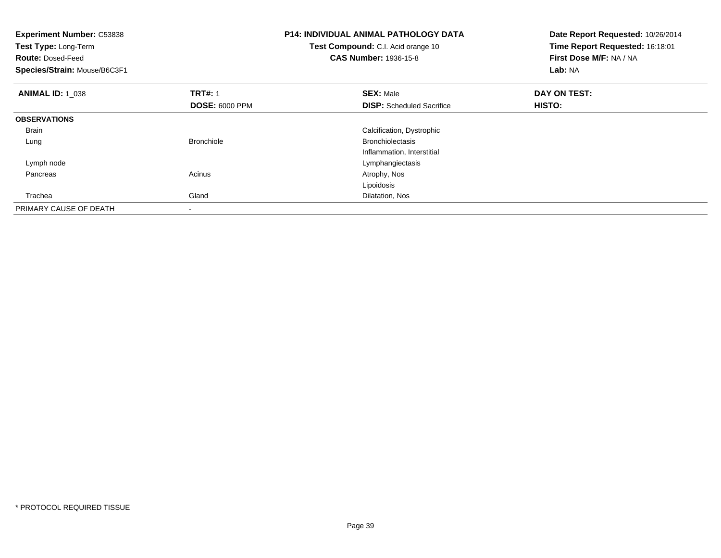| <b>Experiment Number: C53838</b><br>Test Type: Long-Term<br><b>Route: Dosed-Feed</b><br>Species/Strain: Mouse/B6C3F1 |                       | <b>P14: INDIVIDUAL ANIMAL PATHOLOGY DATA</b><br>Test Compound: C.I. Acid orange 10<br><b>CAS Number: 1936-15-8</b> | Date Report Requested: 10/26/2014<br>Time Report Requested: 16:18:01<br>First Dose M/F: NA / NA<br>Lab: NA |
|----------------------------------------------------------------------------------------------------------------------|-----------------------|--------------------------------------------------------------------------------------------------------------------|------------------------------------------------------------------------------------------------------------|
| <b>ANIMAL ID: 1 038</b>                                                                                              | <b>TRT#: 1</b>        | <b>SEX: Male</b>                                                                                                   | DAY ON TEST:                                                                                               |
|                                                                                                                      | <b>DOSE: 6000 PPM</b> | <b>DISP:</b> Scheduled Sacrifice                                                                                   | HISTO:                                                                                                     |
| <b>OBSERVATIONS</b>                                                                                                  |                       |                                                                                                                    |                                                                                                            |
| <b>Brain</b>                                                                                                         |                       | Calcification, Dystrophic                                                                                          |                                                                                                            |
| Lung                                                                                                                 | <b>Bronchiole</b>     | <b>Bronchiolectasis</b>                                                                                            |                                                                                                            |
|                                                                                                                      |                       | Inflammation, Interstitial                                                                                         |                                                                                                            |
| Lymph node                                                                                                           |                       | Lymphangiectasis                                                                                                   |                                                                                                            |
| Pancreas                                                                                                             | Acinus                | Atrophy, Nos                                                                                                       |                                                                                                            |
|                                                                                                                      |                       | Lipoidosis                                                                                                         |                                                                                                            |
| Trachea                                                                                                              | Gland                 | Dilatation, Nos                                                                                                    |                                                                                                            |
| PRIMARY CAUSE OF DEATH                                                                                               |                       |                                                                                                                    |                                                                                                            |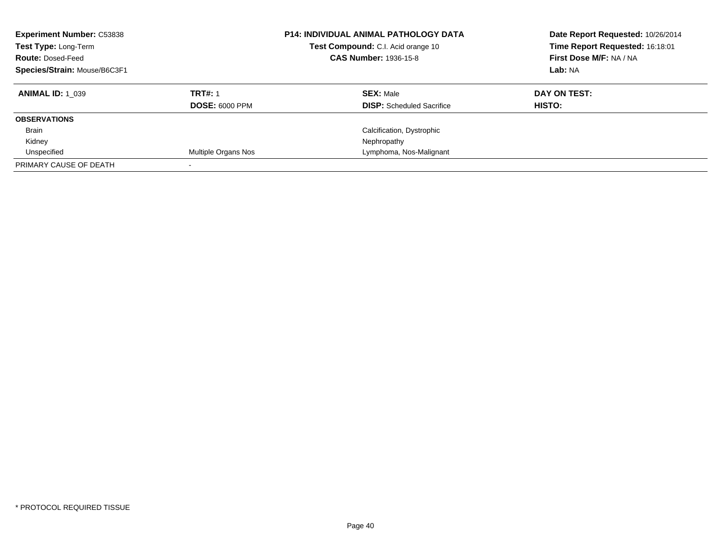| <b>Experiment Number: C53838</b><br>Test Type: Long-Term<br><b>Route: Dosed-Feed</b><br>Species/Strain: Mouse/B6C3F1 |                       | <b>P14: INDIVIDUAL ANIMAL PATHOLOGY DATA</b><br>Test Compound: C.I. Acid orange 10<br><b>CAS Number: 1936-15-8</b> | Date Report Requested: 10/26/2014<br>Time Report Requested: 16:18:01<br>First Dose M/F: NA / NA<br>Lab: NA |
|----------------------------------------------------------------------------------------------------------------------|-----------------------|--------------------------------------------------------------------------------------------------------------------|------------------------------------------------------------------------------------------------------------|
| <b>ANIMAL ID: 1 039</b>                                                                                              | <b>TRT#: 1</b>        | <b>SEX: Male</b>                                                                                                   | DAY ON TEST:                                                                                               |
|                                                                                                                      | <b>DOSE: 6000 PPM</b> | <b>DISP:</b> Scheduled Sacrifice                                                                                   | HISTO:                                                                                                     |
| <b>OBSERVATIONS</b>                                                                                                  |                       |                                                                                                                    |                                                                                                            |
| <b>Brain</b>                                                                                                         |                       | Calcification, Dystrophic                                                                                          |                                                                                                            |
| Kidney                                                                                                               |                       | Nephropathy                                                                                                        |                                                                                                            |
| Unspecified                                                                                                          | Multiple Organs Nos   | Lymphoma, Nos-Malignant                                                                                            |                                                                                                            |
| PRIMARY CAUSE OF DEATH                                                                                               |                       |                                                                                                                    |                                                                                                            |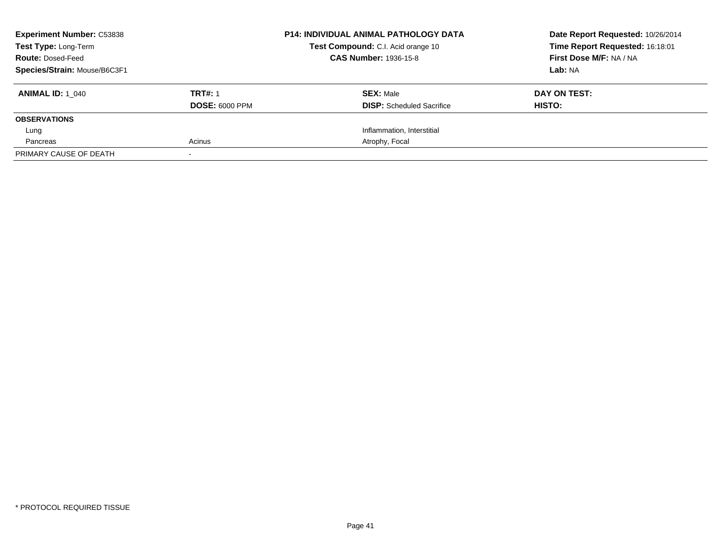| <b>Experiment Number: C53838</b><br>Test Type: Long-Term<br><b>Route: Dosed-Feed</b><br>Species/Strain: Mouse/B6C3F1 |                                         | <b>P14: INDIVIDUAL ANIMAL PATHOLOGY DATA</b><br>Test Compound: C.I. Acid orange 10<br><b>CAS Number: 1936-15-8</b> | Date Report Requested: 10/26/2014<br>Time Report Requested: 16:18:01<br>First Dose M/F: NA / NA<br>Lab: NA |
|----------------------------------------------------------------------------------------------------------------------|-----------------------------------------|--------------------------------------------------------------------------------------------------------------------|------------------------------------------------------------------------------------------------------------|
| <b>ANIMAL ID:</b> 1 040                                                                                              | <b>TRT#: 1</b><br><b>DOSE: 6000 PPM</b> | <b>SEX: Male</b><br><b>DISP:</b> Scheduled Sacrifice                                                               | DAY ON TEST:<br>HISTO:                                                                                     |
| <b>OBSERVATIONS</b>                                                                                                  |                                         |                                                                                                                    |                                                                                                            |
| Lung                                                                                                                 |                                         | Inflammation, Interstitial                                                                                         |                                                                                                            |
| Pancreas                                                                                                             | Acinus                                  | Atrophy, Focal                                                                                                     |                                                                                                            |
| PRIMARY CAUSE OF DEATH                                                                                               |                                         |                                                                                                                    |                                                                                                            |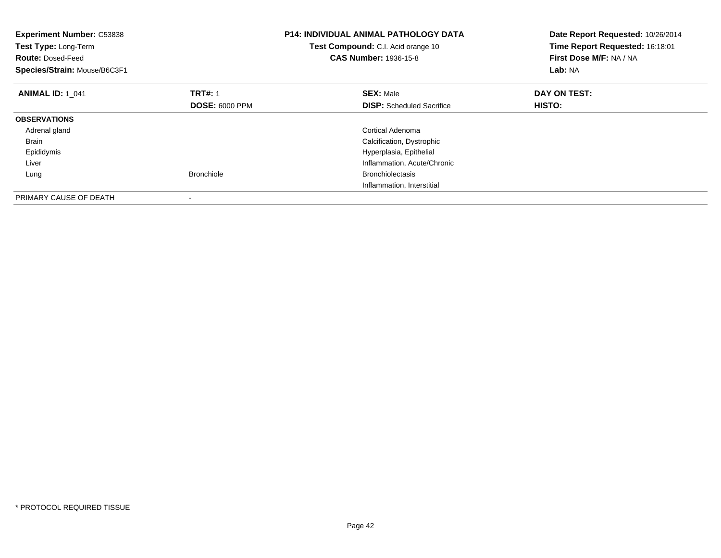| <b>Experiment Number: C53838</b><br>Test Type: Long-Term<br><b>Route: Dosed-Feed</b><br>Species/Strain: Mouse/B6C3F1 |                       | <b>P14: INDIVIDUAL ANIMAL PATHOLOGY DATA</b><br>Test Compound: C.I. Acid orange 10<br><b>CAS Number: 1936-15-8</b> | Date Report Requested: 10/26/2014<br>Time Report Requested: 16:18:01<br>First Dose M/F: NA / NA<br>Lab: NA |
|----------------------------------------------------------------------------------------------------------------------|-----------------------|--------------------------------------------------------------------------------------------------------------------|------------------------------------------------------------------------------------------------------------|
| <b>ANIMAL ID: 1 041</b>                                                                                              | <b>TRT#: 1</b>        | <b>SEX: Male</b>                                                                                                   | DAY ON TEST:                                                                                               |
|                                                                                                                      | <b>DOSE: 6000 PPM</b> | <b>DISP:</b> Scheduled Sacrifice                                                                                   | <b>HISTO:</b>                                                                                              |
| <b>OBSERVATIONS</b>                                                                                                  |                       |                                                                                                                    |                                                                                                            |
| Adrenal gland                                                                                                        |                       | Cortical Adenoma                                                                                                   |                                                                                                            |
| <b>Brain</b>                                                                                                         |                       | Calcification, Dystrophic                                                                                          |                                                                                                            |
| Epididymis                                                                                                           |                       | Hyperplasia, Epithelial                                                                                            |                                                                                                            |
| Liver                                                                                                                |                       | Inflammation, Acute/Chronic                                                                                        |                                                                                                            |
| Lung                                                                                                                 | <b>Bronchiole</b>     | <b>Bronchiolectasis</b>                                                                                            |                                                                                                            |
|                                                                                                                      |                       | Inflammation, Interstitial                                                                                         |                                                                                                            |
| PRIMARY CAUSE OF DEATH                                                                                               |                       |                                                                                                                    |                                                                                                            |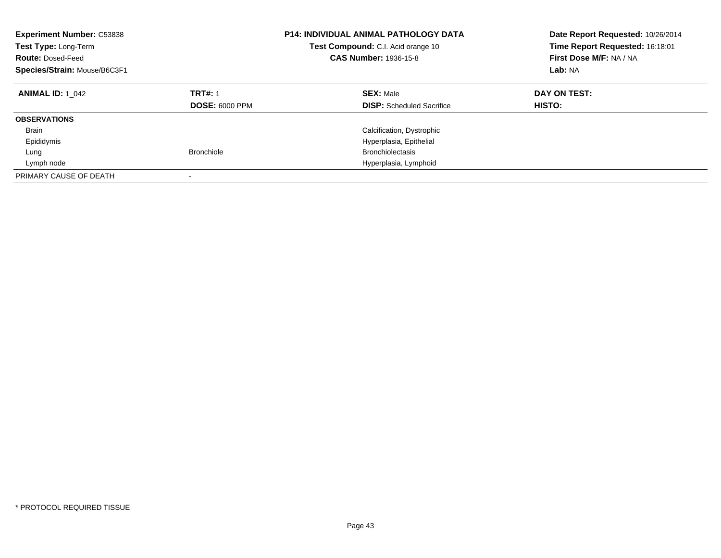| <b>Experiment Number: C53838</b><br>Test Type: Long-Term<br><b>Route: Dosed-Feed</b><br>Species/Strain: Mouse/B6C3F1 |                                         | <b>P14: INDIVIDUAL ANIMAL PATHOLOGY DATA</b><br>Test Compound: C.I. Acid orange 10<br><b>CAS Number: 1936-15-8</b> | Date Report Requested: 10/26/2014<br>Time Report Requested: 16:18:01<br>First Dose M/F: NA / NA<br>Lab: NA |
|----------------------------------------------------------------------------------------------------------------------|-----------------------------------------|--------------------------------------------------------------------------------------------------------------------|------------------------------------------------------------------------------------------------------------|
| <b>ANIMAL ID: 1 042</b>                                                                                              | <b>TRT#: 1</b><br><b>DOSE: 6000 PPM</b> | <b>SEX: Male</b><br><b>DISP:</b> Scheduled Sacrifice                                                               | DAY ON TEST:<br>HISTO:                                                                                     |
| <b>OBSERVATIONS</b>                                                                                                  |                                         |                                                                                                                    |                                                                                                            |
| <b>Brain</b>                                                                                                         |                                         | Calcification, Dystrophic                                                                                          |                                                                                                            |
| Epididymis                                                                                                           |                                         | Hyperplasia, Epithelial                                                                                            |                                                                                                            |
| Lung                                                                                                                 | <b>Bronchiole</b>                       | <b>Bronchiolectasis</b>                                                                                            |                                                                                                            |
| Lymph node                                                                                                           |                                         | Hyperplasia, Lymphoid                                                                                              |                                                                                                            |
| PRIMARY CAUSE OF DEATH                                                                                               |                                         |                                                                                                                    |                                                                                                            |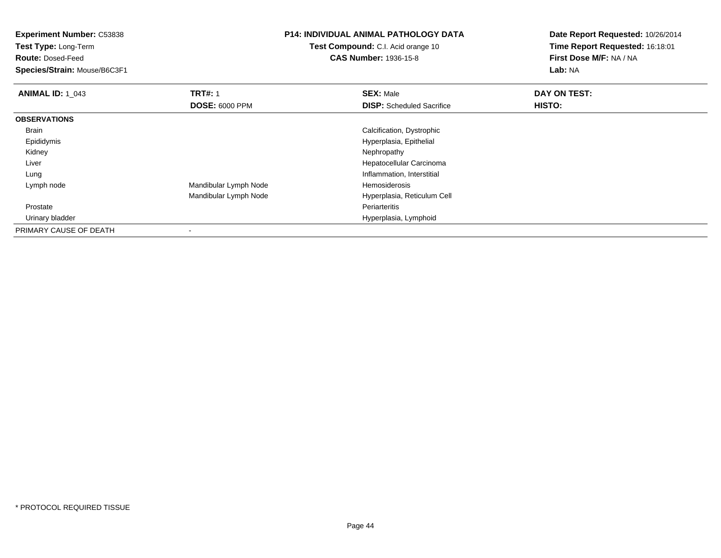**Experiment Number:** C53838**Test Type:** Long-Term**Route:** Dosed-Feed **Species/Strain:** Mouse/B6C3F1**P14: INDIVIDUAL ANIMAL PATHOLOGY DATATest Compound:** C.I. Acid orange 10**CAS Number:** 1936-15-8**Date Report Requested:** 10/26/2014**Time Report Requested:** 16:18:01**First Dose M/F:** NA / NA**Lab:** NA**ANIMAL ID: 1\_043 TRT#:** 1 **SEX:** Male **DAY ON TEST: DOSE:** 6000 PPM**DISP:** Scheduled Sacrifice **HISTO: OBSERVATIONS** Brain Calcification, Dystrophic Epididymis Hyperplasia, Epithelial Kidneyy the control of the control of the control of the control of the control of the control of the control of the control of the control of the control of the control of the control of the control of the control of the contro Liver Hepatocellular Carcinoma LungInflammation, Interstitial<br>Hemosiderosis Lymph nodeMandibular Lymph Node Mandibular Lymph Node Hyperplasia, Reticulum Cell Prostatee **Executive Executive Construction Construction** Construction Construction Construction Periarteritis **Periarteritis**  Urinary bladderHyperplasia, Lymphoid

PRIMARY CAUSE OF DEATH-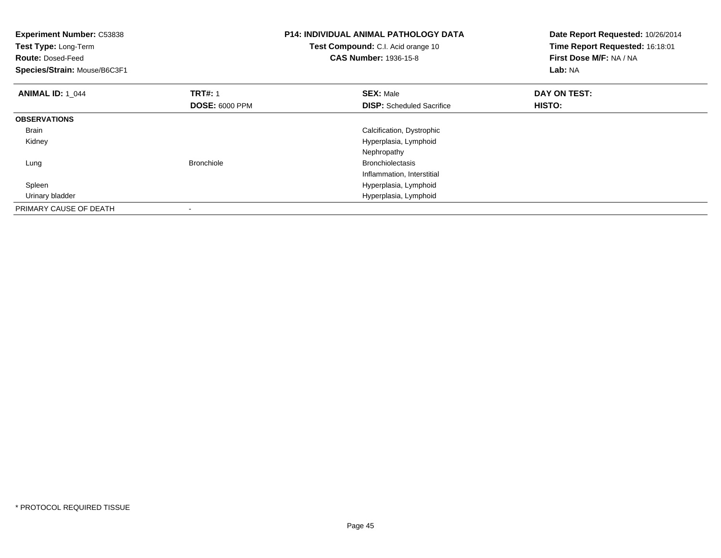| <b>Experiment Number: C53838</b><br><b>Test Type: Long-Term</b><br><b>Route: Dosed-Feed</b><br>Species/Strain: Mouse/B6C3F1 |                                         | <b>P14: INDIVIDUAL ANIMAL PATHOLOGY DATA</b><br>Test Compound: C.I. Acid orange 10<br><b>CAS Number: 1936-15-8</b> | Date Report Requested: 10/26/2014<br>Time Report Requested: 16:18:01<br>First Dose M/F: NA / NA<br>Lab: NA |
|-----------------------------------------------------------------------------------------------------------------------------|-----------------------------------------|--------------------------------------------------------------------------------------------------------------------|------------------------------------------------------------------------------------------------------------|
| <b>ANIMAL ID: 1 044</b>                                                                                                     | <b>TRT#: 1</b><br><b>DOSE: 6000 PPM</b> | <b>SEX: Male</b><br><b>DISP:</b> Scheduled Sacrifice                                                               | DAY ON TEST:<br>HISTO:                                                                                     |
| <b>OBSERVATIONS</b>                                                                                                         |                                         |                                                                                                                    |                                                                                                            |
| <b>Brain</b>                                                                                                                |                                         | Calcification, Dystrophic                                                                                          |                                                                                                            |
| Kidney                                                                                                                      |                                         | Hyperplasia, Lymphoid                                                                                              |                                                                                                            |
|                                                                                                                             |                                         | Nephropathy                                                                                                        |                                                                                                            |
| Lung                                                                                                                        | <b>Bronchiole</b>                       | <b>Bronchiolectasis</b>                                                                                            |                                                                                                            |
|                                                                                                                             |                                         | Inflammation, Interstitial                                                                                         |                                                                                                            |
| Spleen                                                                                                                      |                                         | Hyperplasia, Lymphoid                                                                                              |                                                                                                            |
| Urinary bladder                                                                                                             |                                         | Hyperplasia, Lymphoid                                                                                              |                                                                                                            |
| PRIMARY CAUSE OF DEATH                                                                                                      |                                         |                                                                                                                    |                                                                                                            |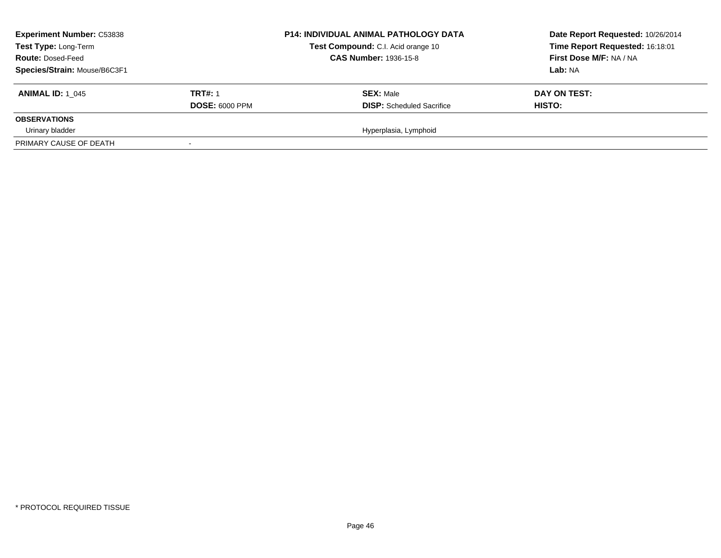| <b>Experiment Number: C53838</b><br>Test Type: Long-Term<br><b>Route: Dosed-Feed</b><br>Species/Strain: Mouse/B6C3F1 |                                         | <b>P14: INDIVIDUAL ANIMAL PATHOLOGY DATA</b><br>Test Compound: C.I. Acid orange 10<br><b>CAS Number: 1936-15-8</b> | Date Report Requested: 10/26/2014<br>Time Report Requested: 16:18:01<br>First Dose M/F: NA / NA<br>Lab: NA |
|----------------------------------------------------------------------------------------------------------------------|-----------------------------------------|--------------------------------------------------------------------------------------------------------------------|------------------------------------------------------------------------------------------------------------|
| <b>ANIMAL ID:</b> 1 045                                                                                              | <b>TRT#: 1</b><br><b>DOSE: 6000 PPM</b> | <b>SEX: Male</b><br><b>DISP:</b> Scheduled Sacrifice                                                               | DAY ON TEST:<br>HISTO:                                                                                     |
| <b>OBSERVATIONS</b>                                                                                                  |                                         |                                                                                                                    |                                                                                                            |
| Urinary bladder                                                                                                      |                                         | Hyperplasia, Lymphoid                                                                                              |                                                                                                            |
| PRIMARY CAUSE OF DEATH                                                                                               |                                         |                                                                                                                    |                                                                                                            |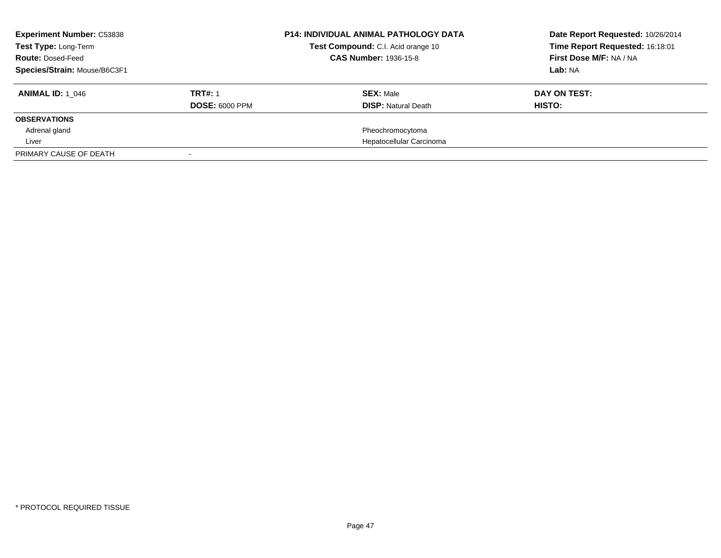| <b>Experiment Number: C53838</b><br>Test Type: Long-Term<br><b>Route: Dosed-Feed</b><br>Species/Strain: Mouse/B6C3F1 |                                         | <b>P14: INDIVIDUAL ANIMAL PATHOLOGY DATA</b><br>Test Compound: C.I. Acid orange 10<br>CAS Number: 1936-15-8 | Date Report Requested: 10/26/2014<br>Time Report Requested: 16:18:01<br>First Dose M/F: NA / NA<br>Lab: NA |
|----------------------------------------------------------------------------------------------------------------------|-----------------------------------------|-------------------------------------------------------------------------------------------------------------|------------------------------------------------------------------------------------------------------------|
| <b>ANIMAL ID: 1 046</b>                                                                                              | <b>TRT#: 1</b><br><b>DOSE: 6000 PPM</b> | <b>SEX: Male</b><br><b>DISP: Natural Death</b>                                                              | DAY ON TEST:<br>HISTO:                                                                                     |
| <b>OBSERVATIONS</b>                                                                                                  |                                         |                                                                                                             |                                                                                                            |
| Adrenal gland                                                                                                        |                                         | Pheochromocytoma                                                                                            |                                                                                                            |
| Liver                                                                                                                |                                         | Hepatocellular Carcinoma                                                                                    |                                                                                                            |
| PRIMARY CAUSE OF DEATH                                                                                               |                                         |                                                                                                             |                                                                                                            |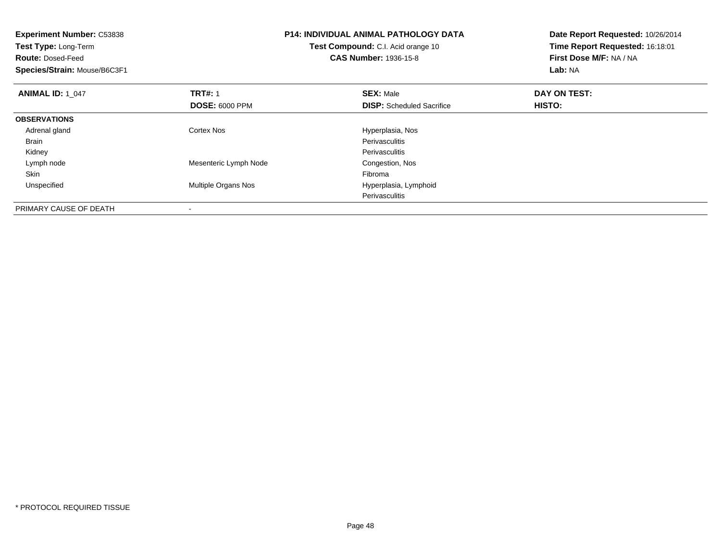| <b>Experiment Number: C53838</b> | <b>P14: INDIVIDUAL ANIMAL PATHOLOGY DATA</b> |                                           | Date Report Requested: 10/26/2014 |
|----------------------------------|----------------------------------------------|-------------------------------------------|-----------------------------------|
| Test Type: Long-Term             |                                              | <b>Test Compound:</b> C.I. Acid orange 10 | Time Report Requested: 16:18:01   |
| <b>Route: Dosed-Feed</b>         |                                              | <b>CAS Number: 1936-15-8</b>              | First Dose M/F: NA / NA           |
| Species/Strain: Mouse/B6C3F1     |                                              |                                           | Lab: NA                           |
| <b>ANIMAL ID: 1 047</b>          | <b>TRT#: 1</b>                               | <b>SEX: Male</b>                          | DAY ON TEST:                      |
|                                  | <b>DOSE: 6000 PPM</b>                        | <b>DISP:</b> Scheduled Sacrifice          | <b>HISTO:</b>                     |
| <b>OBSERVATIONS</b>              |                                              |                                           |                                   |
| Adrenal gland                    | Cortex Nos                                   | Hyperplasia, Nos                          |                                   |
| Brain                            |                                              | Perivasculitis                            |                                   |
| Kidney                           |                                              | Perivasculitis                            |                                   |
| Lymph node                       | Mesenteric Lymph Node                        | Congestion, Nos                           |                                   |
| Skin                             |                                              | Fibroma                                   |                                   |
| Unspecified                      | Multiple Organs Nos                          | Hyperplasia, Lymphoid                     |                                   |
|                                  |                                              | Perivasculitis                            |                                   |
| PRIMARY CAUSE OF DEATH           |                                              |                                           |                                   |

-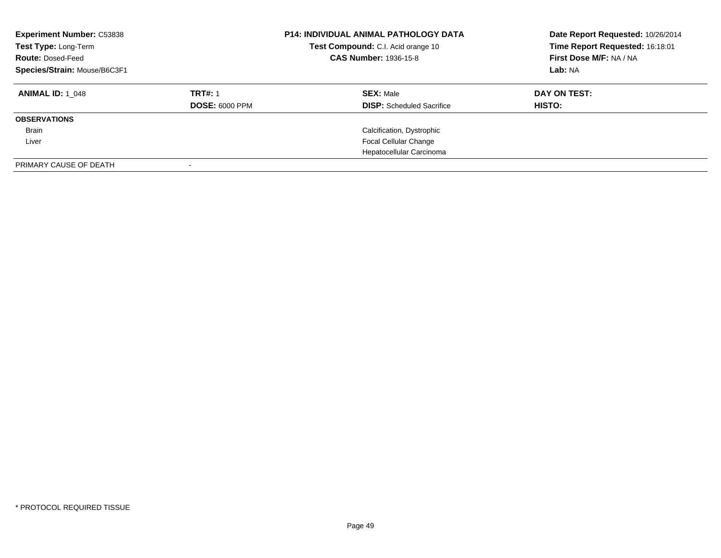| <b>Experiment Number: C53838</b><br>Test Type: Long-Term<br><b>Route: Dosed-Feed</b><br>Species/Strain: Mouse/B6C3F1 |                       | <b>P14: INDIVIDUAL ANIMAL PATHOLOGY DATA</b><br>Test Compound: C.I. Acid orange 10<br><b>CAS Number: 1936-15-8</b> | Date Report Requested: 10/26/2014<br>Time Report Requested: 16:18:01<br>First Dose M/F: NA / NA<br>Lab: NA |
|----------------------------------------------------------------------------------------------------------------------|-----------------------|--------------------------------------------------------------------------------------------------------------------|------------------------------------------------------------------------------------------------------------|
| <b>ANIMAL ID:</b> 1 048                                                                                              | <b>TRT#: 1</b>        | <b>SEX: Male</b>                                                                                                   | DAY ON TEST:                                                                                               |
|                                                                                                                      | <b>DOSE: 6000 PPM</b> | <b>DISP:</b> Scheduled Sacrifice                                                                                   | <b>HISTO:</b>                                                                                              |
| <b>OBSERVATIONS</b>                                                                                                  |                       |                                                                                                                    |                                                                                                            |
| Brain                                                                                                                |                       | Calcification, Dystrophic                                                                                          |                                                                                                            |
| Liver                                                                                                                |                       | <b>Focal Cellular Change</b>                                                                                       |                                                                                                            |
|                                                                                                                      |                       | Hepatocellular Carcinoma                                                                                           |                                                                                                            |
| PRIMARY CAUSE OF DEATH                                                                                               |                       |                                                                                                                    |                                                                                                            |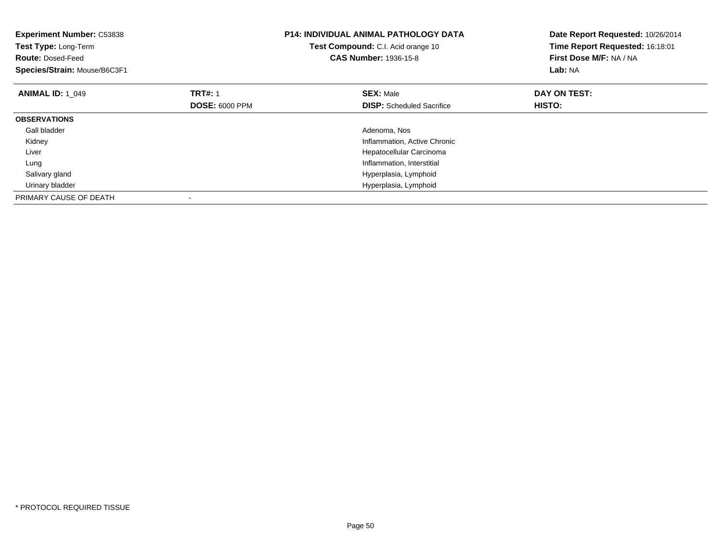| <b>Experiment Number: C53838</b><br>Test Type: Long-Term<br><b>Route: Dosed-Feed</b><br>Species/Strain: Mouse/B6C3F1 |                       | <b>P14: INDIVIDUAL ANIMAL PATHOLOGY DATA</b><br>Test Compound: C.I. Acid orange 10<br><b>CAS Number: 1936-15-8</b> | Date Report Requested: 10/26/2014<br>Time Report Requested: 16:18:01<br>First Dose M/F: NA / NA<br>Lab: NA |
|----------------------------------------------------------------------------------------------------------------------|-----------------------|--------------------------------------------------------------------------------------------------------------------|------------------------------------------------------------------------------------------------------------|
| <b>ANIMAL ID: 1_049</b>                                                                                              | <b>TRT#: 1</b>        | <b>SEX: Male</b>                                                                                                   | DAY ON TEST:                                                                                               |
|                                                                                                                      | <b>DOSE: 6000 PPM</b> | <b>DISP:</b> Scheduled Sacrifice                                                                                   | HISTO:                                                                                                     |
| <b>OBSERVATIONS</b>                                                                                                  |                       |                                                                                                                    |                                                                                                            |
| Gall bladder                                                                                                         |                       | Adenoma, Nos                                                                                                       |                                                                                                            |
| Kidney                                                                                                               |                       | Inflammation, Active Chronic                                                                                       |                                                                                                            |
| Liver                                                                                                                |                       | Hepatocellular Carcinoma                                                                                           |                                                                                                            |
| Lung                                                                                                                 |                       | Inflammation, Interstitial                                                                                         |                                                                                                            |
| Salivary gland                                                                                                       |                       | Hyperplasia, Lymphoid                                                                                              |                                                                                                            |
| Urinary bladder                                                                                                      |                       | Hyperplasia, Lymphoid                                                                                              |                                                                                                            |
| PRIMARY CAUSE OF DEATH                                                                                               |                       |                                                                                                                    |                                                                                                            |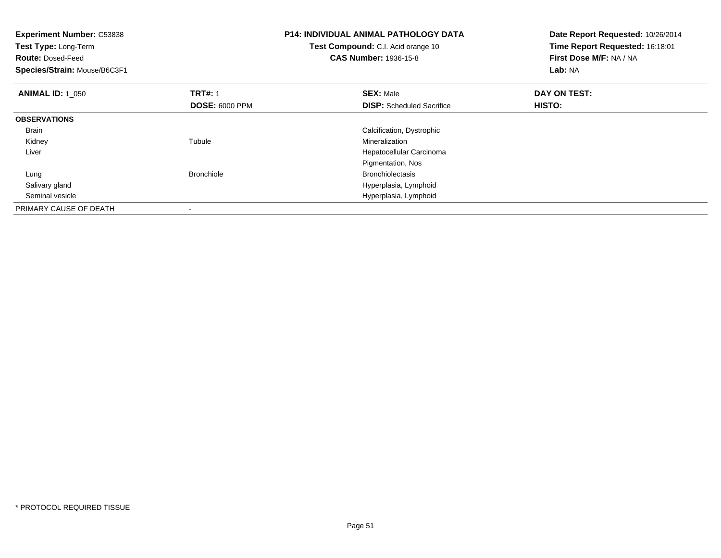| <b>Experiment Number: C53838</b> |                       | <b>P14: INDIVIDUAL ANIMAL PATHOLOGY DATA</b> | Date Report Requested: 10/26/2014 |
|----------------------------------|-----------------------|----------------------------------------------|-----------------------------------|
| Test Type: Long-Term             |                       | Test Compound: C.I. Acid orange 10           | Time Report Requested: 16:18:01   |
| <b>Route: Dosed-Feed</b>         |                       | <b>CAS Number: 1936-15-8</b>                 | First Dose M/F: NA / NA           |
| Species/Strain: Mouse/B6C3F1     |                       |                                              | Lab: NA                           |
| <b>ANIMAL ID: 1_050</b>          | <b>TRT#: 1</b>        | <b>SEX: Male</b>                             | DAY ON TEST:                      |
|                                  | <b>DOSE: 6000 PPM</b> | <b>DISP:</b> Scheduled Sacrifice             | HISTO:                            |
| <b>OBSERVATIONS</b>              |                       |                                              |                                   |
| Brain                            |                       | Calcification, Dystrophic                    |                                   |
| Kidney                           | Tubule                | Mineralization                               |                                   |
| Liver                            |                       | Hepatocellular Carcinoma                     |                                   |
|                                  |                       | Pigmentation, Nos                            |                                   |
| Lung                             | <b>Bronchiole</b>     | <b>Bronchiolectasis</b>                      |                                   |
| Salivary gland                   |                       | Hyperplasia, Lymphoid                        |                                   |
| Seminal vesicle                  |                       | Hyperplasia, Lymphoid                        |                                   |
| PRIMARY CAUSE OF DEATH           |                       |                                              |                                   |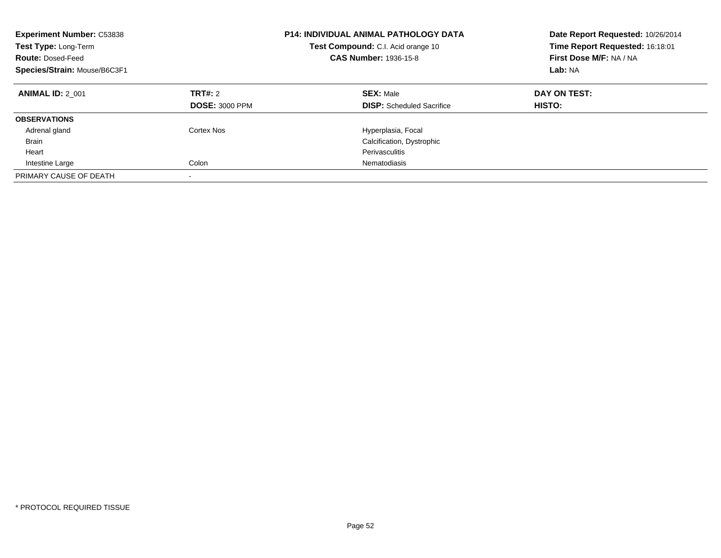| <b>Experiment Number: C53838</b><br>Test Type: Long-Term<br><b>Route: Dosed-Feed</b><br>Species/Strain: Mouse/B6C3F1 |                                  | <b>P14: INDIVIDUAL ANIMAL PATHOLOGY DATA</b><br>Test Compound: C.I. Acid orange 10<br><b>CAS Number: 1936-15-8</b> | Date Report Requested: 10/26/2014<br>Time Report Requested: 16:18:01<br>First Dose M/F: NA / NA<br>Lab: NA |
|----------------------------------------------------------------------------------------------------------------------|----------------------------------|--------------------------------------------------------------------------------------------------------------------|------------------------------------------------------------------------------------------------------------|
| <b>ANIMAL ID: 2 001</b>                                                                                              | TRT#: 2<br><b>DOSE: 3000 PPM</b> | <b>SEX: Male</b><br><b>DISP:</b> Scheduled Sacrifice                                                               | DAY ON TEST:<br>HISTO:                                                                                     |
| <b>OBSERVATIONS</b>                                                                                                  |                                  |                                                                                                                    |                                                                                                            |
| Adrenal gland                                                                                                        | Cortex Nos                       | Hyperplasia, Focal                                                                                                 |                                                                                                            |
| Brain                                                                                                                |                                  | Calcification, Dystrophic                                                                                          |                                                                                                            |
| Heart                                                                                                                |                                  | Perivasculitis                                                                                                     |                                                                                                            |
| Intestine Large                                                                                                      | Colon                            | Nematodiasis                                                                                                       |                                                                                                            |
| PRIMARY CAUSE OF DEATH                                                                                               | $\overline{\phantom{a}}$         |                                                                                                                    |                                                                                                            |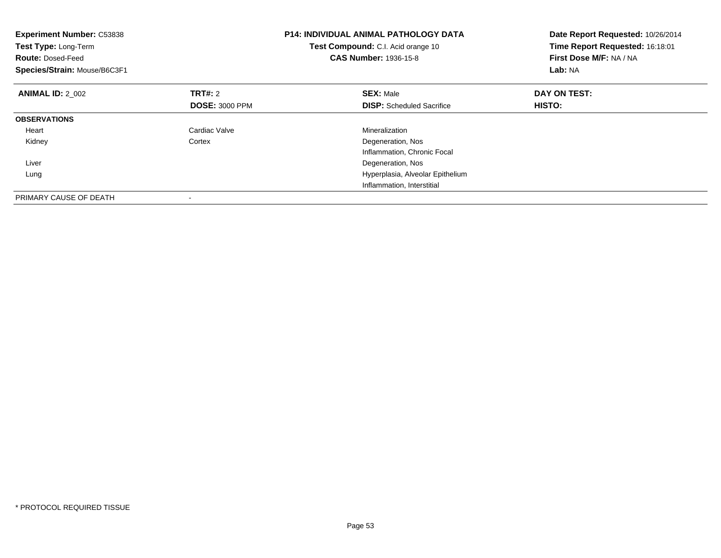| <b>Experiment Number: C53838</b><br>Test Type: Long-Term<br><b>Route: Dosed-Feed</b><br>Species/Strain: Mouse/B6C3F1 |                       | <b>P14: INDIVIDUAL ANIMAL PATHOLOGY DATA</b><br>Test Compound: C.I. Acid orange 10<br><b>CAS Number: 1936-15-8</b> | Date Report Requested: 10/26/2014<br>Time Report Requested: 16:18:01<br>First Dose M/F: NA / NA<br>Lab: NA |
|----------------------------------------------------------------------------------------------------------------------|-----------------------|--------------------------------------------------------------------------------------------------------------------|------------------------------------------------------------------------------------------------------------|
| <b>ANIMAL ID: 2 002</b>                                                                                              | <b>TRT#: 2</b>        | <b>SEX: Male</b>                                                                                                   | DAY ON TEST:                                                                                               |
|                                                                                                                      | <b>DOSE: 3000 PPM</b> | <b>DISP:</b> Scheduled Sacrifice                                                                                   | HISTO:                                                                                                     |
| <b>OBSERVATIONS</b>                                                                                                  |                       |                                                                                                                    |                                                                                                            |
| Heart                                                                                                                | Cardiac Valve         | Mineralization                                                                                                     |                                                                                                            |
| Kidney                                                                                                               | Cortex                | Degeneration, Nos                                                                                                  |                                                                                                            |
|                                                                                                                      |                       | Inflammation, Chronic Focal                                                                                        |                                                                                                            |
| Liver                                                                                                                |                       | Degeneration, Nos                                                                                                  |                                                                                                            |
| Lung                                                                                                                 |                       | Hyperplasia, Alveolar Epithelium                                                                                   |                                                                                                            |
|                                                                                                                      |                       | Inflammation, Interstitial                                                                                         |                                                                                                            |
| PRIMARY CAUSE OF DEATH                                                                                               |                       |                                                                                                                    |                                                                                                            |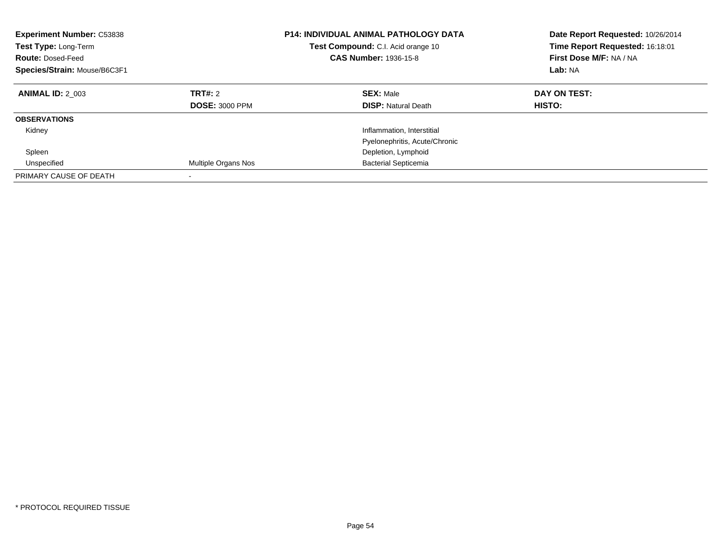| <b>Experiment Number: C53838</b><br>Test Type: Long-Term<br><b>Route: Dosed-Feed</b><br>Species/Strain: Mouse/B6C3F1 |                                  | <b>P14: INDIVIDUAL ANIMAL PATHOLOGY DATA</b><br><b>Test Compound:</b> C.I. Acid orange 10<br><b>CAS Number: 1936-15-8</b> | Date Report Requested: 10/26/2014<br>Time Report Requested: 16:18:01<br>First Dose M/F: NA / NA<br>Lab: NA |
|----------------------------------------------------------------------------------------------------------------------|----------------------------------|---------------------------------------------------------------------------------------------------------------------------|------------------------------------------------------------------------------------------------------------|
| <b>ANIMAL ID: 2 003</b>                                                                                              | TRT#: 2<br><b>DOSE: 3000 PPM</b> | <b>SEX: Male</b><br><b>DISP:</b> Natural Death                                                                            | DAY ON TEST:<br>HISTO:                                                                                     |
| <b>OBSERVATIONS</b>                                                                                                  |                                  |                                                                                                                           |                                                                                                            |
| Kidney                                                                                                               |                                  | Inflammation, Interstitial                                                                                                |                                                                                                            |
|                                                                                                                      |                                  | Pyelonephritis, Acute/Chronic                                                                                             |                                                                                                            |
| Spleen                                                                                                               |                                  | Depletion, Lymphoid                                                                                                       |                                                                                                            |
| Unspecified                                                                                                          | Multiple Organs Nos              | <b>Bacterial Septicemia</b>                                                                                               |                                                                                                            |
| PRIMARY CAUSE OF DEATH                                                                                               |                                  |                                                                                                                           |                                                                                                            |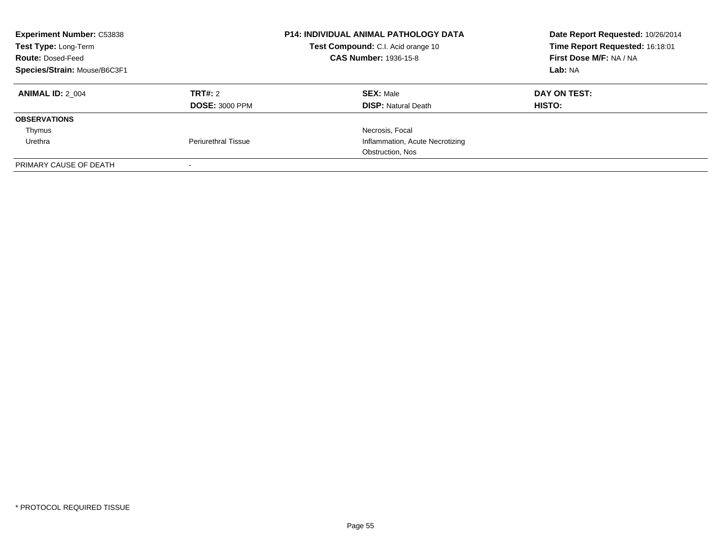| <b>Experiment Number: C53838</b><br>Test Type: Long-Term<br><b>Route: Dosed-Feed</b><br>Species/Strain: Mouse/B6C3F1 |                                  | <b>P14: INDIVIDUAL ANIMAL PATHOLOGY DATA</b><br>Test Compound: C.I. Acid orange 10<br><b>CAS Number: 1936-15-8</b> | Date Report Requested: 10/26/2014<br>Time Report Requested: 16:18:01<br>First Dose M/F: NA / NA<br>Lab: NA |
|----------------------------------------------------------------------------------------------------------------------|----------------------------------|--------------------------------------------------------------------------------------------------------------------|------------------------------------------------------------------------------------------------------------|
| <b>ANIMAL ID: 2 004</b>                                                                                              | TRT#: 2<br><b>DOSE: 3000 PPM</b> | <b>SEX: Male</b><br><b>DISP:</b> Natural Death                                                                     | DAY ON TEST:<br>HISTO:                                                                                     |
| <b>OBSERVATIONS</b>                                                                                                  |                                  |                                                                                                                    |                                                                                                            |
| Thymus                                                                                                               |                                  | Necrosis, Focal                                                                                                    |                                                                                                            |
| Urethra                                                                                                              | <b>Periurethral Tissue</b>       | Inflammation, Acute Necrotizing                                                                                    |                                                                                                            |
|                                                                                                                      |                                  | Obstruction, Nos                                                                                                   |                                                                                                            |
| PRIMARY CAUSE OF DEATH                                                                                               |                                  |                                                                                                                    |                                                                                                            |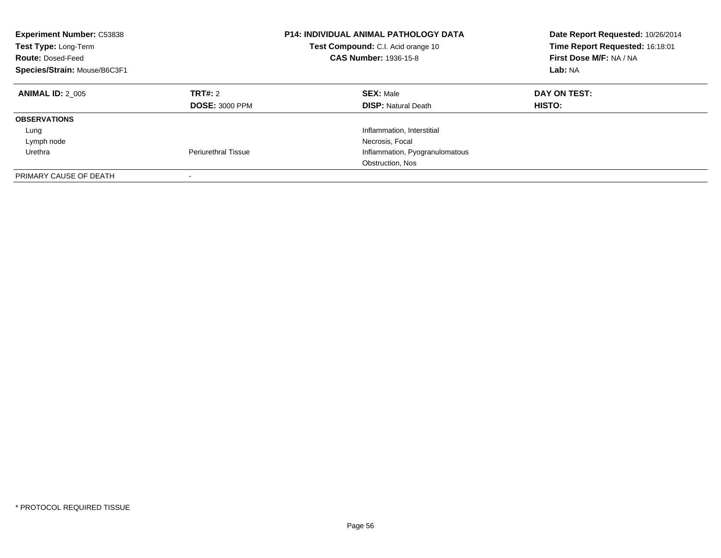| <b>Experiment Number: C53838</b><br>Test Type: Long-Term<br><b>Route: Dosed-Feed</b><br>Species/Strain: Mouse/B6C3F1 |                                  | <b>P14: INDIVIDUAL ANIMAL PATHOLOGY DATA</b><br>Test Compound: C.I. Acid orange 10<br><b>CAS Number: 1936-15-8</b> | Date Report Requested: 10/26/2014<br>Time Report Requested: 16:18:01<br>First Dose M/F: NA / NA<br>Lab: NA |
|----------------------------------------------------------------------------------------------------------------------|----------------------------------|--------------------------------------------------------------------------------------------------------------------|------------------------------------------------------------------------------------------------------------|
| <b>ANIMAL ID: 2 005</b>                                                                                              | TRT#: 2<br><b>DOSE: 3000 PPM</b> | <b>SEX: Male</b><br><b>DISP:</b> Natural Death                                                                     | DAY ON TEST:<br><b>HISTO:</b>                                                                              |
| <b>OBSERVATIONS</b>                                                                                                  |                                  |                                                                                                                    |                                                                                                            |
| Lung                                                                                                                 |                                  | Inflammation, Interstitial                                                                                         |                                                                                                            |
| Lymph node                                                                                                           |                                  | Necrosis, Focal                                                                                                    |                                                                                                            |
| Urethra                                                                                                              | <b>Periurethral Tissue</b>       | Inflammation, Pyogranulomatous                                                                                     |                                                                                                            |
|                                                                                                                      |                                  | Obstruction, Nos                                                                                                   |                                                                                                            |
| PRIMARY CAUSE OF DEATH                                                                                               | -                                |                                                                                                                    |                                                                                                            |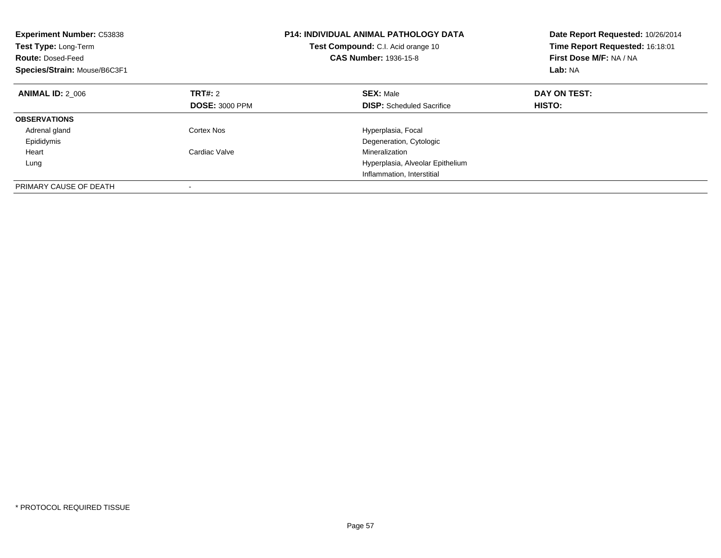| <b>Experiment Number: C53838</b><br><b>Test Type: Long-Term</b><br><b>Route: Dosed-Feed</b><br>Species/Strain: Mouse/B6C3F1 |                       | <b>P14: INDIVIDUAL ANIMAL PATHOLOGY DATA</b><br>Test Compound: C.I. Acid orange 10<br>CAS Number: 1936-15-8 | Date Report Requested: 10/26/2014<br>Time Report Requested: 16:18:01<br>First Dose M/F: NA / NA<br>Lab: NA |
|-----------------------------------------------------------------------------------------------------------------------------|-----------------------|-------------------------------------------------------------------------------------------------------------|------------------------------------------------------------------------------------------------------------|
| <b>ANIMAL ID: 2 006</b>                                                                                                     | TRT#: 2               | <b>SEX: Male</b>                                                                                            | DAY ON TEST:                                                                                               |
|                                                                                                                             | <b>DOSE: 3000 PPM</b> | <b>DISP:</b> Scheduled Sacrifice                                                                            | <b>HISTO:</b>                                                                                              |
| <b>OBSERVATIONS</b>                                                                                                         |                       |                                                                                                             |                                                                                                            |
| Adrenal gland                                                                                                               | Cortex Nos            | Hyperplasia, Focal                                                                                          |                                                                                                            |
| Epididymis                                                                                                                  |                       | Degeneration, Cytologic                                                                                     |                                                                                                            |
| Heart                                                                                                                       | Cardiac Valve         | Mineralization                                                                                              |                                                                                                            |
| Lung                                                                                                                        |                       | Hyperplasia, Alveolar Epithelium                                                                            |                                                                                                            |
|                                                                                                                             |                       | Inflammation, Interstitial                                                                                  |                                                                                                            |
| PRIMARY CAUSE OF DEATH                                                                                                      |                       |                                                                                                             |                                                                                                            |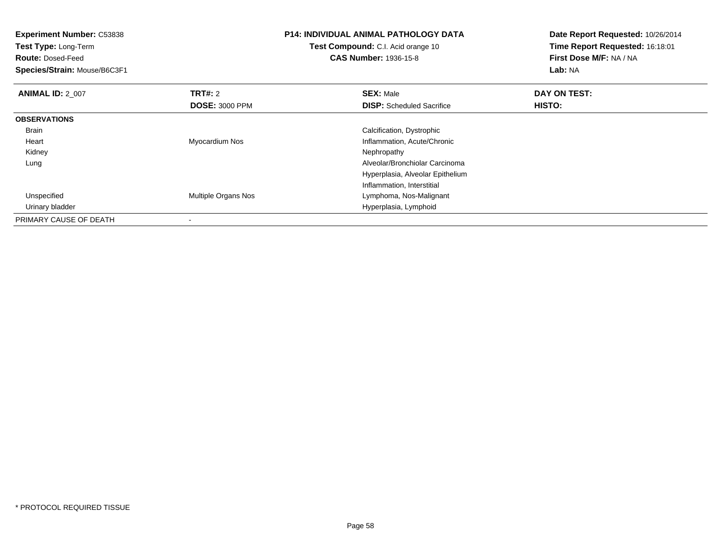| <b>Experiment Number: C53838</b><br>Test Type: Long-Term<br><b>Route: Dosed-Feed</b><br>Species/Strain: Mouse/B6C3F1 |                       | <b>P14: INDIVIDUAL ANIMAL PATHOLOGY DATA</b><br>Test Compound: C.I. Acid orange 10<br><b>CAS Number: 1936-15-8</b> | Date Report Requested: 10/26/2014<br>Time Report Requested: 16:18:01<br>First Dose M/F: NA / NA<br>Lab: NA |
|----------------------------------------------------------------------------------------------------------------------|-----------------------|--------------------------------------------------------------------------------------------------------------------|------------------------------------------------------------------------------------------------------------|
| <b>ANIMAL ID: 2 007</b>                                                                                              | <b>TRT#: 2</b>        | <b>SEX: Male</b>                                                                                                   | DAY ON TEST:                                                                                               |
|                                                                                                                      | <b>DOSE: 3000 PPM</b> | <b>DISP:</b> Scheduled Sacrifice                                                                                   | HISTO:                                                                                                     |
| <b>OBSERVATIONS</b>                                                                                                  |                       |                                                                                                                    |                                                                                                            |
| Brain                                                                                                                |                       | Calcification, Dystrophic                                                                                          |                                                                                                            |
| Heart                                                                                                                | Myocardium Nos        | Inflammation, Acute/Chronic                                                                                        |                                                                                                            |
| Kidney                                                                                                               |                       | Nephropathy                                                                                                        |                                                                                                            |
| Lung                                                                                                                 |                       | Alveolar/Bronchiolar Carcinoma                                                                                     |                                                                                                            |
|                                                                                                                      |                       | Hyperplasia, Alveolar Epithelium                                                                                   |                                                                                                            |
|                                                                                                                      |                       | Inflammation, Interstitial                                                                                         |                                                                                                            |
| Unspecified                                                                                                          | Multiple Organs Nos   | Lymphoma, Nos-Malignant                                                                                            |                                                                                                            |
| Urinary bladder                                                                                                      |                       | Hyperplasia, Lymphoid                                                                                              |                                                                                                            |
| PRIMARY CAUSE OF DEATH                                                                                               |                       |                                                                                                                    |                                                                                                            |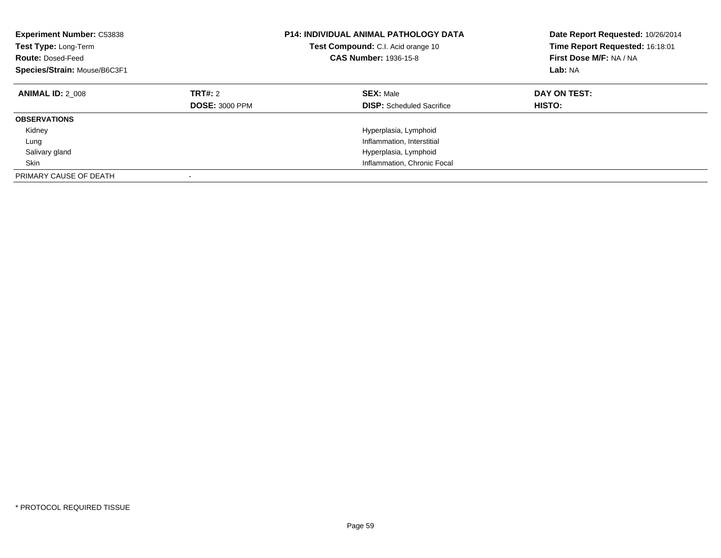| <b>Experiment Number: C53838</b><br>Test Type: Long-Term<br><b>Route: Dosed-Feed</b><br>Species/Strain: Mouse/B6C3F1 |                                  | <b>P14: INDIVIDUAL ANIMAL PATHOLOGY DATA</b><br><b>Test Compound:</b> C.I. Acid orange 10<br><b>CAS Number: 1936-15-8</b> | Date Report Requested: 10/26/2014<br>Time Report Requested: 16:18:01<br>First Dose M/F: NA / NA<br>Lab: NA |
|----------------------------------------------------------------------------------------------------------------------|----------------------------------|---------------------------------------------------------------------------------------------------------------------------|------------------------------------------------------------------------------------------------------------|
| <b>ANIMAL ID: 2 008</b>                                                                                              | TRT#: 2<br><b>DOSE: 3000 PPM</b> | <b>SEX: Male</b><br><b>DISP:</b> Scheduled Sacrifice                                                                      | DAY ON TEST:<br>HISTO:                                                                                     |
| <b>OBSERVATIONS</b>                                                                                                  |                                  |                                                                                                                           |                                                                                                            |
| Kidney                                                                                                               |                                  | Hyperplasia, Lymphoid                                                                                                     |                                                                                                            |
| Lung                                                                                                                 |                                  | Inflammation, Interstitial                                                                                                |                                                                                                            |
| Salivary gland                                                                                                       |                                  | Hyperplasia, Lymphoid                                                                                                     |                                                                                                            |
| Skin                                                                                                                 |                                  | Inflammation, Chronic Focal                                                                                               |                                                                                                            |
| PRIMARY CAUSE OF DEATH                                                                                               |                                  |                                                                                                                           |                                                                                                            |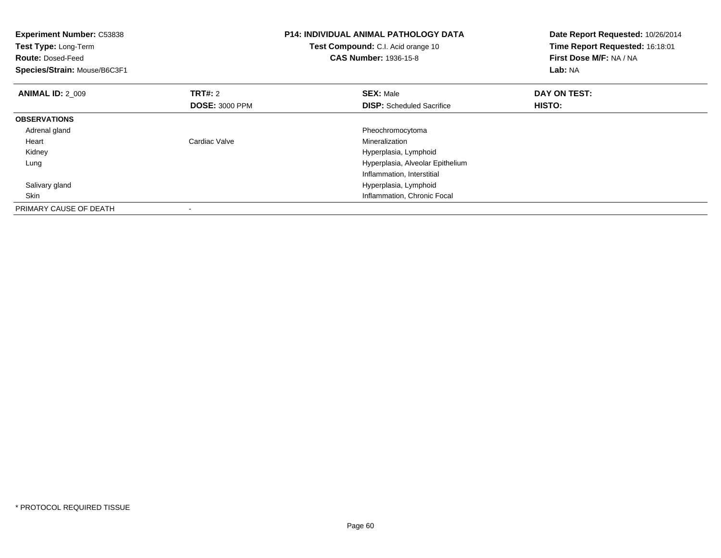| <b>Experiment Number: C53838</b><br>Test Type: Long-Term<br><b>Route: Dosed-Feed</b><br>Species/Strain: Mouse/B6C3F1 |                                         | <b>P14: INDIVIDUAL ANIMAL PATHOLOGY DATA</b><br>Test Compound: C.I. Acid orange 10<br><b>CAS Number: 1936-15-8</b> | Date Report Requested: 10/26/2014<br>Time Report Requested: 16:18:01<br>First Dose M/F: NA / NA<br>Lab: NA |
|----------------------------------------------------------------------------------------------------------------------|-----------------------------------------|--------------------------------------------------------------------------------------------------------------------|------------------------------------------------------------------------------------------------------------|
| <b>ANIMAL ID: 2 009</b>                                                                                              | <b>TRT#:</b> 2<br><b>DOSE: 3000 PPM</b> | <b>SEX: Male</b><br><b>DISP:</b> Scheduled Sacrifice                                                               | DAY ON TEST:<br>HISTO:                                                                                     |
| <b>OBSERVATIONS</b>                                                                                                  |                                         |                                                                                                                    |                                                                                                            |
| Adrenal gland                                                                                                        |                                         | Pheochromocytoma                                                                                                   |                                                                                                            |
| Heart                                                                                                                | Cardiac Valve                           | Mineralization                                                                                                     |                                                                                                            |
| Kidney                                                                                                               |                                         | Hyperplasia, Lymphoid                                                                                              |                                                                                                            |
| Lung                                                                                                                 |                                         | Hyperplasia, Alveolar Epithelium                                                                                   |                                                                                                            |
|                                                                                                                      |                                         | Inflammation, Interstitial                                                                                         |                                                                                                            |
| Salivary gland                                                                                                       |                                         | Hyperplasia, Lymphoid                                                                                              |                                                                                                            |
| Skin                                                                                                                 |                                         | Inflammation, Chronic Focal                                                                                        |                                                                                                            |
| PRIMARY CAUSE OF DEATH                                                                                               |                                         |                                                                                                                    |                                                                                                            |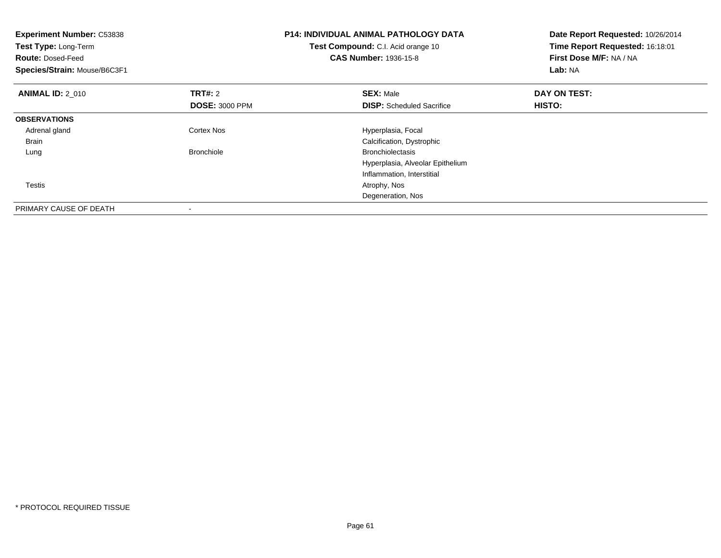| <b>Experiment Number: C53838</b><br>Test Type: Long-Term<br><b>Route: Dosed-Feed</b><br>Species/Strain: Mouse/B6C3F1 |                       | <b>P14: INDIVIDUAL ANIMAL PATHOLOGY DATA</b><br>Test Compound: C.I. Acid orange 10<br><b>CAS Number: 1936-15-8</b> | Date Report Requested: 10/26/2014<br>Time Report Requested: 16:18:01<br>First Dose M/F: NA / NA<br>Lab: NA |
|----------------------------------------------------------------------------------------------------------------------|-----------------------|--------------------------------------------------------------------------------------------------------------------|------------------------------------------------------------------------------------------------------------|
| <b>ANIMAL ID: 2 010</b>                                                                                              | <b>TRT#: 2</b>        | <b>SEX: Male</b>                                                                                                   | DAY ON TEST:                                                                                               |
|                                                                                                                      | <b>DOSE: 3000 PPM</b> | <b>DISP:</b> Scheduled Sacrifice                                                                                   | HISTO:                                                                                                     |
| <b>OBSERVATIONS</b>                                                                                                  |                       |                                                                                                                    |                                                                                                            |
| Adrenal gland                                                                                                        | <b>Cortex Nos</b>     | Hyperplasia, Focal                                                                                                 |                                                                                                            |
| Brain                                                                                                                |                       | Calcification, Dystrophic                                                                                          |                                                                                                            |
| Lung                                                                                                                 | <b>Bronchiole</b>     | <b>Bronchiolectasis</b>                                                                                            |                                                                                                            |
|                                                                                                                      |                       | Hyperplasia, Alveolar Epithelium                                                                                   |                                                                                                            |
|                                                                                                                      |                       | Inflammation, Interstitial                                                                                         |                                                                                                            |
| Testis                                                                                                               |                       | Atrophy, Nos                                                                                                       |                                                                                                            |
|                                                                                                                      |                       | Degeneration, Nos                                                                                                  |                                                                                                            |
| PRIMARY CAUSE OF DEATH                                                                                               |                       |                                                                                                                    |                                                                                                            |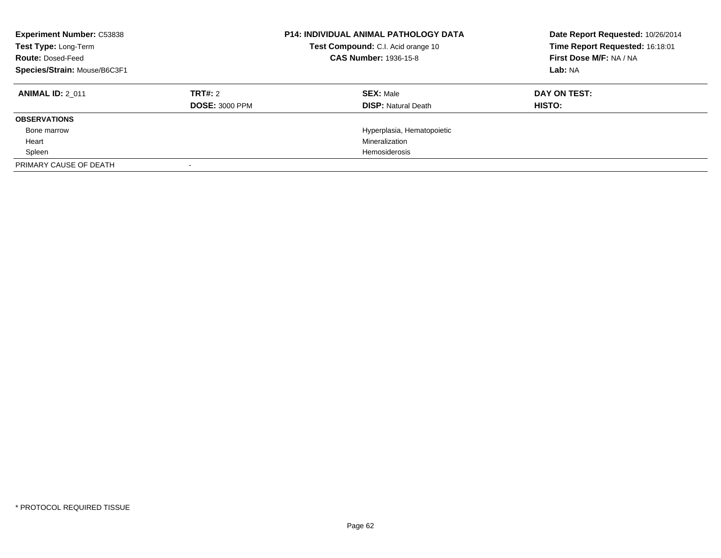| <b>Experiment Number: C53838</b><br>Test Type: Long-Term<br><b>Route: Dosed-Feed</b><br>Species/Strain: Mouse/B6C3F1 |                                  | <b>P14: INDIVIDUAL ANIMAL PATHOLOGY DATA</b><br>Test Compound: C.I. Acid orange 10<br><b>CAS Number: 1936-15-8</b> | Date Report Requested: 10/26/2014<br>Time Report Requested: 16:18:01<br>First Dose M/F: NA / NA<br>Lab: NA |
|----------------------------------------------------------------------------------------------------------------------|----------------------------------|--------------------------------------------------------------------------------------------------------------------|------------------------------------------------------------------------------------------------------------|
| <b>ANIMAL ID: 2 011</b>                                                                                              | TRT#: 2<br><b>DOSE: 3000 PPM</b> | <b>SEX: Male</b><br><b>DISP: Natural Death</b>                                                                     | DAY ON TEST:<br>HISTO:                                                                                     |
| <b>OBSERVATIONS</b>                                                                                                  |                                  |                                                                                                                    |                                                                                                            |
| Bone marrow                                                                                                          |                                  | Hyperplasia, Hematopoietic                                                                                         |                                                                                                            |
| Heart                                                                                                                |                                  | Mineralization                                                                                                     |                                                                                                            |
| Spleen                                                                                                               |                                  | <b>Hemosiderosis</b>                                                                                               |                                                                                                            |
| PRIMARY CAUSE OF DEATH                                                                                               |                                  |                                                                                                                    |                                                                                                            |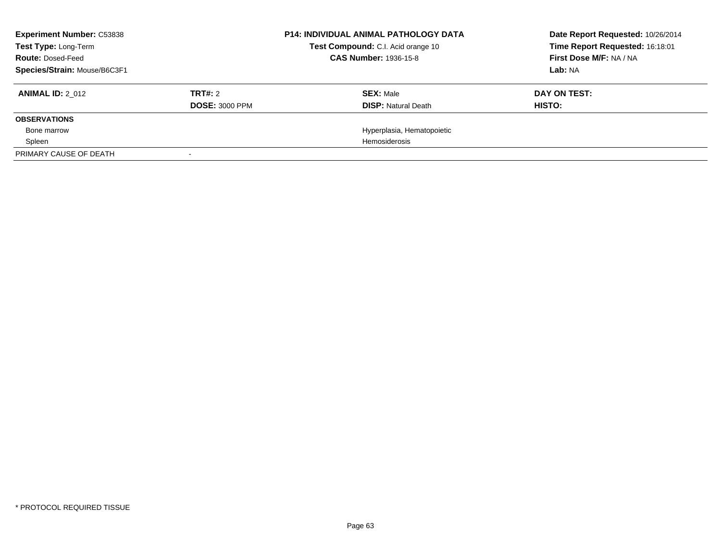| <b>Experiment Number: C53838</b><br><b>Test Type: Long-Term</b><br><b>Route: Dosed-Feed</b><br>Species/Strain: Mouse/B6C3F1 |                                  | <b>P14: INDIVIDUAL ANIMAL PATHOLOGY DATA</b><br>Test Compound: C.I. Acid orange 10<br><b>CAS Number: 1936-15-8</b> | Date Report Requested: 10/26/2014<br>Time Report Requested: 16:18:01<br>First Dose M/F: NA / NA<br>Lab: NA |
|-----------------------------------------------------------------------------------------------------------------------------|----------------------------------|--------------------------------------------------------------------------------------------------------------------|------------------------------------------------------------------------------------------------------------|
| <b>ANIMAL ID: 2 012</b>                                                                                                     | TRT#: 2<br><b>DOSE: 3000 PPM</b> | <b>SEX: Male</b><br><b>DISP: Natural Death</b>                                                                     | DAY ON TEST:<br>HISTO:                                                                                     |
| <b>OBSERVATIONS</b>                                                                                                         |                                  |                                                                                                                    |                                                                                                            |
| Bone marrow                                                                                                                 |                                  | Hyperplasia, Hematopoietic                                                                                         |                                                                                                            |
| Spleen                                                                                                                      |                                  | Hemosiderosis                                                                                                      |                                                                                                            |
| PRIMARY CAUSE OF DEATH                                                                                                      |                                  |                                                                                                                    |                                                                                                            |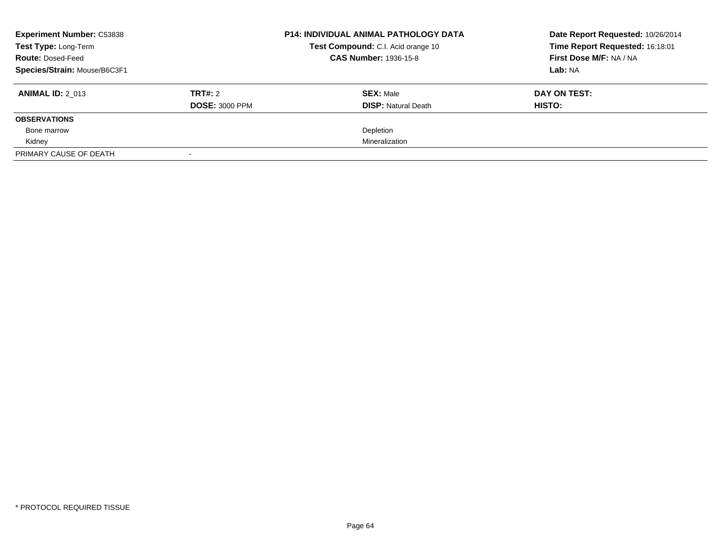| <b>Experiment Number: C53838</b><br>Test Type: Long-Term<br><b>Route: Dosed-Feed</b><br>Species/Strain: Mouse/B6C3F1 |                                  | <b>P14: INDIVIDUAL ANIMAL PATHOLOGY DATA</b><br>Test Compound: C.I. Acid orange 10<br><b>CAS Number: 1936-15-8</b> | Date Report Requested: 10/26/2014<br>Time Report Requested: 16:18:01<br>First Dose M/F: NA / NA<br>Lab: NA |
|----------------------------------------------------------------------------------------------------------------------|----------------------------------|--------------------------------------------------------------------------------------------------------------------|------------------------------------------------------------------------------------------------------------|
| <b>ANIMAL ID: 2 013</b>                                                                                              | TRT#: 2<br><b>DOSE: 3000 PPM</b> | <b>SEX: Male</b><br><b>DISP: Natural Death</b>                                                                     | DAY ON TEST:<br>HISTO:                                                                                     |
| <b>OBSERVATIONS</b>                                                                                                  |                                  |                                                                                                                    |                                                                                                            |
| Bone marrow                                                                                                          |                                  | Depletion                                                                                                          |                                                                                                            |
| Kidney                                                                                                               |                                  | Mineralization                                                                                                     |                                                                                                            |
| PRIMARY CAUSE OF DEATH                                                                                               |                                  |                                                                                                                    |                                                                                                            |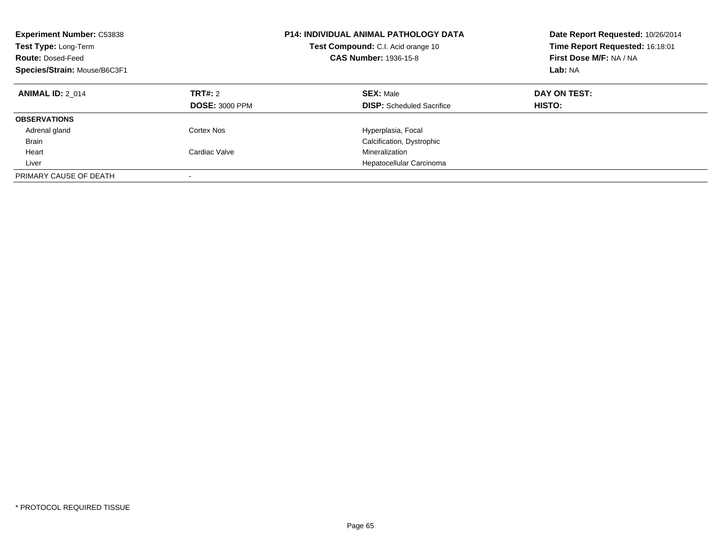| <b>Experiment Number: C53838</b><br>Test Type: Long-Term<br><b>Route: Dosed-Feed</b><br>Species/Strain: Mouse/B6C3F1 |                                         | <b>P14: INDIVIDUAL ANIMAL PATHOLOGY DATA</b><br>Test Compound: C.I. Acid orange 10<br><b>CAS Number: 1936-15-8</b> | Date Report Requested: 10/26/2014<br>Time Report Requested: 16:18:01<br>First Dose M/F: NA / NA<br>Lab: NA |
|----------------------------------------------------------------------------------------------------------------------|-----------------------------------------|--------------------------------------------------------------------------------------------------------------------|------------------------------------------------------------------------------------------------------------|
| <b>ANIMAL ID: 2 014</b>                                                                                              | <b>TRT#: 2</b><br><b>DOSE: 3000 PPM</b> | <b>SEX: Male</b><br><b>DISP:</b> Scheduled Sacrifice                                                               | DAY ON TEST:<br>HISTO:                                                                                     |
| <b>OBSERVATIONS</b>                                                                                                  |                                         |                                                                                                                    |                                                                                                            |
| Adrenal gland                                                                                                        | Cortex Nos                              | Hyperplasia, Focal                                                                                                 |                                                                                                            |
| <b>Brain</b>                                                                                                         |                                         | Calcification, Dystrophic                                                                                          |                                                                                                            |
| Heart                                                                                                                | Cardiac Valve                           | Mineralization                                                                                                     |                                                                                                            |
| Liver                                                                                                                |                                         | Hepatocellular Carcinoma                                                                                           |                                                                                                            |
| PRIMARY CAUSE OF DEATH                                                                                               |                                         |                                                                                                                    |                                                                                                            |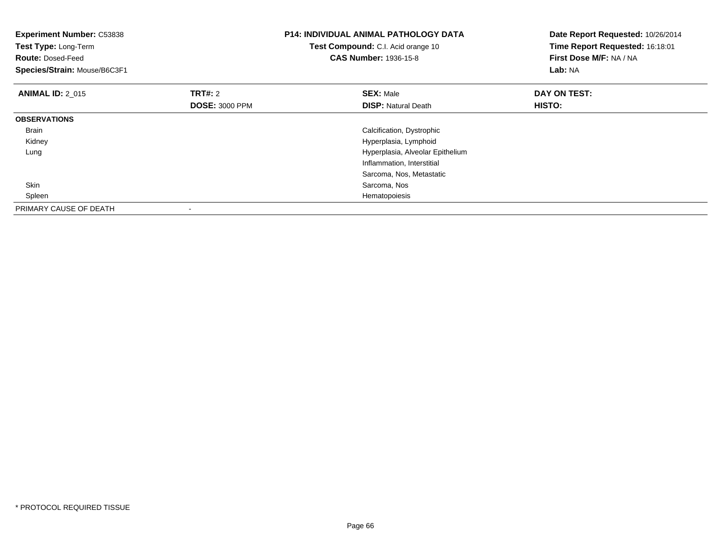| <b>Experiment Number: C53838</b><br>Test Type: Long-Term<br><b>Route: Dosed-Feed</b><br>Species/Strain: Mouse/B6C3F1 |                       | <b>P14: INDIVIDUAL ANIMAL PATHOLOGY DATA</b><br>Test Compound: C.I. Acid orange 10<br><b>CAS Number: 1936-15-8</b> | Date Report Requested: 10/26/2014<br>Time Report Requested: 16:18:01<br>First Dose M/F: NA / NA<br>Lab: NA |
|----------------------------------------------------------------------------------------------------------------------|-----------------------|--------------------------------------------------------------------------------------------------------------------|------------------------------------------------------------------------------------------------------------|
| <b>ANIMAL ID: 2 015</b>                                                                                              | <b>TRT#: 2</b>        | <b>SEX: Male</b>                                                                                                   | DAY ON TEST:                                                                                               |
|                                                                                                                      | <b>DOSE: 3000 PPM</b> | <b>DISP:</b> Natural Death                                                                                         | HISTO:                                                                                                     |
| <b>OBSERVATIONS</b>                                                                                                  |                       |                                                                                                                    |                                                                                                            |
| <b>Brain</b>                                                                                                         |                       | Calcification, Dystrophic                                                                                          |                                                                                                            |
| Kidney                                                                                                               |                       | Hyperplasia, Lymphoid                                                                                              |                                                                                                            |
| Lung                                                                                                                 |                       | Hyperplasia, Alveolar Epithelium                                                                                   |                                                                                                            |
|                                                                                                                      |                       | Inflammation, Interstitial                                                                                         |                                                                                                            |
|                                                                                                                      |                       | Sarcoma, Nos, Metastatic                                                                                           |                                                                                                            |
| <b>Skin</b>                                                                                                          |                       | Sarcoma, Nos                                                                                                       |                                                                                                            |
| Spleen                                                                                                               |                       | Hematopoiesis                                                                                                      |                                                                                                            |
| PRIMARY CAUSE OF DEATH                                                                                               |                       |                                                                                                                    |                                                                                                            |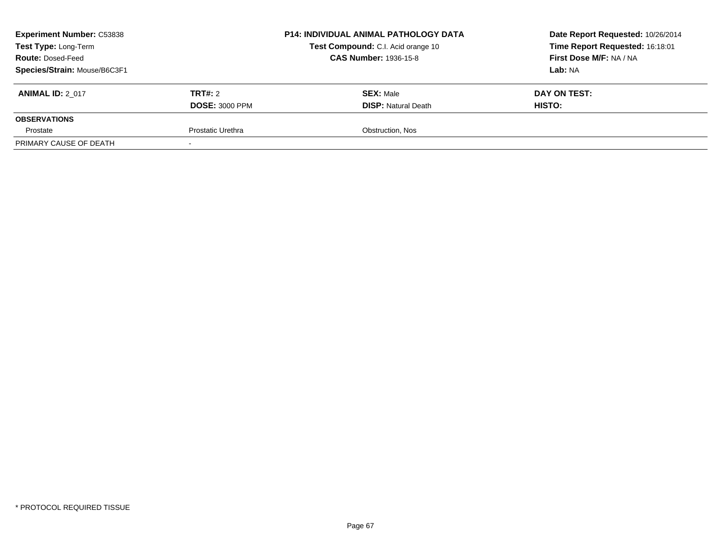| <b>Experiment Number: C53838</b><br>Test Type: Long-Term<br><b>Route: Dosed-Feed</b><br>Species/Strain: Mouse/B6C3F1 |                                  | <b>P14: INDIVIDUAL ANIMAL PATHOLOGY DATA</b><br>Test Compound: C.I. Acid orange 10<br><b>CAS Number: 1936-15-8</b> | Date Report Requested: 10/26/2014<br>Time Report Requested: 16:18:01<br>First Dose M/F: NA / NA<br>Lab: NA |
|----------------------------------------------------------------------------------------------------------------------|----------------------------------|--------------------------------------------------------------------------------------------------------------------|------------------------------------------------------------------------------------------------------------|
| <b>ANIMAL ID: 2 017</b>                                                                                              | TRT#: 2<br><b>DOSE: 3000 PPM</b> | <b>SEX: Male</b><br><b>DISP:</b> Natural Death                                                                     | DAY ON TEST:<br><b>HISTO:</b>                                                                              |
| <b>OBSERVATIONS</b>                                                                                                  |                                  |                                                                                                                    |                                                                                                            |
| Prostate                                                                                                             | Prostatic Urethra                | Obstruction, Nos                                                                                                   |                                                                                                            |
| PRIMARY CAUSE OF DEATH                                                                                               |                                  |                                                                                                                    |                                                                                                            |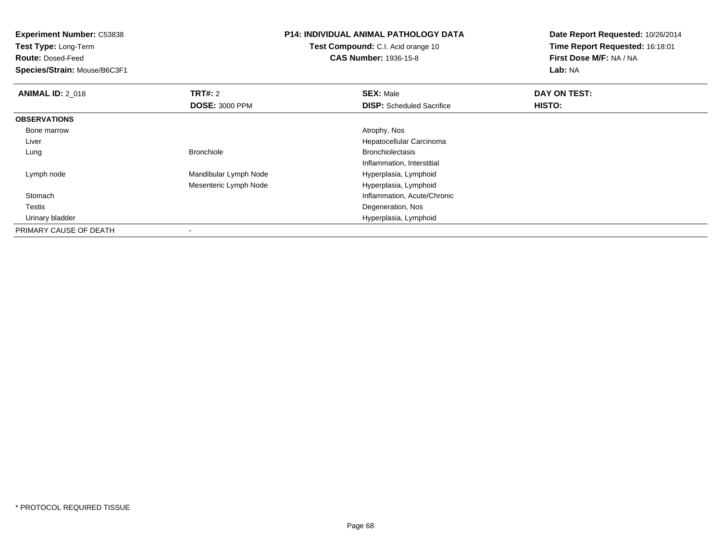**Experiment Number:** C53838**Test Type:** Long-Term**Route:** Dosed-Feed **Species/Strain:** Mouse/B6C3F1**P14: INDIVIDUAL ANIMAL PATHOLOGY DATATest Compound:** C.I. Acid orange 10**CAS Number:** 1936-15-8**Date Report Requested:** 10/26/2014**Time Report Requested:** 16:18:01**First Dose M/F:** NA / NA**Lab:** NA**ANIMAL ID: 2 018 REX:** Male **DAY ON TEST: CONSIST: SEX:** Male **DOSE:** 3000 PPM**DISP:** Scheduled Sacrifice **HISTO: OBSERVATIONS** Bone marrow Atrophy, Nos Liver Hepatocellular Carcinoma Lung Bronchiole Bronchiolectasis Inflammation, Interstitial Lymph nodeMandibular Lymph Node **Hyperplasia, Lymphoid** 

Hyperplasia, Lymphoid

Hyperplasia, Lymphoid

Degeneration, Nos

Inflammation, Acute/Chronic

Mesenteric Lymph Node

Stomach

Urinary bladder

PRIMARY CAUSE OF DEATH

-

Testis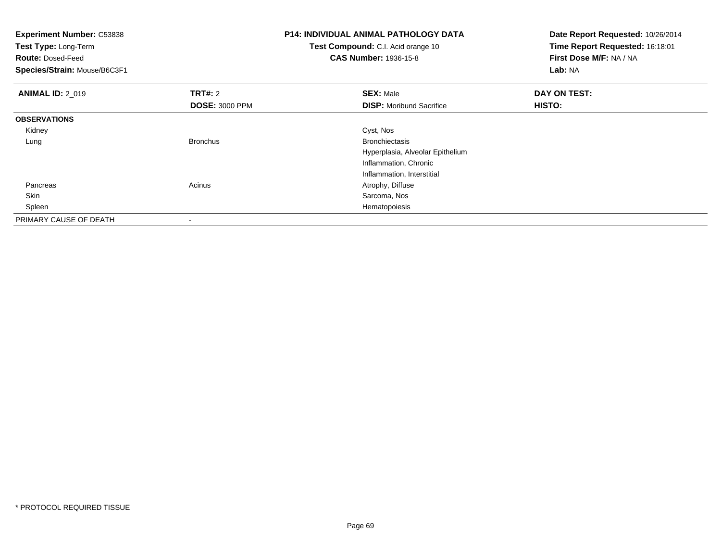| <b>Experiment Number: C53838</b><br>Test Type: Long-Term<br><b>Route: Dosed-Feed</b><br>Species/Strain: Mouse/B6C3F1 |                       | <b>P14: INDIVIDUAL ANIMAL PATHOLOGY DATA</b><br>Test Compound: C.I. Acid orange 10<br><b>CAS Number: 1936-15-8</b> | Date Report Requested: 10/26/2014<br>Time Report Requested: 16:18:01<br>First Dose M/F: NA / NA<br>Lab: NA |
|----------------------------------------------------------------------------------------------------------------------|-----------------------|--------------------------------------------------------------------------------------------------------------------|------------------------------------------------------------------------------------------------------------|
| <b>ANIMAL ID: 2 019</b>                                                                                              | <b>TRT#: 2</b>        | <b>SEX: Male</b>                                                                                                   | DAY ON TEST:                                                                                               |
|                                                                                                                      | <b>DOSE: 3000 PPM</b> | <b>DISP:</b> Moribund Sacrifice                                                                                    | HISTO:                                                                                                     |
| <b>OBSERVATIONS</b>                                                                                                  |                       |                                                                                                                    |                                                                                                            |
| Kidney                                                                                                               |                       | Cyst, Nos                                                                                                          |                                                                                                            |
| Lung                                                                                                                 | <b>Bronchus</b>       | <b>Bronchiectasis</b>                                                                                              |                                                                                                            |
|                                                                                                                      |                       | Hyperplasia, Alveolar Epithelium                                                                                   |                                                                                                            |
|                                                                                                                      |                       | Inflammation, Chronic                                                                                              |                                                                                                            |
|                                                                                                                      |                       | Inflammation, Interstitial                                                                                         |                                                                                                            |
| Pancreas                                                                                                             | Acinus                | Atrophy, Diffuse                                                                                                   |                                                                                                            |
| Skin                                                                                                                 |                       | Sarcoma, Nos                                                                                                       |                                                                                                            |
| Spleen                                                                                                               |                       | Hematopoiesis                                                                                                      |                                                                                                            |
| PRIMARY CAUSE OF DEATH                                                                                               |                       |                                                                                                                    |                                                                                                            |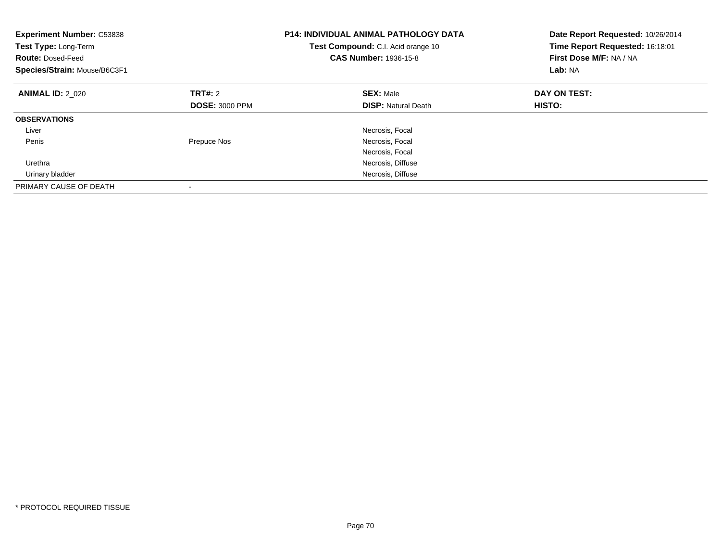| <b>Experiment Number: C53838</b><br><b>Test Type: Long-Term</b><br><b>Route: Dosed-Feed</b><br>Species/Strain: Mouse/B6C3F1 |                                         | <b>P14: INDIVIDUAL ANIMAL PATHOLOGY DATA</b><br>Test Compound: C.I. Acid orange 10<br><b>CAS Number: 1936-15-8</b> | Date Report Requested: 10/26/2014<br>Time Report Requested: 16:18:01<br>First Dose M/F: NA / NA<br>Lab: NA |
|-----------------------------------------------------------------------------------------------------------------------------|-----------------------------------------|--------------------------------------------------------------------------------------------------------------------|------------------------------------------------------------------------------------------------------------|
| <b>ANIMAL ID: 2 020</b>                                                                                                     | <b>TRT#: 2</b><br><b>DOSE: 3000 PPM</b> | <b>SEX: Male</b><br><b>DISP:</b> Natural Death                                                                     | DAY ON TEST:<br><b>HISTO:</b>                                                                              |
|                                                                                                                             |                                         |                                                                                                                    |                                                                                                            |
| <b>OBSERVATIONS</b>                                                                                                         |                                         |                                                                                                                    |                                                                                                            |
| Liver                                                                                                                       |                                         | Necrosis, Focal                                                                                                    |                                                                                                            |
| Penis                                                                                                                       | Prepuce Nos                             | Necrosis, Focal                                                                                                    |                                                                                                            |
|                                                                                                                             |                                         | Necrosis, Focal                                                                                                    |                                                                                                            |
| Urethra                                                                                                                     |                                         | Necrosis, Diffuse                                                                                                  |                                                                                                            |
| Urinary bladder                                                                                                             |                                         | Necrosis, Diffuse                                                                                                  |                                                                                                            |
| PRIMARY CAUSE OF DEATH                                                                                                      |                                         |                                                                                                                    |                                                                                                            |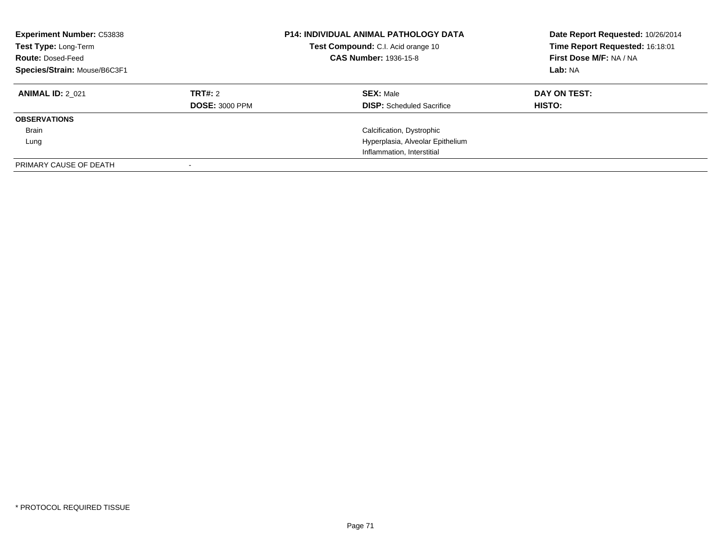| <b>Experiment Number: C53838</b><br>Test Type: Long-Term<br><b>Route: Dosed-Feed</b><br>Species/Strain: Mouse/B6C3F1 |                                  | <b>P14: INDIVIDUAL ANIMAL PATHOLOGY DATA</b><br>Test Compound: C.I. Acid orange 10<br><b>CAS Number: 1936-15-8</b> | Date Report Requested: 10/26/2014<br>Time Report Requested: 16:18:01<br>First Dose M/F: NA / NA<br>Lab: NA |
|----------------------------------------------------------------------------------------------------------------------|----------------------------------|--------------------------------------------------------------------------------------------------------------------|------------------------------------------------------------------------------------------------------------|
| <b>ANIMAL ID: 2 021</b>                                                                                              | TRT#: 2<br><b>DOSE: 3000 PPM</b> | <b>SEX: Male</b><br><b>DISP:</b> Scheduled Sacrifice                                                               | DAY ON TEST:<br><b>HISTO:</b>                                                                              |
| <b>OBSERVATIONS</b>                                                                                                  |                                  |                                                                                                                    |                                                                                                            |
| <b>Brain</b>                                                                                                         |                                  | Calcification, Dystrophic                                                                                          |                                                                                                            |
| Lung                                                                                                                 |                                  | Hyperplasia, Alveolar Epithelium                                                                                   |                                                                                                            |
|                                                                                                                      |                                  | Inflammation, Interstitial                                                                                         |                                                                                                            |
| PRIMARY CAUSE OF DEATH                                                                                               |                                  |                                                                                                                    |                                                                                                            |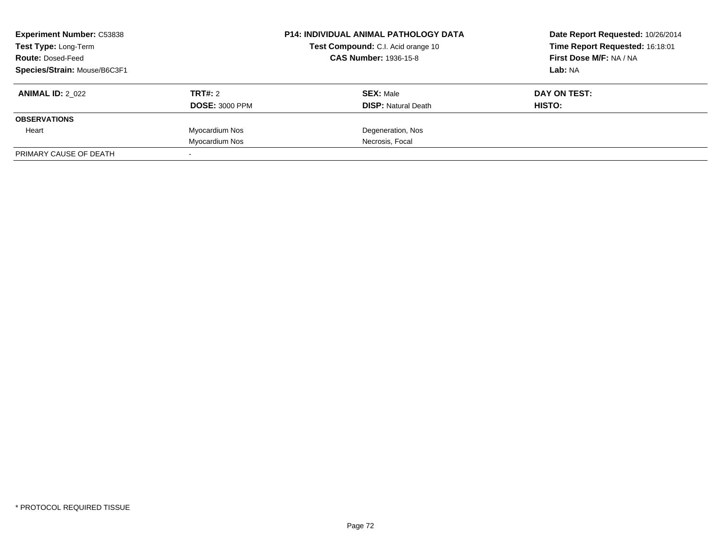| <b>Experiment Number: C53838</b><br>Test Type: Long-Term<br><b>Route: Dosed-Feed</b><br>Species/Strain: Mouse/B6C3F1 |                                  | <b>P14: INDIVIDUAL ANIMAL PATHOLOGY DATA</b><br>Test Compound: C.I. Acid orange 10<br><b>CAS Number: 1936-15-8</b> | Date Report Requested: 10/26/2014<br>Time Report Requested: 16:18:01<br>First Dose M/F: NA / NA<br>Lab: NA |
|----------------------------------------------------------------------------------------------------------------------|----------------------------------|--------------------------------------------------------------------------------------------------------------------|------------------------------------------------------------------------------------------------------------|
| <b>ANIMAL ID: 2 022</b>                                                                                              | TRT#: 2<br><b>DOSE: 3000 PPM</b> | <b>SEX: Male</b><br><b>DISP:</b> Natural Death                                                                     | DAY ON TEST:<br>HISTO:                                                                                     |
| <b>OBSERVATIONS</b>                                                                                                  |                                  |                                                                                                                    |                                                                                                            |
| Heart                                                                                                                | Myocardium Nos                   | Degeneration, Nos                                                                                                  |                                                                                                            |
|                                                                                                                      | Myocardium Nos                   | Necrosis, Focal                                                                                                    |                                                                                                            |
| PRIMARY CAUSE OF DEATH                                                                                               |                                  |                                                                                                                    |                                                                                                            |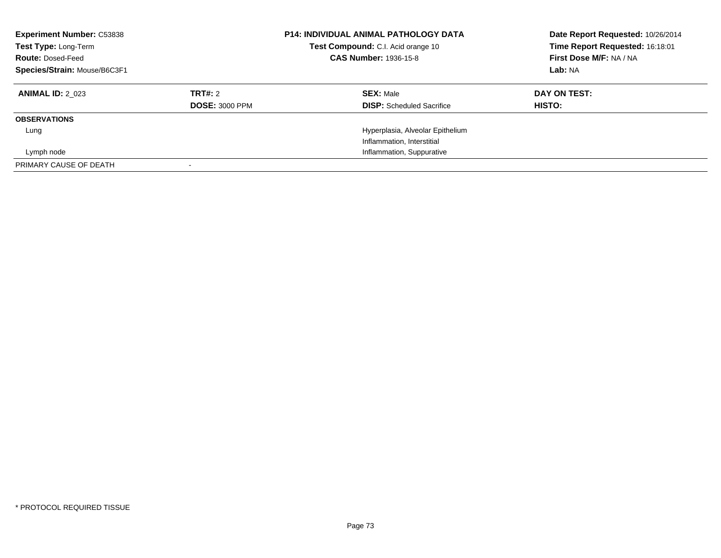| <b>Experiment Number: C53838</b><br>Test Type: Long-Term<br><b>Route: Dosed-Feed</b><br>Species/Strain: Mouse/B6C3F1 |                       | <b>P14: INDIVIDUAL ANIMAL PATHOLOGY DATA</b><br>Test Compound: C.I. Acid orange 10<br><b>CAS Number: 1936-15-8</b> | Date Report Requested: 10/26/2014<br>Time Report Requested: 16:18:01<br>First Dose M/F: NA / NA<br>Lab: NA |
|----------------------------------------------------------------------------------------------------------------------|-----------------------|--------------------------------------------------------------------------------------------------------------------|------------------------------------------------------------------------------------------------------------|
| <b>ANIMAL ID: 2 023</b>                                                                                              | TRT#: 2               | <b>SEX: Male</b>                                                                                                   | DAY ON TEST:                                                                                               |
|                                                                                                                      | <b>DOSE: 3000 PPM</b> | <b>DISP:</b> Scheduled Sacrifice                                                                                   | HISTO:                                                                                                     |
| <b>OBSERVATIONS</b>                                                                                                  |                       |                                                                                                                    |                                                                                                            |
| Lung                                                                                                                 |                       | Hyperplasia, Alveolar Epithelium                                                                                   |                                                                                                            |
|                                                                                                                      |                       | Inflammation, Interstitial                                                                                         |                                                                                                            |
| Lymph node                                                                                                           |                       | Inflammation, Suppurative                                                                                          |                                                                                                            |
| PRIMARY CAUSE OF DEATH                                                                                               |                       |                                                                                                                    |                                                                                                            |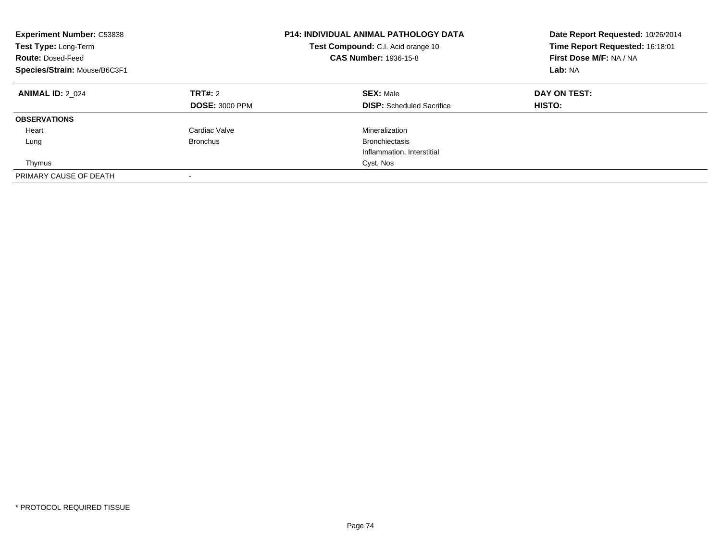| <b>Experiment Number: C53838</b><br>Test Type: Long-Term<br><b>Route: Dosed-Feed</b><br>Species/Strain: Mouse/B6C3F1 |                                  | <b>P14: INDIVIDUAL ANIMAL PATHOLOGY DATA</b><br>Test Compound: C.I. Acid orange 10<br><b>CAS Number: 1936-15-8</b> | Date Report Requested: 10/26/2014<br>Time Report Requested: 16:18:01<br>First Dose M/F: NA / NA<br>Lab: NA |
|----------------------------------------------------------------------------------------------------------------------|----------------------------------|--------------------------------------------------------------------------------------------------------------------|------------------------------------------------------------------------------------------------------------|
| <b>ANIMAL ID: 2 024</b>                                                                                              | TRT#: 2<br><b>DOSE: 3000 PPM</b> | <b>SEX: Male</b><br><b>DISP:</b> Scheduled Sacrifice                                                               | DAY ON TEST:<br>HISTO:                                                                                     |
| <b>OBSERVATIONS</b>                                                                                                  |                                  |                                                                                                                    |                                                                                                            |
| Heart                                                                                                                | Cardiac Valve                    | Mineralization                                                                                                     |                                                                                                            |
| Lung                                                                                                                 | <b>Bronchus</b>                  | <b>Bronchiectasis</b>                                                                                              |                                                                                                            |
|                                                                                                                      |                                  | Inflammation, Interstitial                                                                                         |                                                                                                            |
| Thymus                                                                                                               |                                  | Cyst, Nos                                                                                                          |                                                                                                            |
| PRIMARY CAUSE OF DEATH                                                                                               | -                                |                                                                                                                    |                                                                                                            |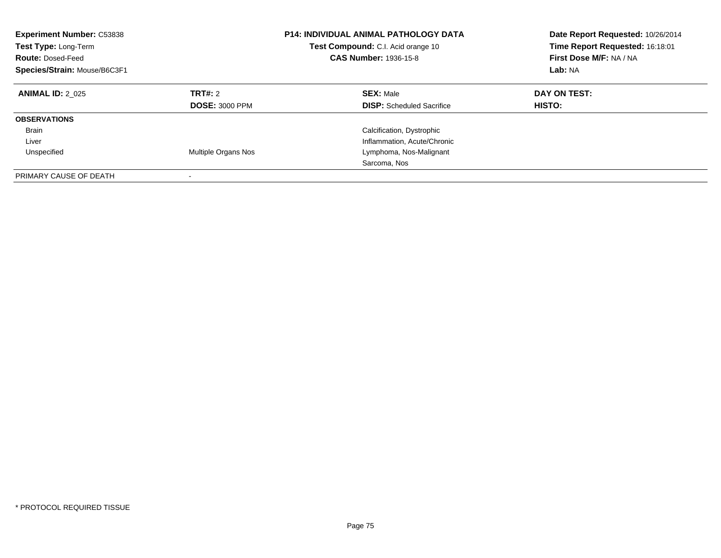| <b>Experiment Number: C53838</b><br>Test Type: Long-Term<br><b>Route: Dosed-Feed</b><br>Species/Strain: Mouse/B6C3F1 |                                         | <b>P14: INDIVIDUAL ANIMAL PATHOLOGY DATA</b><br>Test Compound: C.I. Acid orange 10<br><b>CAS Number: 1936-15-8</b> | Date Report Requested: 10/26/2014<br>Time Report Requested: 16:18:01<br>First Dose M/F: NA / NA<br>Lab: NA |
|----------------------------------------------------------------------------------------------------------------------|-----------------------------------------|--------------------------------------------------------------------------------------------------------------------|------------------------------------------------------------------------------------------------------------|
| <b>ANIMAL ID: 2 025</b>                                                                                              | <b>TRT#: 2</b><br><b>DOSE: 3000 PPM</b> | <b>SEX: Male</b><br><b>DISP:</b> Scheduled Sacrifice                                                               | DAY ON TEST:<br>HISTO:                                                                                     |
| <b>OBSERVATIONS</b>                                                                                                  |                                         |                                                                                                                    |                                                                                                            |
| <b>Brain</b>                                                                                                         |                                         | Calcification, Dystrophic                                                                                          |                                                                                                            |
| Liver                                                                                                                |                                         | Inflammation, Acute/Chronic                                                                                        |                                                                                                            |
| Unspecified                                                                                                          | Multiple Organs Nos                     | Lymphoma, Nos-Malignant                                                                                            |                                                                                                            |
|                                                                                                                      |                                         | Sarcoma, Nos                                                                                                       |                                                                                                            |
| PRIMARY CAUSE OF DEATH                                                                                               |                                         |                                                                                                                    |                                                                                                            |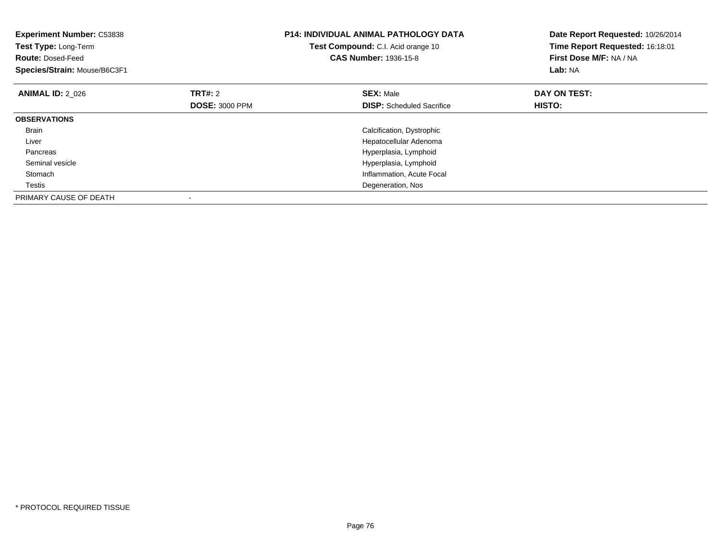| <b>Experiment Number: C53838</b><br>Test Type: Long-Term<br><b>Route: Dosed-Feed</b><br>Species/Strain: Mouse/B6C3F1 |                       | <b>P14: INDIVIDUAL ANIMAL PATHOLOGY DATA</b><br>Test Compound: C.I. Acid orange 10<br><b>CAS Number: 1936-15-8</b> | Date Report Requested: 10/26/2014<br>Time Report Requested: 16:18:01<br>First Dose M/F: NA / NA<br>Lab: NA |
|----------------------------------------------------------------------------------------------------------------------|-----------------------|--------------------------------------------------------------------------------------------------------------------|------------------------------------------------------------------------------------------------------------|
| <b>ANIMAL ID: 2 026</b>                                                                                              | TRT#: 2               | <b>SEX: Male</b>                                                                                                   | DAY ON TEST:                                                                                               |
|                                                                                                                      | <b>DOSE: 3000 PPM</b> | <b>DISP:</b> Scheduled Sacrifice                                                                                   | HISTO:                                                                                                     |
| <b>OBSERVATIONS</b>                                                                                                  |                       |                                                                                                                    |                                                                                                            |
| Brain                                                                                                                |                       | Calcification, Dystrophic                                                                                          |                                                                                                            |
| Liver                                                                                                                |                       | Hepatocellular Adenoma                                                                                             |                                                                                                            |
| Pancreas                                                                                                             |                       | Hyperplasia, Lymphoid                                                                                              |                                                                                                            |
| Seminal vesicle                                                                                                      |                       | Hyperplasia, Lymphoid                                                                                              |                                                                                                            |
| Stomach                                                                                                              |                       | Inflammation, Acute Focal                                                                                          |                                                                                                            |
| Testis                                                                                                               |                       | Degeneration, Nos                                                                                                  |                                                                                                            |
| PRIMARY CAUSE OF DEATH                                                                                               |                       |                                                                                                                    |                                                                                                            |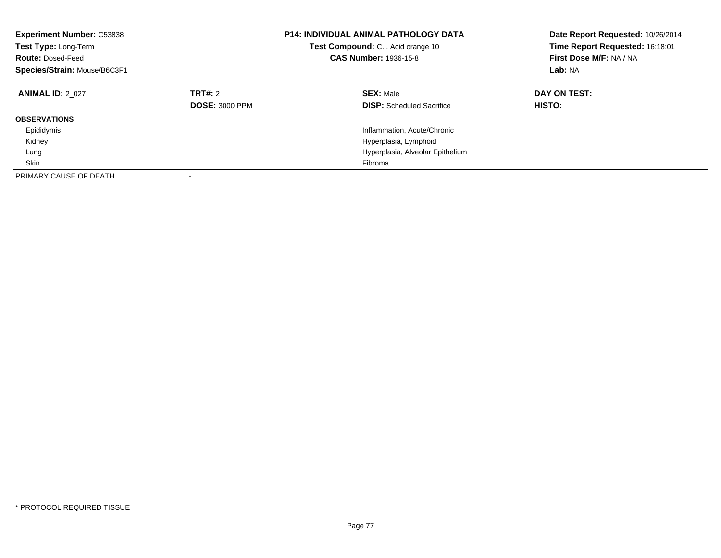| <b>Experiment Number: C53838</b><br>Test Type: Long-Term<br><b>Route: Dosed-Feed</b><br>Species/Strain: Mouse/B6C3F1 |                                         | <b>P14: INDIVIDUAL ANIMAL PATHOLOGY DATA</b><br>Test Compound: C.I. Acid orange 10<br><b>CAS Number: 1936-15-8</b> | Date Report Requested: 10/26/2014<br>Time Report Requested: 16:18:01<br>First Dose M/F: NA / NA<br>Lab: NA |
|----------------------------------------------------------------------------------------------------------------------|-----------------------------------------|--------------------------------------------------------------------------------------------------------------------|------------------------------------------------------------------------------------------------------------|
| <b>ANIMAL ID: 2 027</b>                                                                                              | <b>TRT#: 2</b><br><b>DOSE: 3000 PPM</b> | <b>SEX: Male</b><br><b>DISP:</b> Scheduled Sacrifice                                                               | DAY ON TEST:<br>HISTO:                                                                                     |
| <b>OBSERVATIONS</b>                                                                                                  |                                         |                                                                                                                    |                                                                                                            |
| Epididymis                                                                                                           |                                         | Inflammation, Acute/Chronic                                                                                        |                                                                                                            |
| Kidney                                                                                                               |                                         | Hyperplasia, Lymphoid                                                                                              |                                                                                                            |
| Lung                                                                                                                 |                                         | Hyperplasia, Alveolar Epithelium                                                                                   |                                                                                                            |
| Skin                                                                                                                 |                                         | Fibroma                                                                                                            |                                                                                                            |
| PRIMARY CAUSE OF DEATH                                                                                               |                                         |                                                                                                                    |                                                                                                            |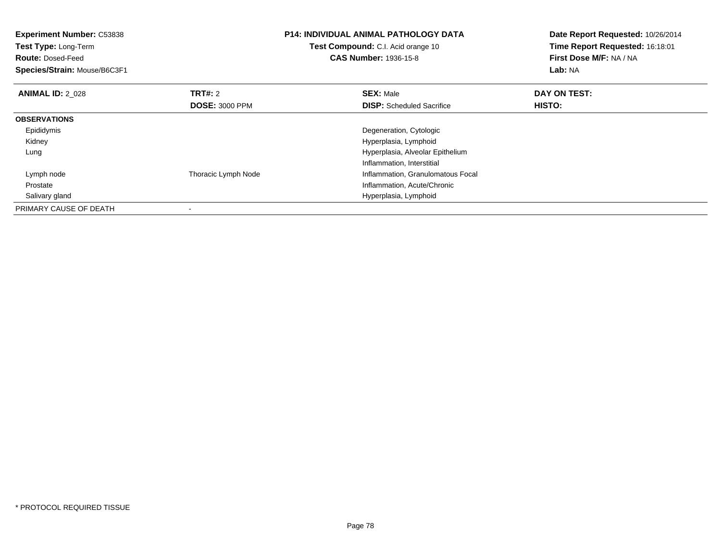| <b>Experiment Number: C53838</b> |                       | <b>P14: INDIVIDUAL ANIMAL PATHOLOGY DATA</b> | Date Report Requested: 10/26/2014 |
|----------------------------------|-----------------------|----------------------------------------------|-----------------------------------|
| <b>Test Type: Long-Term</b>      |                       | Test Compound: C.I. Acid orange 10           | Time Report Requested: 16:18:01   |
| <b>Route: Dosed-Feed</b>         |                       | <b>CAS Number: 1936-15-8</b>                 | First Dose M/F: NA / NA           |
| Species/Strain: Mouse/B6C3F1     |                       |                                              | Lab: NA                           |
| <b>ANIMAL ID: 2_028</b>          | TRT#: 2               | <b>SEX: Male</b>                             | DAY ON TEST:                      |
|                                  | <b>DOSE: 3000 PPM</b> | <b>DISP:</b> Scheduled Sacrifice             | HISTO:                            |
| <b>OBSERVATIONS</b>              |                       |                                              |                                   |
| Epididymis                       |                       | Degeneration, Cytologic                      |                                   |
| Kidney                           |                       | Hyperplasia, Lymphoid                        |                                   |
| Lung                             |                       | Hyperplasia, Alveolar Epithelium             |                                   |
|                                  |                       | Inflammation, Interstitial                   |                                   |
| Lymph node                       | Thoracic Lymph Node   | Inflammation, Granulomatous Focal            |                                   |
| Prostate                         |                       | Inflammation, Acute/Chronic                  |                                   |
| Salivary gland                   |                       | Hyperplasia, Lymphoid                        |                                   |
| PRIMARY CAUSE OF DEATH           |                       |                                              |                                   |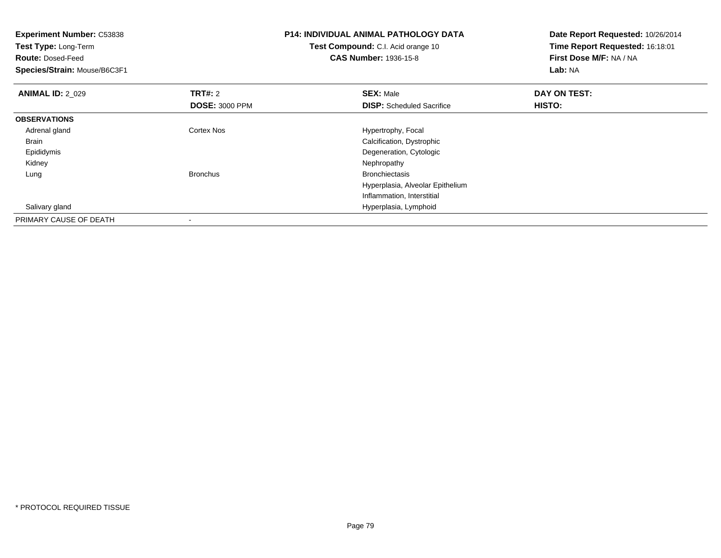| <b>Experiment Number: C53838</b> |                       | <b>P14: INDIVIDUAL ANIMAL PATHOLOGY DATA</b> | Date Report Requested: 10/26/2014 |
|----------------------------------|-----------------------|----------------------------------------------|-----------------------------------|
| Test Type: Long-Term             |                       | Test Compound: C.I. Acid orange 10           | Time Report Requested: 16:18:01   |
| <b>Route: Dosed-Feed</b>         |                       | <b>CAS Number: 1936-15-8</b>                 | First Dose M/F: NA / NA           |
| Species/Strain: Mouse/B6C3F1     |                       |                                              | Lab: NA                           |
| <b>ANIMAL ID: 2_029</b>          | <b>TRT#: 2</b>        | <b>SEX: Male</b>                             | DAY ON TEST:                      |
|                                  | <b>DOSE: 3000 PPM</b> | <b>DISP:</b> Scheduled Sacrifice             | HISTO:                            |
| <b>OBSERVATIONS</b>              |                       |                                              |                                   |
| Adrenal gland                    | Cortex Nos            | Hypertrophy, Focal                           |                                   |
| Brain                            |                       | Calcification, Dystrophic                    |                                   |
| Epididymis                       |                       | Degeneration, Cytologic                      |                                   |
| Kidney                           |                       | Nephropathy                                  |                                   |
| Lung                             | <b>Bronchus</b>       | <b>Bronchiectasis</b>                        |                                   |
|                                  |                       | Hyperplasia, Alveolar Epithelium             |                                   |
|                                  |                       | Inflammation, Interstitial                   |                                   |
| Salivary gland                   |                       | Hyperplasia, Lymphoid                        |                                   |
| PRIMARY CAUSE OF DEATH           |                       |                                              |                                   |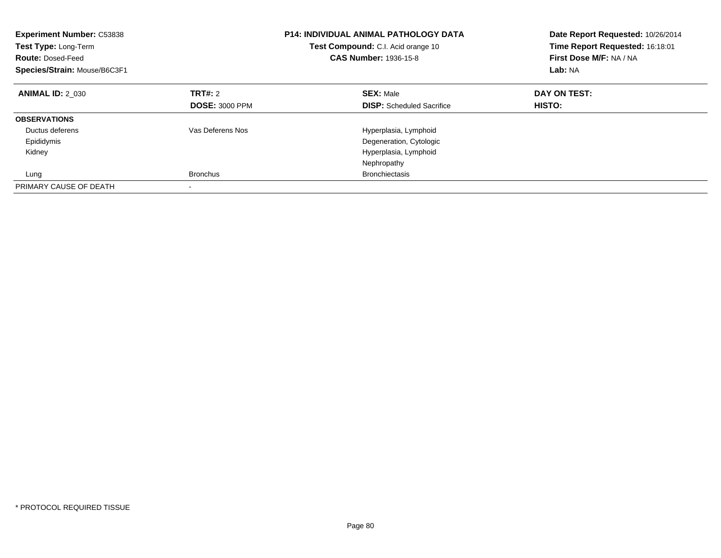| <b>Experiment Number: C53838</b><br><b>Test Type: Long-Term</b><br><b>Route: Dosed-Feed</b><br>Species/Strain: Mouse/B6C3F1 |                                         | <b>P14: INDIVIDUAL ANIMAL PATHOLOGY DATA</b><br>Test Compound: C.I. Acid orange 10<br><b>CAS Number: 1936-15-8</b> | Date Report Requested: 10/26/2014<br>Time Report Requested: 16:18:01<br>First Dose M/F: NA / NA<br>Lab: NA |
|-----------------------------------------------------------------------------------------------------------------------------|-----------------------------------------|--------------------------------------------------------------------------------------------------------------------|------------------------------------------------------------------------------------------------------------|
| <b>ANIMAL ID: 2 030</b>                                                                                                     | <b>TRT#:</b> 2<br><b>DOSE: 3000 PPM</b> | <b>SEX: Male</b><br><b>DISP:</b> Scheduled Sacrifice                                                               | DAY ON TEST:<br>HISTO:                                                                                     |
| <b>OBSERVATIONS</b>                                                                                                         |                                         |                                                                                                                    |                                                                                                            |
| Ductus deferens                                                                                                             | Vas Deferens Nos                        | Hyperplasia, Lymphoid                                                                                              |                                                                                                            |
| Epididymis                                                                                                                  |                                         | Degeneration, Cytologic                                                                                            |                                                                                                            |
| Kidney                                                                                                                      |                                         | Hyperplasia, Lymphoid                                                                                              |                                                                                                            |
|                                                                                                                             |                                         | Nephropathy                                                                                                        |                                                                                                            |
| Lung                                                                                                                        | <b>Bronchus</b>                         | <b>Bronchiectasis</b>                                                                                              |                                                                                                            |
| PRIMARY CAUSE OF DEATH                                                                                                      |                                         |                                                                                                                    |                                                                                                            |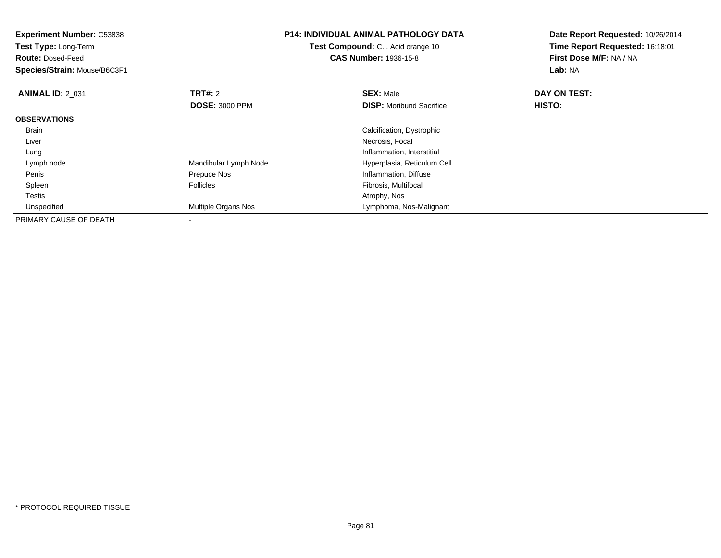**Experiment Number:** C53838**Test Type:** Long-Term**Route:** Dosed-Feed **Species/Strain:** Mouse/B6C3F1**P14: INDIVIDUAL ANIMAL PATHOLOGY DATATest Compound:** C.I. Acid orange 10**CAS Number:** 1936-15-8**Date Report Requested:** 10/26/2014**Time Report Requested:** 16:18:01**First Dose M/F:** NA / NA**Lab:** NA**ANIMAL ID: 2 031 TRT#:** 2 **SEX:** Male **DAY ON TEST: DOSE:** 3000 PPM**DISP:** Moribund Sacrifice **HISTO: OBSERVATIONS** Brain Calcification, Dystrophic Liver Necrosis, Focal LungInflammation, Interstitial<br>Inflammation, Interstitial<br>Hyperplasia, Reticulum Lymph nodeMandibular Lymph Node<br>
Prepuce Nos<br>
Prepuce Nos<br>
Hyperplasia, Reticulum Cell PenisInflammation, Diffuse SpleenFollicles **Fibrosis**, Multifocal Testiss and the contract of the contract of the contract of the contract of the contract of the contract of the contract of the contract of the contract of the contract of the contract of the contract of the contract of the cont UnspecifiedMultiple Organs Nos **Lymphoma**, Nos-Malignant PRIMARY CAUSE OF DEATH-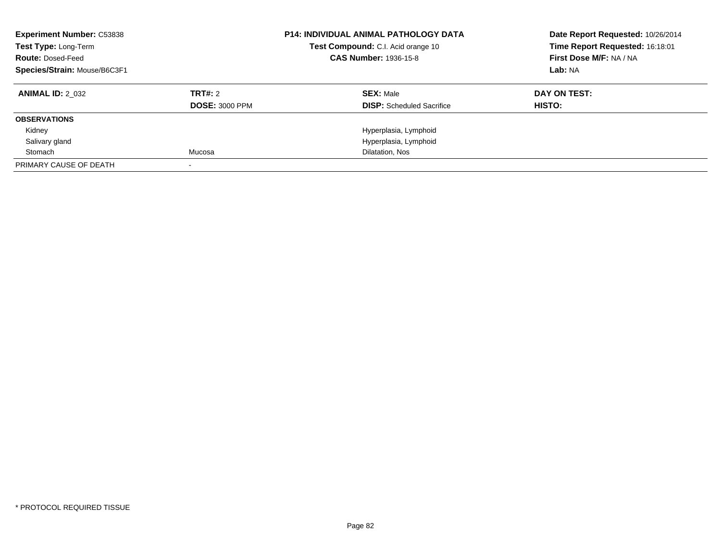| <b>Experiment Number: C53838</b><br>Test Type: Long-Term<br><b>Route: Dosed-Feed</b><br>Species/Strain: Mouse/B6C3F1 |                       | <b>P14: INDIVIDUAL ANIMAL PATHOLOGY DATA</b><br>Test Compound: C.I. Acid orange 10<br><b>CAS Number: 1936-15-8</b> | Date Report Requested: 10/26/2014<br>Time Report Requested: 16:18:01<br>First Dose M/F: NA / NA<br>Lab: NA |
|----------------------------------------------------------------------------------------------------------------------|-----------------------|--------------------------------------------------------------------------------------------------------------------|------------------------------------------------------------------------------------------------------------|
| <b>ANIMAL ID: 2 032</b>                                                                                              | TRT#: 2               | <b>SEX: Male</b>                                                                                                   | DAY ON TEST:                                                                                               |
|                                                                                                                      | <b>DOSE: 3000 PPM</b> | <b>DISP:</b> Scheduled Sacrifice                                                                                   | HISTO:                                                                                                     |
| <b>OBSERVATIONS</b>                                                                                                  |                       |                                                                                                                    |                                                                                                            |
| Kidney                                                                                                               |                       | Hyperplasia, Lymphoid                                                                                              |                                                                                                            |
| Salivary gland                                                                                                       |                       | Hyperplasia, Lymphoid                                                                                              |                                                                                                            |
| Stomach                                                                                                              | Mucosa                | Dilatation, Nos                                                                                                    |                                                                                                            |
| PRIMARY CAUSE OF DEATH                                                                                               |                       |                                                                                                                    |                                                                                                            |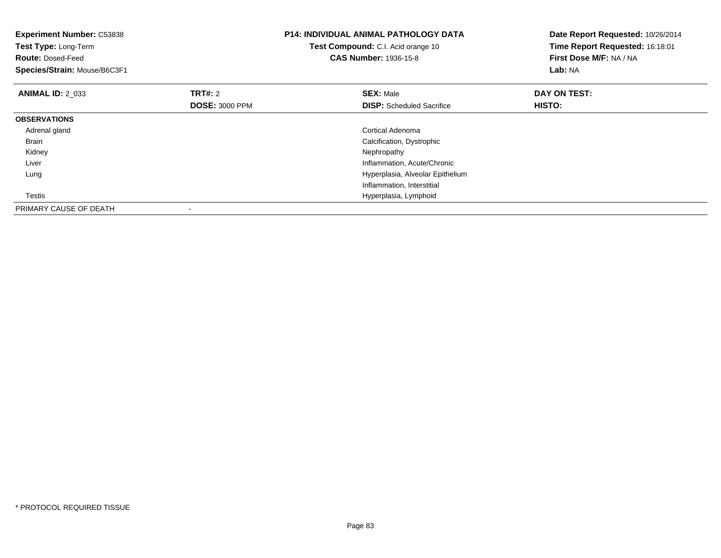| <b>Experiment Number: C53838</b><br>Test Type: Long-Term<br><b>Route: Dosed-Feed</b><br>Species/Strain: Mouse/B6C3F1 |                       | <b>P14: INDIVIDUAL ANIMAL PATHOLOGY DATA</b><br>Test Compound: C.I. Acid orange 10<br><b>CAS Number: 1936-15-8</b> | Date Report Requested: 10/26/2014<br>Time Report Requested: 16:18:01<br>First Dose M/F: NA / NA<br>Lab: NA |
|----------------------------------------------------------------------------------------------------------------------|-----------------------|--------------------------------------------------------------------------------------------------------------------|------------------------------------------------------------------------------------------------------------|
| <b>ANIMAL ID: 2 033</b>                                                                                              | TRT#: 2               | <b>SEX: Male</b>                                                                                                   | DAY ON TEST:                                                                                               |
|                                                                                                                      | <b>DOSE: 3000 PPM</b> | <b>DISP:</b> Scheduled Sacrifice                                                                                   | HISTO:                                                                                                     |
| <b>OBSERVATIONS</b>                                                                                                  |                       |                                                                                                                    |                                                                                                            |
| Adrenal gland                                                                                                        |                       | Cortical Adenoma                                                                                                   |                                                                                                            |
| Brain                                                                                                                |                       | Calcification, Dystrophic                                                                                          |                                                                                                            |
| Kidney                                                                                                               |                       | Nephropathy                                                                                                        |                                                                                                            |
| Liver                                                                                                                |                       | Inflammation, Acute/Chronic                                                                                        |                                                                                                            |
| Lung                                                                                                                 |                       | Hyperplasia, Alveolar Epithelium                                                                                   |                                                                                                            |
|                                                                                                                      |                       | Inflammation, Interstitial                                                                                         |                                                                                                            |
| Testis                                                                                                               |                       | Hyperplasia, Lymphoid                                                                                              |                                                                                                            |
| PRIMARY CAUSE OF DEATH                                                                                               |                       |                                                                                                                    |                                                                                                            |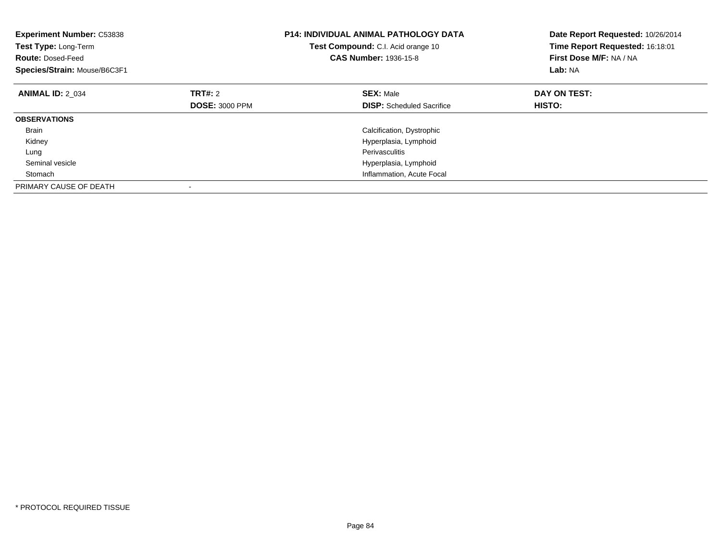| <b>Experiment Number: C53838</b><br>Test Type: Long-Term<br><b>Route: Dosed-Feed</b><br>Species/Strain: Mouse/B6C3F1 |                       | <b>P14: INDIVIDUAL ANIMAL PATHOLOGY DATA</b><br>Test Compound: C.I. Acid orange 10<br><b>CAS Number: 1936-15-8</b> | Date Report Requested: 10/26/2014<br>Time Report Requested: 16:18:01<br>First Dose M/F: NA / NA<br>Lab: NA |
|----------------------------------------------------------------------------------------------------------------------|-----------------------|--------------------------------------------------------------------------------------------------------------------|------------------------------------------------------------------------------------------------------------|
| <b>ANIMAL ID: 2 034</b>                                                                                              | TRT#: 2               | <b>SEX: Male</b>                                                                                                   | DAY ON TEST:                                                                                               |
|                                                                                                                      | <b>DOSE: 3000 PPM</b> | <b>DISP:</b> Scheduled Sacrifice                                                                                   | HISTO:                                                                                                     |
| <b>OBSERVATIONS</b>                                                                                                  |                       |                                                                                                                    |                                                                                                            |
| <b>Brain</b>                                                                                                         |                       | Calcification, Dystrophic                                                                                          |                                                                                                            |
| Kidney                                                                                                               |                       | Hyperplasia, Lymphoid                                                                                              |                                                                                                            |
| Lung                                                                                                                 |                       | <b>Perivasculitis</b>                                                                                              |                                                                                                            |
| Seminal vesicle                                                                                                      |                       | Hyperplasia, Lymphoid                                                                                              |                                                                                                            |
| Stomach                                                                                                              |                       | Inflammation, Acute Focal                                                                                          |                                                                                                            |
| PRIMARY CAUSE OF DEATH                                                                                               |                       |                                                                                                                    |                                                                                                            |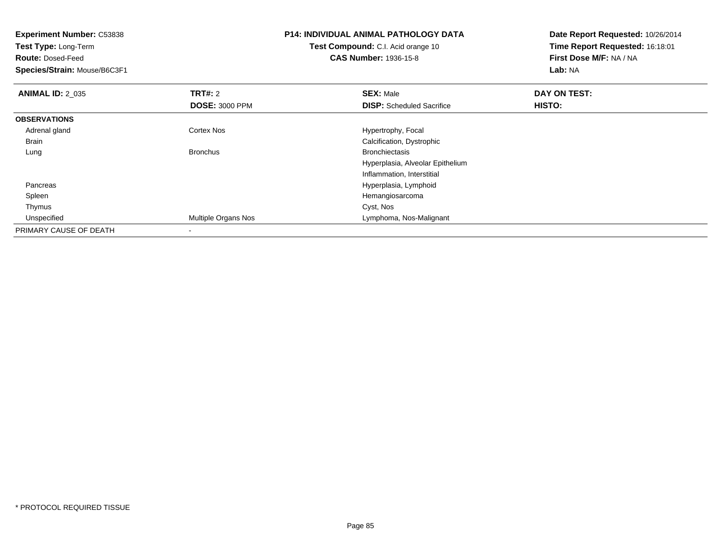| <b>Experiment Number: C53838</b> |                                           | <b>P14: INDIVIDUAL ANIMAL PATHOLOGY DATA</b> | Date Report Requested: 10/26/2014 |
|----------------------------------|-------------------------------------------|----------------------------------------------|-----------------------------------|
| Test Type: Long-Term             | <b>Test Compound:</b> C.I. Acid orange 10 |                                              | Time Report Requested: 16:18:01   |
| <b>Route: Dosed-Feed</b>         |                                           | <b>CAS Number: 1936-15-8</b>                 | First Dose M/F: NA / NA           |
| Species/Strain: Mouse/B6C3F1     |                                           |                                              | Lab: NA                           |
| <b>ANIMAL ID: 2_035</b>          | <b>TRT#: 2</b>                            | <b>SEX: Male</b>                             | DAY ON TEST:                      |
|                                  | <b>DOSE: 3000 PPM</b>                     | <b>DISP:</b> Scheduled Sacrifice             | HISTO:                            |
| <b>OBSERVATIONS</b>              |                                           |                                              |                                   |
| Adrenal gland                    | Cortex Nos                                | Hypertrophy, Focal                           |                                   |
| Brain                            |                                           | Calcification, Dystrophic                    |                                   |
| Lung                             | <b>Bronchus</b>                           | <b>Bronchiectasis</b>                        |                                   |
|                                  |                                           | Hyperplasia, Alveolar Epithelium             |                                   |
|                                  |                                           | Inflammation, Interstitial                   |                                   |
| Pancreas                         |                                           | Hyperplasia, Lymphoid                        |                                   |
| Spleen                           |                                           | Hemangiosarcoma                              |                                   |
| Thymus                           |                                           | Cyst, Nos                                    |                                   |
| Unspecified                      | Multiple Organs Nos                       | Lymphoma, Nos-Malignant                      |                                   |
| PRIMARY CAUSE OF DEATH           |                                           |                                              |                                   |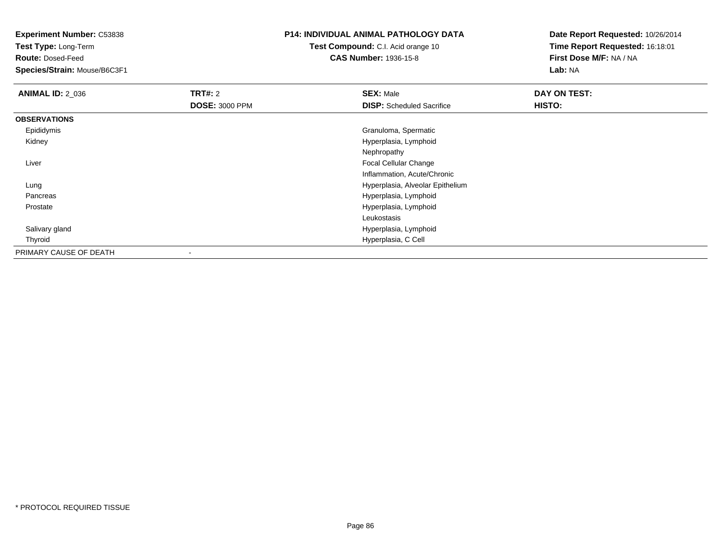**Test Type:** Long-Term

**Route:** Dosed-Feed

**Species/Strain:** Mouse/B6C3F1

## **P14: INDIVIDUAL ANIMAL PATHOLOGY DATA**

**Test Compound:** C.I. Acid orange 10**CAS Number:** 1936-15-8

| <b>ANIMAL ID: 2_036</b> | <b>TRT#: 2</b>        | <b>SEX: Male</b>                 | DAY ON TEST: |  |
|-------------------------|-----------------------|----------------------------------|--------------|--|
|                         | <b>DOSE: 3000 PPM</b> | <b>DISP:</b> Scheduled Sacrifice | HISTO:       |  |
| <b>OBSERVATIONS</b>     |                       |                                  |              |  |
| Epididymis              |                       | Granuloma, Spermatic             |              |  |
| Kidney                  |                       | Hyperplasia, Lymphoid            |              |  |
|                         |                       | Nephropathy                      |              |  |
| Liver                   |                       | Focal Cellular Change            |              |  |
|                         |                       | Inflammation, Acute/Chronic      |              |  |
| Lung                    |                       | Hyperplasia, Alveolar Epithelium |              |  |
| Pancreas                |                       | Hyperplasia, Lymphoid            |              |  |
| Prostate                |                       | Hyperplasia, Lymphoid            |              |  |
|                         |                       | Leukostasis                      |              |  |
| Salivary gland          |                       | Hyperplasia, Lymphoid            |              |  |
| Thyroid                 |                       | Hyperplasia, C Cell              |              |  |
| PRIMARY CAUSE OF DEATH  |                       |                                  |              |  |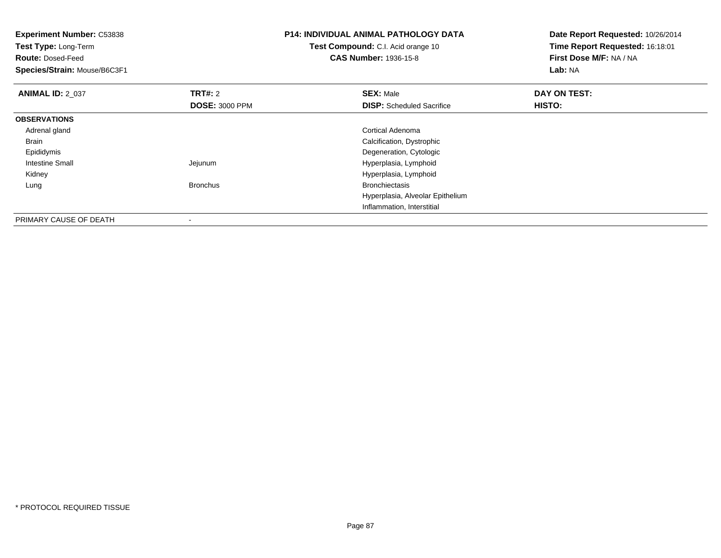| <b>Experiment Number: C53838</b><br>Test Type: Long-Term<br><b>Route: Dosed-Feed</b> |                       | <b>P14: INDIVIDUAL ANIMAL PATHOLOGY DATA</b><br>Test Compound: C.I. Acid orange 10<br><b>CAS Number: 1936-15-8</b> | Date Report Requested: 10/26/2014<br>Time Report Requested: 16:18:01<br>First Dose M/F: NA / NA |
|--------------------------------------------------------------------------------------|-----------------------|--------------------------------------------------------------------------------------------------------------------|-------------------------------------------------------------------------------------------------|
| Species/Strain: Mouse/B6C3F1                                                         |                       |                                                                                                                    | Lab: NA                                                                                         |
| <b>ANIMAL ID: 2 037</b>                                                              | <b>TRT#: 2</b>        | <b>SEX: Male</b>                                                                                                   | DAY ON TEST:                                                                                    |
|                                                                                      | <b>DOSE: 3000 PPM</b> | <b>DISP:</b> Scheduled Sacrifice                                                                                   | <b>HISTO:</b>                                                                                   |
| <b>OBSERVATIONS</b>                                                                  |                       |                                                                                                                    |                                                                                                 |
| Adrenal gland                                                                        |                       | Cortical Adenoma                                                                                                   |                                                                                                 |
| Brain                                                                                |                       | Calcification, Dystrophic                                                                                          |                                                                                                 |
| Epididymis                                                                           |                       | Degeneration, Cytologic                                                                                            |                                                                                                 |
| Intestine Small                                                                      | Jejunum               | Hyperplasia, Lymphoid                                                                                              |                                                                                                 |
| Kidney                                                                               |                       | Hyperplasia, Lymphoid                                                                                              |                                                                                                 |
| Lung                                                                                 | <b>Bronchus</b>       | <b>Bronchiectasis</b>                                                                                              |                                                                                                 |
|                                                                                      |                       | Hyperplasia, Alveolar Epithelium                                                                                   |                                                                                                 |
|                                                                                      |                       | Inflammation, Interstitial                                                                                         |                                                                                                 |
| PRIMARY CAUSE OF DEATH                                                               |                       |                                                                                                                    |                                                                                                 |

-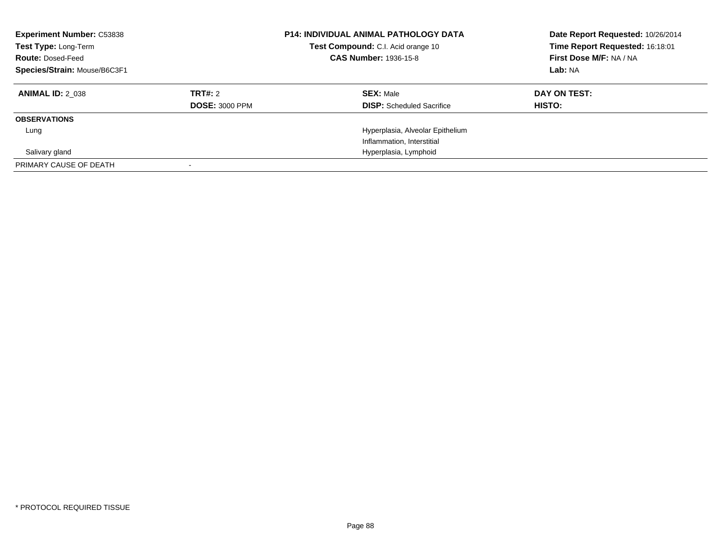| <b>Experiment Number: C53838</b><br>Test Type: Long-Term<br><b>Route: Dosed-Feed</b><br>Species/Strain: Mouse/B6C3F1 |                       | <b>P14: INDIVIDUAL ANIMAL PATHOLOGY DATA</b><br>Test Compound: C.I. Acid orange 10<br><b>CAS Number: 1936-15-8</b> | Date Report Requested: 10/26/2014<br>Time Report Requested: 16:18:01<br>First Dose M/F: NA / NA<br>Lab: NA |
|----------------------------------------------------------------------------------------------------------------------|-----------------------|--------------------------------------------------------------------------------------------------------------------|------------------------------------------------------------------------------------------------------------|
| <b>ANIMAL ID: 2 038</b>                                                                                              | TRT#: 2               | <b>SEX: Male</b>                                                                                                   | DAY ON TEST:                                                                                               |
|                                                                                                                      | <b>DOSE: 3000 PPM</b> | <b>DISP:</b> Scheduled Sacrifice                                                                                   | HISTO:                                                                                                     |
| <b>OBSERVATIONS</b>                                                                                                  |                       |                                                                                                                    |                                                                                                            |
| Lung                                                                                                                 |                       | Hyperplasia, Alveolar Epithelium                                                                                   |                                                                                                            |
|                                                                                                                      |                       | Inflammation, Interstitial                                                                                         |                                                                                                            |
| Salivary gland                                                                                                       |                       | Hyperplasia, Lymphoid                                                                                              |                                                                                                            |
| PRIMARY CAUSE OF DEATH                                                                                               |                       |                                                                                                                    |                                                                                                            |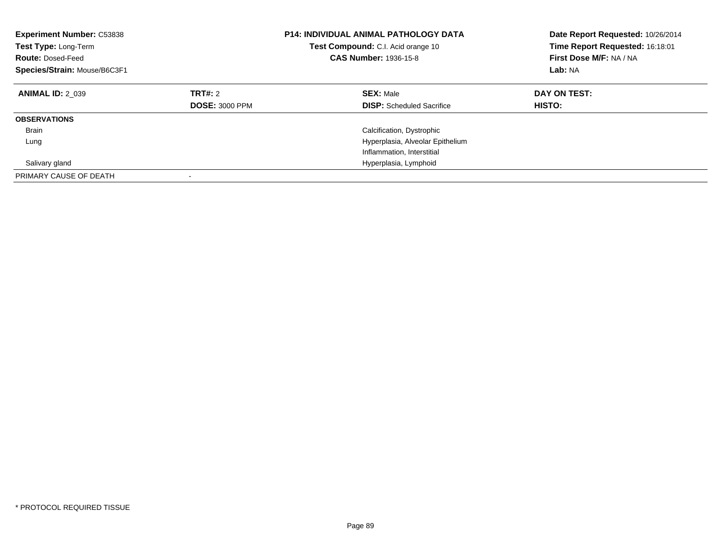| <b>Experiment Number: C53838</b><br>Test Type: Long-Term<br><b>Route: Dosed-Feed</b><br>Species/Strain: Mouse/B6C3F1 |                                  | <b>P14: INDIVIDUAL ANIMAL PATHOLOGY DATA</b><br>Test Compound: C.I. Acid orange 10<br><b>CAS Number: 1936-15-8</b> | Date Report Requested: 10/26/2014<br>Time Report Requested: 16:18:01<br>First Dose M/F: NA / NA<br>Lab: NA |
|----------------------------------------------------------------------------------------------------------------------|----------------------------------|--------------------------------------------------------------------------------------------------------------------|------------------------------------------------------------------------------------------------------------|
| <b>ANIMAL ID: 2 039</b>                                                                                              | TRT#: 2<br><b>DOSE: 3000 PPM</b> | <b>SEX: Male</b><br><b>DISP:</b> Scheduled Sacrifice                                                               | DAY ON TEST:<br><b>HISTO:</b>                                                                              |
| <b>OBSERVATIONS</b>                                                                                                  |                                  |                                                                                                                    |                                                                                                            |
| <b>Brain</b>                                                                                                         |                                  | Calcification, Dystrophic                                                                                          |                                                                                                            |
| Lung                                                                                                                 |                                  | Hyperplasia, Alveolar Epithelium                                                                                   |                                                                                                            |
|                                                                                                                      |                                  | Inflammation, Interstitial                                                                                         |                                                                                                            |
| Salivary gland                                                                                                       |                                  | Hyperplasia, Lymphoid                                                                                              |                                                                                                            |
| PRIMARY CAUSE OF DEATH                                                                                               |                                  |                                                                                                                    |                                                                                                            |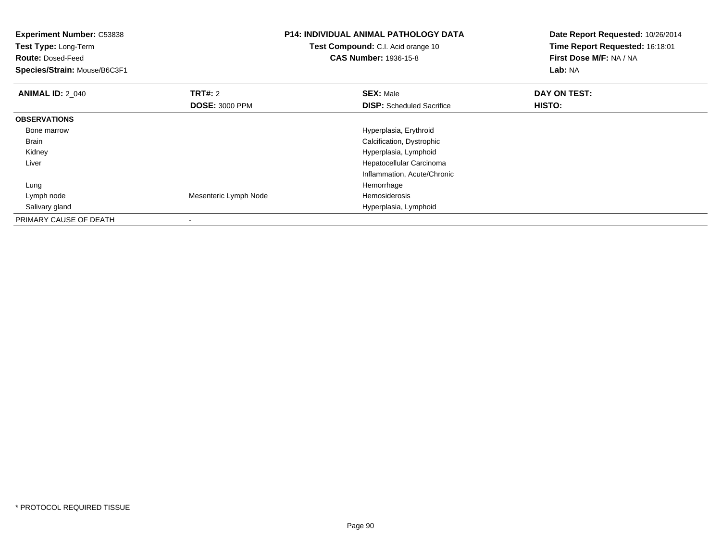| <b>Experiment Number: C53838</b><br>Test Type: Long-Term |                       | <b>P14: INDIVIDUAL ANIMAL PATHOLOGY DATA</b> | Date Report Requested: 10/26/2014 |
|----------------------------------------------------------|-----------------------|----------------------------------------------|-----------------------------------|
|                                                          |                       | Test Compound: C.I. Acid orange 10           | Time Report Requested: 16:18:01   |
| <b>Route: Dosed-Feed</b>                                 |                       | <b>CAS Number: 1936-15-8</b>                 | First Dose M/F: NA / NA           |
| Species/Strain: Mouse/B6C3F1                             |                       |                                              | Lab: NA                           |
| <b>ANIMAL ID: 2 040</b>                                  | <b>TRT#:</b> 2        | <b>SEX: Male</b>                             | DAY ON TEST:                      |
|                                                          | <b>DOSE: 3000 PPM</b> | <b>DISP:</b> Scheduled Sacrifice             | HISTO:                            |
| <b>OBSERVATIONS</b>                                      |                       |                                              |                                   |
| Bone marrow                                              |                       | Hyperplasia, Erythroid                       |                                   |
| Brain                                                    |                       | Calcification, Dystrophic                    |                                   |
| Kidney                                                   |                       | Hyperplasia, Lymphoid                        |                                   |
| Liver                                                    |                       | Hepatocellular Carcinoma                     |                                   |
|                                                          |                       | Inflammation, Acute/Chronic                  |                                   |
| Lung                                                     |                       | Hemorrhage                                   |                                   |
| Lymph node                                               | Mesenteric Lymph Node | Hemosiderosis                                |                                   |
| Salivary gland                                           |                       | Hyperplasia, Lymphoid                        |                                   |
| PRIMARY CAUSE OF DEATH                                   |                       |                                              |                                   |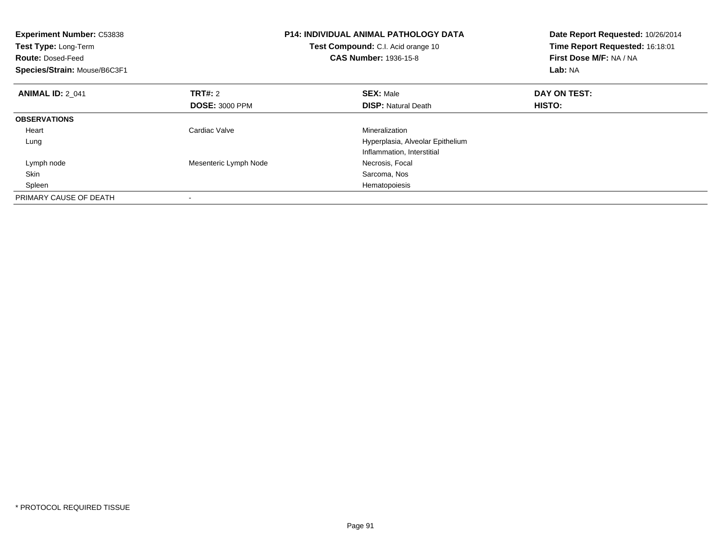| <b>Experiment Number: C53838</b><br>Test Type: Long-Term<br><b>Route: Dosed-Feed</b><br>Species/Strain: Mouse/B6C3F1 |                       | <b>P14: INDIVIDUAL ANIMAL PATHOLOGY DATA</b><br>Test Compound: C.I. Acid orange 10<br><b>CAS Number: 1936-15-8</b> | Date Report Requested: 10/26/2014<br>Time Report Requested: 16:18:01<br>First Dose M/F: NA / NA<br>Lab: NA |
|----------------------------------------------------------------------------------------------------------------------|-----------------------|--------------------------------------------------------------------------------------------------------------------|------------------------------------------------------------------------------------------------------------|
| <b>ANIMAL ID: 2 041</b>                                                                                              | <b>TRT#: 2</b>        | <b>SEX: Male</b>                                                                                                   | DAY ON TEST:                                                                                               |
|                                                                                                                      | <b>DOSE: 3000 PPM</b> | <b>DISP:</b> Natural Death                                                                                         | <b>HISTO:</b>                                                                                              |
| <b>OBSERVATIONS</b>                                                                                                  |                       |                                                                                                                    |                                                                                                            |
| Heart                                                                                                                | Cardiac Valve         | Mineralization                                                                                                     |                                                                                                            |
| Lung                                                                                                                 |                       | Hyperplasia, Alveolar Epithelium                                                                                   |                                                                                                            |
|                                                                                                                      |                       | Inflammation, Interstitial                                                                                         |                                                                                                            |
| Lymph node                                                                                                           | Mesenteric Lymph Node | Necrosis, Focal                                                                                                    |                                                                                                            |
| Skin                                                                                                                 |                       | Sarcoma, Nos                                                                                                       |                                                                                                            |
| Spleen                                                                                                               |                       | Hematopoiesis                                                                                                      |                                                                                                            |
| PRIMARY CAUSE OF DEATH                                                                                               |                       |                                                                                                                    |                                                                                                            |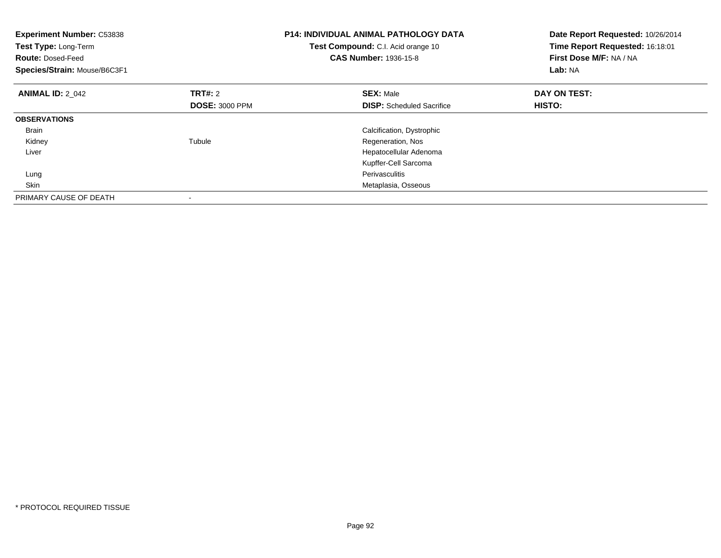| <b>Experiment Number: C53838</b><br>Test Type: Long-Term<br><b>Route: Dosed-Feed</b><br>Species/Strain: Mouse/B6C3F1 |                       | <b>P14: INDIVIDUAL ANIMAL PATHOLOGY DATA</b><br>Test Compound: C.I. Acid orange 10<br><b>CAS Number: 1936-15-8</b> | Date Report Requested: 10/26/2014<br>Time Report Requested: 16:18:01<br>First Dose M/F: NA / NA<br>Lab: NA |
|----------------------------------------------------------------------------------------------------------------------|-----------------------|--------------------------------------------------------------------------------------------------------------------|------------------------------------------------------------------------------------------------------------|
| <b>ANIMAL ID: 2 042</b>                                                                                              | TRT#: 2               | <b>SEX: Male</b>                                                                                                   | DAY ON TEST:                                                                                               |
|                                                                                                                      | <b>DOSE: 3000 PPM</b> | <b>DISP:</b> Scheduled Sacrifice                                                                                   | <b>HISTO:</b>                                                                                              |
| <b>OBSERVATIONS</b>                                                                                                  |                       |                                                                                                                    |                                                                                                            |
| Brain                                                                                                                |                       | Calcification, Dystrophic                                                                                          |                                                                                                            |
| Kidney                                                                                                               | Tubule                | Regeneration, Nos                                                                                                  |                                                                                                            |
| Liver                                                                                                                |                       | Hepatocellular Adenoma                                                                                             |                                                                                                            |
|                                                                                                                      |                       | Kupffer-Cell Sarcoma                                                                                               |                                                                                                            |
| Lung                                                                                                                 |                       | Perivasculitis                                                                                                     |                                                                                                            |
| Skin                                                                                                                 |                       | Metaplasia, Osseous                                                                                                |                                                                                                            |
| PRIMARY CAUSE OF DEATH                                                                                               |                       |                                                                                                                    |                                                                                                            |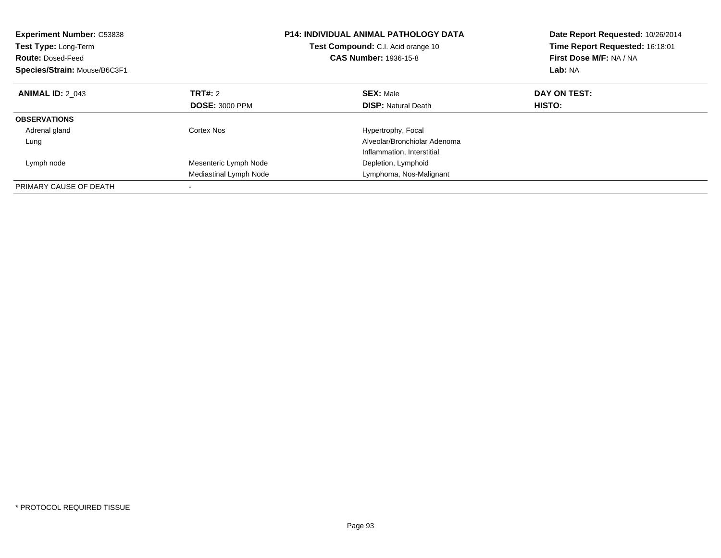| <b>Experiment Number: C53838</b><br>Test Type: Long-Term<br><b>Route: Dosed-Feed</b><br>Species/Strain: Mouse/B6C3F1 |                        | <b>P14: INDIVIDUAL ANIMAL PATHOLOGY DATA</b><br>Test Compound: C.I. Acid orange 10<br><b>CAS Number: 1936-15-8</b> | Date Report Requested: 10/26/2014<br>Time Report Requested: 16:18:01<br>First Dose M/F: NA / NA<br>Lab: NA |
|----------------------------------------------------------------------------------------------------------------------|------------------------|--------------------------------------------------------------------------------------------------------------------|------------------------------------------------------------------------------------------------------------|
| <b>ANIMAL ID: 2 043</b>                                                                                              | TRT#: 2                | <b>SEX: Male</b>                                                                                                   | DAY ON TEST:                                                                                               |
|                                                                                                                      | <b>DOSE: 3000 PPM</b>  | <b>DISP: Natural Death</b>                                                                                         | HISTO:                                                                                                     |
| <b>OBSERVATIONS</b>                                                                                                  |                        |                                                                                                                    |                                                                                                            |
| Adrenal gland                                                                                                        | Cortex Nos             | Hypertrophy, Focal                                                                                                 |                                                                                                            |
| Lung                                                                                                                 |                        | Alveolar/Bronchiolar Adenoma                                                                                       |                                                                                                            |
|                                                                                                                      |                        | Inflammation, Interstitial                                                                                         |                                                                                                            |
| Lymph node                                                                                                           | Mesenteric Lymph Node  | Depletion, Lymphoid                                                                                                |                                                                                                            |
|                                                                                                                      | Mediastinal Lymph Node | Lymphoma, Nos-Malignant                                                                                            |                                                                                                            |
| PRIMARY CAUSE OF DEATH                                                                                               |                        |                                                                                                                    |                                                                                                            |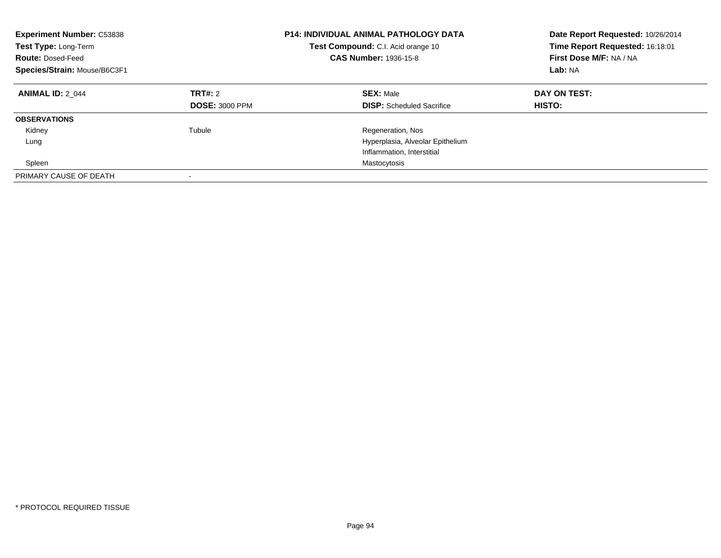| <b>Experiment Number: C53838</b><br>Test Type: Long-Term<br><b>Route: Dosed-Feed</b><br>Species/Strain: Mouse/B6C3F1 |                                  | <b>P14: INDIVIDUAL ANIMAL PATHOLOGY DATA</b><br>Test Compound: C.I. Acid orange 10<br><b>CAS Number: 1936-15-8</b> | Date Report Requested: 10/26/2014<br>Time Report Requested: 16:18:01<br>First Dose M/F: NA / NA<br>Lab: NA |
|----------------------------------------------------------------------------------------------------------------------|----------------------------------|--------------------------------------------------------------------------------------------------------------------|------------------------------------------------------------------------------------------------------------|
| <b>ANIMAL ID: 2 044</b>                                                                                              | TRT#: 2<br><b>DOSE: 3000 PPM</b> | <b>SEX: Male</b><br><b>DISP:</b> Scheduled Sacrifice                                                               | DAY ON TEST:<br>HISTO:                                                                                     |
| <b>OBSERVATIONS</b>                                                                                                  |                                  |                                                                                                                    |                                                                                                            |
| Kidney                                                                                                               | Tubule                           | Regeneration, Nos                                                                                                  |                                                                                                            |
| Lung                                                                                                                 |                                  | Hyperplasia, Alveolar Epithelium                                                                                   |                                                                                                            |
|                                                                                                                      |                                  | Inflammation, Interstitial                                                                                         |                                                                                                            |
| Spleen                                                                                                               |                                  | Mastocytosis                                                                                                       |                                                                                                            |
| PRIMARY CAUSE OF DEATH                                                                                               |                                  |                                                                                                                    |                                                                                                            |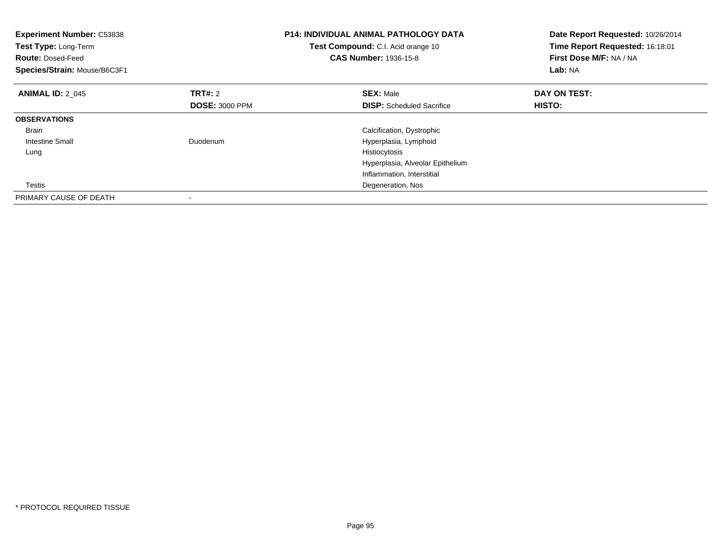| Experiment Number: C53838<br>Test Type: Long-Term<br><b>Route: Dosed-Feed</b><br>Species/Strain: Mouse/B6C3F1 |                       | <b>P14: INDIVIDUAL ANIMAL PATHOLOGY DATA</b><br>Test Compound: C.I. Acid orange 10<br><b>CAS Number: 1936-15-8</b> | Date Report Requested: 10/26/2014<br>Time Report Requested: 16:18:01<br>First Dose M/F: NA / NA<br>Lab: NA |
|---------------------------------------------------------------------------------------------------------------|-----------------------|--------------------------------------------------------------------------------------------------------------------|------------------------------------------------------------------------------------------------------------|
| <b>ANIMAL ID: 2 045</b>                                                                                       | TRT#: 2               | <b>SEX: Male</b>                                                                                                   | DAY ON TEST:                                                                                               |
|                                                                                                               | <b>DOSE: 3000 PPM</b> | <b>DISP:</b> Scheduled Sacrifice                                                                                   | HISTO:                                                                                                     |
| <b>OBSERVATIONS</b>                                                                                           |                       |                                                                                                                    |                                                                                                            |
| <b>Brain</b>                                                                                                  |                       | Calcification, Dystrophic                                                                                          |                                                                                                            |
| Intestine Small                                                                                               | Duodenum              | Hyperplasia, Lymphoid                                                                                              |                                                                                                            |
| Lung                                                                                                          |                       | Histiocytosis                                                                                                      |                                                                                                            |
|                                                                                                               |                       | Hyperplasia, Alveolar Epithelium                                                                                   |                                                                                                            |
|                                                                                                               |                       | Inflammation, Interstitial                                                                                         |                                                                                                            |
| Testis                                                                                                        |                       | Degeneration, Nos                                                                                                  |                                                                                                            |
| PRIMARY CAUSE OF DEATH                                                                                        |                       |                                                                                                                    |                                                                                                            |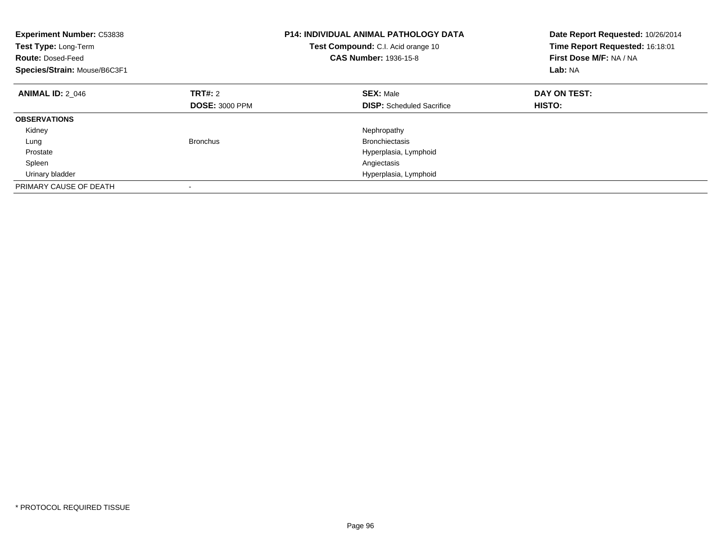| <b>Experiment Number: C53838</b><br>Test Type: Long-Term<br><b>Route: Dosed-Feed</b><br>Species/Strain: Mouse/B6C3F1 |                       | <b>P14: INDIVIDUAL ANIMAL PATHOLOGY DATA</b><br>Test Compound: C.I. Acid orange 10<br><b>CAS Number: 1936-15-8</b> | Date Report Requested: 10/26/2014<br>Time Report Requested: 16:18:01<br>First Dose M/F: NA / NA<br>Lab: NA |
|----------------------------------------------------------------------------------------------------------------------|-----------------------|--------------------------------------------------------------------------------------------------------------------|------------------------------------------------------------------------------------------------------------|
| <b>ANIMAL ID: 2 046</b>                                                                                              | <b>TRT#: 2</b>        | <b>SEX: Male</b>                                                                                                   | DAY ON TEST:                                                                                               |
|                                                                                                                      | <b>DOSE: 3000 PPM</b> | <b>DISP:</b> Scheduled Sacrifice                                                                                   | HISTO:                                                                                                     |
| <b>OBSERVATIONS</b>                                                                                                  |                       |                                                                                                                    |                                                                                                            |
| Kidney                                                                                                               |                       | Nephropathy                                                                                                        |                                                                                                            |
| Lung                                                                                                                 | Bronchus              | <b>Bronchiectasis</b>                                                                                              |                                                                                                            |
| Prostate                                                                                                             |                       | Hyperplasia, Lymphoid                                                                                              |                                                                                                            |
| Spleen                                                                                                               |                       | Angiectasis                                                                                                        |                                                                                                            |
| Urinary bladder                                                                                                      |                       | Hyperplasia, Lymphoid                                                                                              |                                                                                                            |
| PRIMARY CAUSE OF DEATH                                                                                               |                       |                                                                                                                    |                                                                                                            |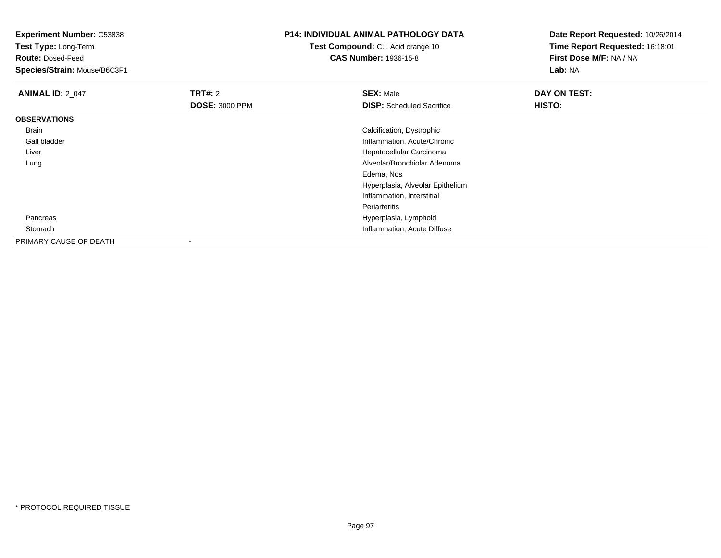**Experiment Number:** C53838**Test Type:** Long-Term**Route:** Dosed-Feed **Species/Strain:** Mouse/B6C3F1**P14: INDIVIDUAL ANIMAL PATHOLOGY DATATest Compound:** C.I. Acid orange 10**CAS Number:** 1936-15-8**Date Report Requested:** 10/26/2014**Time Report Requested:** 16:18:01**First Dose M/F:** NA / NA**Lab:** NA**ANIMAL ID: 2 047 TRT#:** <sup>2</sup> **SEX:** Male **DAY ON TEST: DOSE:** 3000 PPM**DISP:** Scheduled Sacrifice **HISTO: OBSERVATIONS** Brain Calcification, Dystrophic Gall bladder Inflammation, Acute/Chronic Liver Hepatocellular Carcinoma Alveolar/Bronchiolar Adenoma LungEdema, Nos Hyperplasia, Alveolar EpitheliumInflammation, InterstitialPeriarteritiss and the contract of the contract of the contract of the contract of the Hyperplasia, Lymphoid Pancreas**Inflammation**, Acute Diffuse **Stomach** PRIMARY CAUSE OF DEATH

-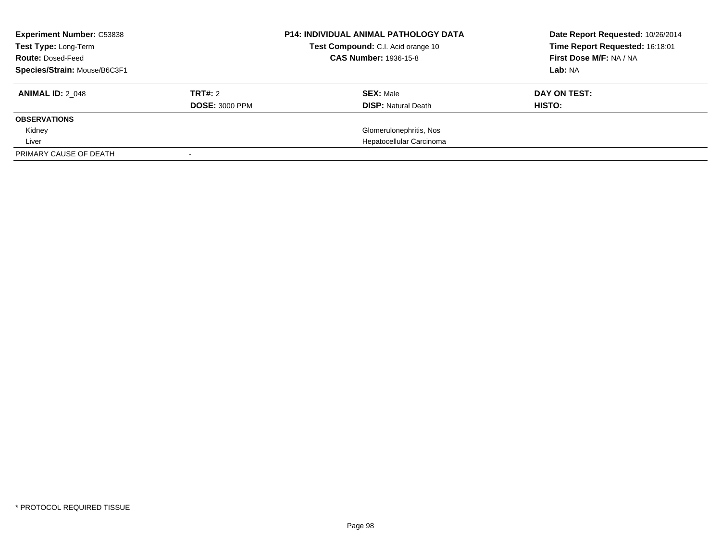| <b>Experiment Number: C53838</b><br>Test Type: Long-Term<br><b>Route: Dosed-Feed</b><br>Species/Strain: Mouse/B6C3F1 |                                         | <b>P14: INDIVIDUAL ANIMAL PATHOLOGY DATA</b><br>Test Compound: C.I. Acid orange 10<br><b>CAS Number: 1936-15-8</b> | Date Report Requested: 10/26/2014<br>Time Report Requested: 16:18:01<br>First Dose M/F: NA / NA<br>Lab: NA |
|----------------------------------------------------------------------------------------------------------------------|-----------------------------------------|--------------------------------------------------------------------------------------------------------------------|------------------------------------------------------------------------------------------------------------|
| <b>ANIMAL ID: 2 048</b>                                                                                              | <b>TRT#: 2</b><br><b>DOSE: 3000 PPM</b> | <b>SEX: Male</b><br><b>DISP:</b> Natural Death                                                                     | DAY ON TEST:<br>HISTO:                                                                                     |
| <b>OBSERVATIONS</b>                                                                                                  |                                         |                                                                                                                    |                                                                                                            |
| Kidney                                                                                                               |                                         | Glomerulonephritis, Nos                                                                                            |                                                                                                            |
| Liver                                                                                                                |                                         | Hepatocellular Carcinoma                                                                                           |                                                                                                            |
| PRIMARY CAUSE OF DEATH                                                                                               |                                         |                                                                                                                    |                                                                                                            |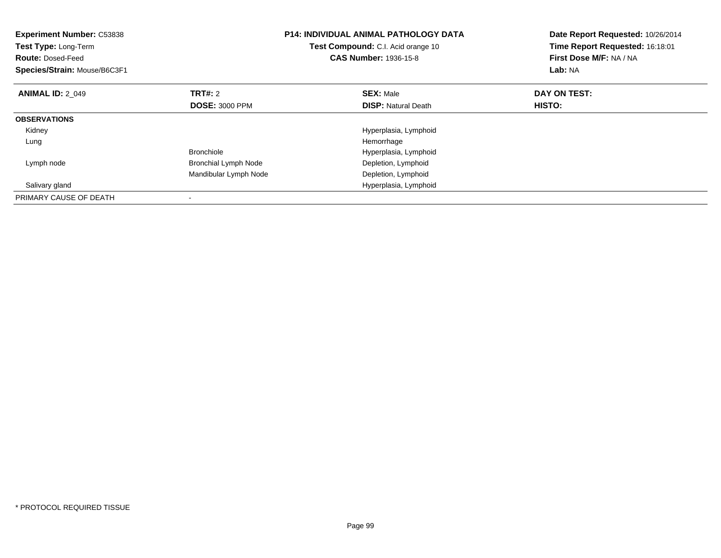| <b>Experiment Number: C53838</b><br>Test Type: Long-Term<br><b>Route: Dosed-Feed</b><br>Species/Strain: Mouse/B6C3F1 | <b>P14: INDIVIDUAL ANIMAL PATHOLOGY DATA</b><br>Test Compound: C.I. Acid orange 10<br><b>CAS Number: 1936-15-8</b> |                            | Date Report Requested: 10/26/2014<br>Time Report Requested: 16:18:01<br>First Dose M/F: NA / NA<br>Lab: NA |  |
|----------------------------------------------------------------------------------------------------------------------|--------------------------------------------------------------------------------------------------------------------|----------------------------|------------------------------------------------------------------------------------------------------------|--|
| <b>ANIMAL ID: 2 049</b>                                                                                              | <b>TRT#: 2</b>                                                                                                     | <b>SEX: Male</b>           | DAY ON TEST:                                                                                               |  |
|                                                                                                                      | <b>DOSE: 3000 PPM</b>                                                                                              | <b>DISP:</b> Natural Death | HISTO:                                                                                                     |  |
| <b>OBSERVATIONS</b>                                                                                                  |                                                                                                                    |                            |                                                                                                            |  |
| Kidney                                                                                                               |                                                                                                                    | Hyperplasia, Lymphoid      |                                                                                                            |  |
| Lung                                                                                                                 |                                                                                                                    | Hemorrhage                 |                                                                                                            |  |
|                                                                                                                      | <b>Bronchiole</b>                                                                                                  | Hyperplasia, Lymphoid      |                                                                                                            |  |
| Lymph node                                                                                                           | <b>Bronchial Lymph Node</b>                                                                                        | Depletion, Lymphoid        |                                                                                                            |  |
|                                                                                                                      | Mandibular Lymph Node                                                                                              | Depletion, Lymphoid        |                                                                                                            |  |
| Salivary gland                                                                                                       |                                                                                                                    | Hyperplasia, Lymphoid      |                                                                                                            |  |
| PRIMARY CAUSE OF DEATH                                                                                               |                                                                                                                    |                            |                                                                                                            |  |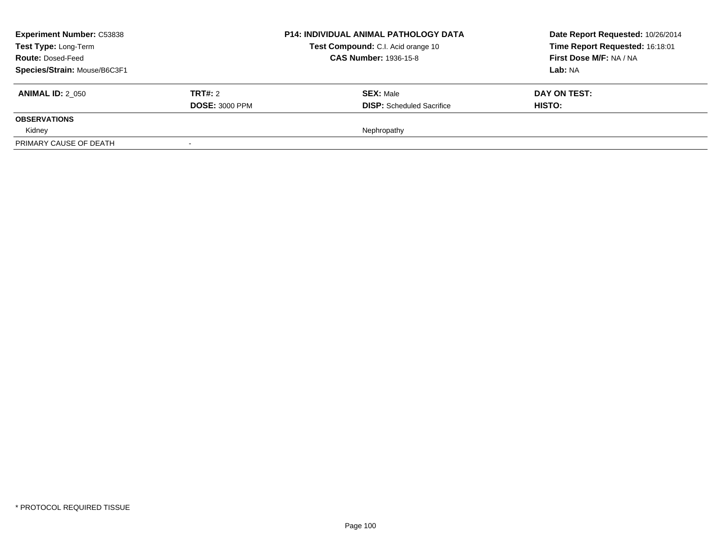| <b>Experiment Number: C53838</b><br>Test Type: Long-Term<br><b>Route: Dosed-Feed</b><br>Species/Strain: Mouse/B6C3F1 |                                         | <b>P14: INDIVIDUAL ANIMAL PATHOLOGY DATA</b><br>Test Compound: C.I. Acid orange 10<br><b>CAS Number: 1936-15-8</b> | Date Report Requested: 10/26/2014<br>Time Report Requested: 16:18:01<br>First Dose M/F: NA / NA<br>Lab: NA |
|----------------------------------------------------------------------------------------------------------------------|-----------------------------------------|--------------------------------------------------------------------------------------------------------------------|------------------------------------------------------------------------------------------------------------|
| <b>ANIMAL ID: 2 050</b>                                                                                              | <b>TRT#: 2</b><br><b>DOSE: 3000 PPM</b> | <b>SEX: Male</b><br><b>DISP:</b> Scheduled Sacrifice                                                               | DAY ON TEST:<br><b>HISTO:</b>                                                                              |
| <b>OBSERVATIONS</b>                                                                                                  |                                         |                                                                                                                    |                                                                                                            |
| Kidney                                                                                                               |                                         | Nephropathy                                                                                                        |                                                                                                            |
| PRIMARY CAUSE OF DEATH                                                                                               |                                         |                                                                                                                    |                                                                                                            |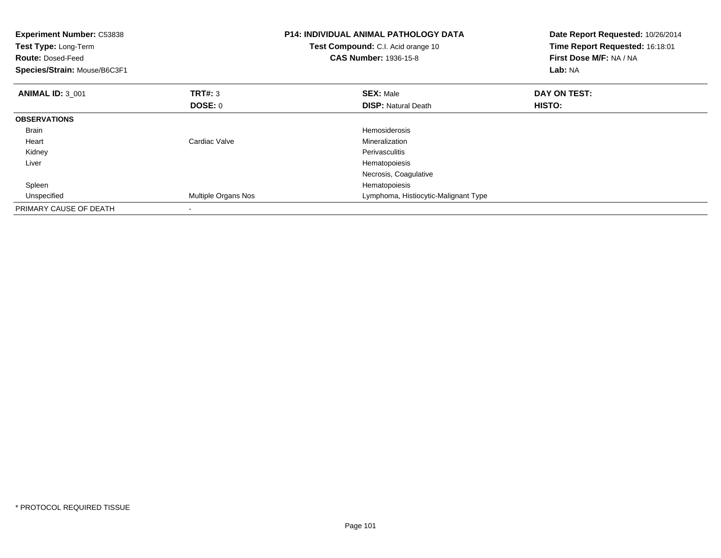| <b>Experiment Number: C53838</b><br>Test Type: Long-Term<br><b>Route: Dosed-Feed</b><br>Species/Strain: Mouse/B6C3F1 |                     | <b>P14: INDIVIDUAL ANIMAL PATHOLOGY DATA</b><br>Test Compound: C.I. Acid orange 10<br><b>CAS Number: 1936-15-8</b> | Date Report Requested: 10/26/2014<br>Time Report Requested: 16:18:01<br>First Dose M/F: NA / NA<br>Lab: NA |
|----------------------------------------------------------------------------------------------------------------------|---------------------|--------------------------------------------------------------------------------------------------------------------|------------------------------------------------------------------------------------------------------------|
| <b>ANIMAL ID: 3 001</b>                                                                                              | <b>TRT#: 3</b>      | <b>SEX: Male</b>                                                                                                   | DAY ON TEST:                                                                                               |
|                                                                                                                      | DOSE: 0             | <b>DISP:</b> Natural Death                                                                                         | HISTO:                                                                                                     |
| <b>OBSERVATIONS</b>                                                                                                  |                     |                                                                                                                    |                                                                                                            |
| <b>Brain</b>                                                                                                         |                     | <b>Hemosiderosis</b>                                                                                               |                                                                                                            |
| Heart                                                                                                                | Cardiac Valve       | Mineralization                                                                                                     |                                                                                                            |
| Kidney                                                                                                               |                     | Perivasculitis                                                                                                     |                                                                                                            |
| Liver                                                                                                                |                     | Hematopoiesis                                                                                                      |                                                                                                            |
|                                                                                                                      |                     | Necrosis, Coagulative                                                                                              |                                                                                                            |
| Spleen                                                                                                               |                     | Hematopoiesis                                                                                                      |                                                                                                            |
| Unspecified                                                                                                          | Multiple Organs Nos | Lymphoma, Histiocytic-Malignant Type                                                                               |                                                                                                            |
| PRIMARY CAUSE OF DEATH                                                                                               |                     |                                                                                                                    |                                                                                                            |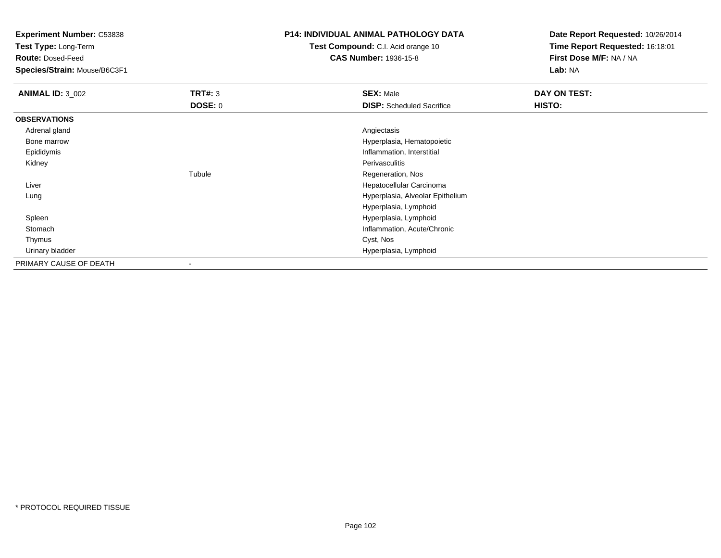**Test Type:** Long-Term

**Route:** Dosed-Feed

**Species/Strain:** Mouse/B6C3F1

## **P14: INDIVIDUAL ANIMAL PATHOLOGY DATA**

**Test Compound:** C.I. Acid orange 10**CAS Number:** 1936-15-8

| <b>ANIMAL ID: 3_002</b> | TRT#: 3 | <b>SEX: Male</b>                 | DAY ON TEST: |
|-------------------------|---------|----------------------------------|--------------|
|                         | DOSE: 0 | <b>DISP:</b> Scheduled Sacrifice | HISTO:       |
| <b>OBSERVATIONS</b>     |         |                                  |              |
| Adrenal gland           |         | Angiectasis                      |              |
| Bone marrow             |         | Hyperplasia, Hematopoietic       |              |
| Epididymis              |         | Inflammation, Interstitial       |              |
| Kidney                  |         | Perivasculitis                   |              |
|                         | Tubule  | Regeneration, Nos                |              |
| Liver                   |         | Hepatocellular Carcinoma         |              |
| Lung                    |         | Hyperplasia, Alveolar Epithelium |              |
|                         |         | Hyperplasia, Lymphoid            |              |
| Spleen                  |         | Hyperplasia, Lymphoid            |              |
| Stomach                 |         | Inflammation, Acute/Chronic      |              |
| Thymus                  |         | Cyst, Nos                        |              |
| Urinary bladder         |         | Hyperplasia, Lymphoid            |              |
| PRIMARY CAUSE OF DEATH  |         |                                  |              |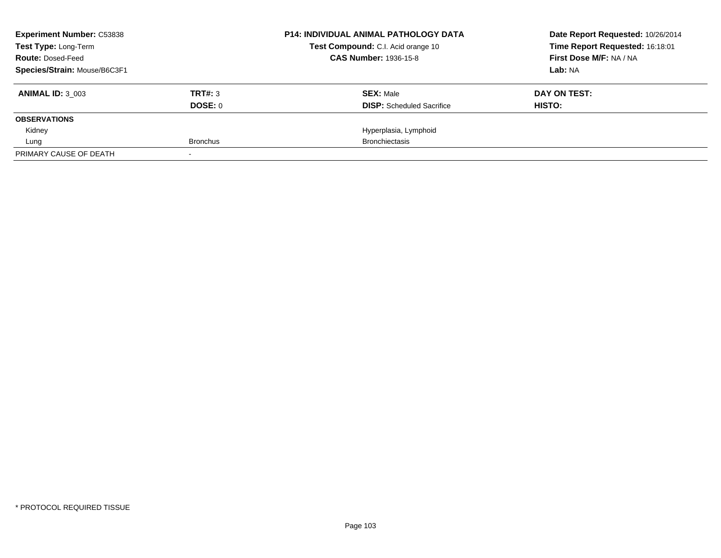| <b>Experiment Number: C53838</b> |                 | <b>P14: INDIVIDUAL ANIMAL PATHOLOGY DATA</b> | Date Report Requested: 10/26/2014 |
|----------------------------------|-----------------|----------------------------------------------|-----------------------------------|
| Test Type: Long-Term             |                 | Test Compound: C.I. Acid orange 10           | Time Report Requested: 16:18:01   |
| <b>Route: Dosed-Feed</b>         |                 | <b>CAS Number: 1936-15-8</b>                 | First Dose M/F: NA / NA           |
| Species/Strain: Mouse/B6C3F1     |                 |                                              | Lab: NA                           |
| <b>ANIMAL ID: 3 003</b>          | TRT#: 3         | <b>SEX: Male</b>                             | DAY ON TEST:                      |
|                                  | DOSE: 0         | <b>DISP:</b> Scheduled Sacrifice             | HISTO:                            |
| <b>OBSERVATIONS</b>              |                 |                                              |                                   |
| Kidney                           |                 | Hyperplasia, Lymphoid                        |                                   |
| Lung                             | <b>Bronchus</b> | <b>Bronchiectasis</b>                        |                                   |
| PRIMARY CAUSE OF DEATH           |                 |                                              |                                   |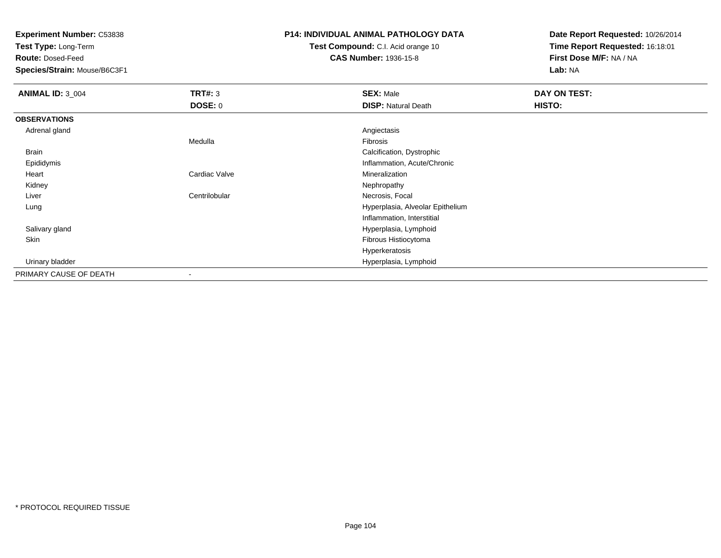**Test Type:** Long-Term

**Route:** Dosed-Feed

**Species/Strain:** Mouse/B6C3F1

## **P14: INDIVIDUAL ANIMAL PATHOLOGY DATA**

**Test Compound:** C.I. Acid orange 10**CAS Number:** 1936-15-8

| <b>ANIMAL ID: 3_004</b> | <b>TRT#: 3</b>           | <b>SEX: Male</b>                 | DAY ON TEST: |
|-------------------------|--------------------------|----------------------------------|--------------|
|                         | DOSE: 0                  | <b>DISP: Natural Death</b>       | HISTO:       |
| <b>OBSERVATIONS</b>     |                          |                                  |              |
| Adrenal gland           |                          | Angiectasis                      |              |
|                         | Medulla                  | Fibrosis                         |              |
| Brain                   |                          | Calcification, Dystrophic        |              |
| Epididymis              |                          | Inflammation, Acute/Chronic      |              |
| Heart                   | Cardiac Valve            | Mineralization                   |              |
| Kidney                  |                          | Nephropathy                      |              |
| Liver                   | Centrilobular            | Necrosis, Focal                  |              |
| Lung                    |                          | Hyperplasia, Alveolar Epithelium |              |
|                         |                          | Inflammation, Interstitial       |              |
| Salivary gland          |                          | Hyperplasia, Lymphoid            |              |
| Skin                    |                          | Fibrous Histiocytoma             |              |
|                         |                          | Hyperkeratosis                   |              |
| Urinary bladder         |                          | Hyperplasia, Lymphoid            |              |
| PRIMARY CAUSE OF DEATH  | $\overline{\phantom{a}}$ |                                  |              |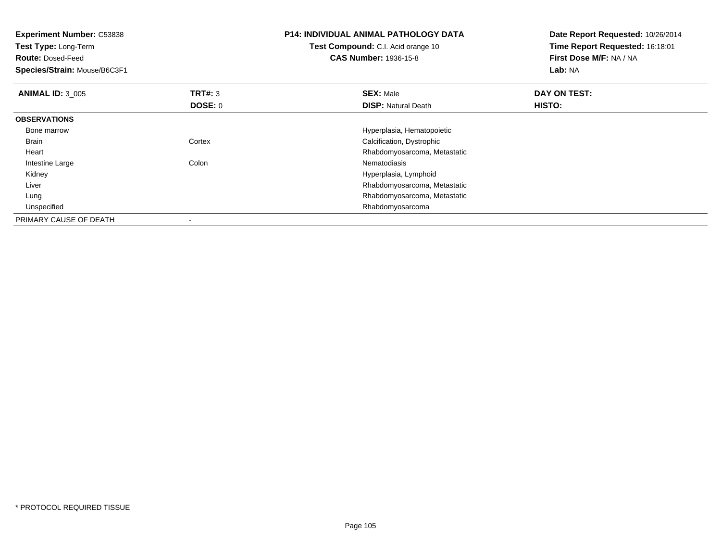**Experiment Number:** C53838**Test Type:** Long-Term**Route:** Dosed-Feed **Species/Strain:** Mouse/B6C3F1**P14: INDIVIDUAL ANIMAL PATHOLOGY DATATest Compound:** C.I. Acid orange 10**CAS Number:** 1936-15-8**Date Report Requested:** 10/26/2014**Time Report Requested:** 16:18:01**First Dose M/F:** NA / NA**Lab:** NA**ANIMAL ID:** 3\_005 **TRT#:** <sup>3</sup> **SEX:** Male **DAY ON TEST: DOSE:** 0**DISP:** Natural Death **HISTO: OBSERVATIONS** Bone marrowHyperplasia, Hematopoietic<br>Cortex Calcification, Dystrophic BrainCalcification, Dystrophic Heart Rhabdomyosarcoma, Metastatic Intestine Largee and the Colon Colon Colon and the Nematodiasis Kidney Hyperplasia, Lymphoid Rhabdomyosarcoma, Metastatic Liver Rhabdomyosarcoma, Metastatic Lung Unspecified Rhabdomyosarcoma PRIMARY CAUSE OF DEATH-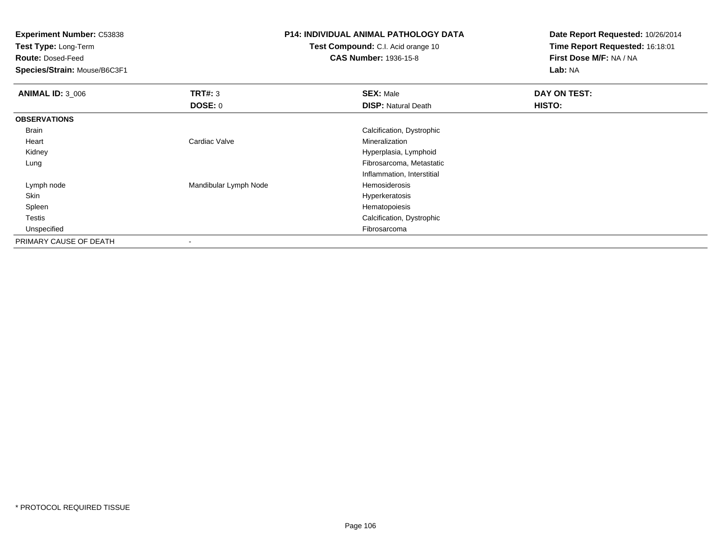**Test Type:** Long-Term

**Route:** Dosed-Feed

**Species/Strain:** Mouse/B6C3F1

## **P14: INDIVIDUAL ANIMAL PATHOLOGY DATA**

**Test Compound:** C.I. Acid orange 10**CAS Number:** 1936-15-8

| <b>ANIMAL ID: 3_006</b> | TRT#: 3               | <b>SEX: Male</b>           | DAY ON TEST: |  |
|-------------------------|-----------------------|----------------------------|--------------|--|
|                         | DOSE: 0               | <b>DISP: Natural Death</b> | HISTO:       |  |
| <b>OBSERVATIONS</b>     |                       |                            |              |  |
| Brain                   |                       | Calcification, Dystrophic  |              |  |
| Heart                   | Cardiac Valve         | Mineralization             |              |  |
| Kidney                  |                       | Hyperplasia, Lymphoid      |              |  |
| Lung                    |                       | Fibrosarcoma, Metastatic   |              |  |
|                         |                       | Inflammation, Interstitial |              |  |
| Lymph node              | Mandibular Lymph Node | Hemosiderosis              |              |  |
| Skin                    |                       | Hyperkeratosis             |              |  |
| Spleen                  |                       | Hematopoiesis              |              |  |
| <b>Testis</b>           |                       | Calcification, Dystrophic  |              |  |
| Unspecified             |                       | Fibrosarcoma               |              |  |
| PRIMARY CAUSE OF DEATH  |                       |                            |              |  |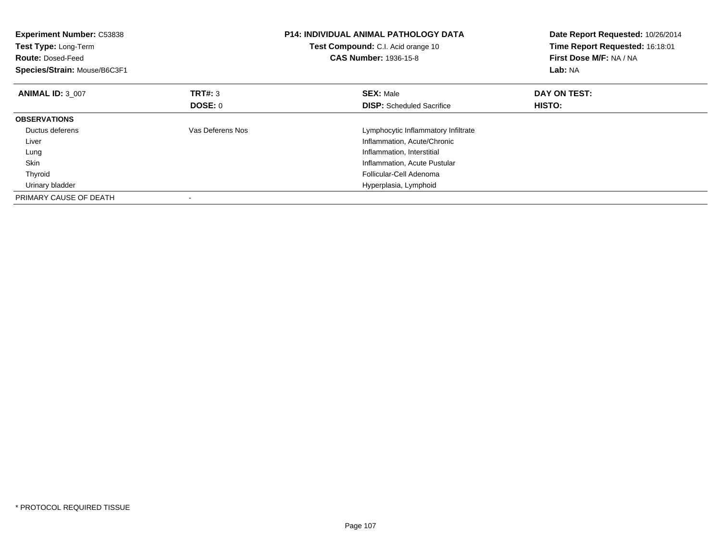| <b>Experiment Number: C53838</b><br>Test Type: Long-Term<br><b>Route: Dosed-Feed</b><br>Species/Strain: Mouse/B6C3F1 |                  | <b>P14: INDIVIDUAL ANIMAL PATHOLOGY DATA</b><br><b>Test Compound:</b> C.I. Acid orange 10<br><b>CAS Number: 1936-15-8</b> | Date Report Requested: 10/26/2014<br>Time Report Requested: 16:18:01<br>First Dose M/F: NA / NA<br>Lab: NA |
|----------------------------------------------------------------------------------------------------------------------|------------------|---------------------------------------------------------------------------------------------------------------------------|------------------------------------------------------------------------------------------------------------|
| <b>ANIMAL ID: 3 007</b>                                                                                              | <b>TRT#: 3</b>   | <b>SEX: Male</b>                                                                                                          | DAY ON TEST:                                                                                               |
|                                                                                                                      | DOSE: 0          | <b>DISP:</b> Scheduled Sacrifice                                                                                          | HISTO:                                                                                                     |
| <b>OBSERVATIONS</b>                                                                                                  |                  |                                                                                                                           |                                                                                                            |
| Ductus deferens                                                                                                      | Vas Deferens Nos | Lymphocytic Inflammatory Infiltrate                                                                                       |                                                                                                            |
| Liver                                                                                                                |                  | Inflammation, Acute/Chronic                                                                                               |                                                                                                            |
| Lung                                                                                                                 |                  | Inflammation, Interstitial                                                                                                |                                                                                                            |
| <b>Skin</b>                                                                                                          |                  | Inflammation, Acute Pustular                                                                                              |                                                                                                            |
| Thyroid                                                                                                              |                  | Follicular-Cell Adenoma                                                                                                   |                                                                                                            |
| Urinary bladder                                                                                                      |                  | Hyperplasia, Lymphoid                                                                                                     |                                                                                                            |
| PRIMARY CAUSE OF DEATH                                                                                               |                  |                                                                                                                           |                                                                                                            |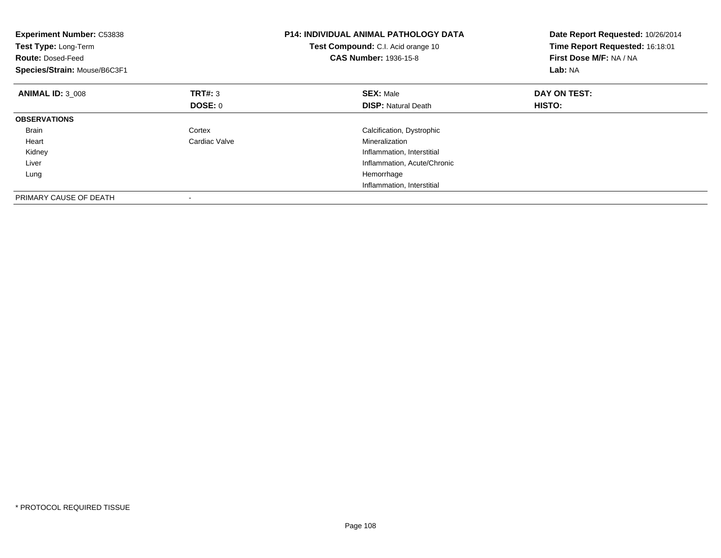| Experiment Number: C53838<br>Test Type: Long-Term<br><b>Route: Dosed-Feed</b><br>Species/Strain: Mouse/B6C3F1 |                | <b>P14: INDIVIDUAL ANIMAL PATHOLOGY DATA</b><br>Test Compound: C.I. Acid orange 10<br><b>CAS Number: 1936-15-8</b> | Date Report Requested: 10/26/2014<br>Time Report Requested: 16:18:01<br>First Dose M/F: NA / NA<br>Lab: NA |
|---------------------------------------------------------------------------------------------------------------|----------------|--------------------------------------------------------------------------------------------------------------------|------------------------------------------------------------------------------------------------------------|
| <b>ANIMAL ID: 3 008</b>                                                                                       | TRT#: 3        | <b>SEX: Male</b>                                                                                                   | DAY ON TEST:                                                                                               |
|                                                                                                               | <b>DOSE: 0</b> | <b>DISP:</b> Natural Death                                                                                         | HISTO:                                                                                                     |
| <b>OBSERVATIONS</b>                                                                                           |                |                                                                                                                    |                                                                                                            |
| <b>Brain</b>                                                                                                  | Cortex         | Calcification, Dystrophic                                                                                          |                                                                                                            |
| Heart                                                                                                         | Cardiac Valve  | Mineralization                                                                                                     |                                                                                                            |
| Kidney                                                                                                        |                | Inflammation, Interstitial                                                                                         |                                                                                                            |
| Liver                                                                                                         |                | Inflammation, Acute/Chronic                                                                                        |                                                                                                            |
| Lung                                                                                                          |                | Hemorrhage                                                                                                         |                                                                                                            |
|                                                                                                               |                | Inflammation, Interstitial                                                                                         |                                                                                                            |
| PRIMARY CAUSE OF DEATH                                                                                        |                |                                                                                                                    |                                                                                                            |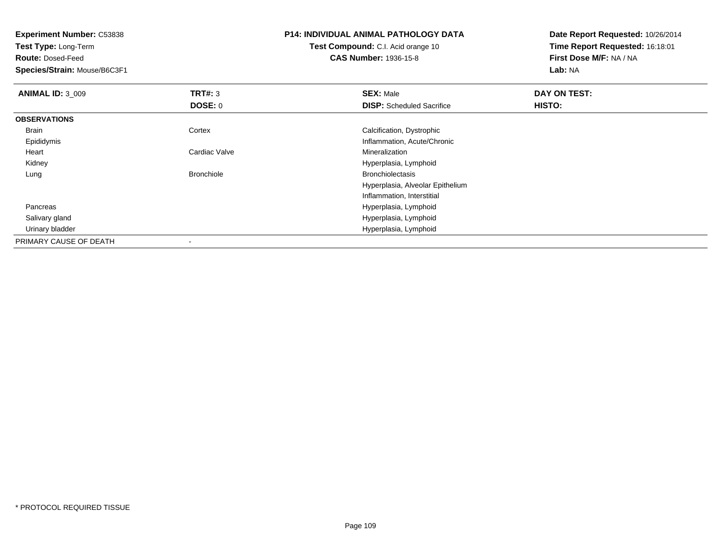**Test Type:** Long-Term

**Route:** Dosed-Feed

**Species/Strain:** Mouse/B6C3F1

## **P14: INDIVIDUAL ANIMAL PATHOLOGY DATA**

**Test Compound:** C.I. Acid orange 10**CAS Number:** 1936-15-8

| <b>ANIMAL ID: 3 009</b> | TRT#: 3           | <b>SEX: Male</b>                 | DAY ON TEST: |  |
|-------------------------|-------------------|----------------------------------|--------------|--|
|                         | <b>DOSE: 0</b>    | <b>DISP:</b> Scheduled Sacrifice | HISTO:       |  |
| <b>OBSERVATIONS</b>     |                   |                                  |              |  |
| Brain                   | Cortex            | Calcification, Dystrophic        |              |  |
| Epididymis              |                   | Inflammation, Acute/Chronic      |              |  |
| Heart                   | Cardiac Valve     | Mineralization                   |              |  |
| Kidney                  |                   | Hyperplasia, Lymphoid            |              |  |
| Lung                    | <b>Bronchiole</b> | <b>Bronchiolectasis</b>          |              |  |
|                         |                   | Hyperplasia, Alveolar Epithelium |              |  |
|                         |                   | Inflammation, Interstitial       |              |  |
| Pancreas                |                   | Hyperplasia, Lymphoid            |              |  |
| Salivary gland          |                   | Hyperplasia, Lymphoid            |              |  |
| Urinary bladder         |                   | Hyperplasia, Lymphoid            |              |  |
| PRIMARY CAUSE OF DEATH  |                   |                                  |              |  |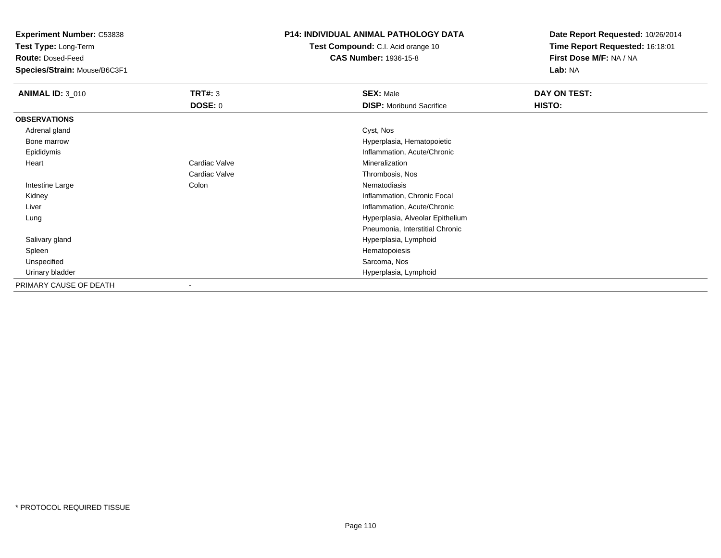**Test Type:** Long-Term

**Route:** Dosed-Feed

**Species/Strain:** Mouse/B6C3F1

# **P14: INDIVIDUAL ANIMAL PATHOLOGY DATA**

**Test Compound:** C.I. Acid orange 10**CAS Number:** 1936-15-8

| <b>ANIMAL ID: 3 010</b> | TRT#: 3                  | <b>SEX: Male</b>                 | DAY ON TEST: |
|-------------------------|--------------------------|----------------------------------|--------------|
|                         | <b>DOSE: 0</b>           | <b>DISP:</b> Moribund Sacrifice  | HISTO:       |
| <b>OBSERVATIONS</b>     |                          |                                  |              |
| Adrenal gland           |                          | Cyst, Nos                        |              |
| Bone marrow             |                          | Hyperplasia, Hematopoietic       |              |
| Epididymis              |                          | Inflammation, Acute/Chronic      |              |
| Heart                   | Cardiac Valve            | Mineralization                   |              |
|                         | Cardiac Valve            | Thrombosis, Nos                  |              |
| Intestine Large         | Colon                    | Nematodiasis                     |              |
| Kidney                  |                          | Inflammation, Chronic Focal      |              |
| Liver                   |                          | Inflammation, Acute/Chronic      |              |
| Lung                    |                          | Hyperplasia, Alveolar Epithelium |              |
|                         |                          | Pneumonia, Interstitial Chronic  |              |
| Salivary gland          |                          | Hyperplasia, Lymphoid            |              |
| Spleen                  |                          | Hematopoiesis                    |              |
| Unspecified             |                          | Sarcoma, Nos                     |              |
| Urinary bladder         |                          | Hyperplasia, Lymphoid            |              |
| PRIMARY CAUSE OF DEATH  | $\overline{\phantom{a}}$ |                                  |              |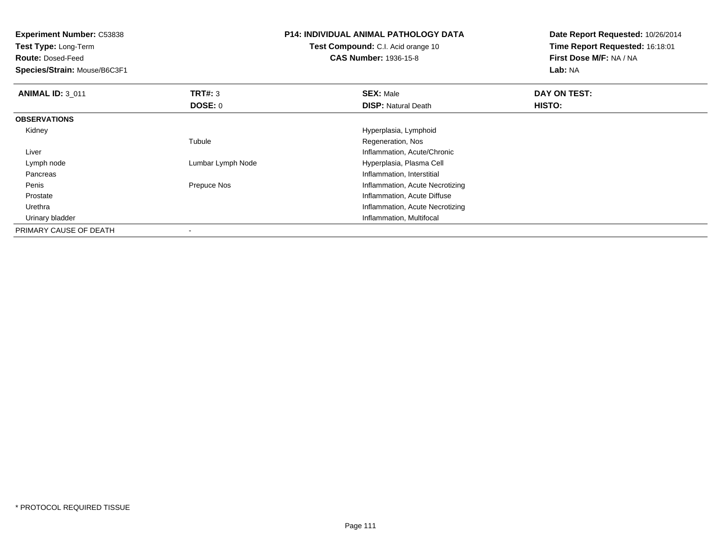**Test Type:** Long-Term

**Route:** Dosed-Feed

**Species/Strain:** Mouse/B6C3F1

# **P14: INDIVIDUAL ANIMAL PATHOLOGY DATA**

**Test Compound:** C.I. Acid orange 10**CAS Number:** 1936-15-8

| <b>ANIMAL ID: 3 011</b> | TRT#: 3           | <b>SEX: Male</b>                | DAY ON TEST: |  |
|-------------------------|-------------------|---------------------------------|--------------|--|
|                         | <b>DOSE: 0</b>    | <b>DISP: Natural Death</b>      | HISTO:       |  |
| <b>OBSERVATIONS</b>     |                   |                                 |              |  |
| Kidney                  |                   | Hyperplasia, Lymphoid           |              |  |
|                         | Tubule            | Regeneration, Nos               |              |  |
| Liver                   |                   | Inflammation, Acute/Chronic     |              |  |
| Lymph node              | Lumbar Lymph Node | Hyperplasia, Plasma Cell        |              |  |
| Pancreas                |                   | Inflammation, Interstitial      |              |  |
| Penis                   | Prepuce Nos       | Inflammation, Acute Necrotizing |              |  |
| Prostate                |                   | Inflammation, Acute Diffuse     |              |  |
| Urethra                 |                   | Inflammation, Acute Necrotizing |              |  |
| Urinary bladder         |                   | Inflammation, Multifocal        |              |  |
| PRIMARY CAUSE OF DEATH  |                   |                                 |              |  |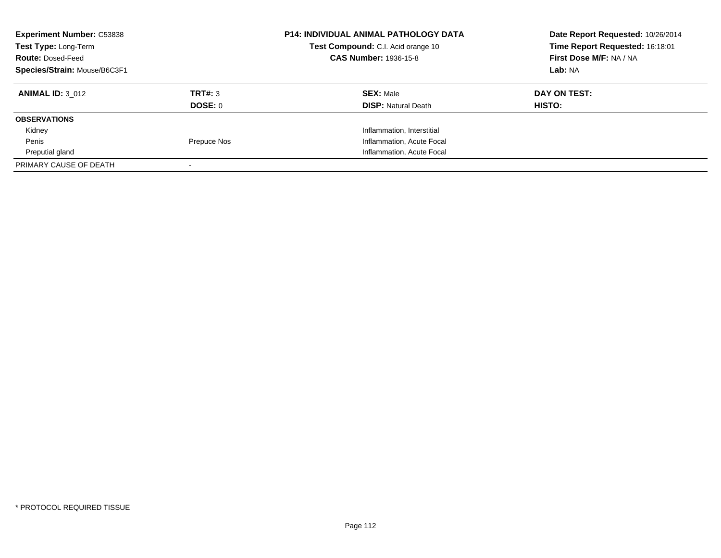| <b>Experiment Number: C53838</b><br>Test Type: Long-Term<br><b>Route: Dosed-Feed</b><br>Species/Strain: Mouse/B6C3F1 |             | <b>P14: INDIVIDUAL ANIMAL PATHOLOGY DATA</b><br>Test Compound: C.I. Acid orange 10<br><b>CAS Number: 1936-15-8</b> | Date Report Requested: 10/26/2014<br>Time Report Requested: 16:18:01<br>First Dose M/F: NA / NA<br>Lab: NA |
|----------------------------------------------------------------------------------------------------------------------|-------------|--------------------------------------------------------------------------------------------------------------------|------------------------------------------------------------------------------------------------------------|
| <b>ANIMAL ID: 3 012</b>                                                                                              | TRT#: 3     | <b>SEX: Male</b>                                                                                                   | DAY ON TEST:                                                                                               |
|                                                                                                                      | DOSE: 0     | <b>DISP:</b> Natural Death                                                                                         | HISTO:                                                                                                     |
| <b>OBSERVATIONS</b>                                                                                                  |             |                                                                                                                    |                                                                                                            |
| Kidney                                                                                                               |             | Inflammation, Interstitial                                                                                         |                                                                                                            |
| Penis                                                                                                                | Prepuce Nos | Inflammation, Acute Focal                                                                                          |                                                                                                            |
| Preputial gland                                                                                                      |             | Inflammation, Acute Focal                                                                                          |                                                                                                            |
| PRIMARY CAUSE OF DEATH                                                                                               |             |                                                                                                                    |                                                                                                            |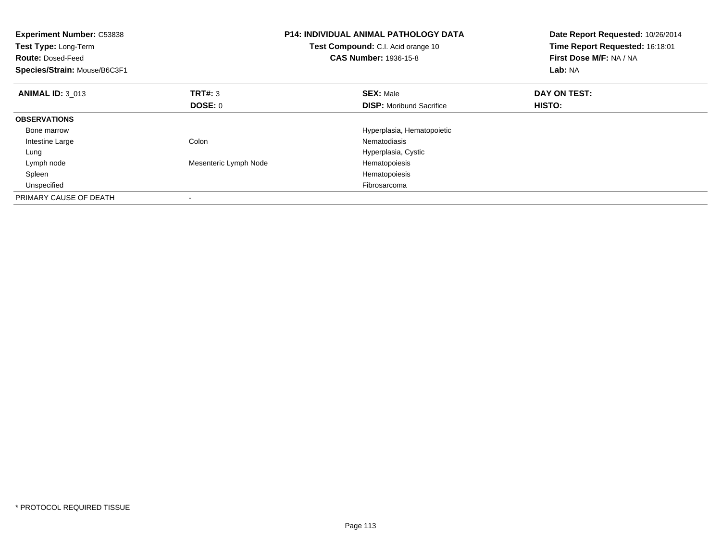| <b>Experiment Number: C53838</b><br>Test Type: Long-Term<br><b>Route: Dosed-Feed</b><br>Species/Strain: Mouse/B6C3F1 |                       | <b>P14: INDIVIDUAL ANIMAL PATHOLOGY DATA</b><br>Test Compound: C.I. Acid orange 10<br><b>CAS Number: 1936-15-8</b> | Date Report Requested: 10/26/2014<br>Time Report Requested: 16:18:01<br>First Dose M/F: NA / NA<br>Lab: NA |
|----------------------------------------------------------------------------------------------------------------------|-----------------------|--------------------------------------------------------------------------------------------------------------------|------------------------------------------------------------------------------------------------------------|
| <b>ANIMAL ID: 3 013</b>                                                                                              | TRT#: 3               | <b>SEX: Male</b>                                                                                                   | DAY ON TEST:                                                                                               |
|                                                                                                                      | DOSE: 0               | <b>DISP:</b> Moribund Sacrifice                                                                                    | HISTO:                                                                                                     |
| <b>OBSERVATIONS</b>                                                                                                  |                       |                                                                                                                    |                                                                                                            |
| Bone marrow                                                                                                          |                       | Hyperplasia, Hematopoietic                                                                                         |                                                                                                            |
| Intestine Large                                                                                                      | Colon                 | Nematodiasis                                                                                                       |                                                                                                            |
| Lung                                                                                                                 |                       | Hyperplasia, Cystic                                                                                                |                                                                                                            |
| Lymph node                                                                                                           | Mesenteric Lymph Node | Hematopoiesis                                                                                                      |                                                                                                            |
| Spleen                                                                                                               |                       | Hematopoiesis                                                                                                      |                                                                                                            |
| Unspecified                                                                                                          |                       | Fibrosarcoma                                                                                                       |                                                                                                            |
| PRIMARY CAUSE OF DEATH                                                                                               |                       |                                                                                                                    |                                                                                                            |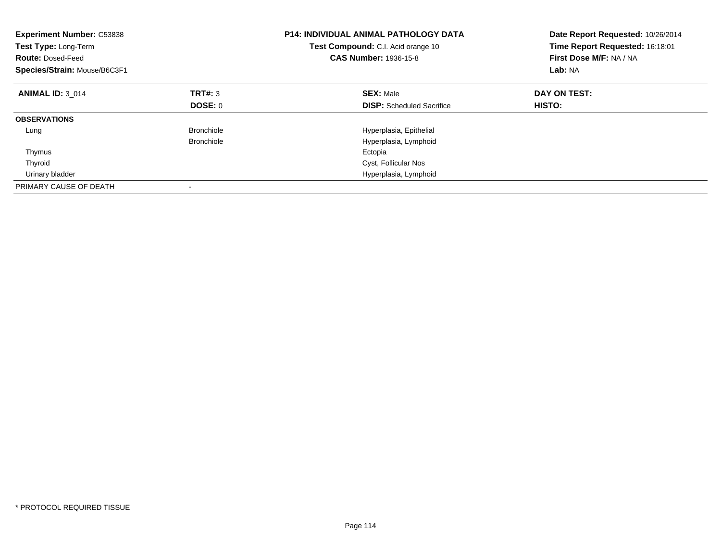| <b>Experiment Number: C53838</b><br>Test Type: Long-Term<br><b>Route: Dosed-Feed</b><br>Species/Strain: Mouse/B6C3F1 |                   | <b>P14: INDIVIDUAL ANIMAL PATHOLOGY DATA</b><br>Test Compound: C.I. Acid orange 10<br><b>CAS Number: 1936-15-8</b> | Date Report Requested: 10/26/2014<br>Time Report Requested: 16:18:01<br>First Dose M/F: NA / NA<br>Lab: NA |
|----------------------------------------------------------------------------------------------------------------------|-------------------|--------------------------------------------------------------------------------------------------------------------|------------------------------------------------------------------------------------------------------------|
| <b>ANIMAL ID: 3 014</b>                                                                                              | TRT#: 3           | <b>SEX: Male</b>                                                                                                   | DAY ON TEST:                                                                                               |
|                                                                                                                      | DOSE: 0           | <b>DISP:</b> Scheduled Sacrifice                                                                                   | HISTO:                                                                                                     |
| <b>OBSERVATIONS</b>                                                                                                  |                   |                                                                                                                    |                                                                                                            |
| Lung                                                                                                                 | <b>Bronchiole</b> | Hyperplasia, Epithelial                                                                                            |                                                                                                            |
|                                                                                                                      | <b>Bronchiole</b> | Hyperplasia, Lymphoid                                                                                              |                                                                                                            |
| Thymus                                                                                                               |                   | Ectopia                                                                                                            |                                                                                                            |
| Thyroid                                                                                                              |                   | Cyst, Follicular Nos                                                                                               |                                                                                                            |
| Urinary bladder                                                                                                      |                   | Hyperplasia, Lymphoid                                                                                              |                                                                                                            |
| PRIMARY CAUSE OF DEATH                                                                                               |                   |                                                                                                                    |                                                                                                            |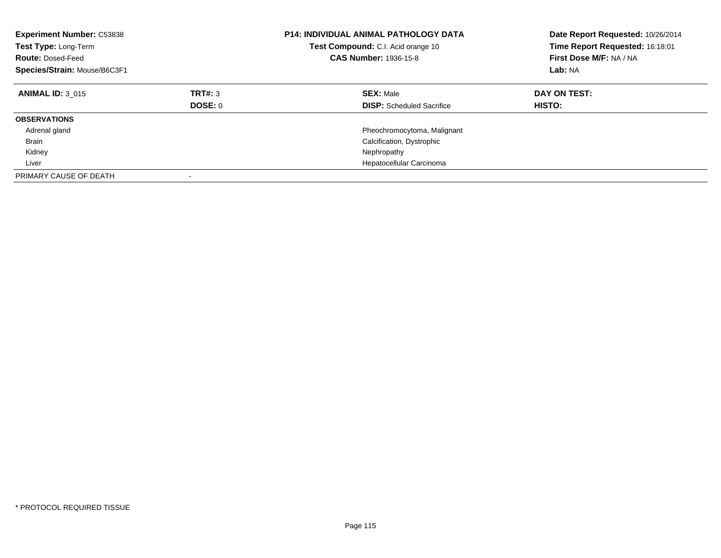| <b>Experiment Number: C53838</b><br>Test Type: Long-Term<br><b>Route: Dosed-Feed</b><br>Species/Strain: Mouse/B6C3F1 |                           | <b>P14: INDIVIDUAL ANIMAL PATHOLOGY DATA</b><br>Test Compound: C.I. Acid orange 10<br><b>CAS Number: 1936-15-8</b> | Date Report Requested: 10/26/2014<br>Time Report Requested: 16:18:01<br>First Dose M/F: NA / NA<br>Lab: NA |
|----------------------------------------------------------------------------------------------------------------------|---------------------------|--------------------------------------------------------------------------------------------------------------------|------------------------------------------------------------------------------------------------------------|
| <b>ANIMAL ID: 3 015</b>                                                                                              | TRT#: 3<br><b>DOSE: 0</b> | <b>SEX: Male</b><br><b>DISP:</b> Scheduled Sacrifice                                                               | DAY ON TEST:<br>HISTO:                                                                                     |
| <b>OBSERVATIONS</b>                                                                                                  |                           |                                                                                                                    |                                                                                                            |
| Adrenal gland                                                                                                        |                           | Pheochromocytoma, Malignant                                                                                        |                                                                                                            |
| Brain                                                                                                                |                           | Calcification, Dystrophic                                                                                          |                                                                                                            |
| Kidney                                                                                                               |                           | Nephropathy                                                                                                        |                                                                                                            |
| Liver                                                                                                                |                           | Hepatocellular Carcinoma                                                                                           |                                                                                                            |
| PRIMARY CAUSE OF DEATH                                                                                               |                           |                                                                                                                    |                                                                                                            |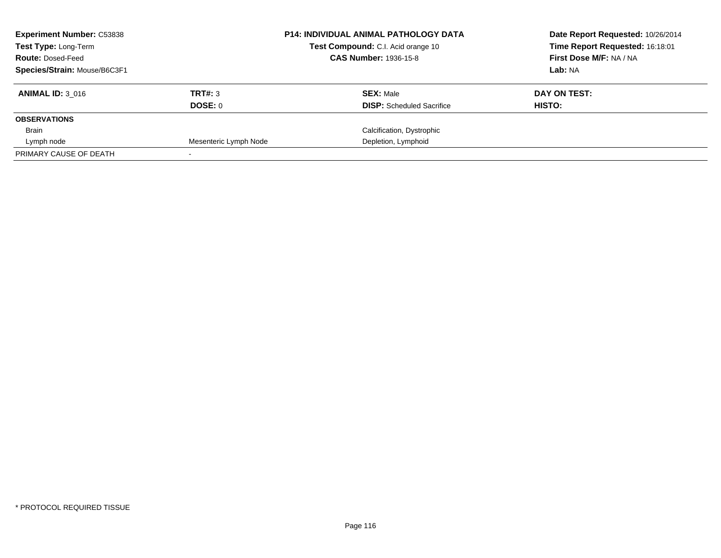| <b>Experiment Number: C53838</b><br><b>Test Type: Long-Term</b> |                       | <b>P14: INDIVIDUAL ANIMAL PATHOLOGY DATA</b><br>Test Compound: C.I. Acid orange 10 | Date Report Requested: 10/26/2014<br>Time Report Requested: 16:18:01 |
|-----------------------------------------------------------------|-----------------------|------------------------------------------------------------------------------------|----------------------------------------------------------------------|
| <b>Route: Dosed-Feed</b>                                        |                       | <b>CAS Number: 1936-15-8</b>                                                       | First Dose M/F: NA / NA                                              |
| Species/Strain: Mouse/B6C3F1                                    |                       |                                                                                    | Lab: NA                                                              |
| <b>ANIMAL ID: 3 016</b>                                         | TRT#: 3               | <b>SEX: Male</b>                                                                   | DAY ON TEST:                                                         |
|                                                                 | DOSE: 0               | <b>DISP:</b> Scheduled Sacrifice                                                   | HISTO:                                                               |
| <b>OBSERVATIONS</b>                                             |                       |                                                                                    |                                                                      |
| Brain                                                           |                       | Calcification, Dystrophic                                                          |                                                                      |
| Lymph node                                                      | Mesenteric Lymph Node | Depletion, Lymphoid                                                                |                                                                      |
| PRIMARY CAUSE OF DEATH                                          |                       |                                                                                    |                                                                      |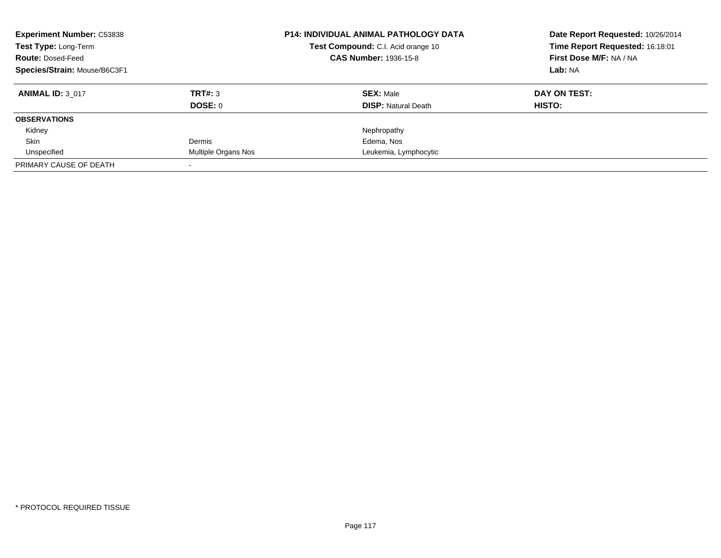| <b>Experiment Number: C53838</b><br>Test Type: Long-Term<br><b>Route: Dosed-Feed</b><br>Species/Strain: Mouse/B6C3F1 |                     | <b>P14: INDIVIDUAL ANIMAL PATHOLOGY DATA</b><br>Test Compound: C.I. Acid orange 10<br><b>CAS Number: 1936-15-8</b> | Date Report Requested: 10/26/2014<br>Time Report Requested: 16:18:01<br>First Dose M/F: NA / NA<br>Lab: NA |
|----------------------------------------------------------------------------------------------------------------------|---------------------|--------------------------------------------------------------------------------------------------------------------|------------------------------------------------------------------------------------------------------------|
| <b>ANIMAL ID: 3 017</b>                                                                                              | TRT#: 3             | <b>SEX: Male</b>                                                                                                   | DAY ON TEST:                                                                                               |
|                                                                                                                      | <b>DOSE: 0</b>      | <b>DISP:</b> Natural Death                                                                                         | <b>HISTO:</b>                                                                                              |
| <b>OBSERVATIONS</b>                                                                                                  |                     |                                                                                                                    |                                                                                                            |
| Kidney                                                                                                               |                     | Nephropathy                                                                                                        |                                                                                                            |
| Skin                                                                                                                 | Dermis              | Edema, Nos                                                                                                         |                                                                                                            |
| Unspecified                                                                                                          | Multiple Organs Nos | Leukemia, Lymphocytic                                                                                              |                                                                                                            |
| PRIMARY CAUSE OF DEATH                                                                                               |                     |                                                                                                                    |                                                                                                            |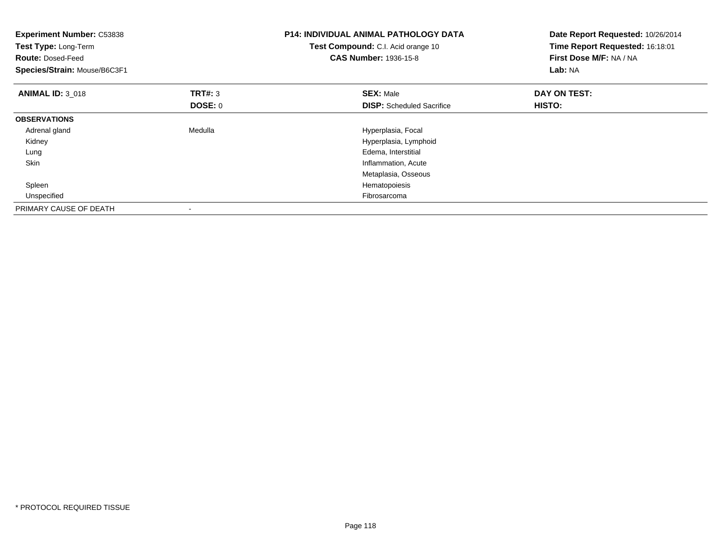| <b>Experiment Number: C53838</b><br><b>Test Type: Long-Term</b><br><b>Route: Dosed-Feed</b><br>Species/Strain: Mouse/B6C3F1 |                    | <b>P14: INDIVIDUAL ANIMAL PATHOLOGY DATA</b><br>Test Compound: C.I. Acid orange 10<br><b>CAS Number: 1936-15-8</b> | Date Report Requested: 10/26/2014<br>Time Report Requested: 16:18:01<br>First Dose M/F: NA / NA<br>Lab: NA |
|-----------------------------------------------------------------------------------------------------------------------------|--------------------|--------------------------------------------------------------------------------------------------------------------|------------------------------------------------------------------------------------------------------------|
| <b>ANIMAL ID: 3 018</b>                                                                                                     | TRT#: 3<br>DOSE: 0 | <b>SEX: Male</b><br><b>DISP:</b> Scheduled Sacrifice                                                               | DAY ON TEST:<br>HISTO:                                                                                     |
| <b>OBSERVATIONS</b>                                                                                                         |                    |                                                                                                                    |                                                                                                            |
| Adrenal gland                                                                                                               | Medulla            | Hyperplasia, Focal                                                                                                 |                                                                                                            |
| Kidney                                                                                                                      |                    | Hyperplasia, Lymphoid                                                                                              |                                                                                                            |
| Lung                                                                                                                        |                    | Edema, Interstitial                                                                                                |                                                                                                            |
| Skin                                                                                                                        |                    | Inflammation, Acute                                                                                                |                                                                                                            |
|                                                                                                                             |                    | Metaplasia, Osseous                                                                                                |                                                                                                            |
| Spleen                                                                                                                      |                    | Hematopoiesis                                                                                                      |                                                                                                            |
| Unspecified                                                                                                                 |                    | Fibrosarcoma                                                                                                       |                                                                                                            |
| PRIMARY CAUSE OF DEATH                                                                                                      |                    |                                                                                                                    |                                                                                                            |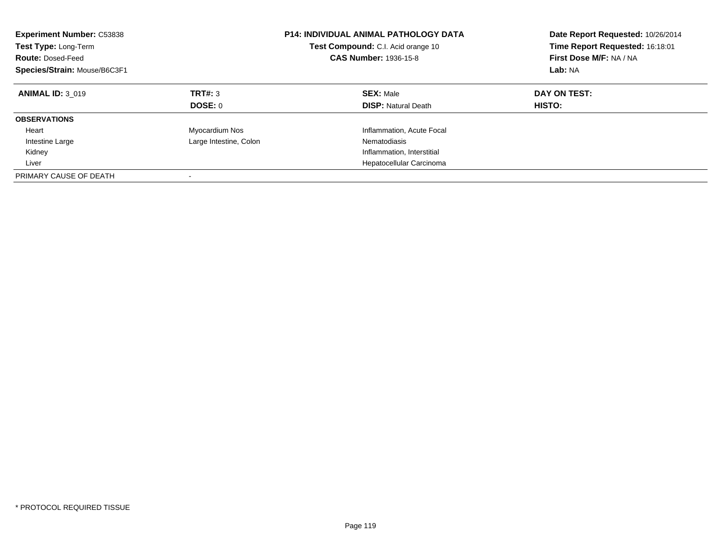| <b>Experiment Number: C53838</b><br>Test Type: Long-Term<br><b>Route: Dosed-Feed</b><br>Species/Strain: Mouse/B6C3F1 |                        | <b>P14: INDIVIDUAL ANIMAL PATHOLOGY DATA</b><br>Test Compound: C.I. Acid orange 10<br><b>CAS Number: 1936-15-8</b> | Date Report Requested: 10/26/2014<br>Time Report Requested: 16:18:01<br>First Dose M/F: NA / NA<br>Lab: NA |
|----------------------------------------------------------------------------------------------------------------------|------------------------|--------------------------------------------------------------------------------------------------------------------|------------------------------------------------------------------------------------------------------------|
| <b>ANIMAL ID: 3 019</b>                                                                                              | TRT#: 3<br>DOSE: 0     | <b>SEX: Male</b><br><b>DISP: Natural Death</b>                                                                     | DAY ON TEST:<br>HISTO:                                                                                     |
|                                                                                                                      |                        |                                                                                                                    |                                                                                                            |
| <b>OBSERVATIONS</b>                                                                                                  |                        |                                                                                                                    |                                                                                                            |
| Heart                                                                                                                | Myocardium Nos         | Inflammation, Acute Focal                                                                                          |                                                                                                            |
| Intestine Large                                                                                                      | Large Intestine, Colon | Nematodiasis                                                                                                       |                                                                                                            |
| Kidney                                                                                                               |                        | Inflammation, Interstitial                                                                                         |                                                                                                            |
| Liver                                                                                                                |                        | Hepatocellular Carcinoma                                                                                           |                                                                                                            |
| PRIMARY CAUSE OF DEATH                                                                                               |                        |                                                                                                                    |                                                                                                            |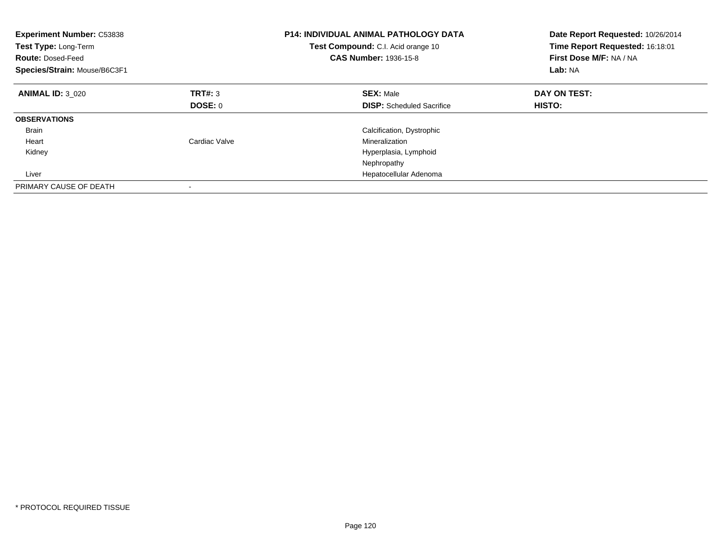| <b>Experiment Number: C53838</b><br>Test Type: Long-Term<br><b>Route: Dosed-Feed</b><br>Species/Strain: Mouse/B6C3F1 |               | <b>P14: INDIVIDUAL ANIMAL PATHOLOGY DATA</b><br>Test Compound: C.I. Acid orange 10<br>CAS Number: 1936-15-8 | Date Report Requested: 10/26/2014<br>Time Report Requested: 16:18:01<br>First Dose M/F: NA / NA<br>Lab: NA |
|----------------------------------------------------------------------------------------------------------------------|---------------|-------------------------------------------------------------------------------------------------------------|------------------------------------------------------------------------------------------------------------|
| <b>ANIMAL ID: 3 020</b>                                                                                              | TRT#: 3       | <b>SEX: Male</b>                                                                                            | DAY ON TEST:                                                                                               |
|                                                                                                                      | DOSE: 0       | <b>DISP:</b> Scheduled Sacrifice                                                                            | HISTO:                                                                                                     |
| <b>OBSERVATIONS</b>                                                                                                  |               |                                                                                                             |                                                                                                            |
| <b>Brain</b>                                                                                                         |               | Calcification, Dystrophic                                                                                   |                                                                                                            |
| Heart                                                                                                                | Cardiac Valve | Mineralization                                                                                              |                                                                                                            |
| Kidney                                                                                                               |               | Hyperplasia, Lymphoid                                                                                       |                                                                                                            |
|                                                                                                                      |               | Nephropathy                                                                                                 |                                                                                                            |
| Liver                                                                                                                |               | Hepatocellular Adenoma                                                                                      |                                                                                                            |
| PRIMARY CAUSE OF DEATH                                                                                               |               |                                                                                                             |                                                                                                            |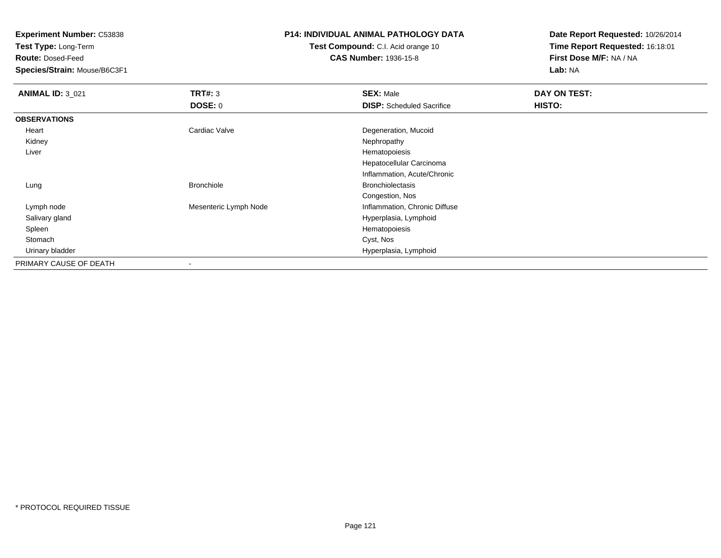**Test Type:** Long-Term

**Route:** Dosed-Feed

**Species/Strain:** Mouse/B6C3F1

# **P14: INDIVIDUAL ANIMAL PATHOLOGY DATA**

**Test Compound:** C.I. Acid orange 10**CAS Number:** 1936-15-8

| <b>ANIMAL ID: 3_021</b> | TRT#: 3               | <b>SEX: Male</b>                 | DAY ON TEST: |  |
|-------------------------|-----------------------|----------------------------------|--------------|--|
|                         | DOSE: 0               | <b>DISP:</b> Scheduled Sacrifice | HISTO:       |  |
| <b>OBSERVATIONS</b>     |                       |                                  |              |  |
| Heart                   | Cardiac Valve         | Degeneration, Mucoid             |              |  |
| Kidney                  |                       | Nephropathy                      |              |  |
| Liver                   |                       | Hematopoiesis                    |              |  |
|                         |                       | Hepatocellular Carcinoma         |              |  |
|                         |                       | Inflammation, Acute/Chronic      |              |  |
| Lung                    | <b>Bronchiole</b>     | <b>Bronchiolectasis</b>          |              |  |
|                         |                       | Congestion, Nos                  |              |  |
| Lymph node              | Mesenteric Lymph Node | Inflammation, Chronic Diffuse    |              |  |
| Salivary gland          |                       | Hyperplasia, Lymphoid            |              |  |
| Spleen                  |                       | Hematopoiesis                    |              |  |
| Stomach                 |                       | Cyst, Nos                        |              |  |
| Urinary bladder         |                       | Hyperplasia, Lymphoid            |              |  |
| PRIMARY CAUSE OF DEATH  |                       |                                  |              |  |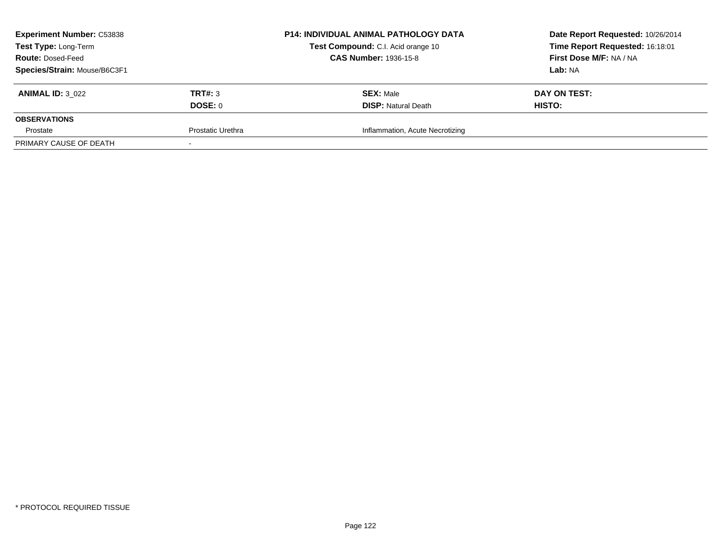| <b>Experiment Number: C53838</b> |                   | <b>P14: INDIVIDUAL ANIMAL PATHOLOGY DATA</b> | Date Report Requested: 10/26/2014 |
|----------------------------------|-------------------|----------------------------------------------|-----------------------------------|
| Test Type: Long-Term             |                   | Test Compound: C.I. Acid orange 10           | Time Report Requested: 16:18:01   |
| <b>Route: Dosed-Feed</b>         |                   | <b>CAS Number: 1936-15-8</b>                 | First Dose M/F: NA / NA           |
| Species/Strain: Mouse/B6C3F1     |                   |                                              | <b>Lab:</b> NA                    |
| <b>ANIMAL ID: 3 022</b>          | TRT#: 3           | <b>SEX: Male</b>                             | DAY ON TEST:                      |
|                                  | DOSE: 0           | <b>DISP: Natural Death</b>                   | HISTO:                            |
| <b>OBSERVATIONS</b>              |                   |                                              |                                   |
| Prostate                         | Prostatic Urethra | Inflammation, Acute Necrotizing              |                                   |
| PRIMARY CAUSE OF DEATH           |                   |                                              |                                   |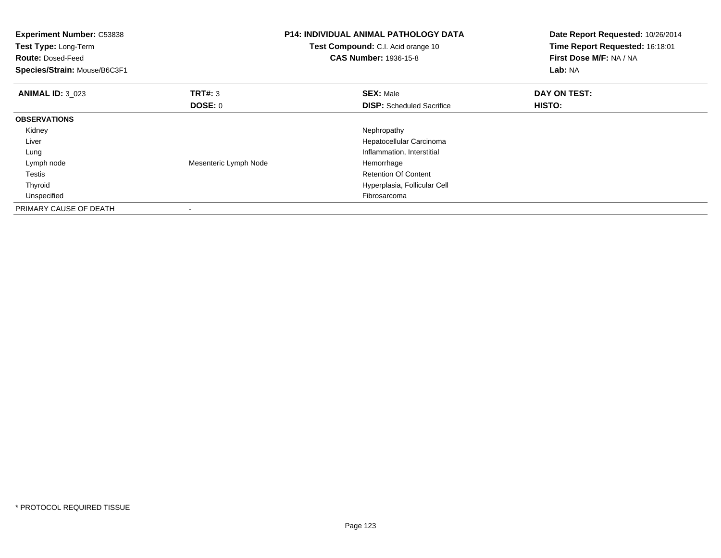| Experiment Number: C53838<br><b>Test Type: Long-Term</b><br><b>Route: Dosed-Feed</b><br>Species/Strain: Mouse/B6C3F1 |                           | <b>P14: INDIVIDUAL ANIMAL PATHOLOGY DATA</b><br>Test Compound: C.I. Acid orange 10<br><b>CAS Number: 1936-15-8</b> | Date Report Requested: 10/26/2014<br>Time Report Requested: 16:18:01<br>First Dose M/F: NA / NA<br><b>Lab: NA</b> |
|----------------------------------------------------------------------------------------------------------------------|---------------------------|--------------------------------------------------------------------------------------------------------------------|-------------------------------------------------------------------------------------------------------------------|
| <b>ANIMAL ID: 3 023</b>                                                                                              | <b>TRT#: 3</b><br>DOSE: 0 | <b>SEX: Male</b><br><b>DISP:</b> Scheduled Sacrifice                                                               | DAY ON TEST:<br>HISTO:                                                                                            |
| <b>OBSERVATIONS</b>                                                                                                  |                           |                                                                                                                    |                                                                                                                   |
| Kidney                                                                                                               |                           | Nephropathy                                                                                                        |                                                                                                                   |
| Liver                                                                                                                |                           | Hepatocellular Carcinoma                                                                                           |                                                                                                                   |
| Lung                                                                                                                 |                           | Inflammation, Interstitial                                                                                         |                                                                                                                   |
| Lymph node                                                                                                           | Mesenteric Lymph Node     | Hemorrhage                                                                                                         |                                                                                                                   |
| Testis                                                                                                               |                           | <b>Retention Of Content</b>                                                                                        |                                                                                                                   |
| Thyroid                                                                                                              |                           | Hyperplasia, Follicular Cell                                                                                       |                                                                                                                   |
| Unspecified                                                                                                          |                           | Fibrosarcoma                                                                                                       |                                                                                                                   |
| PRIMARY CAUSE OF DEATH                                                                                               |                           |                                                                                                                    |                                                                                                                   |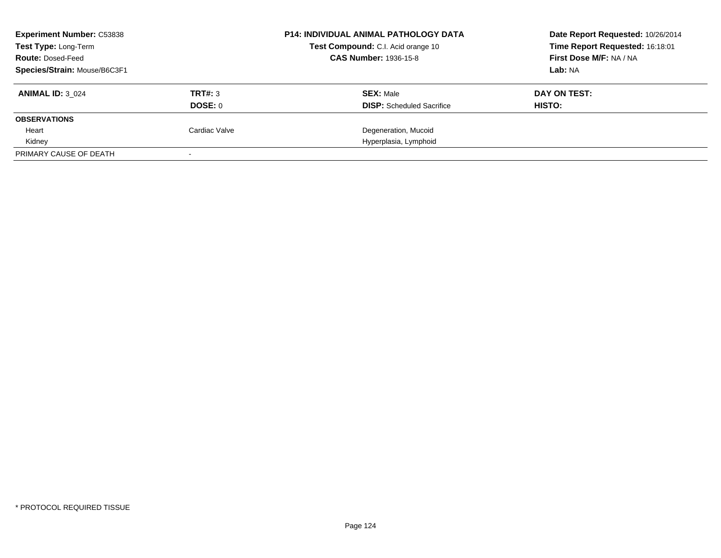| <b>Experiment Number: C53838</b><br><b>Test Type: Long-Term</b> |               | <b>P14: INDIVIDUAL ANIMAL PATHOLOGY DATA</b><br>Test Compound: C.I. Acid orange 10 | Date Report Requested: 10/26/2014<br>Time Report Requested: 16:18:01 |
|-----------------------------------------------------------------|---------------|------------------------------------------------------------------------------------|----------------------------------------------------------------------|
| <b>Route: Dosed-Feed</b>                                        |               | <b>CAS Number: 1936-15-8</b>                                                       | First Dose M/F: NA / NA                                              |
| Species/Strain: Mouse/B6C3F1                                    |               |                                                                                    | Lab: NA                                                              |
| <b>ANIMAL ID: 3 024</b>                                         | TRT#: 3       | <b>SEX: Male</b>                                                                   | DAY ON TEST:                                                         |
|                                                                 | DOSE: 0       | <b>DISP:</b> Scheduled Sacrifice                                                   | HISTO:                                                               |
| <b>OBSERVATIONS</b>                                             |               |                                                                                    |                                                                      |
| Heart                                                           | Cardiac Valve | Degeneration, Mucoid                                                               |                                                                      |
| Kidney                                                          |               | Hyperplasia, Lymphoid                                                              |                                                                      |
| PRIMARY CAUSE OF DEATH                                          |               |                                                                                    |                                                                      |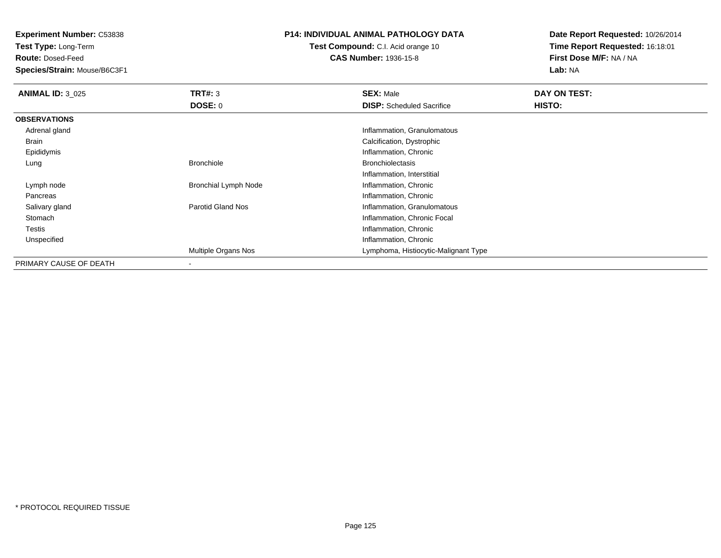**Test Type:** Long-Term

**Route:** Dosed-Feed

**Species/Strain:** Mouse/B6C3F1

### **P14: INDIVIDUAL ANIMAL PATHOLOGY DATA**

**Test Compound:** C.I. Acid orange 10**CAS Number:** 1936-15-8

| <b>ANIMAL ID: 3 025</b> | <b>TRT#: 3</b>              | <b>SEX: Male</b>                     | DAY ON TEST: |  |
|-------------------------|-----------------------------|--------------------------------------|--------------|--|
|                         | <b>DOSE: 0</b>              | <b>DISP:</b> Scheduled Sacrifice     | HISTO:       |  |
| <b>OBSERVATIONS</b>     |                             |                                      |              |  |
| Adrenal gland           |                             | Inflammation, Granulomatous          |              |  |
| Brain                   |                             | Calcification, Dystrophic            |              |  |
| Epididymis              |                             | Inflammation, Chronic                |              |  |
| Lung                    | <b>Bronchiole</b>           | <b>Bronchiolectasis</b>              |              |  |
|                         |                             | Inflammation, Interstitial           |              |  |
| Lymph node              | <b>Bronchial Lymph Node</b> | Inflammation, Chronic                |              |  |
| Pancreas                |                             | Inflammation, Chronic                |              |  |
| Salivary gland          | <b>Parotid Gland Nos</b>    | Inflammation, Granulomatous          |              |  |
| Stomach                 |                             | Inflammation, Chronic Focal          |              |  |
| Testis                  |                             | Inflammation, Chronic                |              |  |
| Unspecified             |                             | Inflammation, Chronic                |              |  |
|                         | Multiple Organs Nos         | Lymphoma, Histiocytic-Malignant Type |              |  |
| PRIMARY CAUSE OF DEATH  | ۰                           |                                      |              |  |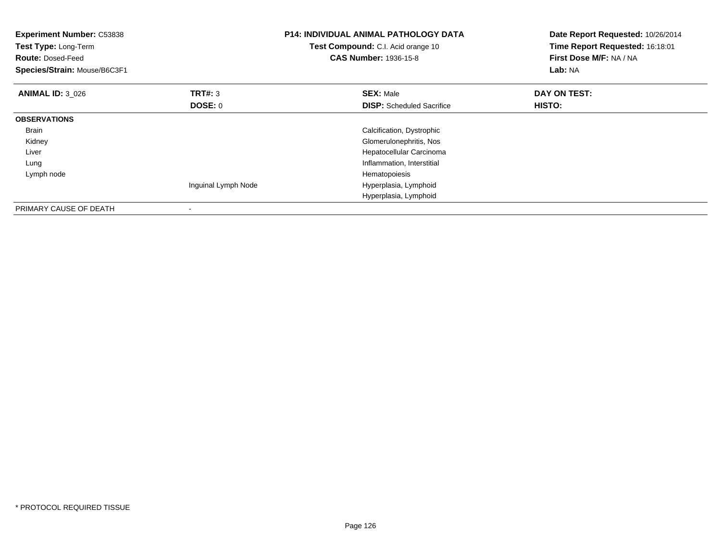| <b>Experiment Number: C53838</b><br>Test Type: Long-Term<br><b>Route: Dosed-Feed</b><br>Species/Strain: Mouse/B6C3F1 |                     | <b>P14: INDIVIDUAL ANIMAL PATHOLOGY DATA</b><br>Test Compound: C.I. Acid orange 10<br><b>CAS Number: 1936-15-8</b> | Date Report Requested: 10/26/2014<br>Time Report Requested: 16:18:01<br>First Dose M/F: NA / NA<br>Lab: NA |
|----------------------------------------------------------------------------------------------------------------------|---------------------|--------------------------------------------------------------------------------------------------------------------|------------------------------------------------------------------------------------------------------------|
| <b>ANIMAL ID: 3 026</b>                                                                                              | TRT#: 3             | <b>SEX: Male</b>                                                                                                   | DAY ON TEST:                                                                                               |
|                                                                                                                      | DOSE: 0             | <b>DISP:</b> Scheduled Sacrifice                                                                                   | <b>HISTO:</b>                                                                                              |
| <b>OBSERVATIONS</b>                                                                                                  |                     |                                                                                                                    |                                                                                                            |
| Brain                                                                                                                |                     | Calcification, Dystrophic                                                                                          |                                                                                                            |
| Kidney                                                                                                               |                     | Glomerulonephritis, Nos                                                                                            |                                                                                                            |
| Liver                                                                                                                |                     | Hepatocellular Carcinoma                                                                                           |                                                                                                            |
| Lung                                                                                                                 |                     | Inflammation, Interstitial                                                                                         |                                                                                                            |
| Lymph node                                                                                                           |                     | Hematopoiesis                                                                                                      |                                                                                                            |
|                                                                                                                      | Inguinal Lymph Node | Hyperplasia, Lymphoid                                                                                              |                                                                                                            |
|                                                                                                                      |                     | Hyperplasia, Lymphoid                                                                                              |                                                                                                            |
| PRIMARY CAUSE OF DEATH                                                                                               |                     |                                                                                                                    |                                                                                                            |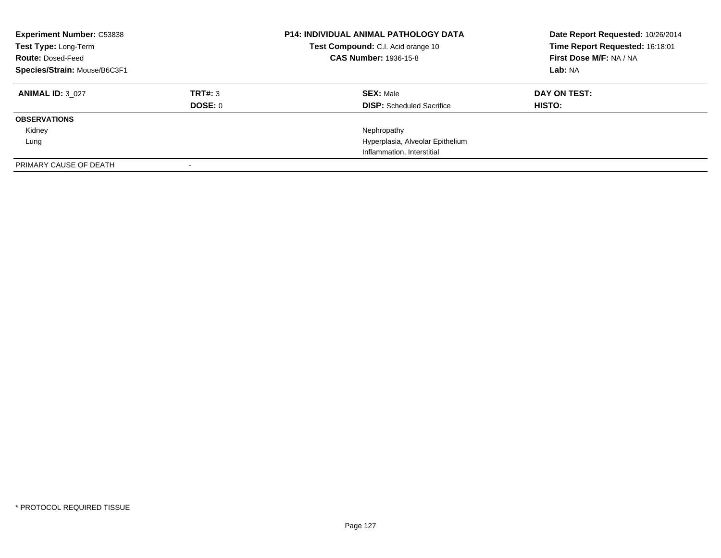| <b>Experiment Number: C53838</b><br>Test Type: Long-Term<br><b>Route: Dosed-Feed</b><br>Species/Strain: Mouse/B6C3F1 |                    | <b>P14: INDIVIDUAL ANIMAL PATHOLOGY DATA</b><br>Test Compound: C.I. Acid orange 10<br><b>CAS Number: 1936-15-8</b> | Date Report Requested: 10/26/2014<br>Time Report Requested: 16:18:01<br>First Dose M/F: NA / NA<br>Lab: NA |
|----------------------------------------------------------------------------------------------------------------------|--------------------|--------------------------------------------------------------------------------------------------------------------|------------------------------------------------------------------------------------------------------------|
| <b>ANIMAL ID: 3 027</b>                                                                                              | TRT#: 3<br>DOSE: 0 | <b>SEX: Male</b><br><b>DISP:</b> Scheduled Sacrifice                                                               | DAY ON TEST:<br><b>HISTO:</b>                                                                              |
| <b>OBSERVATIONS</b>                                                                                                  |                    |                                                                                                                    |                                                                                                            |
| Kidney                                                                                                               |                    | Nephropathy                                                                                                        |                                                                                                            |
| Lung                                                                                                                 |                    | Hyperplasia, Alveolar Epithelium                                                                                   |                                                                                                            |
|                                                                                                                      |                    | Inflammation, Interstitial                                                                                         |                                                                                                            |
| PRIMARY CAUSE OF DEATH                                                                                               |                    |                                                                                                                    |                                                                                                            |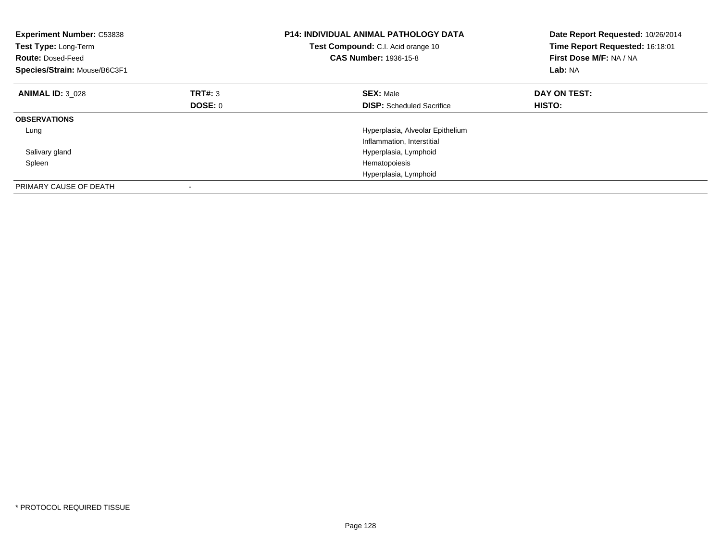| <b>Experiment Number: C53838</b><br>Test Type: Long-Term<br><b>Route: Dosed-Feed</b><br>Species/Strain: Mouse/B6C3F1 |         | <b>P14: INDIVIDUAL ANIMAL PATHOLOGY DATA</b><br>Test Compound: C.I. Acid orange 10<br><b>CAS Number: 1936-15-8</b> | Date Report Requested: 10/26/2014<br>Time Report Requested: 16:18:01<br>First Dose M/F: NA / NA<br>Lab: NA |
|----------------------------------------------------------------------------------------------------------------------|---------|--------------------------------------------------------------------------------------------------------------------|------------------------------------------------------------------------------------------------------------|
| <b>ANIMAL ID: 3 028</b>                                                                                              | TRT#: 3 | <b>SEX: Male</b>                                                                                                   | DAY ON TEST:                                                                                               |
|                                                                                                                      | DOSE: 0 | <b>DISP:</b> Scheduled Sacrifice                                                                                   | HISTO:                                                                                                     |
| <b>OBSERVATIONS</b>                                                                                                  |         |                                                                                                                    |                                                                                                            |
| Lung                                                                                                                 |         | Hyperplasia, Alveolar Epithelium                                                                                   |                                                                                                            |
|                                                                                                                      |         | Inflammation, Interstitial                                                                                         |                                                                                                            |
| Salivary gland                                                                                                       |         | Hyperplasia, Lymphoid                                                                                              |                                                                                                            |
| Spleen                                                                                                               |         | Hematopoiesis                                                                                                      |                                                                                                            |
|                                                                                                                      |         | Hyperplasia, Lymphoid                                                                                              |                                                                                                            |
| PRIMARY CAUSE OF DEATH                                                                                               |         |                                                                                                                    |                                                                                                            |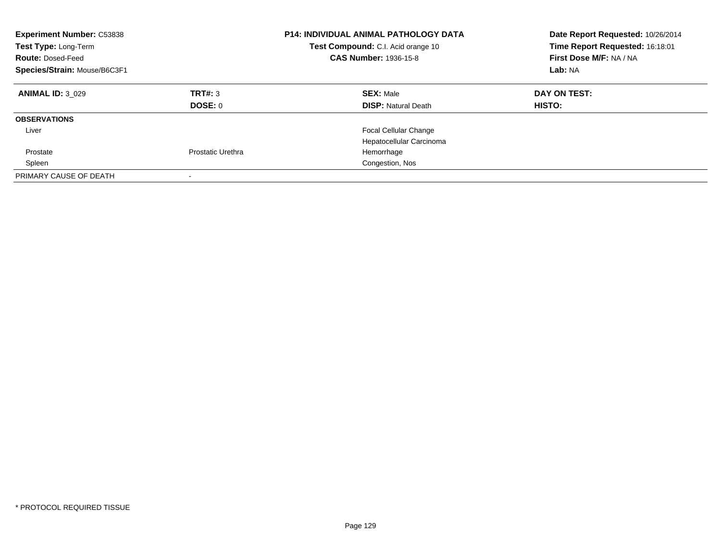| <b>Experiment Number: C53838</b><br>Test Type: Long-Term<br><b>Route: Dosed-Feed</b><br>Species/Strain: Mouse/B6C3F1 |                          | P14: INDIVIDUAL ANIMAL PATHOLOGY DATA<br>Test Compound: C.I. Acid orange 10<br><b>CAS Number: 1936-15-8</b> | Date Report Requested: 10/26/2014<br>Time Report Requested: 16:18:01<br>First Dose M/F: NA / NA<br>Lab: NA |
|----------------------------------------------------------------------------------------------------------------------|--------------------------|-------------------------------------------------------------------------------------------------------------|------------------------------------------------------------------------------------------------------------|
| <b>ANIMAL ID: 3 029</b>                                                                                              | TRT#: 3<br>DOSE: 0       | <b>SEX: Male</b><br><b>DISP:</b> Natural Death                                                              | DAY ON TEST:<br>HISTO:                                                                                     |
| <b>OBSERVATIONS</b>                                                                                                  |                          |                                                                                                             |                                                                                                            |
| Liver                                                                                                                |                          | <b>Focal Cellular Change</b><br>Hepatocellular Carcinoma                                                    |                                                                                                            |
| Prostate                                                                                                             | Prostatic Urethra        | Hemorrhage                                                                                                  |                                                                                                            |
| Spleen                                                                                                               |                          | Congestion, Nos                                                                                             |                                                                                                            |
| PRIMARY CAUSE OF DEATH                                                                                               | $\overline{\phantom{a}}$ |                                                                                                             |                                                                                                            |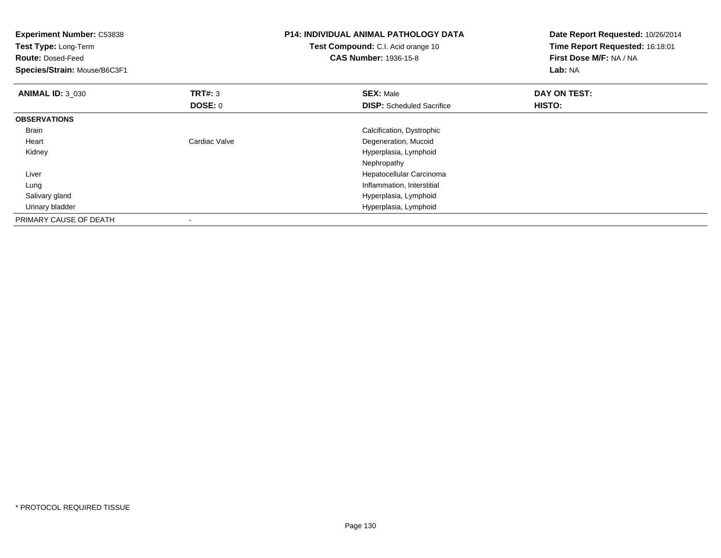| <b>Experiment Number: C53838</b><br>Test Type: Long-Term<br><b>Route: Dosed-Feed</b><br>Species/Strain: Mouse/B6C3F1 |                | <b>P14: INDIVIDUAL ANIMAL PATHOLOGY DATA</b><br>Test Compound: C.I. Acid orange 10<br><b>CAS Number: 1936-15-8</b> | Date Report Requested: 10/26/2014<br>Time Report Requested: 16:18:01<br>First Dose M/F: NA / NA<br>Lab: NA |
|----------------------------------------------------------------------------------------------------------------------|----------------|--------------------------------------------------------------------------------------------------------------------|------------------------------------------------------------------------------------------------------------|
| <b>ANIMAL ID: 3 030</b>                                                                                              | <b>TRT#: 3</b> | <b>SEX: Male</b>                                                                                                   | DAY ON TEST:                                                                                               |
|                                                                                                                      | DOSE: 0        | <b>DISP:</b> Scheduled Sacrifice                                                                                   | HISTO:                                                                                                     |
| <b>OBSERVATIONS</b>                                                                                                  |                |                                                                                                                    |                                                                                                            |
| <b>Brain</b>                                                                                                         |                | Calcification, Dystrophic                                                                                          |                                                                                                            |
| Heart                                                                                                                | Cardiac Valve  | Degeneration, Mucoid                                                                                               |                                                                                                            |
| Kidney                                                                                                               |                | Hyperplasia, Lymphoid                                                                                              |                                                                                                            |
|                                                                                                                      |                | Nephropathy                                                                                                        |                                                                                                            |
| Liver                                                                                                                |                | Hepatocellular Carcinoma                                                                                           |                                                                                                            |
| Lung                                                                                                                 |                | Inflammation, Interstitial                                                                                         |                                                                                                            |
| Salivary gland                                                                                                       |                | Hyperplasia, Lymphoid                                                                                              |                                                                                                            |
| Urinary bladder                                                                                                      |                | Hyperplasia, Lymphoid                                                                                              |                                                                                                            |
| PRIMARY CAUSE OF DEATH                                                                                               |                |                                                                                                                    |                                                                                                            |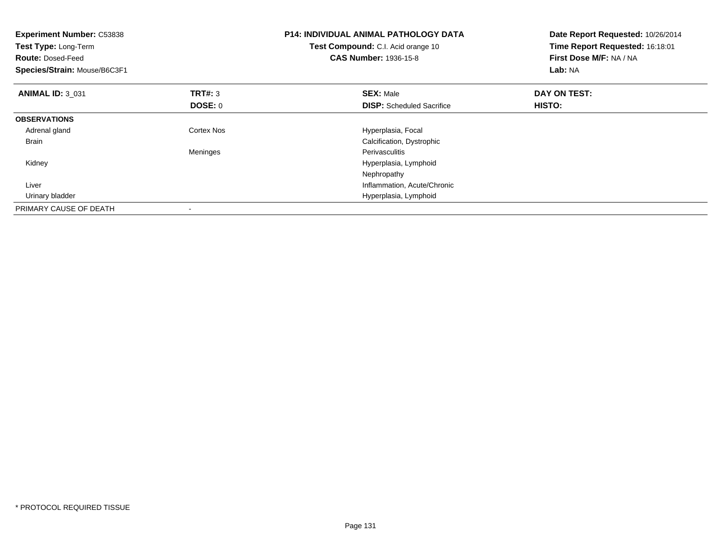| <b>Experiment Number: C53838</b><br>Test Type: Long-Term<br><b>Route: Dosed-Feed</b><br>Species/Strain: Mouse/B6C3F1 |                           | <b>P14: INDIVIDUAL ANIMAL PATHOLOGY DATA</b><br>Test Compound: C.I. Acid orange 10<br><b>CAS Number: 1936-15-8</b> | Date Report Requested: 10/26/2014<br>Time Report Requested: 16:18:01<br>First Dose M/F: NA / NA<br>Lab: NA |
|----------------------------------------------------------------------------------------------------------------------|---------------------------|--------------------------------------------------------------------------------------------------------------------|------------------------------------------------------------------------------------------------------------|
| <b>ANIMAL ID: 3_031</b>                                                                                              | <b>TRT#: 3</b><br>DOSE: 0 | <b>SEX: Male</b><br><b>DISP:</b> Scheduled Sacrifice                                                               | DAY ON TEST:<br>HISTO:                                                                                     |
| <b>OBSERVATIONS</b>                                                                                                  |                           |                                                                                                                    |                                                                                                            |
| Adrenal gland                                                                                                        | Cortex Nos                | Hyperplasia, Focal                                                                                                 |                                                                                                            |
| <b>Brain</b>                                                                                                         |                           | Calcification, Dystrophic                                                                                          |                                                                                                            |
|                                                                                                                      | Meninges                  | <b>Perivasculitis</b>                                                                                              |                                                                                                            |
| Kidney                                                                                                               |                           | Hyperplasia, Lymphoid                                                                                              |                                                                                                            |
|                                                                                                                      |                           | Nephropathy                                                                                                        |                                                                                                            |
| Liver                                                                                                                |                           | Inflammation, Acute/Chronic                                                                                        |                                                                                                            |
| Urinary bladder                                                                                                      |                           | Hyperplasia, Lymphoid                                                                                              |                                                                                                            |
| PRIMARY CAUSE OF DEATH                                                                                               |                           |                                                                                                                    |                                                                                                            |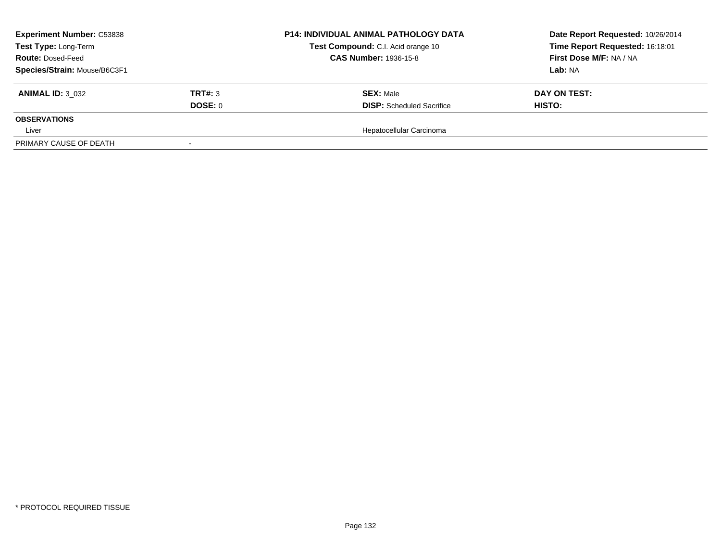| <b>Experiment Number: C53838</b><br>Test Type: Long-Term<br><b>Route: Dosed-Feed</b> |         | <b>P14: INDIVIDUAL ANIMAL PATHOLOGY DATA</b> | Date Report Requested: 10/26/2014 |
|--------------------------------------------------------------------------------------|---------|----------------------------------------------|-----------------------------------|
|                                                                                      |         | Test Compound: C.I. Acid orange 10           | Time Report Requested: 16:18:01   |
|                                                                                      |         | <b>CAS Number: 1936-15-8</b>                 | First Dose M/F: NA / NA           |
| Species/Strain: Mouse/B6C3F1                                                         |         |                                              | Lab: NA                           |
| <b>ANIMAL ID: 3 032</b>                                                              | TRT#: 3 | <b>SEX: Male</b>                             | DAY ON TEST:                      |
|                                                                                      | DOSE: 0 | <b>DISP:</b> Scheduled Sacrifice             | HISTO:                            |
| <b>OBSERVATIONS</b>                                                                  |         |                                              |                                   |
| Liver                                                                                |         | Hepatocellular Carcinoma                     |                                   |
| PRIMARY CAUSE OF DEATH                                                               |         |                                              |                                   |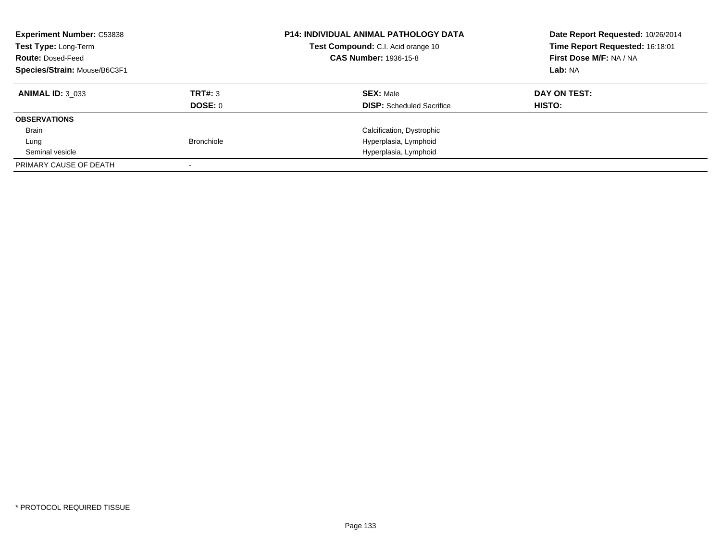| <b>Experiment Number: C53838</b><br>Test Type: Long-Term<br><b>Route: Dosed-Feed</b><br>Species/Strain: Mouse/B6C3F1 |                   | <b>P14: INDIVIDUAL ANIMAL PATHOLOGY DATA</b><br>Test Compound: C.I. Acid orange 10<br><b>CAS Number: 1936-15-8</b> | Date Report Requested: 10/26/2014<br>Time Report Requested: 16:18:01<br>First Dose M/F: NA / NA<br>Lab: NA |
|----------------------------------------------------------------------------------------------------------------------|-------------------|--------------------------------------------------------------------------------------------------------------------|------------------------------------------------------------------------------------------------------------|
| <b>ANIMAL ID: 3 033</b>                                                                                              | TRT#: 3           | <b>SEX: Male</b>                                                                                                   | DAY ON TEST:                                                                                               |
|                                                                                                                      | DOSE: 0           | <b>DISP:</b> Scheduled Sacrifice                                                                                   | HISTO:                                                                                                     |
| <b>OBSERVATIONS</b>                                                                                                  |                   |                                                                                                                    |                                                                                                            |
| Brain                                                                                                                |                   | Calcification, Dystrophic                                                                                          |                                                                                                            |
| Lung                                                                                                                 | <b>Bronchiole</b> | Hyperplasia, Lymphoid                                                                                              |                                                                                                            |
| Seminal vesicle                                                                                                      |                   | Hyperplasia, Lymphoid                                                                                              |                                                                                                            |
| PRIMARY CAUSE OF DEATH                                                                                               |                   |                                                                                                                    |                                                                                                            |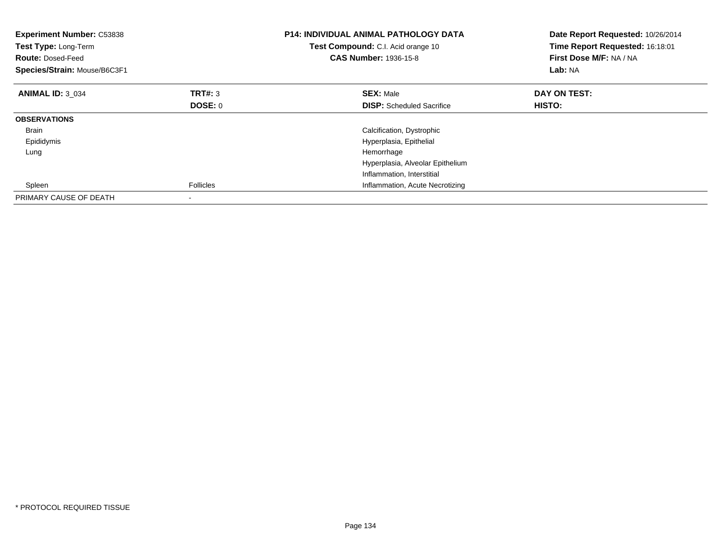| <b>Experiment Number: C53838</b><br>Test Type: Long-Term<br><b>Route: Dosed-Feed</b><br>Species/Strain: Mouse/B6C3F1 |                  | <b>P14: INDIVIDUAL ANIMAL PATHOLOGY DATA</b><br>Test Compound: C.I. Acid orange 10<br><b>CAS Number: 1936-15-8</b> | Date Report Requested: 10/26/2014<br>Time Report Requested: 16:18:01<br>First Dose M/F: NA / NA<br><b>Lab: NA</b> |
|----------------------------------------------------------------------------------------------------------------------|------------------|--------------------------------------------------------------------------------------------------------------------|-------------------------------------------------------------------------------------------------------------------|
| <b>ANIMAL ID: 3 034</b>                                                                                              | TRT#: 3          | <b>SEX: Male</b>                                                                                                   | DAY ON TEST:                                                                                                      |
|                                                                                                                      | DOSE: 0          | <b>DISP:</b> Scheduled Sacrifice                                                                                   | HISTO:                                                                                                            |
| <b>OBSERVATIONS</b>                                                                                                  |                  |                                                                                                                    |                                                                                                                   |
| Brain                                                                                                                |                  | Calcification, Dystrophic                                                                                          |                                                                                                                   |
| Epididymis                                                                                                           |                  | Hyperplasia, Epithelial                                                                                            |                                                                                                                   |
| Lung                                                                                                                 |                  | Hemorrhage                                                                                                         |                                                                                                                   |
|                                                                                                                      |                  | Hyperplasia, Alveolar Epithelium                                                                                   |                                                                                                                   |
|                                                                                                                      |                  | Inflammation, Interstitial                                                                                         |                                                                                                                   |
| Spleen                                                                                                               | <b>Follicles</b> | Inflammation, Acute Necrotizing                                                                                    |                                                                                                                   |
| PRIMARY CAUSE OF DEATH                                                                                               |                  |                                                                                                                    |                                                                                                                   |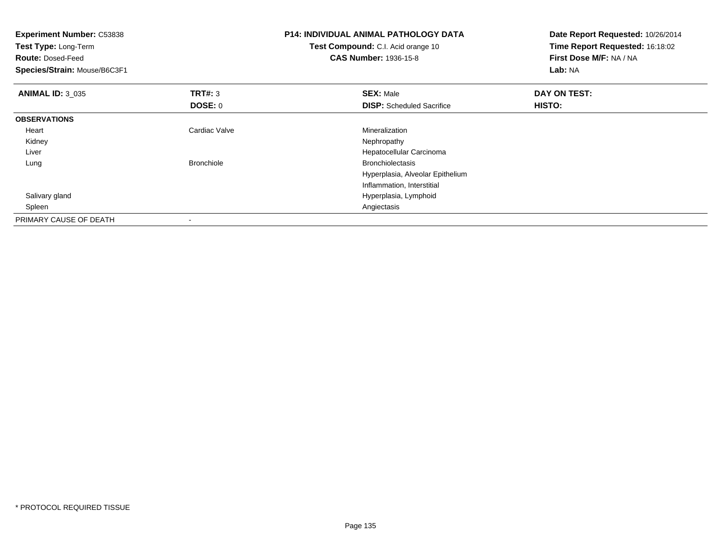| <b>Experiment Number: C53838</b><br>Test Type: Long-Term<br><b>Route: Dosed-Feed</b> |                   | <b>P14: INDIVIDUAL ANIMAL PATHOLOGY DATA</b><br>Test Compound: C.I. Acid orange 10<br><b>CAS Number: 1936-15-8</b> | Date Report Requested: 10/26/2014<br>Time Report Requested: 16:18:02<br>First Dose M/F: NA / NA |
|--------------------------------------------------------------------------------------|-------------------|--------------------------------------------------------------------------------------------------------------------|-------------------------------------------------------------------------------------------------|
| Species/Strain: Mouse/B6C3F1                                                         |                   |                                                                                                                    | Lab: NA                                                                                         |
| <b>ANIMAL ID: 3 035</b>                                                              | <b>TRT#: 3</b>    | <b>SEX: Male</b>                                                                                                   | DAY ON TEST:                                                                                    |
|                                                                                      | DOSE: 0           | <b>DISP:</b> Scheduled Sacrifice                                                                                   | <b>HISTO:</b>                                                                                   |
| <b>OBSERVATIONS</b>                                                                  |                   |                                                                                                                    |                                                                                                 |
| Heart                                                                                | Cardiac Valve     | Mineralization                                                                                                     |                                                                                                 |
| Kidney                                                                               |                   | Nephropathy                                                                                                        |                                                                                                 |
| Liver                                                                                |                   | Hepatocellular Carcinoma                                                                                           |                                                                                                 |
| Lung                                                                                 | <b>Bronchiole</b> | <b>Bronchiolectasis</b>                                                                                            |                                                                                                 |
|                                                                                      |                   | Hyperplasia, Alveolar Epithelium                                                                                   |                                                                                                 |
|                                                                                      |                   | Inflammation, Interstitial                                                                                         |                                                                                                 |
| Salivary gland                                                                       |                   | Hyperplasia, Lymphoid                                                                                              |                                                                                                 |
| Spleen                                                                               |                   | Angiectasis                                                                                                        |                                                                                                 |
| PRIMARY CAUSE OF DEATH                                                               |                   |                                                                                                                    |                                                                                                 |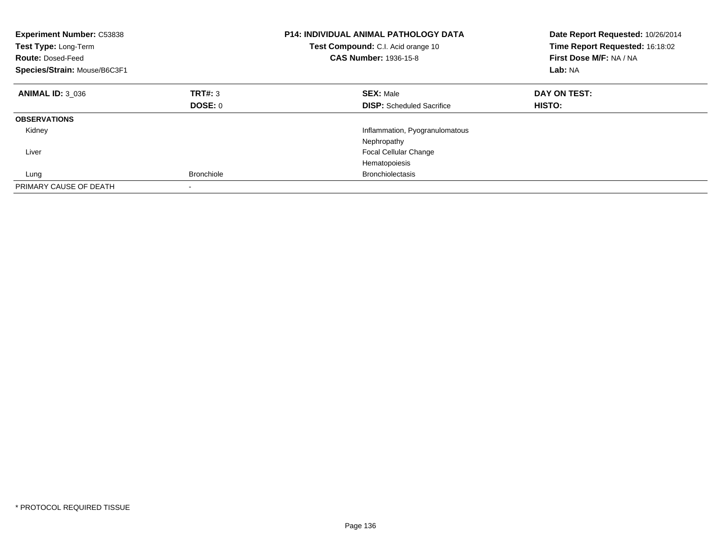| <b>Experiment Number: C53838</b><br>Test Type: Long-Term<br><b>Route: Dosed-Feed</b><br>Species/Strain: Mouse/B6C3F1 |                   | <b>P14: INDIVIDUAL ANIMAL PATHOLOGY DATA</b><br>Test Compound: C.I. Acid orange 10<br><b>CAS Number: 1936-15-8</b> | Date Report Requested: 10/26/2014<br>Time Report Requested: 16:18:02<br>First Dose M/F: NA / NA<br>Lab: NA |
|----------------------------------------------------------------------------------------------------------------------|-------------------|--------------------------------------------------------------------------------------------------------------------|------------------------------------------------------------------------------------------------------------|
| <b>ANIMAL ID: 3 036</b>                                                                                              | TRT#: 3           | <b>SEX: Male</b>                                                                                                   | DAY ON TEST:                                                                                               |
|                                                                                                                      | DOSE: 0           | <b>DISP:</b> Scheduled Sacrifice                                                                                   | <b>HISTO:</b>                                                                                              |
| <b>OBSERVATIONS</b>                                                                                                  |                   |                                                                                                                    |                                                                                                            |
| Kidney                                                                                                               |                   | Inflammation, Pyogranulomatous                                                                                     |                                                                                                            |
|                                                                                                                      |                   | Nephropathy                                                                                                        |                                                                                                            |
| Liver                                                                                                                |                   | <b>Focal Cellular Change</b>                                                                                       |                                                                                                            |
|                                                                                                                      |                   | Hematopoiesis                                                                                                      |                                                                                                            |
| Lung                                                                                                                 | <b>Bronchiole</b> | <b>Bronchiolectasis</b>                                                                                            |                                                                                                            |
| PRIMARY CAUSE OF DEATH                                                                                               |                   |                                                                                                                    |                                                                                                            |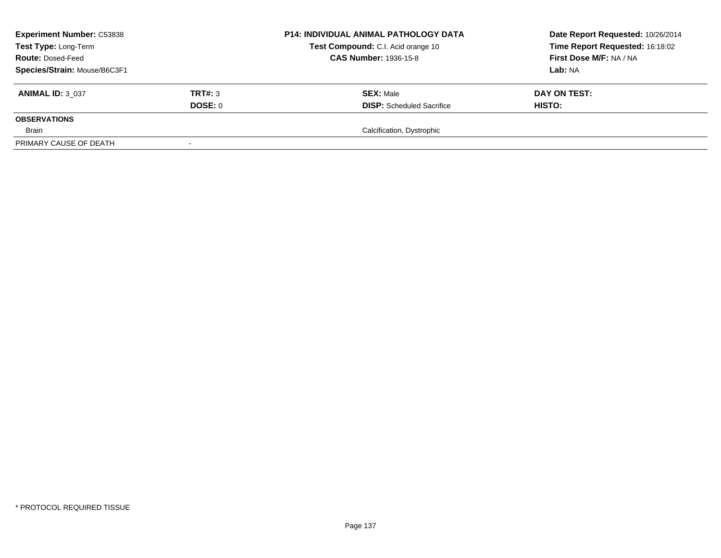| <b>Experiment Number: C53838</b><br>Test Type: Long-Term<br><b>Route: Dosed-Feed</b><br>Species/Strain: Mouse/B6C3F1 |                    | <b>P14: INDIVIDUAL ANIMAL PATHOLOGY DATA</b><br>Test Compound: C.I. Acid orange 10<br><b>CAS Number: 1936-15-8</b> | Date Report Requested: 10/26/2014<br>Time Report Requested: 16:18:02<br>First Dose M/F: NA / NA<br>Lab: NA |
|----------------------------------------------------------------------------------------------------------------------|--------------------|--------------------------------------------------------------------------------------------------------------------|------------------------------------------------------------------------------------------------------------|
| <b>ANIMAL ID: 3 037</b>                                                                                              | TRT#: 3<br>DOSE: 0 | <b>SEX: Male</b><br><b>DISP:</b> Scheduled Sacrifice                                                               | DAY ON TEST:<br>HISTO:                                                                                     |
| <b>OBSERVATIONS</b>                                                                                                  |                    |                                                                                                                    |                                                                                                            |
| Brain                                                                                                                |                    | Calcification, Dystrophic                                                                                          |                                                                                                            |
| PRIMARY CAUSE OF DEATH                                                                                               |                    |                                                                                                                    |                                                                                                            |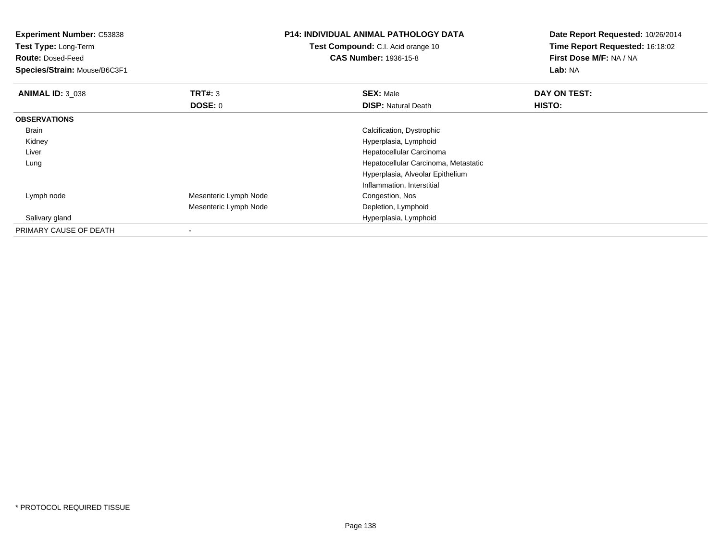| <b>Experiment Number: C53838</b><br><b>Test Type: Long-Term</b><br><b>Route: Dosed-Feed</b><br>Species/Strain: Mouse/B6C3F1 |                       | <b>P14: INDIVIDUAL ANIMAL PATHOLOGY DATA</b><br>Test Compound: C.I. Acid orange 10<br><b>CAS Number: 1936-15-8</b> | Date Report Requested: 10/26/2014<br>Time Report Requested: 16:18:02<br>First Dose M/F: NA / NA<br>Lab: NA |
|-----------------------------------------------------------------------------------------------------------------------------|-----------------------|--------------------------------------------------------------------------------------------------------------------|------------------------------------------------------------------------------------------------------------|
| <b>ANIMAL ID: 3_038</b>                                                                                                     | <b>TRT#: 3</b>        | <b>SEX: Male</b>                                                                                                   | DAY ON TEST:                                                                                               |
|                                                                                                                             | DOSE: 0               | <b>DISP: Natural Death</b>                                                                                         | HISTO:                                                                                                     |
| <b>OBSERVATIONS</b>                                                                                                         |                       |                                                                                                                    |                                                                                                            |
| Brain                                                                                                                       |                       | Calcification, Dystrophic                                                                                          |                                                                                                            |
| Kidney                                                                                                                      |                       | Hyperplasia, Lymphoid                                                                                              |                                                                                                            |
| Liver                                                                                                                       |                       | Hepatocellular Carcinoma                                                                                           |                                                                                                            |
| Lung                                                                                                                        |                       | Hepatocellular Carcinoma, Metastatic                                                                               |                                                                                                            |
|                                                                                                                             |                       | Hyperplasia, Alveolar Epithelium                                                                                   |                                                                                                            |
|                                                                                                                             |                       | Inflammation, Interstitial                                                                                         |                                                                                                            |
| Lymph node                                                                                                                  | Mesenteric Lymph Node | Congestion, Nos                                                                                                    |                                                                                                            |
|                                                                                                                             | Mesenteric Lymph Node | Depletion, Lymphoid                                                                                                |                                                                                                            |
| Salivary gland                                                                                                              |                       | Hyperplasia, Lymphoid                                                                                              |                                                                                                            |
| PRIMARY CAUSE OF DEATH                                                                                                      | $\,$                  |                                                                                                                    |                                                                                                            |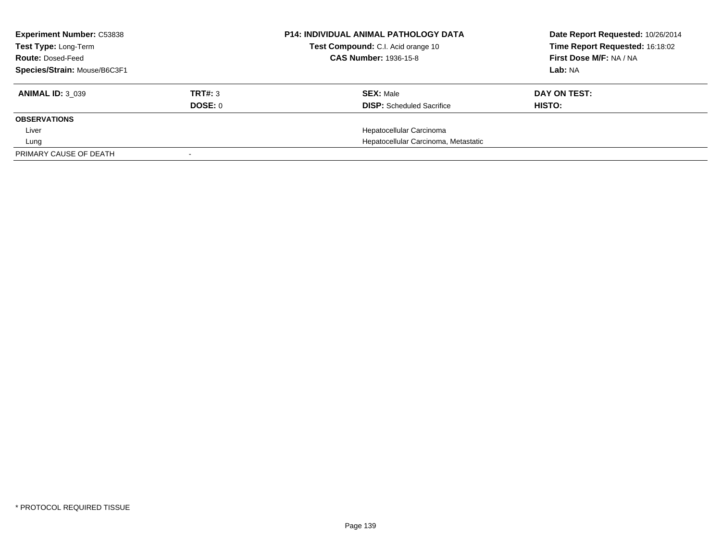| <b>Experiment Number: C53838</b><br>Test Type: Long-Term |         | <b>P14: INDIVIDUAL ANIMAL PATHOLOGY DATA</b><br>Test Compound: C.I. Acid orange 10 | Date Report Requested: 10/26/2014<br>Time Report Requested: 16:18:02 |
|----------------------------------------------------------|---------|------------------------------------------------------------------------------------|----------------------------------------------------------------------|
| <b>Route: Dosed-Feed</b>                                 |         | <b>CAS Number: 1936-15-8</b>                                                       | First Dose M/F: NA / NA                                              |
| Species/Strain: Mouse/B6C3F1                             |         |                                                                                    | Lab: NA                                                              |
| <b>ANIMAL ID: 3 039</b>                                  | TRT#: 3 | <b>SEX: Male</b>                                                                   | DAY ON TEST:                                                         |
|                                                          | DOSE: 0 | <b>DISP:</b> Scheduled Sacrifice                                                   | HISTO:                                                               |
| <b>OBSERVATIONS</b>                                      |         |                                                                                    |                                                                      |
| Liver                                                    |         | Hepatocellular Carcinoma                                                           |                                                                      |
| Lung                                                     |         | Hepatocellular Carcinoma, Metastatic                                               |                                                                      |
| PRIMARY CAUSE OF DEATH                                   |         |                                                                                    |                                                                      |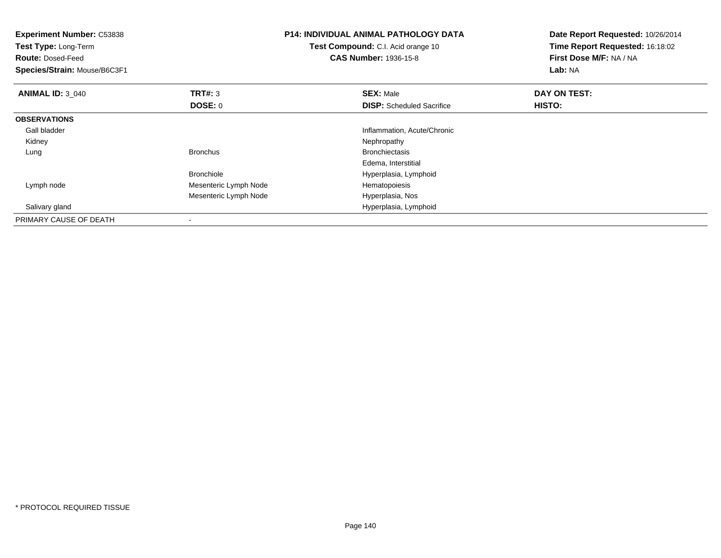| <b>Experiment Number: C53838</b><br>Test Type: Long-Term<br><b>Route: Dosed-Feed</b><br>Species/Strain: Mouse/B6C3F1 |                       | <b>P14: INDIVIDUAL ANIMAL PATHOLOGY DATA</b><br>Test Compound: C.I. Acid orange 10<br><b>CAS Number: 1936-15-8</b> | Date Report Requested: 10/26/2014<br>Time Report Requested: 16:18:02<br>First Dose M/F: NA / NA<br>Lab: NA |
|----------------------------------------------------------------------------------------------------------------------|-----------------------|--------------------------------------------------------------------------------------------------------------------|------------------------------------------------------------------------------------------------------------|
| <b>ANIMAL ID: 3 040</b>                                                                                              | <b>TRT#: 3</b>        | <b>SEX: Male</b>                                                                                                   | DAY ON TEST:                                                                                               |
|                                                                                                                      | DOSE: 0               | <b>DISP:</b> Scheduled Sacrifice                                                                                   | HISTO:                                                                                                     |
| <b>OBSERVATIONS</b>                                                                                                  |                       |                                                                                                                    |                                                                                                            |
| Gall bladder                                                                                                         |                       | Inflammation, Acute/Chronic                                                                                        |                                                                                                            |
| Kidney                                                                                                               |                       | Nephropathy                                                                                                        |                                                                                                            |
| Lung                                                                                                                 | <b>Bronchus</b>       | <b>Bronchiectasis</b>                                                                                              |                                                                                                            |
|                                                                                                                      |                       | Edema, Interstitial                                                                                                |                                                                                                            |
|                                                                                                                      | <b>Bronchiole</b>     | Hyperplasia, Lymphoid                                                                                              |                                                                                                            |
| Lymph node                                                                                                           | Mesenteric Lymph Node | Hematopoiesis                                                                                                      |                                                                                                            |
|                                                                                                                      | Mesenteric Lymph Node | Hyperplasia, Nos                                                                                                   |                                                                                                            |
| Salivary gland                                                                                                       |                       | Hyperplasia, Lymphoid                                                                                              |                                                                                                            |
| PRIMARY CAUSE OF DEATH                                                                                               |                       |                                                                                                                    |                                                                                                            |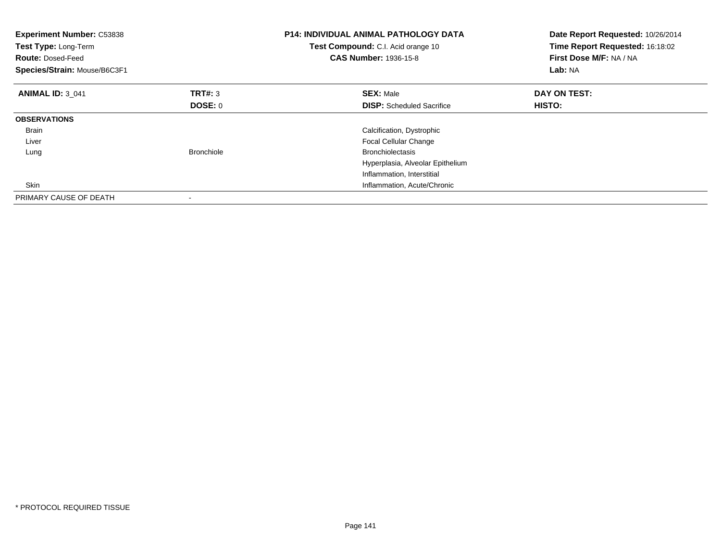| <b>Experiment Number: C53838</b><br>Test Type: Long-Term<br><b>Route:</b> Dosed-Feed<br>Species/Strain: Mouse/B6C3F1 |                   | <b>P14: INDIVIDUAL ANIMAL PATHOLOGY DATA</b><br>Test Compound: C.I. Acid orange 10<br><b>CAS Number: 1936-15-8</b> | Date Report Requested: 10/26/2014<br>Time Report Requested: 16:18:02<br>First Dose M/F: NA / NA<br>Lab: NA |
|----------------------------------------------------------------------------------------------------------------------|-------------------|--------------------------------------------------------------------------------------------------------------------|------------------------------------------------------------------------------------------------------------|
| <b>ANIMAL ID: 3 041</b>                                                                                              | TRT#: 3           | <b>SEX: Male</b>                                                                                                   | DAY ON TEST:                                                                                               |
|                                                                                                                      | DOSE: 0           | <b>DISP:</b> Scheduled Sacrifice                                                                                   | <b>HISTO:</b>                                                                                              |
| <b>OBSERVATIONS</b>                                                                                                  |                   |                                                                                                                    |                                                                                                            |
| Brain                                                                                                                |                   | Calcification, Dystrophic                                                                                          |                                                                                                            |
| Liver                                                                                                                |                   | <b>Focal Cellular Change</b>                                                                                       |                                                                                                            |
| Lung                                                                                                                 | <b>Bronchiole</b> | <b>Bronchiolectasis</b>                                                                                            |                                                                                                            |
|                                                                                                                      |                   | Hyperplasia, Alveolar Epithelium                                                                                   |                                                                                                            |
|                                                                                                                      |                   | Inflammation, Interstitial                                                                                         |                                                                                                            |
| Skin                                                                                                                 |                   | Inflammation, Acute/Chronic                                                                                        |                                                                                                            |
| PRIMARY CAUSE OF DEATH                                                                                               |                   |                                                                                                                    |                                                                                                            |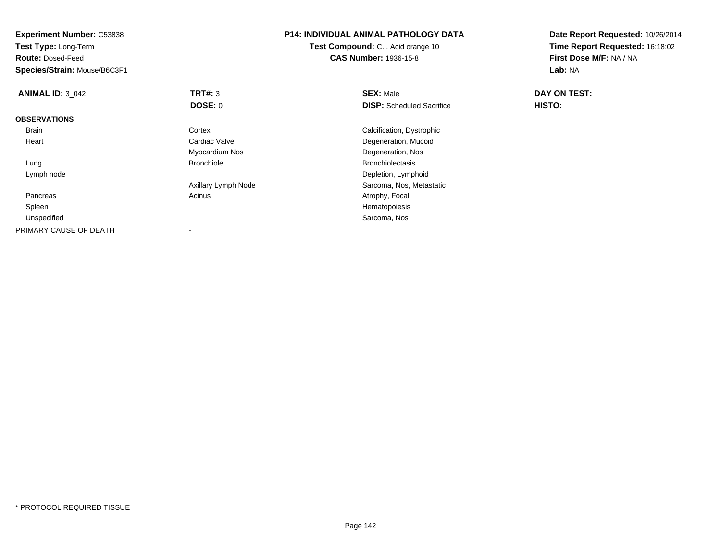| <b>Experiment Number: C53838</b><br>Test Type: Long-Term |                     | <b>P14: INDIVIDUAL ANIMAL PATHOLOGY DATA</b> | Date Report Requested: 10/26/2014<br>Time Report Requested: 16:18:02 |  |
|----------------------------------------------------------|---------------------|----------------------------------------------|----------------------------------------------------------------------|--|
|                                                          |                     | <b>Test Compound:</b> C.I. Acid orange 10    |                                                                      |  |
| <b>Route: Dosed-Feed</b>                                 |                     | <b>CAS Number: 1936-15-8</b>                 | First Dose M/F: NA / NA                                              |  |
| Species/Strain: Mouse/B6C3F1                             |                     |                                              | Lab: NA                                                              |  |
| <b>ANIMAL ID: 3 042</b>                                  | TRT#: 3             | <b>SEX: Male</b>                             | DAY ON TEST:                                                         |  |
|                                                          | DOSE: 0             | <b>DISP:</b> Scheduled Sacrifice             | HISTO:                                                               |  |
| <b>OBSERVATIONS</b>                                      |                     |                                              |                                                                      |  |
| Brain                                                    | Cortex              | Calcification, Dystrophic                    |                                                                      |  |
| Heart                                                    | Cardiac Valve       | Degeneration, Mucoid                         |                                                                      |  |
|                                                          | Myocardium Nos      | Degeneration, Nos                            |                                                                      |  |
| Lung                                                     | <b>Bronchiole</b>   | <b>Bronchiolectasis</b>                      |                                                                      |  |
| Lymph node                                               |                     | Depletion, Lymphoid                          |                                                                      |  |
|                                                          | Axillary Lymph Node | Sarcoma, Nos, Metastatic                     |                                                                      |  |
| Pancreas                                                 | Acinus              | Atrophy, Focal                               |                                                                      |  |
| Spleen                                                   |                     | Hematopoiesis                                |                                                                      |  |
| Unspecified                                              |                     | Sarcoma, Nos                                 |                                                                      |  |
| PRIMARY CAUSE OF DEATH                                   |                     |                                              |                                                                      |  |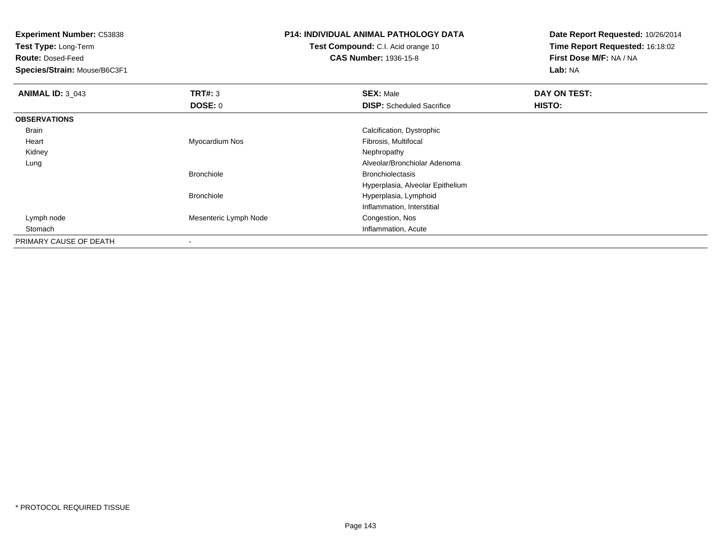**Test Type:** Long-Term

**Route:** Dosed-Feed

**Species/Strain:** Mouse/B6C3F1

# **P14: INDIVIDUAL ANIMAL PATHOLOGY DATA**

**Test Compound:** C.I. Acid orange 10**CAS Number:** 1936-15-8

| <b>ANIMAL ID: 3_043</b> | TRT#: 3               | <b>SEX: Male</b>                 | DAY ON TEST: |  |
|-------------------------|-----------------------|----------------------------------|--------------|--|
|                         | <b>DOSE: 0</b>        | <b>DISP:</b> Scheduled Sacrifice | HISTO:       |  |
| <b>OBSERVATIONS</b>     |                       |                                  |              |  |
| Brain                   |                       | Calcification, Dystrophic        |              |  |
| Heart                   | Myocardium Nos        | Fibrosis, Multifocal             |              |  |
| Kidney                  |                       | Nephropathy                      |              |  |
| Lung                    |                       | Alveolar/Bronchiolar Adenoma     |              |  |
|                         | <b>Bronchiole</b>     | <b>Bronchiolectasis</b>          |              |  |
|                         |                       | Hyperplasia, Alveolar Epithelium |              |  |
|                         | <b>Bronchiole</b>     | Hyperplasia, Lymphoid            |              |  |
|                         |                       | Inflammation, Interstitial       |              |  |
| Lymph node              | Mesenteric Lymph Node | Congestion, Nos                  |              |  |
| Stomach                 |                       | Inflammation, Acute              |              |  |
| PRIMARY CAUSE OF DEATH  |                       |                                  |              |  |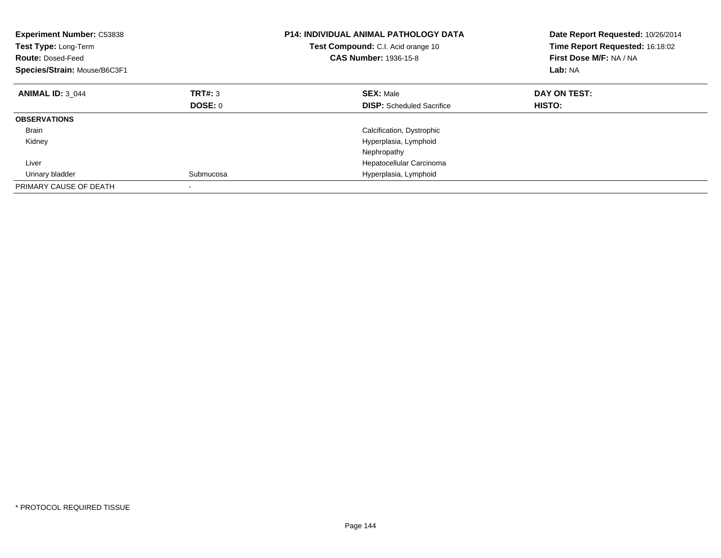| <b>Experiment Number: C53838</b><br>Test Type: Long-Term<br><b>Route: Dosed-Feed</b><br>Species/Strain: Mouse/B6C3F1 |           | <b>P14: INDIVIDUAL ANIMAL PATHOLOGY DATA</b><br>Test Compound: C.I. Acid orange 10<br><b>CAS Number: 1936-15-8</b> | Date Report Requested: 10/26/2014<br>Time Report Requested: 16:18:02<br>First Dose M/F: NA / NA<br>Lab: NA |
|----------------------------------------------------------------------------------------------------------------------|-----------|--------------------------------------------------------------------------------------------------------------------|------------------------------------------------------------------------------------------------------------|
| <b>ANIMAL ID: 3 044</b>                                                                                              | TRT#: 3   | <b>SEX: Male</b>                                                                                                   | DAY ON TEST:                                                                                               |
|                                                                                                                      | DOSE: 0   | <b>DISP:</b> Scheduled Sacrifice                                                                                   | HISTO:                                                                                                     |
| <b>OBSERVATIONS</b>                                                                                                  |           |                                                                                                                    |                                                                                                            |
| Brain                                                                                                                |           | Calcification, Dystrophic                                                                                          |                                                                                                            |
| Kidney                                                                                                               |           | Hyperplasia, Lymphoid                                                                                              |                                                                                                            |
|                                                                                                                      |           | Nephropathy                                                                                                        |                                                                                                            |
| Liver                                                                                                                |           | Hepatocellular Carcinoma                                                                                           |                                                                                                            |
| Urinary bladder                                                                                                      | Submucosa | Hyperplasia, Lymphoid                                                                                              |                                                                                                            |
| PRIMARY CAUSE OF DEATH                                                                                               |           |                                                                                                                    |                                                                                                            |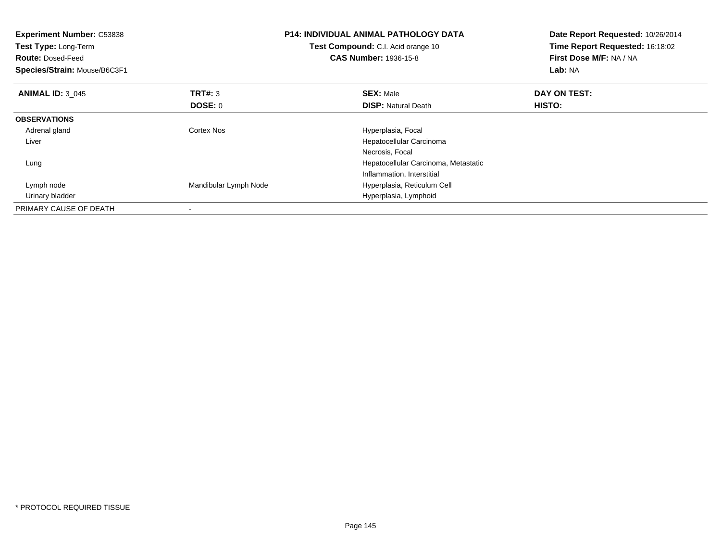| <b>Experiment Number: C53838</b><br>Test Type: Long-Term<br><b>Route: Dosed-Feed</b><br>Species/Strain: Mouse/B6C3F1 |                       | <b>P14: INDIVIDUAL ANIMAL PATHOLOGY DATA</b><br>Test Compound: C.I. Acid orange 10<br><b>CAS Number: 1936-15-8</b> | Date Report Requested: 10/26/2014<br>Time Report Requested: 16:18:02<br>First Dose M/F: NA / NA<br>Lab: NA |
|----------------------------------------------------------------------------------------------------------------------|-----------------------|--------------------------------------------------------------------------------------------------------------------|------------------------------------------------------------------------------------------------------------|
| <b>ANIMAL ID: 3 045</b>                                                                                              | TRT#: 3               | <b>SEX: Male</b>                                                                                                   | DAY ON TEST:                                                                                               |
|                                                                                                                      | DOSE: 0               | <b>DISP:</b> Natural Death                                                                                         | HISTO:                                                                                                     |
| <b>OBSERVATIONS</b>                                                                                                  |                       |                                                                                                                    |                                                                                                            |
| Adrenal gland                                                                                                        | Cortex Nos            | Hyperplasia, Focal                                                                                                 |                                                                                                            |
| Liver                                                                                                                |                       | Hepatocellular Carcinoma                                                                                           |                                                                                                            |
|                                                                                                                      |                       | Necrosis, Focal                                                                                                    |                                                                                                            |
| Lung                                                                                                                 |                       | Hepatocellular Carcinoma, Metastatic                                                                               |                                                                                                            |
|                                                                                                                      |                       | Inflammation, Interstitial                                                                                         |                                                                                                            |
| Lymph node                                                                                                           | Mandibular Lymph Node | Hyperplasia, Reticulum Cell                                                                                        |                                                                                                            |
| Urinary bladder                                                                                                      |                       | Hyperplasia, Lymphoid                                                                                              |                                                                                                            |
| PRIMARY CAUSE OF DEATH                                                                                               |                       |                                                                                                                    |                                                                                                            |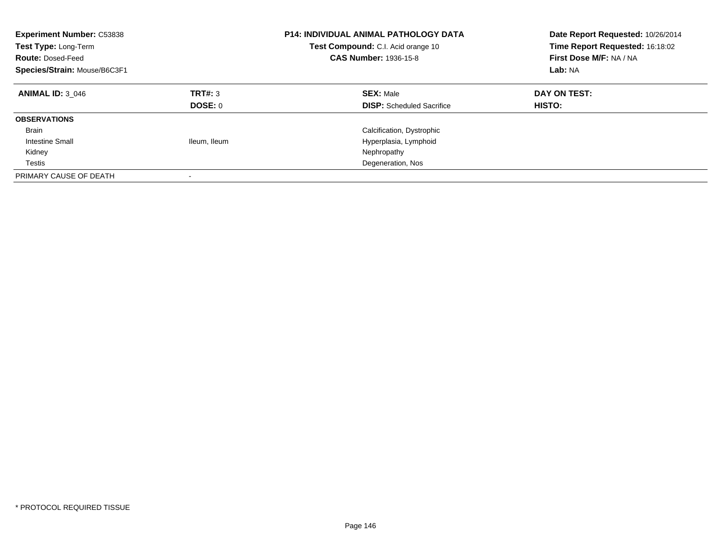| <b>Experiment Number: C53838</b><br>Test Type: Long-Term<br><b>Route: Dosed-Feed</b><br>Species/Strain: Mouse/B6C3F1 |                           | <b>P14: INDIVIDUAL ANIMAL PATHOLOGY DATA</b><br>Test Compound: C.I. Acid orange 10<br><b>CAS Number: 1936-15-8</b> | Date Report Requested: 10/26/2014<br>Time Report Requested: 16:18:02<br>First Dose M/F: NA / NA<br>Lab: NA |
|----------------------------------------------------------------------------------------------------------------------|---------------------------|--------------------------------------------------------------------------------------------------------------------|------------------------------------------------------------------------------------------------------------|
| <b>ANIMAL ID: 3 046</b>                                                                                              | TRT#: 3<br><b>DOSE: 0</b> | <b>SEX: Male</b><br><b>DISP:</b> Scheduled Sacrifice                                                               | DAY ON TEST:<br>HISTO:                                                                                     |
| <b>OBSERVATIONS</b>                                                                                                  |                           |                                                                                                                    |                                                                                                            |
| <b>Brain</b>                                                                                                         |                           | Calcification, Dystrophic                                                                                          |                                                                                                            |
| <b>Intestine Small</b>                                                                                               | Ileum, Ileum              | Hyperplasia, Lymphoid                                                                                              |                                                                                                            |
| Kidney                                                                                                               |                           | Nephropathy                                                                                                        |                                                                                                            |
| Testis                                                                                                               |                           | Degeneration, Nos                                                                                                  |                                                                                                            |
| PRIMARY CAUSE OF DEATH                                                                                               |                           |                                                                                                                    |                                                                                                            |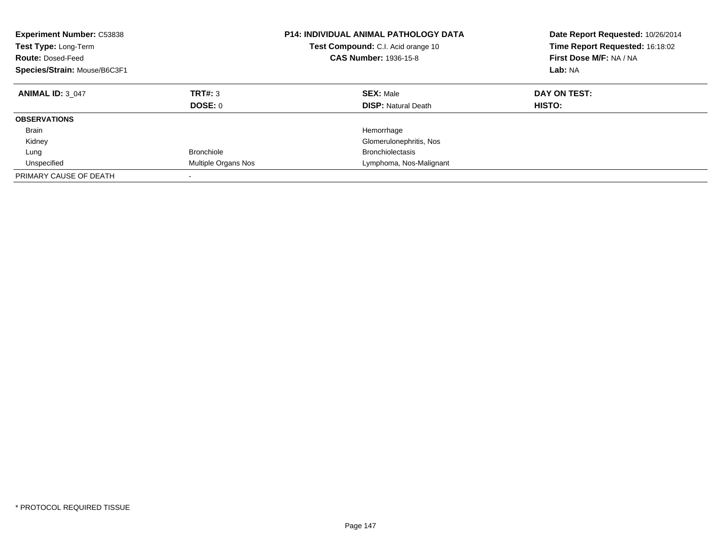| <b>Experiment Number: C53838</b><br>Test Type: Long-Term<br><b>Route: Dosed-Feed</b><br>Species/Strain: Mouse/B6C3F1 |                           | P14: INDIVIDUAL ANIMAL PATHOLOGY DATA<br>Test Compound: C.I. Acid orange 10<br><b>CAS Number: 1936-15-8</b> | Date Report Requested: 10/26/2014<br>Time Report Requested: 16:18:02<br>First Dose M/F: NA / NA<br>Lab: NA |
|----------------------------------------------------------------------------------------------------------------------|---------------------------|-------------------------------------------------------------------------------------------------------------|------------------------------------------------------------------------------------------------------------|
| <b>ANIMAL ID: 3 047</b>                                                                                              | <b>TRT#: 3</b><br>DOSE: 0 | <b>SEX: Male</b><br><b>DISP:</b> Natural Death                                                              | DAY ON TEST:<br>HISTO:                                                                                     |
| <b>OBSERVATIONS</b>                                                                                                  |                           |                                                                                                             |                                                                                                            |
| <b>Brain</b>                                                                                                         |                           | Hemorrhage                                                                                                  |                                                                                                            |
| Kidney                                                                                                               |                           | Glomerulonephritis, Nos                                                                                     |                                                                                                            |
| Lung                                                                                                                 | <b>Bronchiole</b>         | <b>Bronchiolectasis</b>                                                                                     |                                                                                                            |
| Unspecified                                                                                                          | Multiple Organs Nos       | Lymphoma, Nos-Malignant                                                                                     |                                                                                                            |
| PRIMARY CAUSE OF DEATH                                                                                               | -                         |                                                                                                             |                                                                                                            |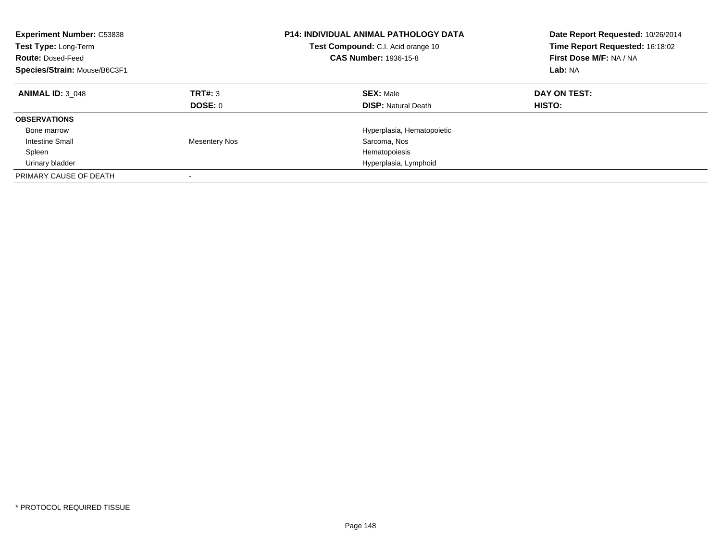| <b>Experiment Number: C53838</b><br>Test Type: Long-Term<br><b>Route: Dosed-Feed</b><br>Species/Strain: Mouse/B6C3F1 |                    | <b>P14: INDIVIDUAL ANIMAL PATHOLOGY DATA</b><br>Test Compound: C.I. Acid orange 10<br><b>CAS Number: 1936-15-8</b> | Date Report Requested: 10/26/2014<br>Time Report Requested: 16:18:02<br>First Dose M/F: NA / NA<br>Lab: NA |
|----------------------------------------------------------------------------------------------------------------------|--------------------|--------------------------------------------------------------------------------------------------------------------|------------------------------------------------------------------------------------------------------------|
| <b>ANIMAL ID: 3 048</b>                                                                                              | TRT#: 3<br>DOSE: 0 | <b>SEX: Male</b><br><b>DISP:</b> Natural Death                                                                     | DAY ON TEST:<br>HISTO:                                                                                     |
| <b>OBSERVATIONS</b>                                                                                                  |                    |                                                                                                                    |                                                                                                            |
| Bone marrow                                                                                                          |                    | Hyperplasia, Hematopoietic                                                                                         |                                                                                                            |
| <b>Intestine Small</b>                                                                                               | Mesentery Nos      | Sarcoma, Nos                                                                                                       |                                                                                                            |
| Spleen                                                                                                               |                    | Hematopoiesis                                                                                                      |                                                                                                            |
| Urinary bladder                                                                                                      |                    | Hyperplasia, Lymphoid                                                                                              |                                                                                                            |
| PRIMARY CAUSE OF DEATH                                                                                               |                    |                                                                                                                    |                                                                                                            |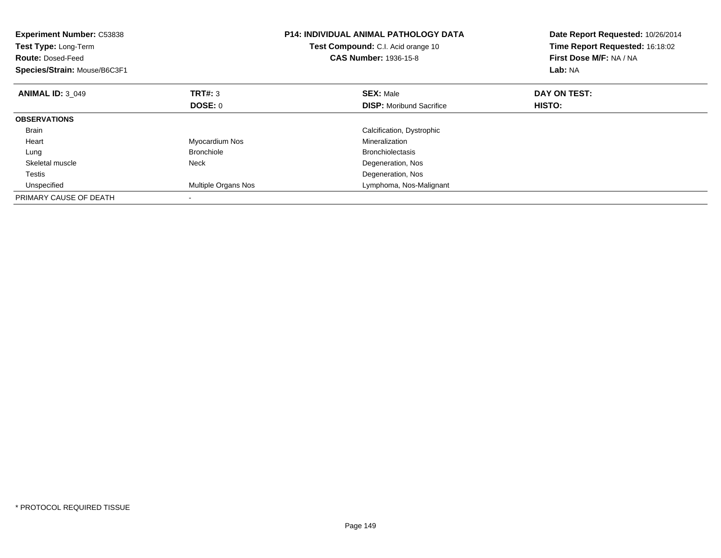| <b>Experiment Number: C53838</b><br>Test Type: Long-Term<br><b>Route: Dosed-Feed</b><br>Species/Strain: Mouse/B6C3F1 |                     | <b>P14: INDIVIDUAL ANIMAL PATHOLOGY DATA</b><br>Test Compound: C.I. Acid orange 10<br><b>CAS Number: 1936-15-8</b> | Date Report Requested: 10/26/2014<br>Time Report Requested: 16:18:02<br>First Dose M/F: NA / NA<br>Lab: NA |
|----------------------------------------------------------------------------------------------------------------------|---------------------|--------------------------------------------------------------------------------------------------------------------|------------------------------------------------------------------------------------------------------------|
| <b>ANIMAL ID: 3 049</b>                                                                                              | TRT#: 3             | <b>SEX: Male</b>                                                                                                   | DAY ON TEST:                                                                                               |
|                                                                                                                      | DOSE: 0             | <b>DISP:</b> Moribund Sacrifice                                                                                    | HISTO:                                                                                                     |
| <b>OBSERVATIONS</b>                                                                                                  |                     |                                                                                                                    |                                                                                                            |
| <b>Brain</b>                                                                                                         |                     | Calcification, Dystrophic                                                                                          |                                                                                                            |
| Heart                                                                                                                | Myocardium Nos      | Mineralization                                                                                                     |                                                                                                            |
| Lung                                                                                                                 | <b>Bronchiole</b>   | <b>Bronchiolectasis</b>                                                                                            |                                                                                                            |
| Skeletal muscle                                                                                                      | Neck                | Degeneration, Nos                                                                                                  |                                                                                                            |
| Testis                                                                                                               |                     | Degeneration, Nos                                                                                                  |                                                                                                            |
| Unspecified                                                                                                          | Multiple Organs Nos | Lymphoma, Nos-Malignant                                                                                            |                                                                                                            |
| PRIMARY CAUSE OF DEATH                                                                                               |                     |                                                                                                                    |                                                                                                            |